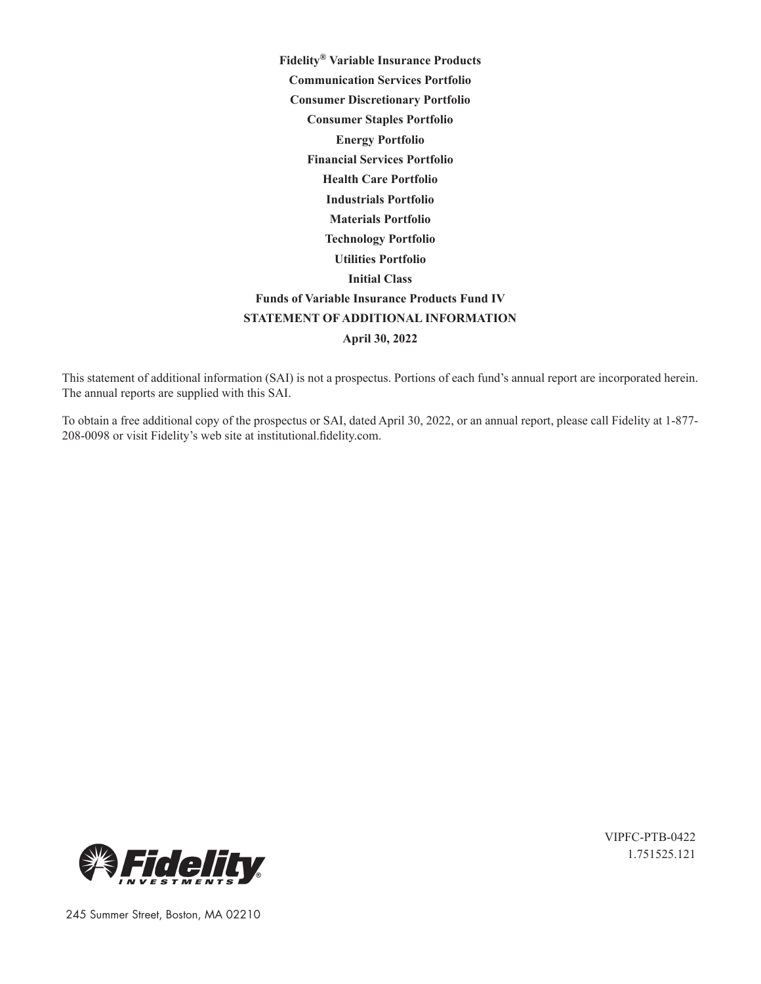**Fidelity® Variable Insurance Products Communication Services Portfolio Consumer Discretionary Portfolio Consumer Staples Portfolio Energy Portfolio Financial Services Portfolio Health Care Portfolio Industrials Portfolio Materials Portfolio Technology Portfolio Utilities Portfolio Initial Class Funds of Variable Insurance Products Fund IV STATEMENT OF ADDITIONAL INFORMATION April 30, 2022**

This statement of additional information (SAI) is not a prospectus. Portions of each fund's annual report are incorporated herein. The annual reports are supplied with this SAI.

To obtain a free additional copy of the prospectus or SAI, dated April 30, 2022, or an annual report, please call Fidelity at 1-877- 208-0098 or visit Fidelity's web site at institutional.fidelity.com.



VIPFC-PTB-0422 1.751525.121

245 Summer Street, Boston, MA 02210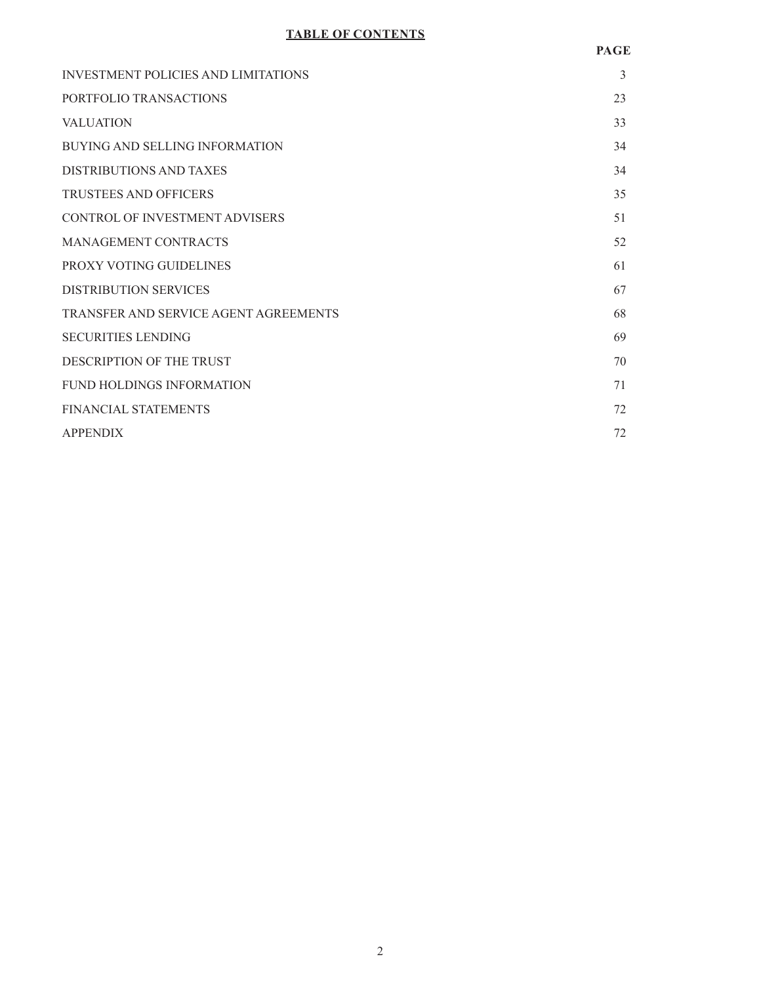# **TABLE OF CONTENTS**

| <b>INVESTMENT POLICIES AND LIMITATIONS</b> | 3  |
|--------------------------------------------|----|
| PORTFOLIO TRANSACTIONS                     | 23 |
| <b>VALUATION</b>                           | 33 |
| BUYING AND SELLING INFORMATION             | 34 |
| <b>DISTRIBUTIONS AND TAXES</b>             | 34 |
| <b>TRUSTEES AND OFFICERS</b>               | 35 |
| <b>CONTROL OF INVESTMENT ADVISERS</b>      | 51 |
| <b>MANAGEMENT CONTRACTS</b>                | 52 |
| PROXY VOTING GUIDELINES                    | 61 |
| <b>DISTRIBUTION SERVICES</b>               | 67 |
| TRANSFER AND SERVICE AGENT AGREEMENTS      | 68 |
| <b>SECURITIES LENDING</b>                  | 69 |
| DESCRIPTION OF THE TRUST                   | 70 |
| <b>FUND HOLDINGS INFORMATION</b>           | 71 |
| <b>FINANCIAL STATEMENTS</b>                | 72 |
| <b>APPENDIX</b>                            | 72 |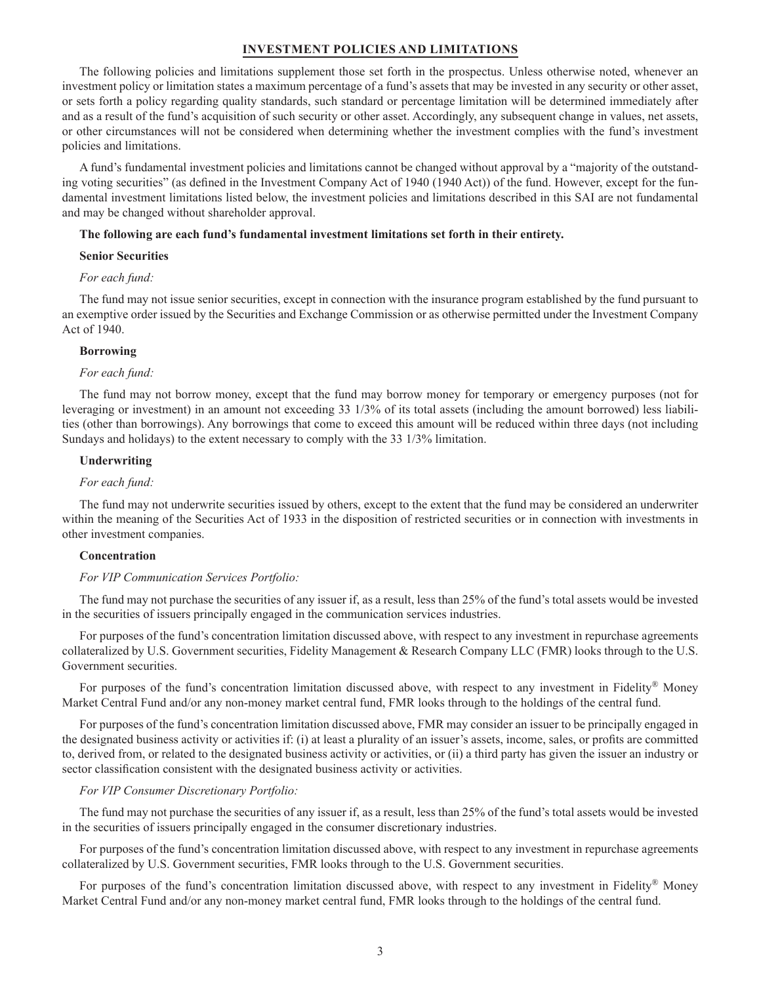# **INVESTMENT POLICIES AND LIMITATIONS**

The following policies and limitations supplement those set forth in the prospectus. Unless otherwise noted, whenever an investment policy or limitation states a maximum percentage of a fund's assets that may be invested in any security or other asset, or sets forth a policy regarding quality standards, such standard or percentage limitation will be determined immediately after and as a result of the fund's acquisition of such security or other asset. Accordingly, any subsequent change in values, net assets, or other circumstances will not be considered when determining whether the investment complies with the fund's investment policies and limitations.

A fund's fundamental investment policies and limitations cannot be changed without approval by a "majority of the outstanding voting securities" (as defined in the Investment Company Act of 1940 (1940 Act)) of the fund. However, except for the fundamental investment limitations listed below, the investment policies and limitations described in this SAI are not fundamental and may be changed without shareholder approval.

#### **The following are each fund's fundamental investment limitations set forth in their entirety.**

# **Senior Securities**

#### *For each fund:*

The fund may not issue senior securities, except in connection with the insurance program established by the fund pursuant to an exemptive order issued by the Securities and Exchange Commission or as otherwise permitted under the Investment Company Act of 1940.

#### **Borrowing**

#### *For each fund:*

The fund may not borrow money, except that the fund may borrow money for temporary or emergency purposes (not for leveraging or investment) in an amount not exceeding 33 1/3% of its total assets (including the amount borrowed) less liabilities (other than borrowings). Any borrowings that come to exceed this amount will be reduced within three days (not including Sundays and holidays) to the extent necessary to comply with the 33 1/3% limitation.

#### **Underwriting**

#### *For each fund:*

The fund may not underwrite securities issued by others, except to the extent that the fund may be considered an underwriter within the meaning of the Securities Act of 1933 in the disposition of restricted securities or in connection with investments in other investment companies.

#### **Concentration**

### *For VIP Communication Services Portfolio:*

The fund may not purchase the securities of any issuer if, as a result, less than 25% of the fund's total assets would be invested in the securities of issuers principally engaged in the communication services industries.

For purposes of the fund's concentration limitation discussed above, with respect to any investment in repurchase agreements collateralized by U.S. Government securities, Fidelity Management & Research Company LLC (FMR) looks through to the U.S. Government securities.

For purposes of the fund's concentration limitation discussed above, with respect to any investment in Fidelity® Money Market Central Fund and/or any non-money market central fund, FMR looks through to the holdings of the central fund.

For purposes of the fund's concentration limitation discussed above, FMR may consider an issuer to be principally engaged in the designated business activity or activities if: (i) at least a plurality of an issuer's assets, income, sales, or profits are committed to, derived from, or related to the designated business activity or activities, or (ii) a third party has given the issuer an industry or sector classification consistent with the designated business activity or activities.

### *For VIP Consumer Discretionary Portfolio:*

The fund may not purchase the securities of any issuer if, as a result, less than 25% of the fund's total assets would be invested in the securities of issuers principally engaged in the consumer discretionary industries.

For purposes of the fund's concentration limitation discussed above, with respect to any investment in repurchase agreements collateralized by U.S. Government securities, FMR looks through to the U.S. Government securities.

For purposes of the fund's concentration limitation discussed above, with respect to any investment in Fidelity® Money Market Central Fund and/or any non-money market central fund, FMR looks through to the holdings of the central fund.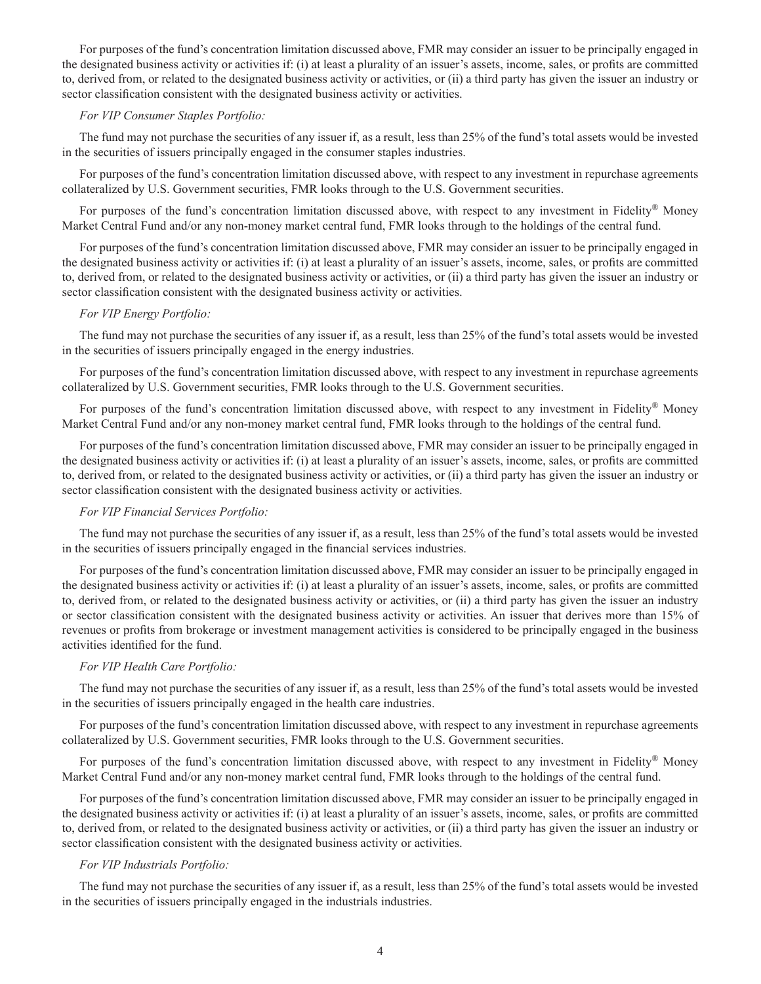For purposes of the fund's concentration limitation discussed above, FMR may consider an issuer to be principally engaged in the designated business activity or activities if: (i) at least a plurality of an issuer's assets, income, sales, or profits are committed to, derived from, or related to the designated business activity or activities, or (ii) a third party has given the issuer an industry or sector classification consistent with the designated business activity or activities.

# *For VIP Consumer Staples Portfolio:*

The fund may not purchase the securities of any issuer if, as a result, less than 25% of the fund's total assets would be invested in the securities of issuers principally engaged in the consumer staples industries.

For purposes of the fund's concentration limitation discussed above, with respect to any investment in repurchase agreements collateralized by U.S. Government securities, FMR looks through to the U.S. Government securities.

For purposes of the fund's concentration limitation discussed above, with respect to any investment in Fidelity® Money Market Central Fund and/or any non-money market central fund, FMR looks through to the holdings of the central fund.

For purposes of the fund's concentration limitation discussed above, FMR may consider an issuer to be principally engaged in the designated business activity or activities if: (i) at least a plurality of an issuer's assets, income, sales, or profits are committed to, derived from, or related to the designated business activity or activities, or (ii) a third party has given the issuer an industry or sector classification consistent with the designated business activity or activities.

# *For VIP Energy Portfolio:*

The fund may not purchase the securities of any issuer if, as a result, less than 25% of the fund's total assets would be invested in the securities of issuers principally engaged in the energy industries.

For purposes of the fund's concentration limitation discussed above, with respect to any investment in repurchase agreements collateralized by U.S. Government securities, FMR looks through to the U.S. Government securities.

For purposes of the fund's concentration limitation discussed above, with respect to any investment in Fidelity® Money Market Central Fund and/or any non-money market central fund, FMR looks through to the holdings of the central fund.

For purposes of the fund's concentration limitation discussed above, FMR may consider an issuer to be principally engaged in the designated business activity or activities if: (i) at least a plurality of an issuer's assets, income, sales, or profits are committed to, derived from, or related to the designated business activity or activities, or (ii) a third party has given the issuer an industry or sector classification consistent with the designated business activity or activities.

# *For VIP Financial Services Portfolio:*

The fund may not purchase the securities of any issuer if, as a result, less than 25% of the fund's total assets would be invested in the securities of issuers principally engaged in the financial services industries.

For purposes of the fund's concentration limitation discussed above, FMR may consider an issuer to be principally engaged in the designated business activity or activities if: (i) at least a plurality of an issuer's assets, income, sales, or profits are committed to, derived from, or related to the designated business activity or activities, or (ii) a third party has given the issuer an industry or sector classification consistent with the designated business activity or activities. An issuer that derives more than 15% of revenues or profits from brokerage or investment management activities is considered to be principally engaged in the business activities identified for the fund.

### *For VIP Health Care Portfolio:*

The fund may not purchase the securities of any issuer if, as a result, less than 25% of the fund's total assets would be invested in the securities of issuers principally engaged in the health care industries.

For purposes of the fund's concentration limitation discussed above, with respect to any investment in repurchase agreements collateralized by U.S. Government securities, FMR looks through to the U.S. Government securities.

For purposes of the fund's concentration limitation discussed above, with respect to any investment in Fidelity® Money Market Central Fund and/or any non-money market central fund, FMR looks through to the holdings of the central fund.

For purposes of the fund's concentration limitation discussed above, FMR may consider an issuer to be principally engaged in the designated business activity or activities if: (i) at least a plurality of an issuer's assets, income, sales, or profits are committed to, derived from, or related to the designated business activity or activities, or (ii) a third party has given the issuer an industry or sector classification consistent with the designated business activity or activities.

### *For VIP Industrials Portfolio:*

The fund may not purchase the securities of any issuer if, as a result, less than 25% of the fund's total assets would be invested in the securities of issuers principally engaged in the industrials industries.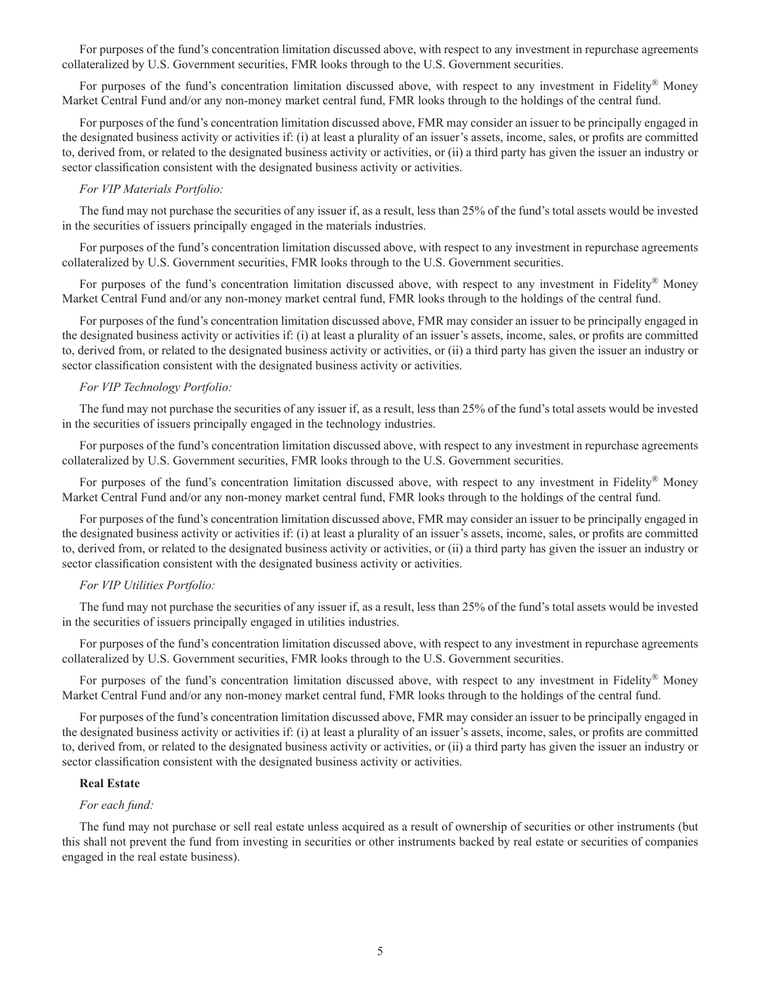For purposes of the fund's concentration limitation discussed above, with respect to any investment in repurchase agreements collateralized by U.S. Government securities, FMR looks through to the U.S. Government securities.

For purposes of the fund's concentration limitation discussed above, with respect to any investment in Fidelity® Money Market Central Fund and/or any non-money market central fund, FMR looks through to the holdings of the central fund.

For purposes of the fund's concentration limitation discussed above, FMR may consider an issuer to be principally engaged in the designated business activity or activities if: (i) at least a plurality of an issuer's assets, income, sales, or profits are committed to, derived from, or related to the designated business activity or activities, or (ii) a third party has given the issuer an industry or sector classification consistent with the designated business activity or activities.

#### *For VIP Materials Portfolio:*

The fund may not purchase the securities of any issuer if, as a result, less than 25% of the fund's total assets would be invested in the securities of issuers principally engaged in the materials industries.

For purposes of the fund's concentration limitation discussed above, with respect to any investment in repurchase agreements collateralized by U.S. Government securities, FMR looks through to the U.S. Government securities.

For purposes of the fund's concentration limitation discussed above, with respect to any investment in Fidelity® Money Market Central Fund and/or any non-money market central fund, FMR looks through to the holdings of the central fund.

For purposes of the fund's concentration limitation discussed above, FMR may consider an issuer to be principally engaged in the designated business activity or activities if: (i) at least a plurality of an issuer's assets, income, sales, or profits are committed to, derived from, or related to the designated business activity or activities, or (ii) a third party has given the issuer an industry or sector classification consistent with the designated business activity or activities.

# *For VIP Technology Portfolio:*

The fund may not purchase the securities of any issuer if, as a result, less than 25% of the fund's total assets would be invested in the securities of issuers principally engaged in the technology industries.

For purposes of the fund's concentration limitation discussed above, with respect to any investment in repurchase agreements collateralized by U.S. Government securities, FMR looks through to the U.S. Government securities.

For purposes of the fund's concentration limitation discussed above, with respect to any investment in Fidelity® Money Market Central Fund and/or any non-money market central fund, FMR looks through to the holdings of the central fund.

For purposes of the fund's concentration limitation discussed above, FMR may consider an issuer to be principally engaged in the designated business activity or activities if: (i) at least a plurality of an issuer's assets, income, sales, or profits are committed to, derived from, or related to the designated business activity or activities, or (ii) a third party has given the issuer an industry or sector classification consistent with the designated business activity or activities.

# *For VIP Utilities Portfolio:*

The fund may not purchase the securities of any issuer if, as a result, less than 25% of the fund's total assets would be invested in the securities of issuers principally engaged in utilities industries.

For purposes of the fund's concentration limitation discussed above, with respect to any investment in repurchase agreements collateralized by U.S. Government securities, FMR looks through to the U.S. Government securities.

For purposes of the fund's concentration limitation discussed above, with respect to any investment in Fidelity® Money Market Central Fund and/or any non-money market central fund, FMR looks through to the holdings of the central fund.

For purposes of the fund's concentration limitation discussed above, FMR may consider an issuer to be principally engaged in the designated business activity or activities if: (i) at least a plurality of an issuer's assets, income, sales, or profits are committed to, derived from, or related to the designated business activity or activities, or (ii) a third party has given the issuer an industry or sector classification consistent with the designated business activity or activities.

#### **Real Estate**

# *For each fund:*

The fund may not purchase or sell real estate unless acquired as a result of ownership of securities or other instruments (but this shall not prevent the fund from investing in securities or other instruments backed by real estate or securities of companies engaged in the real estate business).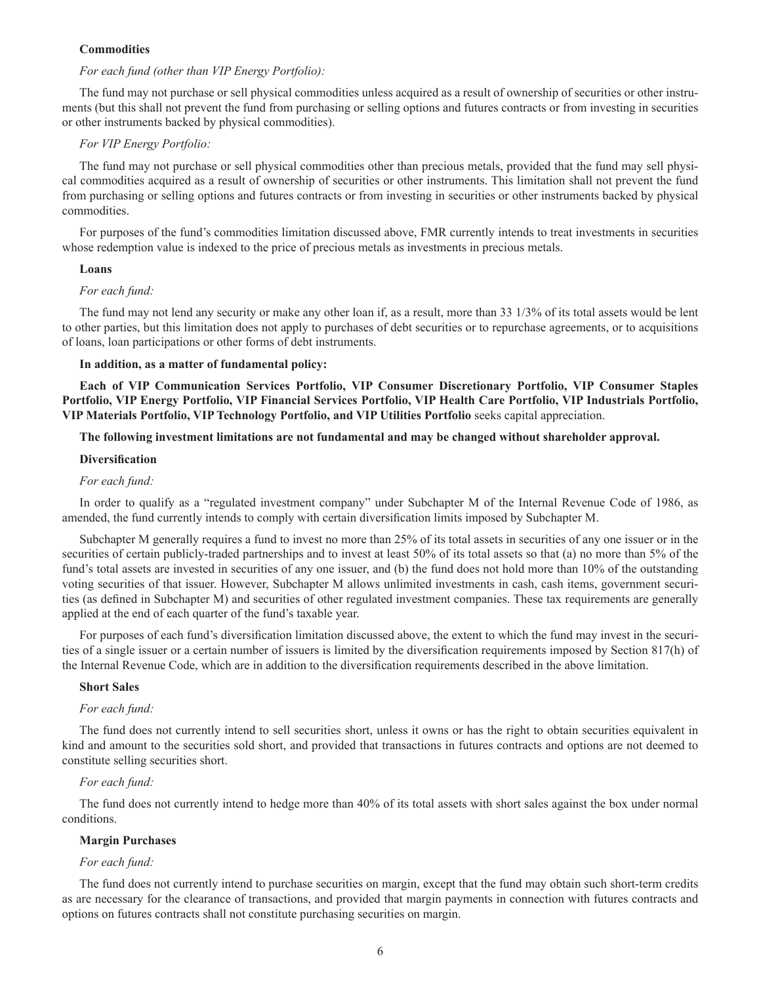# **Commodities**

# *For each fund (other than VIP Energy Portfolio):*

The fund may not purchase or sell physical commodities unless acquired as a result of ownership of securities or other instruments (but this shall not prevent the fund from purchasing or selling options and futures contracts or from investing in securities or other instruments backed by physical commodities).

# *For VIP Energy Portfolio:*

The fund may not purchase or sell physical commodities other than precious metals, provided that the fund may sell physical commodities acquired as a result of ownership of securities or other instruments. This limitation shall not prevent the fund from purchasing or selling options and futures contracts or from investing in securities or other instruments backed by physical commodities.

For purposes of the fund's commodities limitation discussed above, FMR currently intends to treat investments in securities whose redemption value is indexed to the price of precious metals as investments in precious metals.

# **Loans**

### *For each fund:*

The fund may not lend any security or make any other loan if, as a result, more than 33 1/3% of its total assets would be lent to other parties, but this limitation does not apply to purchases of debt securities or to repurchase agreements, or to acquisitions of loans, loan participations or other forms of debt instruments.

# **In addition, as a matter of fundamental policy:**

**Each of VIP Communication Services Portfolio, VIP Consumer Discretionary Portfolio, VIP Consumer Staples Portfolio, VIP Energy Portfolio, VIP Financial Services Portfolio, VIP Health Care Portfolio, VIP Industrials Portfolio, VIP Materials Portfolio, VIP Technology Portfolio, and VIP Utilities Portfolio** seeks capital appreciation.

# **The following investment limitations are not fundamental and may be changed without shareholder approval.**

### **Diversification**

# *For each fund:*

In order to qualify as a "regulated investment company" under Subchapter M of the Internal Revenue Code of 1986, as amended, the fund currently intends to comply with certain diversification limits imposed by Subchapter M.

Subchapter M generally requires a fund to invest no more than 25% of its total assets in securities of any one issuer or in the securities of certain publicly-traded partnerships and to invest at least 50% of its total assets so that (a) no more than 5% of the fund's total assets are invested in securities of any one issuer, and (b) the fund does not hold more than 10% of the outstanding voting securities of that issuer. However, Subchapter M allows unlimited investments in cash, cash items, government securities (as defined in Subchapter M) and securities of other regulated investment companies. These tax requirements are generally applied at the end of each quarter of the fund's taxable year.

For purposes of each fund's diversification limitation discussed above, the extent to which the fund may invest in the securities of a single issuer or a certain number of issuers is limited by the diversification requirements imposed by Section 817(h) of the Internal Revenue Code, which are in addition to the diversification requirements described in the above limitation.

#### **Short Sales**

# *For each fund:*

The fund does not currently intend to sell securities short, unless it owns or has the right to obtain securities equivalent in kind and amount to the securities sold short, and provided that transactions in futures contracts and options are not deemed to constitute selling securities short.

# *For each fund:*

The fund does not currently intend to hedge more than 40% of its total assets with short sales against the box under normal conditions.

# **Margin Purchases**

# *For each fund:*

The fund does not currently intend to purchase securities on margin, except that the fund may obtain such short-term credits as are necessary for the clearance of transactions, and provided that margin payments in connection with futures contracts and options on futures contracts shall not constitute purchasing securities on margin.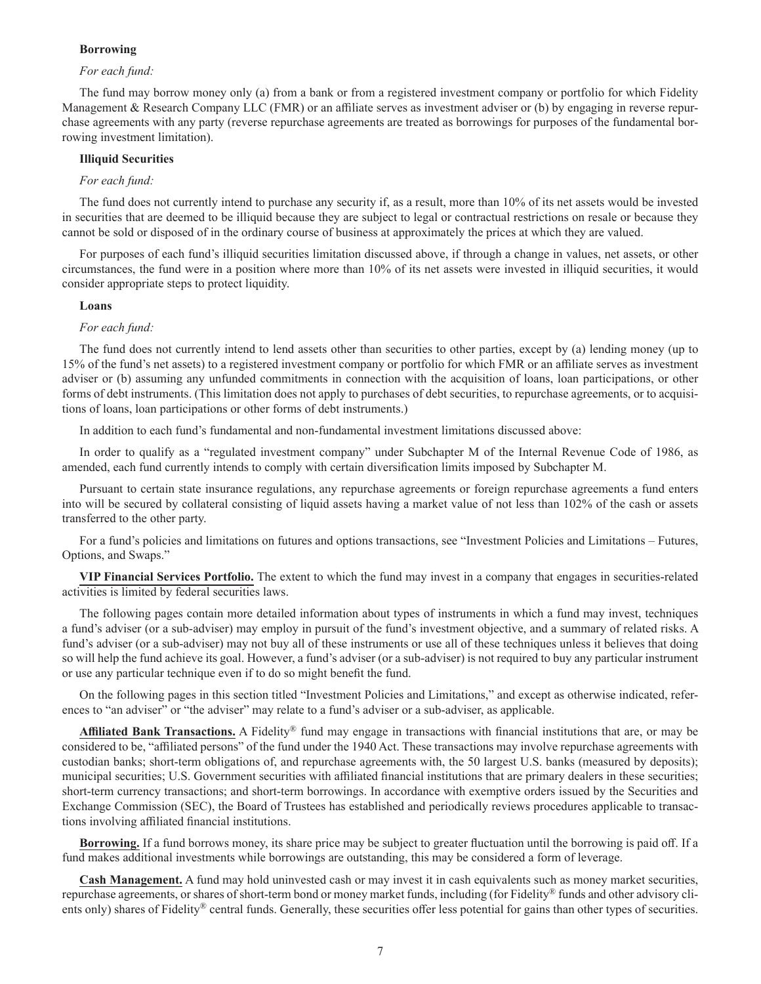# **Borrowing**

# *For each fund:*

The fund may borrow money only (a) from a bank or from a registered investment company or portfolio for which Fidelity Management & Research Company LLC (FMR) or an affiliate serves as investment adviser or (b) by engaging in reverse repurchase agreements with any party (reverse repurchase agreements are treated as borrowings for purposes of the fundamental borrowing investment limitation).

# **Illiquid Securities**

### *For each fund:*

The fund does not currently intend to purchase any security if, as a result, more than 10% of its net assets would be invested in securities that are deemed to be illiquid because they are subject to legal or contractual restrictions on resale or because they cannot be sold or disposed of in the ordinary course of business at approximately the prices at which they are valued.

For purposes of each fund's illiquid securities limitation discussed above, if through a change in values, net assets, or other circumstances, the fund were in a position where more than 10% of its net assets were invested in illiquid securities, it would consider appropriate steps to protect liquidity.

# **Loans**

#### *For each fund:*

The fund does not currently intend to lend assets other than securities to other parties, except by (a) lending money (up to 15% of the fund's net assets) to a registered investment company or portfolio for which FMR or an affiliate serves as investment adviser or (b) assuming any unfunded commitments in connection with the acquisition of loans, loan participations, or other forms of debt instruments. (This limitation does not apply to purchases of debt securities, to repurchase agreements, or to acquisitions of loans, loan participations or other forms of debt instruments.)

In addition to each fund's fundamental and non-fundamental investment limitations discussed above:

In order to qualify as a "regulated investment company" under Subchapter M of the Internal Revenue Code of 1986, as amended, each fund currently intends to comply with certain diversification limits imposed by Subchapter M.

Pursuant to certain state insurance regulations, any repurchase agreements or foreign repurchase agreements a fund enters into will be secured by collateral consisting of liquid assets having a market value of not less than 102% of the cash or assets transferred to the other party.

For a fund's policies and limitations on futures and options transactions, see "Investment Policies and Limitations – Futures, Options, and Swaps."

**VIP Financial Services Portfolio.** The extent to which the fund may invest in a company that engages in securities-related activities is limited by federal securities laws.

The following pages contain more detailed information about types of instruments in which a fund may invest, techniques a fund's adviser (or a sub-adviser) may employ in pursuit of the fund's investment objective, and a summary of related risks. A fund's adviser (or a sub-adviser) may not buy all of these instruments or use all of these techniques unless it believes that doing so will help the fund achieve its goal. However, a fund's adviser (or a sub-adviser) is not required to buy any particular instrument or use any particular technique even if to do so might benefit the fund.

On the following pages in this section titled "Investment Policies and Limitations," and except as otherwise indicated, references to "an adviser" or "the adviser" may relate to a fund's adviser or a sub-adviser, as applicable.

**Affiliated Bank Transactions.** A Fidelity® fund may engage in transactions with financial institutions that are, or may be considered to be, "affiliated persons" of the fund under the 1940 Act. These transactions may involve repurchase agreements with custodian banks; short-term obligations of, and repurchase agreements with, the 50 largest U.S. banks (measured by deposits); municipal securities; U.S. Government securities with affiliated financial institutions that are primary dealers in these securities; short-term currency transactions; and short-term borrowings. In accordance with exemptive orders issued by the Securities and Exchange Commission (SEC), the Board of Trustees has established and periodically reviews procedures applicable to transactions involving affiliated financial institutions.

**Borrowing.** If a fund borrows money, its share price may be subject to greater fluctuation until the borrowing is paid off. If a fund makes additional investments while borrowings are outstanding, this may be considered a form of leverage.

**Cash Management.** A fund may hold uninvested cash or may invest it in cash equivalents such as money market securities, repurchase agreements, or shares of short-term bond or money market funds, including (for Fidelity® funds and other advisory clients only) shares of Fidelity<sup>®</sup> central funds. Generally, these securities offer less potential for gains than other types of securities.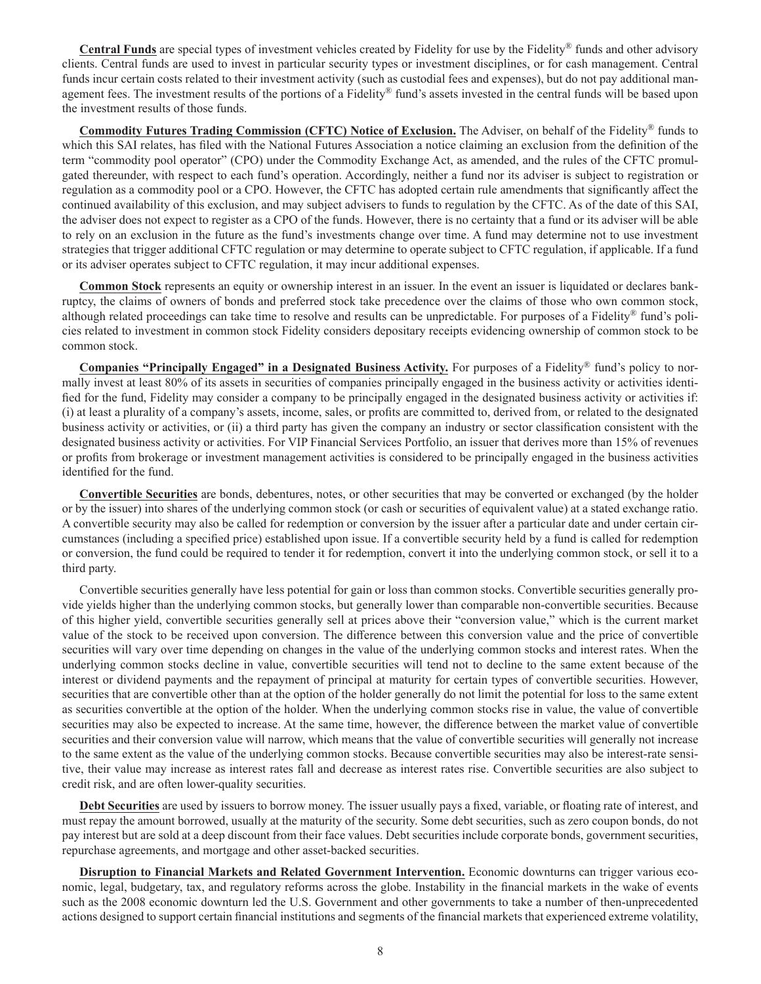**Central Funds** are special types of investment vehicles created by Fidelity for use by the Fidelity® funds and other advisory clients. Central funds are used to invest in particular security types or investment disciplines, or for cash management. Central funds incur certain costs related to their investment activity (such as custodial fees and expenses), but do not pay additional management fees. The investment results of the portions of a Fidelity® fund's assets invested in the central funds will be based upon the investment results of those funds.

**Commodity Futures Trading Commission (CFTC) Notice of Exclusion.** The Adviser, on behalf of the Fidelity® funds to which this SAI relates, has filed with the National Futures Association a notice claiming an exclusion from the definition of the term "commodity pool operator" (CPO) under the Commodity Exchange Act, as amended, and the rules of the CFTC promulgated thereunder, with respect to each fund's operation. Accordingly, neither a fund nor its adviser is subject to registration or regulation as a commodity pool or a CPO. However, the CFTC has adopted certain rule amendments that significantly affect the continued availability of this exclusion, and may subject advisers to funds to regulation by the CFTC. As of the date of this SAI, the adviser does not expect to register as a CPO of the funds. However, there is no certainty that a fund or its adviser will be able to rely on an exclusion in the future as the fund's investments change over time. A fund may determine not to use investment strategies that trigger additional CFTC regulation or may determine to operate subject to CFTC regulation, if applicable. If a fund or its adviser operates subject to CFTC regulation, it may incur additional expenses.

**Common Stock** represents an equity or ownership interest in an issuer. In the event an issuer is liquidated or declares bankruptcy, the claims of owners of bonds and preferred stock take precedence over the claims of those who own common stock, although related proceedings can take time to resolve and results can be unpredictable. For purposes of a Fidelity® fund's policies related to investment in common stock Fidelity considers depositary receipts evidencing ownership of common stock to be common stock.

**Companies "Principally Engaged" in a Designated Business Activity.** For purposes of a Fidelity® fund's policy to normally invest at least 80% of its assets in securities of companies principally engaged in the business activity or activities identified for the fund, Fidelity may consider a company to be principally engaged in the designated business activity or activities if: (i) at least a plurality of a company's assets, income, sales, or profits are committed to, derived from, or related to the designated business activity or activities, or (ii) a third party has given the company an industry or sector classification consistent with the designated business activity or activities. For VIP Financial Services Portfolio, an issuer that derives more than 15% of revenues or profits from brokerage or investment management activities is considered to be principally engaged in the business activities identified for the fund.

**Convertible Securities** are bonds, debentures, notes, or other securities that may be converted or exchanged (by the holder or by the issuer) into shares of the underlying common stock (or cash or securities of equivalent value) at a stated exchange ratio. A convertible security may also be called for redemption or conversion by the issuer after a particular date and under certain circumstances (including a specified price) established upon issue. If a convertible security held by a fund is called for redemption or conversion, the fund could be required to tender it for redemption, convert it into the underlying common stock, or sell it to a third party.

Convertible securities generally have less potential for gain or loss than common stocks. Convertible securities generally provide yields higher than the underlying common stocks, but generally lower than comparable non-convertible securities. Because of this higher yield, convertible securities generally sell at prices above their "conversion value," which is the current market value of the stock to be received upon conversion. The difference between this conversion value and the price of convertible securities will vary over time depending on changes in the value of the underlying common stocks and interest rates. When the underlying common stocks decline in value, convertible securities will tend not to decline to the same extent because of the interest or dividend payments and the repayment of principal at maturity for certain types of convertible securities. However, securities that are convertible other than at the option of the holder generally do not limit the potential for loss to the same extent as securities convertible at the option of the holder. When the underlying common stocks rise in value, the value of convertible securities may also be expected to increase. At the same time, however, the difference between the market value of convertible securities and their conversion value will narrow, which means that the value of convertible securities will generally not increase to the same extent as the value of the underlying common stocks. Because convertible securities may also be interest-rate sensitive, their value may increase as interest rates fall and decrease as interest rates rise. Convertible securities are also subject to credit risk, and are often lower-quality securities.

**Debt Securities** are used by issuers to borrow money. The issuer usually pays a fixed, variable, or floating rate of interest, and must repay the amount borrowed, usually at the maturity of the security. Some debt securities, such as zero coupon bonds, do not pay interest but are sold at a deep discount from their face values. Debt securities include corporate bonds, government securities, repurchase agreements, and mortgage and other asset-backed securities.

**Disruption to Financial Markets and Related Government Intervention.** Economic downturns can trigger various economic, legal, budgetary, tax, and regulatory reforms across the globe. Instability in the financial markets in the wake of events such as the 2008 economic downturn led the U.S. Government and other governments to take a number of then-unprecedented actions designed to support certain financial institutions and segments of the financial markets that experienced extreme volatility,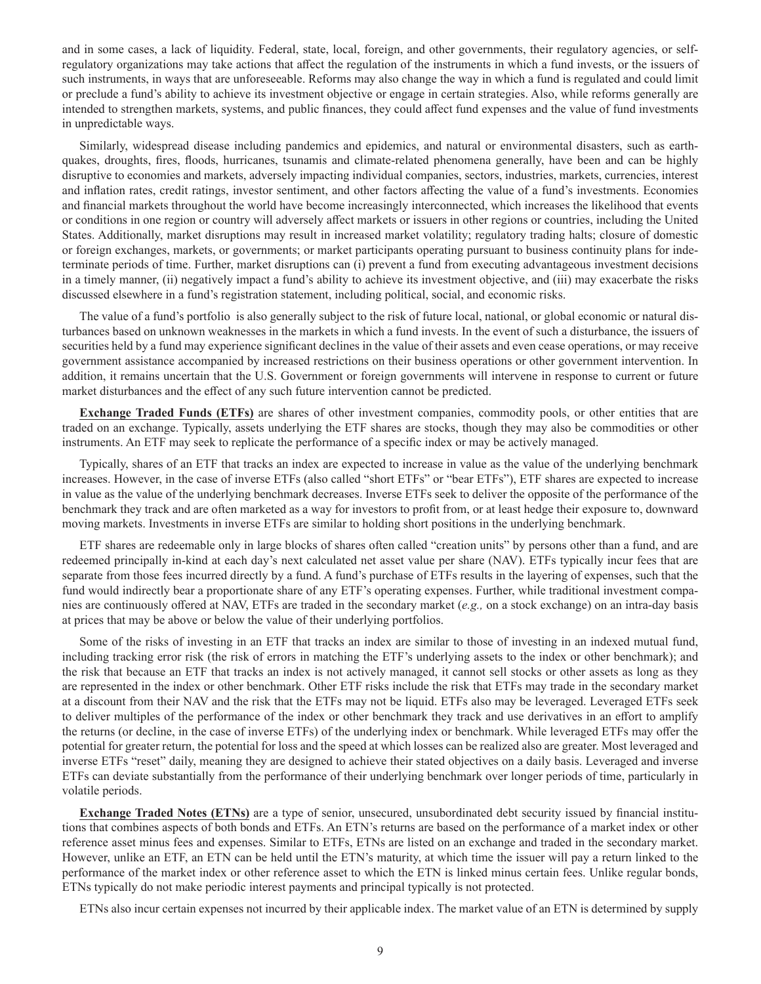and in some cases, a lack of liquidity. Federal, state, local, foreign, and other governments, their regulatory agencies, or selfregulatory organizations may take actions that affect the regulation of the instruments in which a fund invests, or the issuers of such instruments, in ways that are unforeseeable. Reforms may also change the way in which a fund is regulated and could limit or preclude a fund's ability to achieve its investment objective or engage in certain strategies. Also, while reforms generally are intended to strengthen markets, systems, and public finances, they could affect fund expenses and the value of fund investments in unpredictable ways.

Similarly, widespread disease including pandemics and epidemics, and natural or environmental disasters, such as earthquakes, droughts, fires, floods, hurricanes, tsunamis and climate-related phenomena generally, have been and can be highly disruptive to economies and markets, adversely impacting individual companies, sectors, industries, markets, currencies, interest and inflation rates, credit ratings, investor sentiment, and other factors affecting the value of a fund's investments. Economies and financial markets throughout the world have become increasingly interconnected, which increases the likelihood that events or conditions in one region or country will adversely affect markets or issuers in other regions or countries, including the United States. Additionally, market disruptions may result in increased market volatility; regulatory trading halts; closure of domestic or foreign exchanges, markets, or governments; or market participants operating pursuant to business continuity plans for indeterminate periods of time. Further, market disruptions can (i) prevent a fund from executing advantageous investment decisions in a timely manner, (ii) negatively impact a fund's ability to achieve its investment objective, and (iii) may exacerbate the risks discussed elsewhere in a fund's registration statement, including political, social, and economic risks.

The value of a fund's portfolio is also generally subject to the risk of future local, national, or global economic or natural disturbances based on unknown weaknesses in the markets in which a fund invests. In the event of such a disturbance, the issuers of securities held by a fund may experience significant declines in the value of their assets and even cease operations, or may receive government assistance accompanied by increased restrictions on their business operations or other government intervention. In addition, it remains uncertain that the U.S. Government or foreign governments will intervene in response to current or future market disturbances and the effect of any such future intervention cannot be predicted.

**Exchange Traded Funds (ETFs)** are shares of other investment companies, commodity pools, or other entities that are traded on an exchange. Typically, assets underlying the ETF shares are stocks, though they may also be commodities or other instruments. An ETF may seek to replicate the performance of a specific index or may be actively managed.

Typically, shares of an ETF that tracks an index are expected to increase in value as the value of the underlying benchmark increases. However, in the case of inverse ETFs (also called "short ETFs" or "bear ETFs"), ETF shares are expected to increase in value as the value of the underlying benchmark decreases. Inverse ETFs seek to deliver the opposite of the performance of the benchmark they track and are often marketed as a way for investors to profit from, or at least hedge their exposure to, downward moving markets. Investments in inverse ETFs are similar to holding short positions in the underlying benchmark.

ETF shares are redeemable only in large blocks of shares often called "creation units" by persons other than a fund, and are redeemed principally in-kind at each day's next calculated net asset value per share (NAV). ETFs typically incur fees that are separate from those fees incurred directly by a fund. A fund's purchase of ETFs results in the layering of expenses, such that the fund would indirectly bear a proportionate share of any ETF's operating expenses. Further, while traditional investment companies are continuously offered at NAV, ETFs are traded in the secondary market (*e.g.,* on a stock exchange) on an intra-day basis at prices that may be above or below the value of their underlying portfolios.

Some of the risks of investing in an ETF that tracks an index are similar to those of investing in an indexed mutual fund, including tracking error risk (the risk of errors in matching the ETF's underlying assets to the index or other benchmark); and the risk that because an ETF that tracks an index is not actively managed, it cannot sell stocks or other assets as long as they are represented in the index or other benchmark. Other ETF risks include the risk that ETFs may trade in the secondary market at a discount from their NAV and the risk that the ETFs may not be liquid. ETFs also may be leveraged. Leveraged ETFs seek to deliver multiples of the performance of the index or other benchmark they track and use derivatives in an effort to amplify the returns (or decline, in the case of inverse ETFs) of the underlying index or benchmark. While leveraged ETFs may offer the potential for greater return, the potential for loss and the speed at which losses can be realized also are greater. Most leveraged and inverse ETFs "reset" daily, meaning they are designed to achieve their stated objectives on a daily basis. Leveraged and inverse ETFs can deviate substantially from the performance of their underlying benchmark over longer periods of time, particularly in volatile periods.

**Exchange Traded Notes (ETNs)** are a type of senior, unsecured, unsubordinated debt security issued by financial institutions that combines aspects of both bonds and ETFs. An ETN's returns are based on the performance of a market index or other reference asset minus fees and expenses. Similar to ETFs, ETNs are listed on an exchange and traded in the secondary market. However, unlike an ETF, an ETN can be held until the ETN's maturity, at which time the issuer will pay a return linked to the performance of the market index or other reference asset to which the ETN is linked minus certain fees. Unlike regular bonds, ETNs typically do not make periodic interest payments and principal typically is not protected.

ETNs also incur certain expenses not incurred by their applicable index. The market value of an ETN is determined by supply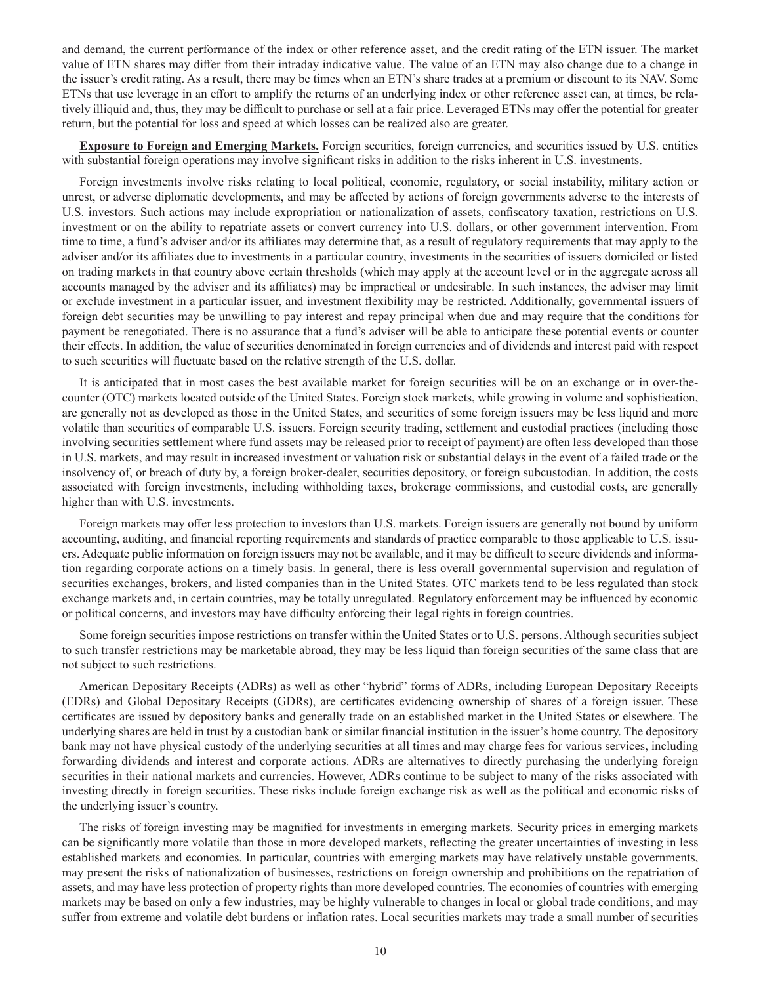and demand, the current performance of the index or other reference asset, and the credit rating of the ETN issuer. The market value of ETN shares may differ from their intraday indicative value. The value of an ETN may also change due to a change in the issuer's credit rating. As a result, there may be times when an ETN's share trades at a premium or discount to its NAV. Some ETNs that use leverage in an effort to amplify the returns of an underlying index or other reference asset can, at times, be relatively illiquid and, thus, they may be difficult to purchase or sell at a fair price. Leveraged ETNs may offer the potential for greater return, but the potential for loss and speed at which losses can be realized also are greater.

**Exposure to Foreign and Emerging Markets.** Foreign securities, foreign currencies, and securities issued by U.S. entities with substantial foreign operations may involve significant risks in addition to the risks inherent in U.S. investments.

Foreign investments involve risks relating to local political, economic, regulatory, or social instability, military action or unrest, or adverse diplomatic developments, and may be affected by actions of foreign governments adverse to the interests of U.S. investors. Such actions may include expropriation or nationalization of assets, confiscatory taxation, restrictions on U.S. investment or on the ability to repatriate assets or convert currency into U.S. dollars, or other government intervention. From time to time, a fund's adviser and/or its affiliates may determine that, as a result of regulatory requirements that may apply to the adviser and/or its affiliates due to investments in a particular country, investments in the securities of issuers domiciled or listed on trading markets in that country above certain thresholds (which may apply at the account level or in the aggregate across all accounts managed by the adviser and its affiliates) may be impractical or undesirable. In such instances, the adviser may limit or exclude investment in a particular issuer, and investment flexibility may be restricted. Additionally, governmental issuers of foreign debt securities may be unwilling to pay interest and repay principal when due and may require that the conditions for payment be renegotiated. There is no assurance that a fund's adviser will be able to anticipate these potential events or counter their effects. In addition, the value of securities denominated in foreign currencies and of dividends and interest paid with respect to such securities will fluctuate based on the relative strength of the U.S. dollar.

It is anticipated that in most cases the best available market for foreign securities will be on an exchange or in over-thecounter (OTC) markets located outside of the United States. Foreign stock markets, while growing in volume and sophistication, are generally not as developed as those in the United States, and securities of some foreign issuers may be less liquid and more volatile than securities of comparable U.S. issuers. Foreign security trading, settlement and custodial practices (including those involving securities settlement where fund assets may be released prior to receipt of payment) are often less developed than those in U.S. markets, and may result in increased investment or valuation risk or substantial delays in the event of a failed trade or the insolvency of, or breach of duty by, a foreign broker-dealer, securities depository, or foreign subcustodian. In addition, the costs associated with foreign investments, including withholding taxes, brokerage commissions, and custodial costs, are generally higher than with U.S. investments.

Foreign markets may offer less protection to investors than U.S. markets. Foreign issuers are generally not bound by uniform accounting, auditing, and financial reporting requirements and standards of practice comparable to those applicable to U.S. issuers. Adequate public information on foreign issuers may not be available, and it may be difficult to secure dividends and information regarding corporate actions on a timely basis. In general, there is less overall governmental supervision and regulation of securities exchanges, brokers, and listed companies than in the United States. OTC markets tend to be less regulated than stock exchange markets and, in certain countries, may be totally unregulated. Regulatory enforcement may be influenced by economic or political concerns, and investors may have difficulty enforcing their legal rights in foreign countries.

Some foreign securities impose restrictions on transfer within the United States or to U.S. persons. Although securities subject to such transfer restrictions may be marketable abroad, they may be less liquid than foreign securities of the same class that are not subject to such restrictions.

American Depositary Receipts (ADRs) as well as other "hybrid" forms of ADRs, including European Depositary Receipts (EDRs) and Global Depositary Receipts (GDRs), are certificates evidencing ownership of shares of a foreign issuer. These certificates are issued by depository banks and generally trade on an established market in the United States or elsewhere. The underlying shares are held in trust by a custodian bank or similar financial institution in the issuer's home country. The depository bank may not have physical custody of the underlying securities at all times and may charge fees for various services, including forwarding dividends and interest and corporate actions. ADRs are alternatives to directly purchasing the underlying foreign securities in their national markets and currencies. However, ADRs continue to be subject to many of the risks associated with investing directly in foreign securities. These risks include foreign exchange risk as well as the political and economic risks of the underlying issuer's country.

The risks of foreign investing may be magnified for investments in emerging markets. Security prices in emerging markets can be significantly more volatile than those in more developed markets, reflecting the greater uncertainties of investing in less established markets and economies. In particular, countries with emerging markets may have relatively unstable governments, may present the risks of nationalization of businesses, restrictions on foreign ownership and prohibitions on the repatriation of assets, and may have less protection of property rights than more developed countries. The economies of countries with emerging markets may be based on only a few industries, may be highly vulnerable to changes in local or global trade conditions, and may suffer from extreme and volatile debt burdens or inflation rates. Local securities markets may trade a small number of securities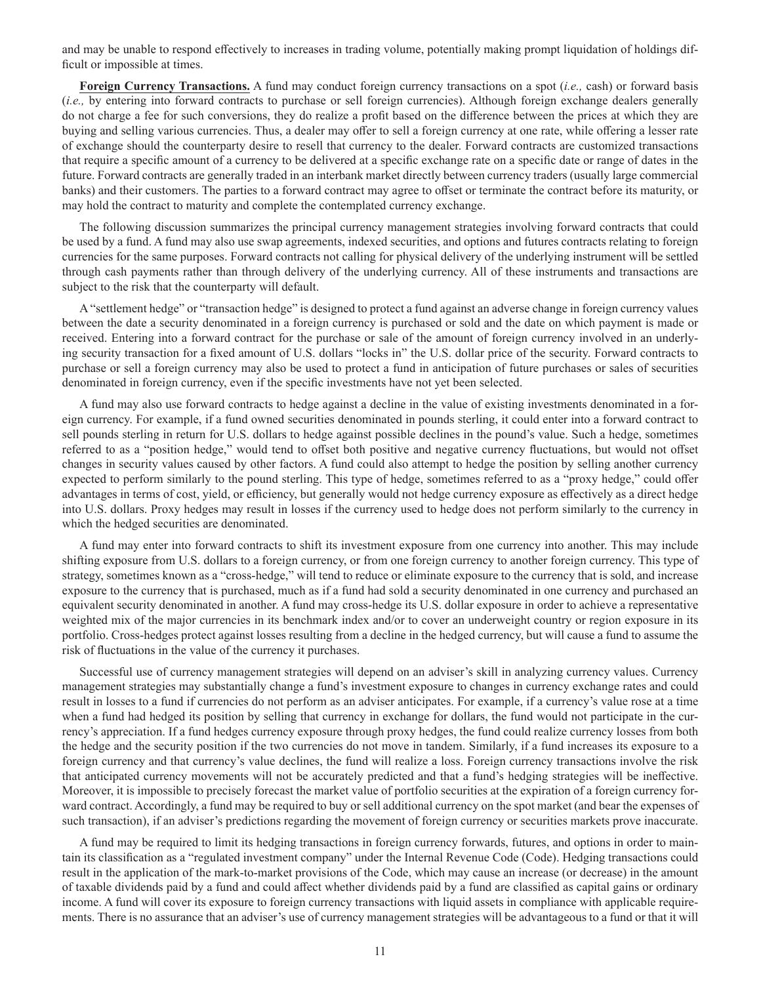and may be unable to respond effectively to increases in trading volume, potentially making prompt liquidation of holdings difficult or impossible at times.

**Foreign Currency Transactions.** A fund may conduct foreign currency transactions on a spot (*i.e.,* cash) or forward basis (*i.e.,* by entering into forward contracts to purchase or sell foreign currencies). Although foreign exchange dealers generally do not charge a fee for such conversions, they do realize a profit based on the difference between the prices at which they are buying and selling various currencies. Thus, a dealer may offer to sell a foreign currency at one rate, while offering a lesser rate of exchange should the counterparty desire to resell that currency to the dealer. Forward contracts are customized transactions that require a specific amount of a currency to be delivered at a specific exchange rate on a specific date or range of dates in the future. Forward contracts are generally traded in an interbank market directly between currency traders (usually large commercial banks) and their customers. The parties to a forward contract may agree to offset or terminate the contract before its maturity, or may hold the contract to maturity and complete the contemplated currency exchange.

The following discussion summarizes the principal currency management strategies involving forward contracts that could be used by a fund. A fund may also use swap agreements, indexed securities, and options and futures contracts relating to foreign currencies for the same purposes. Forward contracts not calling for physical delivery of the underlying instrument will be settled through cash payments rather than through delivery of the underlying currency. All of these instruments and transactions are subject to the risk that the counterparty will default.

A "settlement hedge" or "transaction hedge" is designed to protect a fund against an adverse change in foreign currency values between the date a security denominated in a foreign currency is purchased or sold and the date on which payment is made or received. Entering into a forward contract for the purchase or sale of the amount of foreign currency involved in an underlying security transaction for a fixed amount of U.S. dollars "locks in" the U.S. dollar price of the security. Forward contracts to purchase or sell a foreign currency may also be used to protect a fund in anticipation of future purchases or sales of securities denominated in foreign currency, even if the specific investments have not yet been selected.

A fund may also use forward contracts to hedge against a decline in the value of existing investments denominated in a foreign currency. For example, if a fund owned securities denominated in pounds sterling, it could enter into a forward contract to sell pounds sterling in return for U.S. dollars to hedge against possible declines in the pound's value. Such a hedge, sometimes referred to as a "position hedge," would tend to offset both positive and negative currency fluctuations, but would not offset changes in security values caused by other factors. A fund could also attempt to hedge the position by selling another currency expected to perform similarly to the pound sterling. This type of hedge, sometimes referred to as a "proxy hedge," could offer advantages in terms of cost, yield, or efficiency, but generally would not hedge currency exposure as effectively as a direct hedge into U.S. dollars. Proxy hedges may result in losses if the currency used to hedge does not perform similarly to the currency in which the hedged securities are denominated.

A fund may enter into forward contracts to shift its investment exposure from one currency into another. This may include shifting exposure from U.S. dollars to a foreign currency, or from one foreign currency to another foreign currency. This type of strategy, sometimes known as a "cross-hedge," will tend to reduce or eliminate exposure to the currency that is sold, and increase exposure to the currency that is purchased, much as if a fund had sold a security denominated in one currency and purchased an equivalent security denominated in another. A fund may cross-hedge its U.S. dollar exposure in order to achieve a representative weighted mix of the major currencies in its benchmark index and/or to cover an underweight country or region exposure in its portfolio. Cross-hedges protect against losses resulting from a decline in the hedged currency, but will cause a fund to assume the risk of fluctuations in the value of the currency it purchases.

Successful use of currency management strategies will depend on an adviser's skill in analyzing currency values. Currency management strategies may substantially change a fund's investment exposure to changes in currency exchange rates and could result in losses to a fund if currencies do not perform as an adviser anticipates. For example, if a currency's value rose at a time when a fund had hedged its position by selling that currency in exchange for dollars, the fund would not participate in the currency's appreciation. If a fund hedges currency exposure through proxy hedges, the fund could realize currency losses from both the hedge and the security position if the two currencies do not move in tandem. Similarly, if a fund increases its exposure to a foreign currency and that currency's value declines, the fund will realize a loss. Foreign currency transactions involve the risk that anticipated currency movements will not be accurately predicted and that a fund's hedging strategies will be ineffective. Moreover, it is impossible to precisely forecast the market value of portfolio securities at the expiration of a foreign currency forward contract. Accordingly, a fund may be required to buy or sell additional currency on the spot market (and bear the expenses of such transaction), if an adviser's predictions regarding the movement of foreign currency or securities markets prove inaccurate.

A fund may be required to limit its hedging transactions in foreign currency forwards, futures, and options in order to maintain its classification as a "regulated investment company" under the Internal Revenue Code (Code). Hedging transactions could result in the application of the mark-to-market provisions of the Code, which may cause an increase (or decrease) in the amount of taxable dividends paid by a fund and could affect whether dividends paid by a fund are classified as capital gains or ordinary income. A fund will cover its exposure to foreign currency transactions with liquid assets in compliance with applicable requirements. There is no assurance that an adviser's use of currency management strategies will be advantageous to a fund or that it will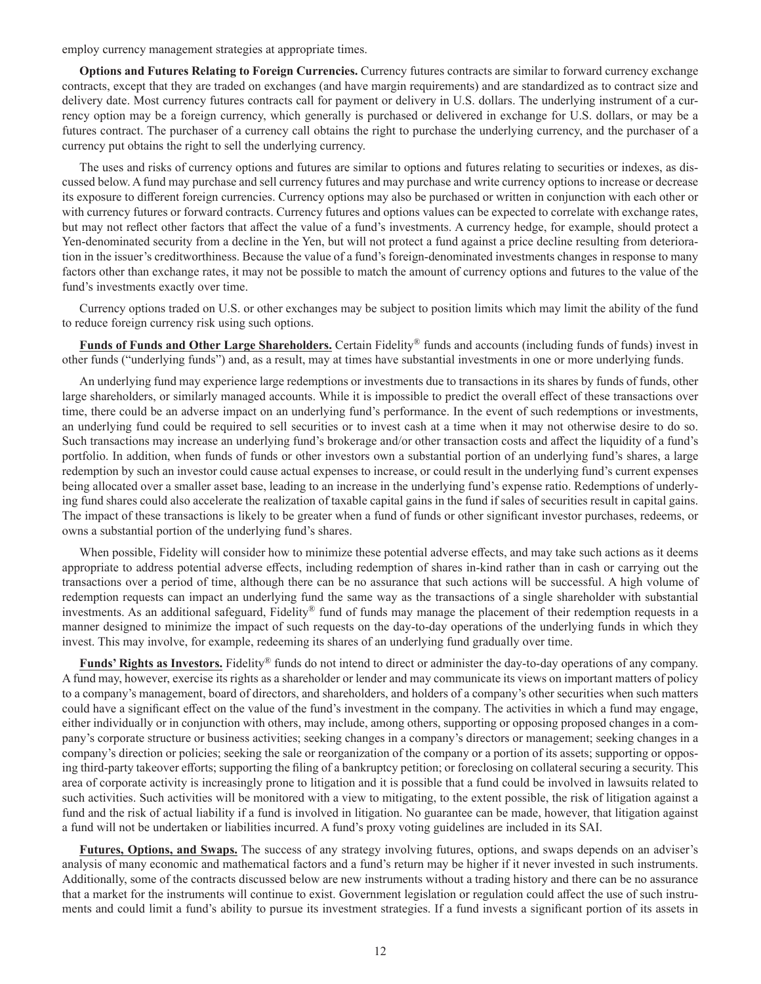employ currency management strategies at appropriate times.

**Options and Futures Relating to Foreign Currencies.** Currency futures contracts are similar to forward currency exchange contracts, except that they are traded on exchanges (and have margin requirements) and are standardized as to contract size and delivery date. Most currency futures contracts call for payment or delivery in U.S. dollars. The underlying instrument of a currency option may be a foreign currency, which generally is purchased or delivered in exchange for U.S. dollars, or may be a futures contract. The purchaser of a currency call obtains the right to purchase the underlying currency, and the purchaser of a currency put obtains the right to sell the underlying currency.

The uses and risks of currency options and futures are similar to options and futures relating to securities or indexes, as discussed below. A fund may purchase and sell currency futures and may purchase and write currency options to increase or decrease its exposure to different foreign currencies. Currency options may also be purchased or written in conjunction with each other or with currency futures or forward contracts. Currency futures and options values can be expected to correlate with exchange rates, but may not reflect other factors that affect the value of a fund's investments. A currency hedge, for example, should protect a Yen-denominated security from a decline in the Yen, but will not protect a fund against a price decline resulting from deterioration in the issuer's creditworthiness. Because the value of a fund's foreign-denominated investments changes in response to many factors other than exchange rates, it may not be possible to match the amount of currency options and futures to the value of the fund's investments exactly over time.

Currency options traded on U.S. or other exchanges may be subject to position limits which may limit the ability of the fund to reduce foreign currency risk using such options.

**Funds of Funds and Other Large Shareholders.** Certain Fidelity® funds and accounts (including funds of funds) invest in other funds ("underlying funds") and, as a result, may at times have substantial investments in one or more underlying funds.

An underlying fund may experience large redemptions or investments due to transactions in its shares by funds of funds, other large shareholders, or similarly managed accounts. While it is impossible to predict the overall effect of these transactions over time, there could be an adverse impact on an underlying fund's performance. In the event of such redemptions or investments, an underlying fund could be required to sell securities or to invest cash at a time when it may not otherwise desire to do so. Such transactions may increase an underlying fund's brokerage and/or other transaction costs and affect the liquidity of a fund's portfolio. In addition, when funds of funds or other investors own a substantial portion of an underlying fund's shares, a large redemption by such an investor could cause actual expenses to increase, or could result in the underlying fund's current expenses being allocated over a smaller asset base, leading to an increase in the underlying fund's expense ratio. Redemptions of underlying fund shares could also accelerate the realization of taxable capital gains in the fund if sales of securities result in capital gains. The impact of these transactions is likely to be greater when a fund of funds or other significant investor purchases, redeems, or owns a substantial portion of the underlying fund's shares.

When possible, Fidelity will consider how to minimize these potential adverse effects, and may take such actions as it deems appropriate to address potential adverse effects, including redemption of shares in-kind rather than in cash or carrying out the transactions over a period of time, although there can be no assurance that such actions will be successful. A high volume of redemption requests can impact an underlying fund the same way as the transactions of a single shareholder with substantial investments. As an additional safeguard, Fidelity® fund of funds may manage the placement of their redemption requests in a manner designed to minimize the impact of such requests on the day-to-day operations of the underlying funds in which they invest. This may involve, for example, redeeming its shares of an underlying fund gradually over time.

**Funds' Rights as Investors.** Fidelity® funds do not intend to direct or administer the day-to-day operations of any company. A fund may, however, exercise its rights as a shareholder or lender and may communicate its views on important matters of policy to a company's management, board of directors, and shareholders, and holders of a company's other securities when such matters could have a significant effect on the value of the fund's investment in the company. The activities in which a fund may engage, either individually or in conjunction with others, may include, among others, supporting or opposing proposed changes in a company's corporate structure or business activities; seeking changes in a company's directors or management; seeking changes in a company's direction or policies; seeking the sale or reorganization of the company or a portion of its assets; supporting or opposing third-party takeover efforts; supporting the filing of a bankruptcy petition; or foreclosing on collateral securing a security. This area of corporate activity is increasingly prone to litigation and it is possible that a fund could be involved in lawsuits related to such activities. Such activities will be monitored with a view to mitigating, to the extent possible, the risk of litigation against a fund and the risk of actual liability if a fund is involved in litigation. No guarantee can be made, however, that litigation against a fund will not be undertaken or liabilities incurred. A fund's proxy voting guidelines are included in its SAI.

**Futures, Options, and Swaps.** The success of any strategy involving futures, options, and swaps depends on an adviser's analysis of many economic and mathematical factors and a fund's return may be higher if it never invested in such instruments. Additionally, some of the contracts discussed below are new instruments without a trading history and there can be no assurance that a market for the instruments will continue to exist. Government legislation or regulation could affect the use of such instruments and could limit a fund's ability to pursue its investment strategies. If a fund invests a significant portion of its assets in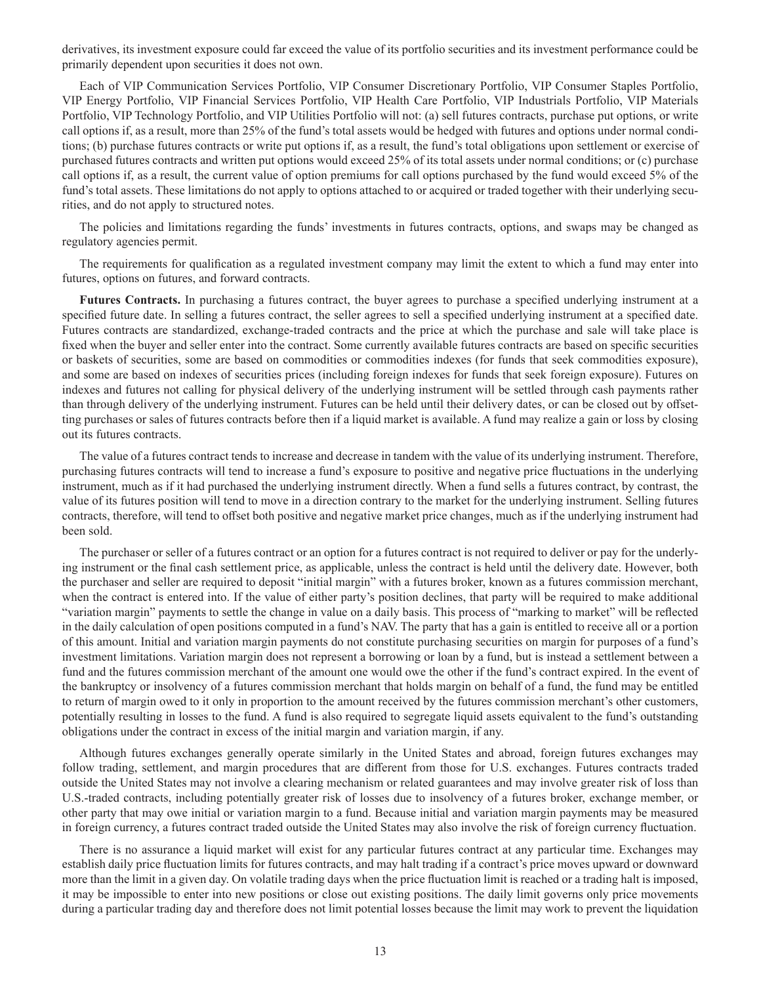derivatives, its investment exposure could far exceed the value of its portfolio securities and its investment performance could be primarily dependent upon securities it does not own.

Each of VIP Communication Services Portfolio, VIP Consumer Discretionary Portfolio, VIP Consumer Staples Portfolio, VIP Energy Portfolio, VIP Financial Services Portfolio, VIP Health Care Portfolio, VIP Industrials Portfolio, VIP Materials Portfolio, VIP Technology Portfolio, and VIP Utilities Portfolio will not: (a) sell futures contracts, purchase put options, or write call options if, as a result, more than 25% of the fund's total assets would be hedged with futures and options under normal conditions; (b) purchase futures contracts or write put options if, as a result, the fund's total obligations upon settlement or exercise of purchased futures contracts and written put options would exceed 25% of its total assets under normal conditions; or (c) purchase call options if, as a result, the current value of option premiums for call options purchased by the fund would exceed 5% of the fund's total assets. These limitations do not apply to options attached to or acquired or traded together with their underlying securities, and do not apply to structured notes.

The policies and limitations regarding the funds' investments in futures contracts, options, and swaps may be changed as regulatory agencies permit.

The requirements for qualification as a regulated investment company may limit the extent to which a fund may enter into futures, options on futures, and forward contracts.

**Futures Contracts.** In purchasing a futures contract, the buyer agrees to purchase a specified underlying instrument at a specified future date. In selling a futures contract, the seller agrees to sell a specified underlying instrument at a specified date. Futures contracts are standardized, exchange-traded contracts and the price at which the purchase and sale will take place is fixed when the buyer and seller enter into the contract. Some currently available futures contracts are based on specific securities or baskets of securities, some are based on commodities or commodities indexes (for funds that seek commodities exposure), and some are based on indexes of securities prices (including foreign indexes for funds that seek foreign exposure). Futures on indexes and futures not calling for physical delivery of the underlying instrument will be settled through cash payments rather than through delivery of the underlying instrument. Futures can be held until their delivery dates, or can be closed out by offsetting purchases or sales of futures contracts before then if a liquid market is available. A fund may realize a gain or loss by closing out its futures contracts.

The value of a futures contract tends to increase and decrease in tandem with the value of its underlying instrument. Therefore, purchasing futures contracts will tend to increase a fund's exposure to positive and negative price fluctuations in the underlying instrument, much as if it had purchased the underlying instrument directly. When a fund sells a futures contract, by contrast, the value of its futures position will tend to move in a direction contrary to the market for the underlying instrument. Selling futures contracts, therefore, will tend to offset both positive and negative market price changes, much as if the underlying instrument had been sold.

The purchaser or seller of a futures contract or an option for a futures contract is not required to deliver or pay for the underlying instrument or the final cash settlement price, as applicable, unless the contract is held until the delivery date. However, both the purchaser and seller are required to deposit "initial margin" with a futures broker, known as a futures commission merchant, when the contract is entered into. If the value of either party's position declines, that party will be required to make additional "variation margin" payments to settle the change in value on a daily basis. This process of "marking to market" will be reflected in the daily calculation of open positions computed in a fund's NAV. The party that has a gain is entitled to receive all or a portion of this amount. Initial and variation margin payments do not constitute purchasing securities on margin for purposes of a fund's investment limitations. Variation margin does not represent a borrowing or loan by a fund, but is instead a settlement between a fund and the futures commission merchant of the amount one would owe the other if the fund's contract expired. In the event of the bankruptcy or insolvency of a futures commission merchant that holds margin on behalf of a fund, the fund may be entitled to return of margin owed to it only in proportion to the amount received by the futures commission merchant's other customers, potentially resulting in losses to the fund. A fund is also required to segregate liquid assets equivalent to the fund's outstanding obligations under the contract in excess of the initial margin and variation margin, if any.

Although futures exchanges generally operate similarly in the United States and abroad, foreign futures exchanges may follow trading, settlement, and margin procedures that are different from those for U.S. exchanges. Futures contracts traded outside the United States may not involve a clearing mechanism or related guarantees and may involve greater risk of loss than U.S.-traded contracts, including potentially greater risk of losses due to insolvency of a futures broker, exchange member, or other party that may owe initial or variation margin to a fund. Because initial and variation margin payments may be measured in foreign currency, a futures contract traded outside the United States may also involve the risk of foreign currency fluctuation.

There is no assurance a liquid market will exist for any particular futures contract at any particular time. Exchanges may establish daily price fluctuation limits for futures contracts, and may halt trading if a contract's price moves upward or downward more than the limit in a given day. On volatile trading days when the price fluctuation limit is reached or a trading halt is imposed, it may be impossible to enter into new positions or close out existing positions. The daily limit governs only price movements during a particular trading day and therefore does not limit potential losses because the limit may work to prevent the liquidation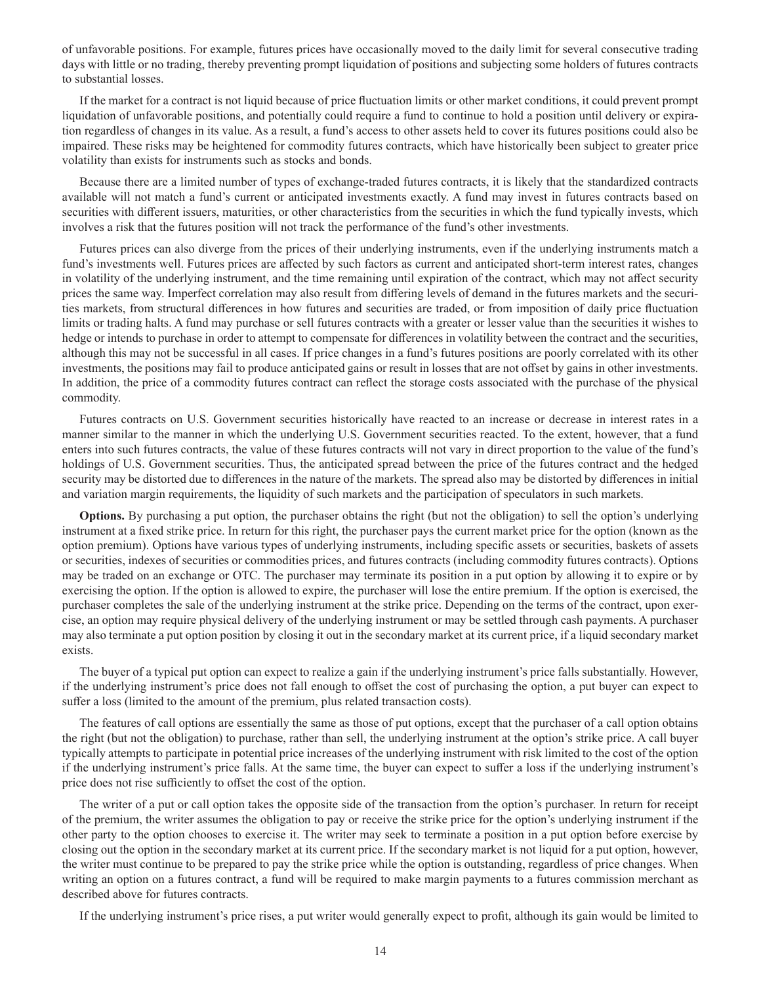of unfavorable positions. For example, futures prices have occasionally moved to the daily limit for several consecutive trading days with little or no trading, thereby preventing prompt liquidation of positions and subjecting some holders of futures contracts to substantial losses.

If the market for a contract is not liquid because of price fluctuation limits or other market conditions, it could prevent prompt liquidation of unfavorable positions, and potentially could require a fund to continue to hold a position until delivery or expiration regardless of changes in its value. As a result, a fund's access to other assets held to cover its futures positions could also be impaired. These risks may be heightened for commodity futures contracts, which have historically been subject to greater price volatility than exists for instruments such as stocks and bonds.

Because there are a limited number of types of exchange-traded futures contracts, it is likely that the standardized contracts available will not match a fund's current or anticipated investments exactly. A fund may invest in futures contracts based on securities with different issuers, maturities, or other characteristics from the securities in which the fund typically invests, which involves a risk that the futures position will not track the performance of the fund's other investments.

Futures prices can also diverge from the prices of their underlying instruments, even if the underlying instruments match a fund's investments well. Futures prices are affected by such factors as current and anticipated short-term interest rates, changes in volatility of the underlying instrument, and the time remaining until expiration of the contract, which may not affect security prices the same way. Imperfect correlation may also result from differing levels of demand in the futures markets and the securities markets, from structural differences in how futures and securities are traded, or from imposition of daily price fluctuation limits or trading halts. A fund may purchase or sell futures contracts with a greater or lesser value than the securities it wishes to hedge or intends to purchase in order to attempt to compensate for differences in volatility between the contract and the securities, although this may not be successful in all cases. If price changes in a fund's futures positions are poorly correlated with its other investments, the positions may fail to produce anticipated gains or result in losses that are not offset by gains in other investments. In addition, the price of a commodity futures contract can reflect the storage costs associated with the purchase of the physical commodity.

Futures contracts on U.S. Government securities historically have reacted to an increase or decrease in interest rates in a manner similar to the manner in which the underlying U.S. Government securities reacted. To the extent, however, that a fund enters into such futures contracts, the value of these futures contracts will not vary in direct proportion to the value of the fund's holdings of U.S. Government securities. Thus, the anticipated spread between the price of the futures contract and the hedged security may be distorted due to differences in the nature of the markets. The spread also may be distorted by differences in initial and variation margin requirements, the liquidity of such markets and the participation of speculators in such markets.

**Options.** By purchasing a put option, the purchaser obtains the right (but not the obligation) to sell the option's underlying instrument at a fixed strike price. In return for this right, the purchaser pays the current market price for the option (known as the option premium). Options have various types of underlying instruments, including specific assets or securities, baskets of assets or securities, indexes of securities or commodities prices, and futures contracts (including commodity futures contracts). Options may be traded on an exchange or OTC. The purchaser may terminate its position in a put option by allowing it to expire or by exercising the option. If the option is allowed to expire, the purchaser will lose the entire premium. If the option is exercised, the purchaser completes the sale of the underlying instrument at the strike price. Depending on the terms of the contract, upon exercise, an option may require physical delivery of the underlying instrument or may be settled through cash payments. A purchaser may also terminate a put option position by closing it out in the secondary market at its current price, if a liquid secondary market exists.

The buyer of a typical put option can expect to realize a gain if the underlying instrument's price falls substantially. However, if the underlying instrument's price does not fall enough to offset the cost of purchasing the option, a put buyer can expect to suffer a loss (limited to the amount of the premium, plus related transaction costs).

The features of call options are essentially the same as those of put options, except that the purchaser of a call option obtains the right (but not the obligation) to purchase, rather than sell, the underlying instrument at the option's strike price. A call buyer typically attempts to participate in potential price increases of the underlying instrument with risk limited to the cost of the option if the underlying instrument's price falls. At the same time, the buyer can expect to suffer a loss if the underlying instrument's price does not rise sufficiently to offset the cost of the option.

The writer of a put or call option takes the opposite side of the transaction from the option's purchaser. In return for receipt of the premium, the writer assumes the obligation to pay or receive the strike price for the option's underlying instrument if the other party to the option chooses to exercise it. The writer may seek to terminate a position in a put option before exercise by closing out the option in the secondary market at its current price. If the secondary market is not liquid for a put option, however, the writer must continue to be prepared to pay the strike price while the option is outstanding, regardless of price changes. When writing an option on a futures contract, a fund will be required to make margin payments to a futures commission merchant as described above for futures contracts.

If the underlying instrument's price rises, a put writer would generally expect to profit, although its gain would be limited to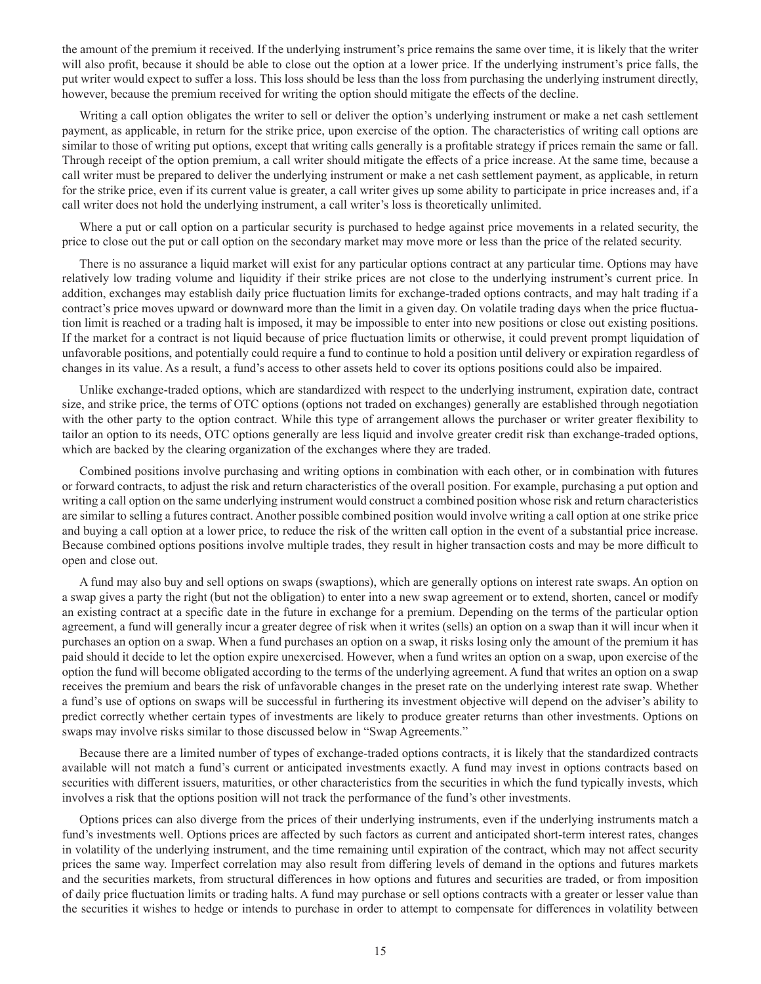the amount of the premium it received. If the underlying instrument's price remains the same over time, it is likely that the writer will also profit, because it should be able to close out the option at a lower price. If the underlying instrument's price falls, the put writer would expect to suffer a loss. This loss should be less than the loss from purchasing the underlying instrument directly, however, because the premium received for writing the option should mitigate the effects of the decline.

Writing a call option obligates the writer to sell or deliver the option's underlying instrument or make a net cash settlement payment, as applicable, in return for the strike price, upon exercise of the option. The characteristics of writing call options are similar to those of writing put options, except that writing calls generally is a profitable strategy if prices remain the same or fall. Through receipt of the option premium, a call writer should mitigate the effects of a price increase. At the same time, because a call writer must be prepared to deliver the underlying instrument or make a net cash settlement payment, as applicable, in return for the strike price, even if its current value is greater, a call writer gives up some ability to participate in price increases and, if a call writer does not hold the underlying instrument, a call writer's loss is theoretically unlimited.

Where a put or call option on a particular security is purchased to hedge against price movements in a related security, the price to close out the put or call option on the secondary market may move more or less than the price of the related security.

There is no assurance a liquid market will exist for any particular options contract at any particular time. Options may have relatively low trading volume and liquidity if their strike prices are not close to the underlying instrument's current price. In addition, exchanges may establish daily price fluctuation limits for exchange-traded options contracts, and may halt trading if a contract's price moves upward or downward more than the limit in a given day. On volatile trading days when the price fluctuation limit is reached or a trading halt is imposed, it may be impossible to enter into new positions or close out existing positions. If the market for a contract is not liquid because of price fluctuation limits or otherwise, it could prevent prompt liquidation of unfavorable positions, and potentially could require a fund to continue to hold a position until delivery or expiration regardless of changes in its value. As a result, a fund's access to other assets held to cover its options positions could also be impaired.

Unlike exchange-traded options, which are standardized with respect to the underlying instrument, expiration date, contract size, and strike price, the terms of OTC options (options not traded on exchanges) generally are established through negotiation with the other party to the option contract. While this type of arrangement allows the purchaser or writer greater flexibility to tailor an option to its needs, OTC options generally are less liquid and involve greater credit risk than exchange-traded options, which are backed by the clearing organization of the exchanges where they are traded.

Combined positions involve purchasing and writing options in combination with each other, or in combination with futures or forward contracts, to adjust the risk and return characteristics of the overall position. For example, purchasing a put option and writing a call option on the same underlying instrument would construct a combined position whose risk and return characteristics are similar to selling a futures contract. Another possible combined position would involve writing a call option at one strike price and buying a call option at a lower price, to reduce the risk of the written call option in the event of a substantial price increase. Because combined options positions involve multiple trades, they result in higher transaction costs and may be more difficult to open and close out.

A fund may also buy and sell options on swaps (swaptions), which are generally options on interest rate swaps. An option on a swap gives a party the right (but not the obligation) to enter into a new swap agreement or to extend, shorten, cancel or modify an existing contract at a specific date in the future in exchange for a premium. Depending on the terms of the particular option agreement, a fund will generally incur a greater degree of risk when it writes (sells) an option on a swap than it will incur when it purchases an option on a swap. When a fund purchases an option on a swap, it risks losing only the amount of the premium it has paid should it decide to let the option expire unexercised. However, when a fund writes an option on a swap, upon exercise of the option the fund will become obligated according to the terms of the underlying agreement. A fund that writes an option on a swap receives the premium and bears the risk of unfavorable changes in the preset rate on the underlying interest rate swap. Whether a fund's use of options on swaps will be successful in furthering its investment objective will depend on the adviser's ability to predict correctly whether certain types of investments are likely to produce greater returns than other investments. Options on swaps may involve risks similar to those discussed below in "Swap Agreements."

Because there are a limited number of types of exchange-traded options contracts, it is likely that the standardized contracts available will not match a fund's current or anticipated investments exactly. A fund may invest in options contracts based on securities with different issuers, maturities, or other characteristics from the securities in which the fund typically invests, which involves a risk that the options position will not track the performance of the fund's other investments.

Options prices can also diverge from the prices of their underlying instruments, even if the underlying instruments match a fund's investments well. Options prices are affected by such factors as current and anticipated short-term interest rates, changes in volatility of the underlying instrument, and the time remaining until expiration of the contract, which may not affect security prices the same way. Imperfect correlation may also result from differing levels of demand in the options and futures markets and the securities markets, from structural differences in how options and futures and securities are traded, or from imposition of daily price fluctuation limits or trading halts. A fund may purchase or sell options contracts with a greater or lesser value than the securities it wishes to hedge or intends to purchase in order to attempt to compensate for differences in volatility between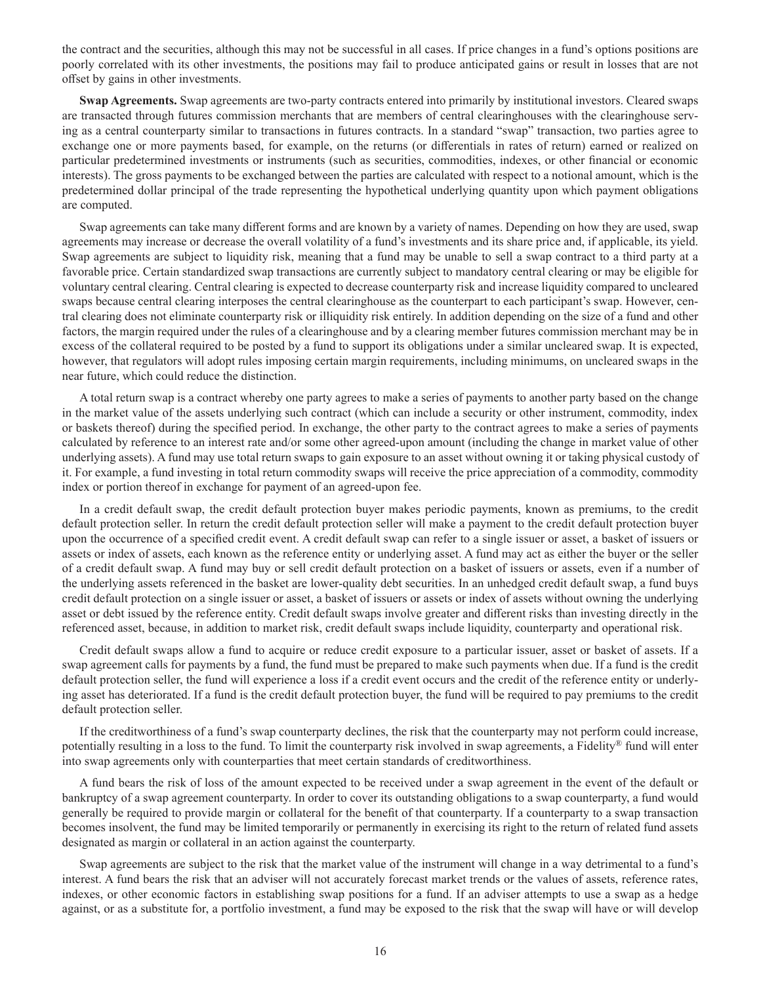the contract and the securities, although this may not be successful in all cases. If price changes in a fund's options positions are poorly correlated with its other investments, the positions may fail to produce anticipated gains or result in losses that are not offset by gains in other investments.

**Swap Agreements.** Swap agreements are two-party contracts entered into primarily by institutional investors. Cleared swaps are transacted through futures commission merchants that are members of central clearinghouses with the clearinghouse serving as a central counterparty similar to transactions in futures contracts. In a standard "swap" transaction, two parties agree to exchange one or more payments based, for example, on the returns (or differentials in rates of return) earned or realized on particular predetermined investments or instruments (such as securities, commodities, indexes, or other financial or economic interests). The gross payments to be exchanged between the parties are calculated with respect to a notional amount, which is the predetermined dollar principal of the trade representing the hypothetical underlying quantity upon which payment obligations are computed.

Swap agreements can take many different forms and are known by a variety of names. Depending on how they are used, swap agreements may increase or decrease the overall volatility of a fund's investments and its share price and, if applicable, its yield. Swap agreements are subject to liquidity risk, meaning that a fund may be unable to sell a swap contract to a third party at a favorable price. Certain standardized swap transactions are currently subject to mandatory central clearing or may be eligible for voluntary central clearing. Central clearing is expected to decrease counterparty risk and increase liquidity compared to uncleared swaps because central clearing interposes the central clearinghouse as the counterpart to each participant's swap. However, central clearing does not eliminate counterparty risk or illiquidity risk entirely. In addition depending on the size of a fund and other factors, the margin required under the rules of a clearinghouse and by a clearing member futures commission merchant may be in excess of the collateral required to be posted by a fund to support its obligations under a similar uncleared swap. It is expected, however, that regulators will adopt rules imposing certain margin requirements, including minimums, on uncleared swaps in the near future, which could reduce the distinction.

A total return swap is a contract whereby one party agrees to make a series of payments to another party based on the change in the market value of the assets underlying such contract (which can include a security or other instrument, commodity, index or baskets thereof) during the specified period. In exchange, the other party to the contract agrees to make a series of payments calculated by reference to an interest rate and/or some other agreed-upon amount (including the change in market value of other underlying assets). A fund may use total return swaps to gain exposure to an asset without owning it or taking physical custody of it. For example, a fund investing in total return commodity swaps will receive the price appreciation of a commodity, commodity index or portion thereof in exchange for payment of an agreed-upon fee.

In a credit default swap, the credit default protection buyer makes periodic payments, known as premiums, to the credit default protection seller. In return the credit default protection seller will make a payment to the credit default protection buyer upon the occurrence of a specified credit event. A credit default swap can refer to a single issuer or asset, a basket of issuers or assets or index of assets, each known as the reference entity or underlying asset. A fund may act as either the buyer or the seller of a credit default swap. A fund may buy or sell credit default protection on a basket of issuers or assets, even if a number of the underlying assets referenced in the basket are lower-quality debt securities. In an unhedged credit default swap, a fund buys credit default protection on a single issuer or asset, a basket of issuers or assets or index of assets without owning the underlying asset or debt issued by the reference entity. Credit default swaps involve greater and different risks than investing directly in the referenced asset, because, in addition to market risk, credit default swaps include liquidity, counterparty and operational risk.

Credit default swaps allow a fund to acquire or reduce credit exposure to a particular issuer, asset or basket of assets. If a swap agreement calls for payments by a fund, the fund must be prepared to make such payments when due. If a fund is the credit default protection seller, the fund will experience a loss if a credit event occurs and the credit of the reference entity or underlying asset has deteriorated. If a fund is the credit default protection buyer, the fund will be required to pay premiums to the credit default protection seller.

If the creditworthiness of a fund's swap counterparty declines, the risk that the counterparty may not perform could increase, potentially resulting in a loss to the fund. To limit the counterparty risk involved in swap agreements, a Fidelity® fund will enter into swap agreements only with counterparties that meet certain standards of creditworthiness.

A fund bears the risk of loss of the amount expected to be received under a swap agreement in the event of the default or bankruptcy of a swap agreement counterparty. In order to cover its outstanding obligations to a swap counterparty, a fund would generally be required to provide margin or collateral for the benefit of that counterparty. If a counterparty to a swap transaction becomes insolvent, the fund may be limited temporarily or permanently in exercising its right to the return of related fund assets designated as margin or collateral in an action against the counterparty.

Swap agreements are subject to the risk that the market value of the instrument will change in a way detrimental to a fund's interest. A fund bears the risk that an adviser will not accurately forecast market trends or the values of assets, reference rates, indexes, or other economic factors in establishing swap positions for a fund. If an adviser attempts to use a swap as a hedge against, or as a substitute for, a portfolio investment, a fund may be exposed to the risk that the swap will have or will develop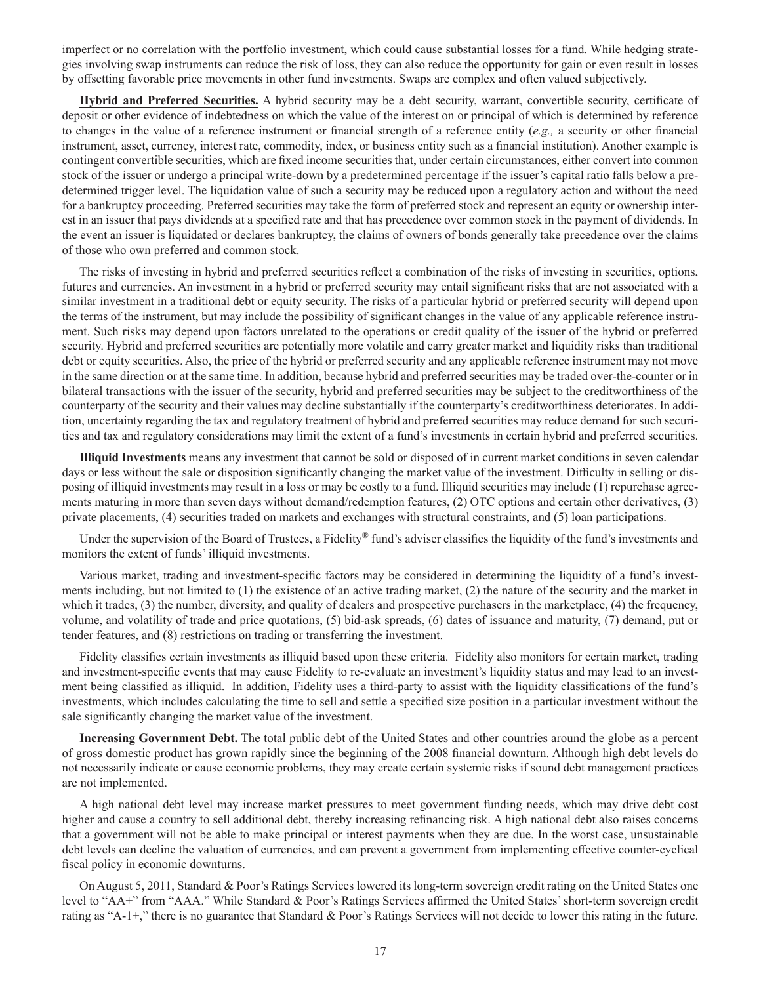imperfect or no correlation with the portfolio investment, which could cause substantial losses for a fund. While hedging strategies involving swap instruments can reduce the risk of loss, they can also reduce the opportunity for gain or even result in losses by offsetting favorable price movements in other fund investments. Swaps are complex and often valued subjectively.

**Hybrid and Preferred Securities.** A hybrid security may be a debt security, warrant, convertible security, certificate of deposit or other evidence of indebtedness on which the value of the interest on or principal of which is determined by reference to changes in the value of a reference instrument or financial strength of a reference entity (*e.g.,* a security or other financial instrument, asset, currency, interest rate, commodity, index, or business entity such as a financial institution). Another example is contingent convertible securities, which are fixed income securities that, under certain circumstances, either convert into common stock of the issuer or undergo a principal write-down by a predetermined percentage if the issuer's capital ratio falls below a predetermined trigger level. The liquidation value of such a security may be reduced upon a regulatory action and without the need for a bankruptcy proceeding. Preferred securities may take the form of preferred stock and represent an equity or ownership interest in an issuer that pays dividends at a specified rate and that has precedence over common stock in the payment of dividends. In the event an issuer is liquidated or declares bankruptcy, the claims of owners of bonds generally take precedence over the claims of those who own preferred and common stock.

The risks of investing in hybrid and preferred securities reflect a combination of the risks of investing in securities, options, futures and currencies. An investment in a hybrid or preferred security may entail significant risks that are not associated with a similar investment in a traditional debt or equity security. The risks of a particular hybrid or preferred security will depend upon the terms of the instrument, but may include the possibility of significant changes in the value of any applicable reference instrument. Such risks may depend upon factors unrelated to the operations or credit quality of the issuer of the hybrid or preferred security. Hybrid and preferred securities are potentially more volatile and carry greater market and liquidity risks than traditional debt or equity securities. Also, the price of the hybrid or preferred security and any applicable reference instrument may not move in the same direction or at the same time. In addition, because hybrid and preferred securities may be traded over-the-counter or in bilateral transactions with the issuer of the security, hybrid and preferred securities may be subject to the creditworthiness of the counterparty of the security and their values may decline substantially if the counterparty's creditworthiness deteriorates. In addition, uncertainty regarding the tax and regulatory treatment of hybrid and preferred securities may reduce demand for such securities and tax and regulatory considerations may limit the extent of a fund's investments in certain hybrid and preferred securities.

**Illiquid Investments** means any investment that cannot be sold or disposed of in current market conditions in seven calendar days or less without the sale or disposition significantly changing the market value of the investment. Difficulty in selling or disposing of illiquid investments may result in a loss or may be costly to a fund. Illiquid securities may include (1) repurchase agreements maturing in more than seven days without demand/redemption features, (2) OTC options and certain other derivatives, (3) private placements, (4) securities traded on markets and exchanges with structural constraints, and (5) loan participations.

Under the supervision of the Board of Trustees, a Fidelity® fund's adviser classifies the liquidity of the fund's investments and monitors the extent of funds' illiquid investments.

Various market, trading and investment-specific factors may be considered in determining the liquidity of a fund's investments including, but not limited to (1) the existence of an active trading market, (2) the nature of the security and the market in which it trades, (3) the number, diversity, and quality of dealers and prospective purchasers in the marketplace, (4) the frequency, volume, and volatility of trade and price quotations, (5) bid-ask spreads, (6) dates of issuance and maturity, (7) demand, put or tender features, and (8) restrictions on trading or transferring the investment.

Fidelity classifies certain investments as illiquid based upon these criteria. Fidelity also monitors for certain market, trading and investment-specific events that may cause Fidelity to re-evaluate an investment's liquidity status and may lead to an investment being classified as illiquid. In addition, Fidelity uses a third-party to assist with the liquidity classifications of the fund's investments, which includes calculating the time to sell and settle a specified size position in a particular investment without the sale significantly changing the market value of the investment.

**Increasing Government Debt.** The total public debt of the United States and other countries around the globe as a percent of gross domestic product has grown rapidly since the beginning of the 2008 financial downturn. Although high debt levels do not necessarily indicate or cause economic problems, they may create certain systemic risks if sound debt management practices are not implemented.

A high national debt level may increase market pressures to meet government funding needs, which may drive debt cost higher and cause a country to sell additional debt, thereby increasing refinancing risk. A high national debt also raises concerns that a government will not be able to make principal or interest payments when they are due. In the worst case, unsustainable debt levels can decline the valuation of currencies, and can prevent a government from implementing effective counter-cyclical fiscal policy in economic downturns.

On August 5, 2011, Standard & Poor's Ratings Services lowered its long-term sovereign credit rating on the United States one level to "AA+" from "AAA." While Standard & Poor's Ratings Services affirmed the United States' short-term sovereign credit rating as "A-1+," there is no guarantee that Standard & Poor's Ratings Services will not decide to lower this rating in the future.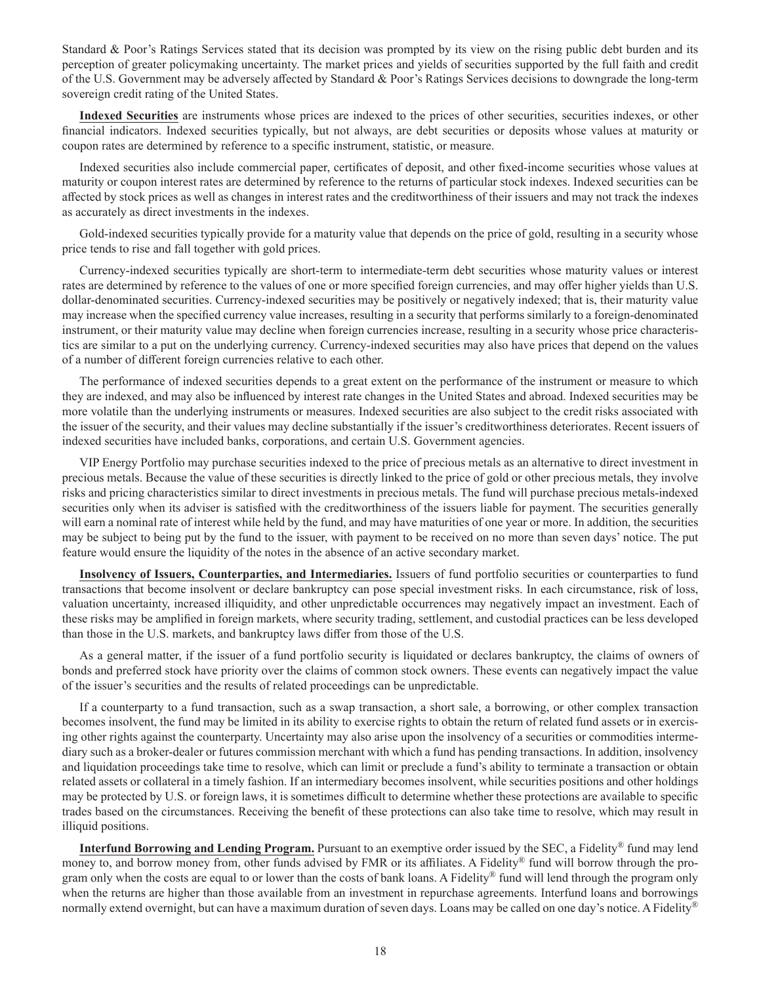Standard & Poor's Ratings Services stated that its decision was prompted by its view on the rising public debt burden and its perception of greater policymaking uncertainty. The market prices and yields of securities supported by the full faith and credit of the U.S. Government may be adversely affected by Standard & Poor's Ratings Services decisions to downgrade the long-term sovereign credit rating of the United States.

**Indexed Securities** are instruments whose prices are indexed to the prices of other securities, securities indexes, or other financial indicators. Indexed securities typically, but not always, are debt securities or deposits whose values at maturity or coupon rates are determined by reference to a specific instrument, statistic, or measure.

Indexed securities also include commercial paper, certificates of deposit, and other fixed-income securities whose values at maturity or coupon interest rates are determined by reference to the returns of particular stock indexes. Indexed securities can be affected by stock prices as well as changes in interest rates and the creditworthiness of their issuers and may not track the indexes as accurately as direct investments in the indexes.

Gold-indexed securities typically provide for a maturity value that depends on the price of gold, resulting in a security whose price tends to rise and fall together with gold prices.

Currency-indexed securities typically are short-term to intermediate-term debt securities whose maturity values or interest rates are determined by reference to the values of one or more specified foreign currencies, and may offer higher yields than U.S. dollar-denominated securities. Currency-indexed securities may be positively or negatively indexed; that is, their maturity value may increase when the specified currency value increases, resulting in a security that performs similarly to a foreign-denominated instrument, or their maturity value may decline when foreign currencies increase, resulting in a security whose price characteristics are similar to a put on the underlying currency. Currency-indexed securities may also have prices that depend on the values of a number of different foreign currencies relative to each other.

The performance of indexed securities depends to a great extent on the performance of the instrument or measure to which they are indexed, and may also be influenced by interest rate changes in the United States and abroad. Indexed securities may be more volatile than the underlying instruments or measures. Indexed securities are also subject to the credit risks associated with the issuer of the security, and their values may decline substantially if the issuer's creditworthiness deteriorates. Recent issuers of indexed securities have included banks, corporations, and certain U.S. Government agencies.

VIP Energy Portfolio may purchase securities indexed to the price of precious metals as an alternative to direct investment in precious metals. Because the value of these securities is directly linked to the price of gold or other precious metals, they involve risks and pricing characteristics similar to direct investments in precious metals. The fund will purchase precious metals-indexed securities only when its adviser is satisfied with the creditworthiness of the issuers liable for payment. The securities generally will earn a nominal rate of interest while held by the fund, and may have maturities of one year or more. In addition, the securities may be subject to being put by the fund to the issuer, with payment to be received on no more than seven days' notice. The put feature would ensure the liquidity of the notes in the absence of an active secondary market.

**Insolvency of Issuers, Counterparties, and Intermediaries.** Issuers of fund portfolio securities or counterparties to fund transactions that become insolvent or declare bankruptcy can pose special investment risks. In each circumstance, risk of loss, valuation uncertainty, increased illiquidity, and other unpredictable occurrences may negatively impact an investment. Each of these risks may be amplified in foreign markets, where security trading, settlement, and custodial practices can be less developed than those in the U.S. markets, and bankruptcy laws differ from those of the U.S.

As a general matter, if the issuer of a fund portfolio security is liquidated or declares bankruptcy, the claims of owners of bonds and preferred stock have priority over the claims of common stock owners. These events can negatively impact the value of the issuer's securities and the results of related proceedings can be unpredictable.

If a counterparty to a fund transaction, such as a swap transaction, a short sale, a borrowing, or other complex transaction becomes insolvent, the fund may be limited in its ability to exercise rights to obtain the return of related fund assets or in exercising other rights against the counterparty. Uncertainty may also arise upon the insolvency of a securities or commodities intermediary such as a broker-dealer or futures commission merchant with which a fund has pending transactions. In addition, insolvency and liquidation proceedings take time to resolve, which can limit or preclude a fund's ability to terminate a transaction or obtain related assets or collateral in a timely fashion. If an intermediary becomes insolvent, while securities positions and other holdings may be protected by U.S. or foreign laws, it is sometimes difficult to determine whether these protections are available to specific trades based on the circumstances. Receiving the benefit of these protections can also take time to resolve, which may result in illiquid positions.

**Interfund Borrowing and Lending Program.** Pursuant to an exemptive order issued by the SEC, a Fidelity® fund may lend money to, and borrow money from, other funds advised by FMR or its affiliates. A Fidelity® fund will borrow through the program only when the costs are equal to or lower than the costs of bank loans. A Fidelity® fund will lend through the program only when the returns are higher than those available from an investment in repurchase agreements. Interfund loans and borrowings normally extend overnight, but can have a maximum duration of seven days. Loans may be called on one day's notice. A Fidelity®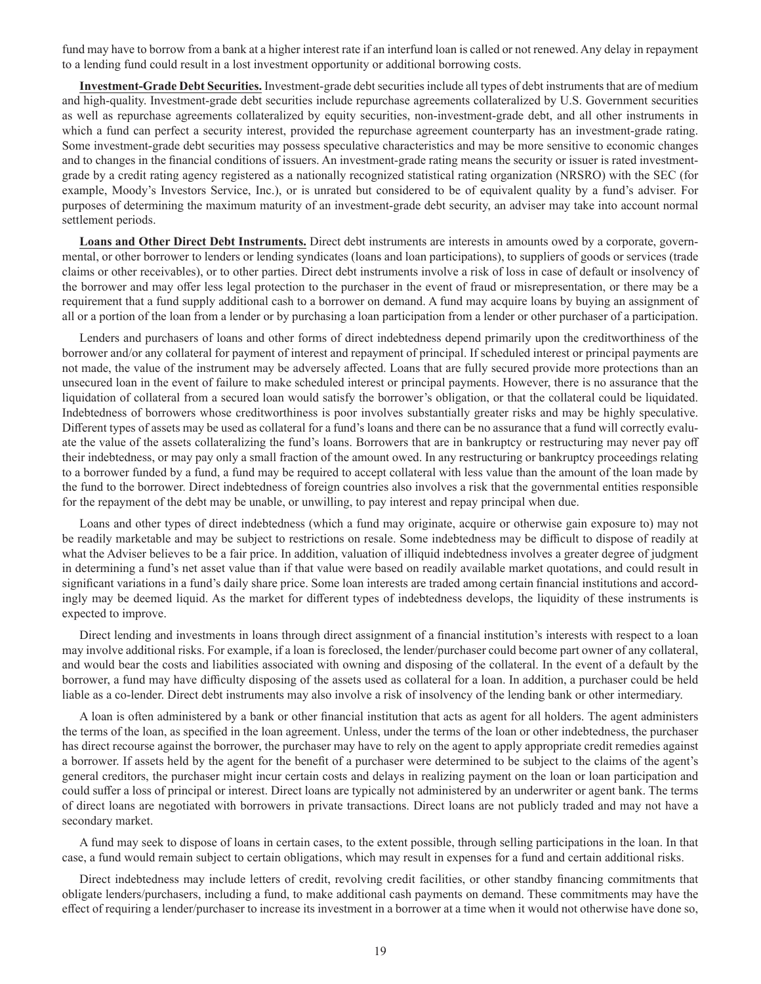fund may have to borrow from a bank at a higher interest rate if an interfund loan is called or not renewed. Any delay in repayment to a lending fund could result in a lost investment opportunity or additional borrowing costs.

**Investment-Grade Debt Securities.** Investment-grade debt securities include all types of debt instruments that are of medium and high-quality. Investment-grade debt securities include repurchase agreements collateralized by U.S. Government securities as well as repurchase agreements collateralized by equity securities, non-investment-grade debt, and all other instruments in which a fund can perfect a security interest, provided the repurchase agreement counterparty has an investment-grade rating. Some investment-grade debt securities may possess speculative characteristics and may be more sensitive to economic changes and to changes in the financial conditions of issuers. An investment-grade rating means the security or issuer is rated investmentgrade by a credit rating agency registered as a nationally recognized statistical rating organization (NRSRO) with the SEC (for example, Moody's Investors Service, Inc.), or is unrated but considered to be of equivalent quality by a fund's adviser. For purposes of determining the maximum maturity of an investment-grade debt security, an adviser may take into account normal settlement periods.

**Loans and Other Direct Debt Instruments.** Direct debt instruments are interests in amounts owed by a corporate, governmental, or other borrower to lenders or lending syndicates (loans and loan participations), to suppliers of goods or services (trade claims or other receivables), or to other parties. Direct debt instruments involve a risk of loss in case of default or insolvency of the borrower and may offer less legal protection to the purchaser in the event of fraud or misrepresentation, or there may be a requirement that a fund supply additional cash to a borrower on demand. A fund may acquire loans by buying an assignment of all or a portion of the loan from a lender or by purchasing a loan participation from a lender or other purchaser of a participation.

Lenders and purchasers of loans and other forms of direct indebtedness depend primarily upon the creditworthiness of the borrower and/or any collateral for payment of interest and repayment of principal. If scheduled interest or principal payments are not made, the value of the instrument may be adversely affected. Loans that are fully secured provide more protections than an unsecured loan in the event of failure to make scheduled interest or principal payments. However, there is no assurance that the liquidation of collateral from a secured loan would satisfy the borrower's obligation, or that the collateral could be liquidated. Indebtedness of borrowers whose creditworthiness is poor involves substantially greater risks and may be highly speculative. Different types of assets may be used as collateral for a fund's loans and there can be no assurance that a fund will correctly evaluate the value of the assets collateralizing the fund's loans. Borrowers that are in bankruptcy or restructuring may never pay off their indebtedness, or may pay only a small fraction of the amount owed. In any restructuring or bankruptcy proceedings relating to a borrower funded by a fund, a fund may be required to accept collateral with less value than the amount of the loan made by the fund to the borrower. Direct indebtedness of foreign countries also involves a risk that the governmental entities responsible for the repayment of the debt may be unable, or unwilling, to pay interest and repay principal when due.

Loans and other types of direct indebtedness (which a fund may originate, acquire or otherwise gain exposure to) may not be readily marketable and may be subject to restrictions on resale. Some indebtedness may be difficult to dispose of readily at what the Adviser believes to be a fair price. In addition, valuation of illiquid indebtedness involves a greater degree of judgment in determining a fund's net asset value than if that value were based on readily available market quotations, and could result in significant variations in a fund's daily share price. Some loan interests are traded among certain financial institutions and accordingly may be deemed liquid. As the market for different types of indebtedness develops, the liquidity of these instruments is expected to improve.

Direct lending and investments in loans through direct assignment of a financial institution's interests with respect to a loan may involve additional risks. For example, if a loan is foreclosed, the lender/purchaser could become part owner of any collateral, and would bear the costs and liabilities associated with owning and disposing of the collateral. In the event of a default by the borrower, a fund may have difficulty disposing of the assets used as collateral for a loan. In addition, a purchaser could be held liable as a co-lender. Direct debt instruments may also involve a risk of insolvency of the lending bank or other intermediary.

A loan is often administered by a bank or other financial institution that acts as agent for all holders. The agent administers the terms of the loan, as specified in the loan agreement. Unless, under the terms of the loan or other indebtedness, the purchaser has direct recourse against the borrower, the purchaser may have to rely on the agent to apply appropriate credit remedies against a borrower. If assets held by the agent for the benefit of a purchaser were determined to be subject to the claims of the agent's general creditors, the purchaser might incur certain costs and delays in realizing payment on the loan or loan participation and could suffer a loss of principal or interest. Direct loans are typically not administered by an underwriter or agent bank. The terms of direct loans are negotiated with borrowers in private transactions. Direct loans are not publicly traded and may not have a secondary market.

A fund may seek to dispose of loans in certain cases, to the extent possible, through selling participations in the loan. In that case, a fund would remain subject to certain obligations, which may result in expenses for a fund and certain additional risks.

Direct indebtedness may include letters of credit, revolving credit facilities, or other standby financing commitments that obligate lenders/purchasers, including a fund, to make additional cash payments on demand. These commitments may have the effect of requiring a lender/purchaser to increase its investment in a borrower at a time when it would not otherwise have done so,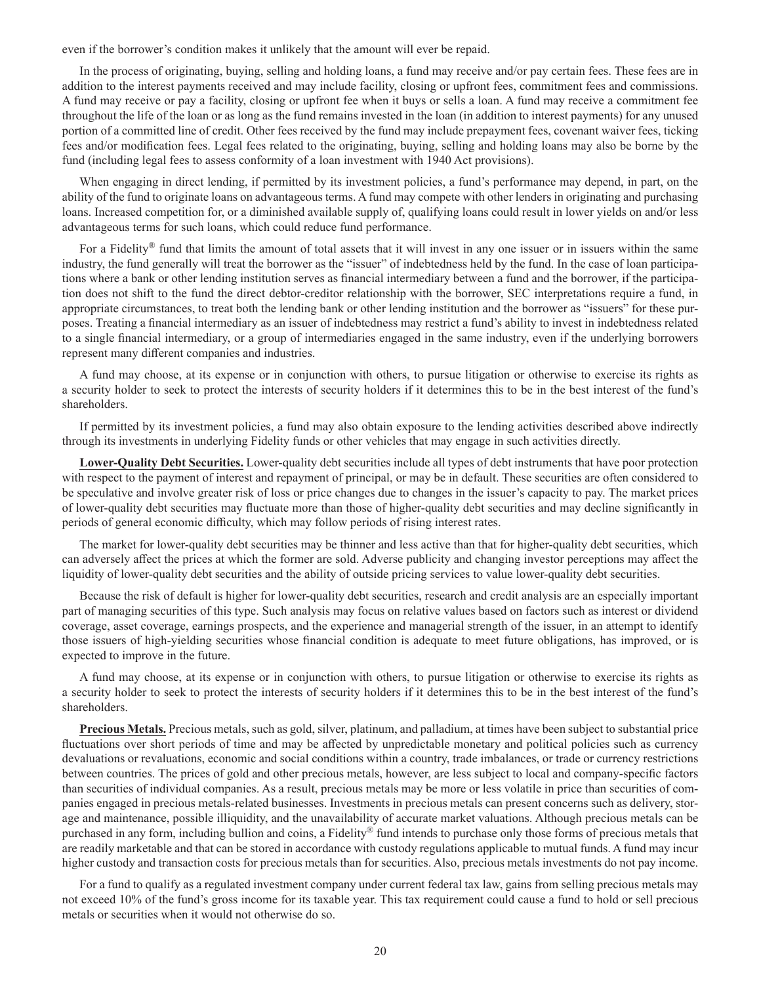even if the borrower's condition makes it unlikely that the amount will ever be repaid.

In the process of originating, buying, selling and holding loans, a fund may receive and/or pay certain fees. These fees are in addition to the interest payments received and may include facility, closing or upfront fees, commitment fees and commissions. A fund may receive or pay a facility, closing or upfront fee when it buys or sells a loan. A fund may receive a commitment fee throughout the life of the loan or as long as the fund remains invested in the loan (in addition to interest payments) for any unused portion of a committed line of credit. Other fees received by the fund may include prepayment fees, covenant waiver fees, ticking fees and/or modification fees. Legal fees related to the originating, buying, selling and holding loans may also be borne by the fund (including legal fees to assess conformity of a loan investment with 1940 Act provisions).

When engaging in direct lending, if permitted by its investment policies, a fund's performance may depend, in part, on the ability of the fund to originate loans on advantageous terms. A fund may compete with other lenders in originating and purchasing loans. Increased competition for, or a diminished available supply of, qualifying loans could result in lower yields on and/or less advantageous terms for such loans, which could reduce fund performance.

For a Fidelity® fund that limits the amount of total assets that it will invest in any one issuer or in issuers within the same industry, the fund generally will treat the borrower as the "issuer" of indebtedness held by the fund. In the case of loan participations where a bank or other lending institution serves as financial intermediary between a fund and the borrower, if the participation does not shift to the fund the direct debtor-creditor relationship with the borrower, SEC interpretations require a fund, in appropriate circumstances, to treat both the lending bank or other lending institution and the borrower as "issuers" for these purposes. Treating a financial intermediary as an issuer of indebtedness may restrict a fund's ability to invest in indebtedness related to a single financial intermediary, or a group of intermediaries engaged in the same industry, even if the underlying borrowers represent many different companies and industries.

A fund may choose, at its expense or in conjunction with others, to pursue litigation or otherwise to exercise its rights as a security holder to seek to protect the interests of security holders if it determines this to be in the best interest of the fund's shareholders.

If permitted by its investment policies, a fund may also obtain exposure to the lending activities described above indirectly through its investments in underlying Fidelity funds or other vehicles that may engage in such activities directly.

**Lower-Quality Debt Securities.** Lower-quality debt securities include all types of debt instruments that have poor protection with respect to the payment of interest and repayment of principal, or may be in default. These securities are often considered to be speculative and involve greater risk of loss or price changes due to changes in the issuer's capacity to pay. The market prices of lower-quality debt securities may fluctuate more than those of higher-quality debt securities and may decline significantly in periods of general economic difficulty, which may follow periods of rising interest rates.

The market for lower-quality debt securities may be thinner and less active than that for higher-quality debt securities, which can adversely affect the prices at which the former are sold. Adverse publicity and changing investor perceptions may affect the liquidity of lower-quality debt securities and the ability of outside pricing services to value lower-quality debt securities.

Because the risk of default is higher for lower-quality debt securities, research and credit analysis are an especially important part of managing securities of this type. Such analysis may focus on relative values based on factors such as interest or dividend coverage, asset coverage, earnings prospects, and the experience and managerial strength of the issuer, in an attempt to identify those issuers of high-yielding securities whose financial condition is adequate to meet future obligations, has improved, or is expected to improve in the future.

A fund may choose, at its expense or in conjunction with others, to pursue litigation or otherwise to exercise its rights as a security holder to seek to protect the interests of security holders if it determines this to be in the best interest of the fund's shareholders.

**Precious Metals.** Precious metals, such as gold, silver, platinum, and palladium, at times have been subject to substantial price fluctuations over short periods of time and may be affected by unpredictable monetary and political policies such as currency devaluations or revaluations, economic and social conditions within a country, trade imbalances, or trade or currency restrictions between countries. The prices of gold and other precious metals, however, are less subject to local and company-specific factors than securities of individual companies. As a result, precious metals may be more or less volatile in price than securities of companies engaged in precious metals-related businesses. Investments in precious metals can present concerns such as delivery, storage and maintenance, possible illiquidity, and the unavailability of accurate market valuations. Although precious metals can be purchased in any form, including bullion and coins, a Fidelity® fund intends to purchase only those forms of precious metals that are readily marketable and that can be stored in accordance with custody regulations applicable to mutual funds. A fund may incur higher custody and transaction costs for precious metals than for securities. Also, precious metals investments do not pay income.

For a fund to qualify as a regulated investment company under current federal tax law, gains from selling precious metals may not exceed 10% of the fund's gross income for its taxable year. This tax requirement could cause a fund to hold or sell precious metals or securities when it would not otherwise do so.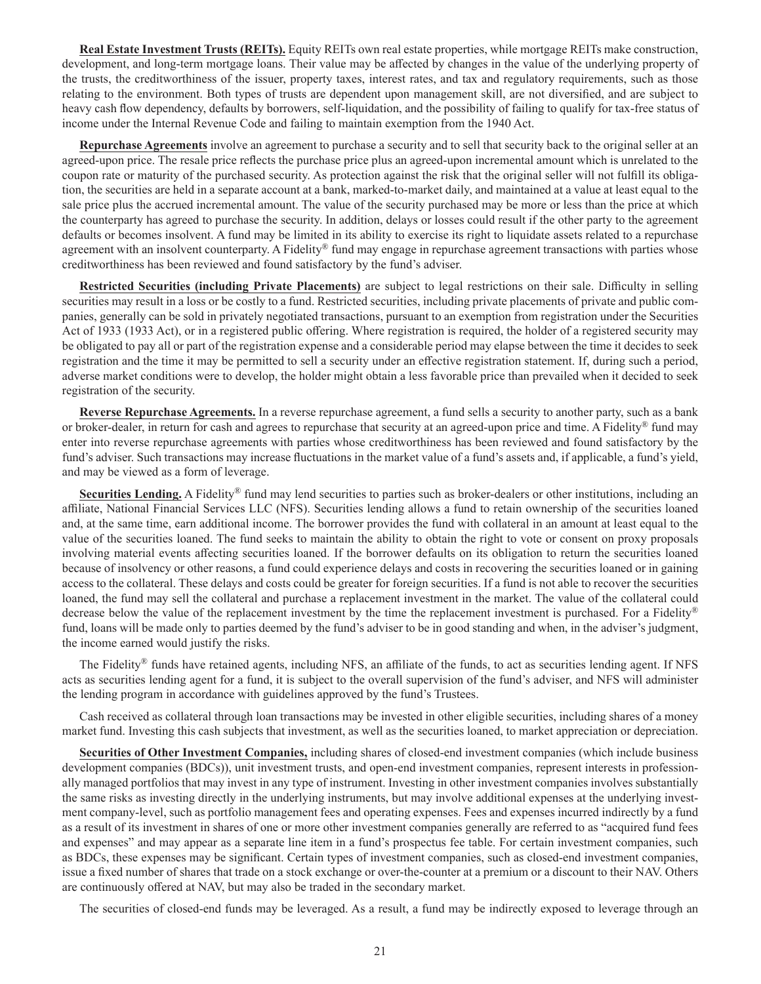**Real Estate Investment Trusts (REITs).** Equity REITs own real estate properties, while mortgage REITs make construction, development, and long-term mortgage loans. Their value may be affected by changes in the value of the underlying property of the trusts, the creditworthiness of the issuer, property taxes, interest rates, and tax and regulatory requirements, such as those relating to the environment. Both types of trusts are dependent upon management skill, are not diversified, and are subject to heavy cash flow dependency, defaults by borrowers, self-liquidation, and the possibility of failing to qualify for tax-free status of income under the Internal Revenue Code and failing to maintain exemption from the 1940 Act.

**Repurchase Agreements** involve an agreement to purchase a security and to sell that security back to the original seller at an agreed-upon price. The resale price reflects the purchase price plus an agreed-upon incremental amount which is unrelated to the coupon rate or maturity of the purchased security. As protection against the risk that the original seller will not fulfill its obligation, the securities are held in a separate account at a bank, marked-to-market daily, and maintained at a value at least equal to the sale price plus the accrued incremental amount. The value of the security purchased may be more or less than the price at which the counterparty has agreed to purchase the security. In addition, delays or losses could result if the other party to the agreement defaults or becomes insolvent. A fund may be limited in its ability to exercise its right to liquidate assets related to a repurchase agreement with an insolvent counterparty. A Fidelity<sup>®</sup> fund may engage in repurchase agreement transactions with parties whose creditworthiness has been reviewed and found satisfactory by the fund's adviser.

**Restricted Securities (including Private Placements)** are subject to legal restrictions on their sale. Difficulty in selling securities may result in a loss or be costly to a fund. Restricted securities, including private placements of private and public companies, generally can be sold in privately negotiated transactions, pursuant to an exemption from registration under the Securities Act of 1933 (1933 Act), or in a registered public offering. Where registration is required, the holder of a registered security may be obligated to pay all or part of the registration expense and a considerable period may elapse between the time it decides to seek registration and the time it may be permitted to sell a security under an effective registration statement. If, during such a period, adverse market conditions were to develop, the holder might obtain a less favorable price than prevailed when it decided to seek registration of the security.

**Reverse Repurchase Agreements.** In a reverse repurchase agreement, a fund sells a security to another party, such as a bank or broker-dealer, in return for cash and agrees to repurchase that security at an agreed-upon price and time. A Fidelity<sup>®</sup> fund may enter into reverse repurchase agreements with parties whose creditworthiness has been reviewed and found satisfactory by the fund's adviser. Such transactions may increase fluctuations in the market value of a fund's assets and, if applicable, a fund's yield, and may be viewed as a form of leverage.

**Securities Lending.** A Fidelity<sup>®</sup> fund may lend securities to parties such as broker-dealers or other institutions, including an affiliate, National Financial Services LLC (NFS). Securities lending allows a fund to retain ownership of the securities loaned and, at the same time, earn additional income. The borrower provides the fund with collateral in an amount at least equal to the value of the securities loaned. The fund seeks to maintain the ability to obtain the right to vote or consent on proxy proposals involving material events affecting securities loaned. If the borrower defaults on its obligation to return the securities loaned because of insolvency or other reasons, a fund could experience delays and costs in recovering the securities loaned or in gaining access to the collateral. These delays and costs could be greater for foreign securities. If a fund is not able to recover the securities loaned, the fund may sell the collateral and purchase a replacement investment in the market. The value of the collateral could decrease below the value of the replacement investment by the time the replacement investment is purchased. For a Fidelity® fund, loans will be made only to parties deemed by the fund's adviser to be in good standing and when, in the adviser's judgment, the income earned would justify the risks.

The Fidelity® funds have retained agents, including NFS, an affiliate of the funds, to act as securities lending agent. If NFS acts as securities lending agent for a fund, it is subject to the overall supervision of the fund's adviser, and NFS will administer the lending program in accordance with guidelines approved by the fund's Trustees.

Cash received as collateral through loan transactions may be invested in other eligible securities, including shares of a money market fund. Investing this cash subjects that investment, as well as the securities loaned, to market appreciation or depreciation.

**Securities of Other Investment Companies,** including shares of closed-end investment companies (which include business development companies (BDCs)), unit investment trusts, and open-end investment companies, represent interests in professionally managed portfolios that may invest in any type of instrument. Investing in other investment companies involves substantially the same risks as investing directly in the underlying instruments, but may involve additional expenses at the underlying investment company-level, such as portfolio management fees and operating expenses. Fees and expenses incurred indirectly by a fund as a result of its investment in shares of one or more other investment companies generally are referred to as "acquired fund fees and expenses" and may appear as a separate line item in a fund's prospectus fee table. For certain investment companies, such as BDCs, these expenses may be significant. Certain types of investment companies, such as closed-end investment companies, issue a fixed number of shares that trade on a stock exchange or over-the-counter at a premium or a discount to their NAV. Others are continuously offered at NAV, but may also be traded in the secondary market.

The securities of closed-end funds may be leveraged. As a result, a fund may be indirectly exposed to leverage through an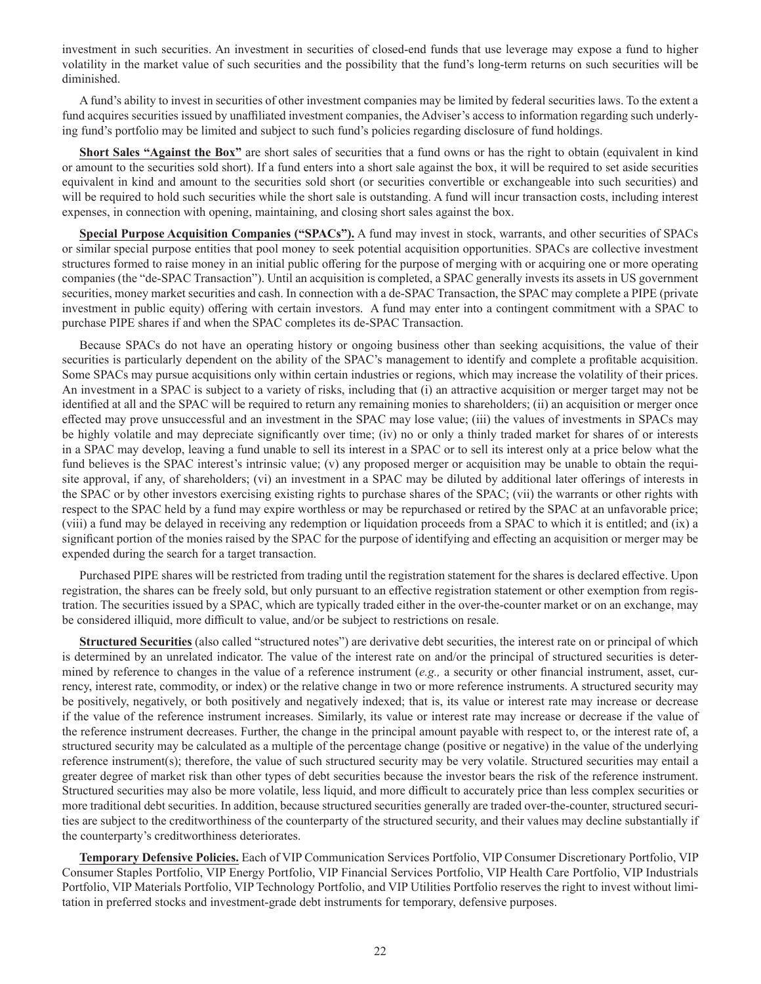investment in such securities. An investment in securities of closed-end funds that use leverage may expose a fund to higher volatility in the market value of such securities and the possibility that the fund's long-term returns on such securities will be diminished.

A fund's ability to invest in securities of other investment companies may be limited by federal securities laws. To the extent a fund acquires securities issued by unaffiliated investment companies, the Adviser's access to information regarding such underlying fund's portfolio may be limited and subject to such fund's policies regarding disclosure of fund holdings.

**Short Sales "Against the Box"** are short sales of securities that a fund owns or has the right to obtain (equivalent in kind or amount to the securities sold short). If a fund enters into a short sale against the box, it will be required to set aside securities equivalent in kind and amount to the securities sold short (or securities convertible or exchangeable into such securities) and will be required to hold such securities while the short sale is outstanding. A fund will incur transaction costs, including interest expenses, in connection with opening, maintaining, and closing short sales against the box.

**Special Purpose Acquisition Companies ("SPACs").** A fund may invest in stock, warrants, and other securities of SPACs or similar special purpose entities that pool money to seek potential acquisition opportunities. SPACs are collective investment structures formed to raise money in an initial public offering for the purpose of merging with or acquiring one or more operating companies (the "de-SPAC Transaction"). Until an acquisition is completed, a SPAC generally invests its assets in US government securities, money market securities and cash. In connection with a de-SPAC Transaction, the SPAC may complete a PIPE (private investment in public equity) offering with certain investors. A fund may enter into a contingent commitment with a SPAC to purchase PIPE shares if and when the SPAC completes its de-SPAC Transaction.

Because SPACs do not have an operating history or ongoing business other than seeking acquisitions, the value of their securities is particularly dependent on the ability of the SPAC's management to identify and complete a profitable acquisition. Some SPACs may pursue acquisitions only within certain industries or regions, which may increase the volatility of their prices. An investment in a SPAC is subject to a variety of risks, including that (i) an attractive acquisition or merger target may not be identified at all and the SPAC will be required to return any remaining monies to shareholders; (ii) an acquisition or merger once effected may prove unsuccessful and an investment in the SPAC may lose value; (iii) the values of investments in SPACs may be highly volatile and may depreciate significantly over time; (iv) no or only a thinly traded market for shares of or interests in a SPAC may develop, leaving a fund unable to sell its interest in a SPAC or to sell its interest only at a price below what the fund believes is the SPAC interest's intrinsic value; (v) any proposed merger or acquisition may be unable to obtain the requisite approval, if any, of shareholders; (vi) an investment in a SPAC may be diluted by additional later offerings of interests in the SPAC or by other investors exercising existing rights to purchase shares of the SPAC; (vii) the warrants or other rights with respect to the SPAC held by a fund may expire worthless or may be repurchased or retired by the SPAC at an unfavorable price; (viii) a fund may be delayed in receiving any redemption or liquidation proceeds from a SPAC to which it is entitled; and (ix) a significant portion of the monies raised by the SPAC for the purpose of identifying and effecting an acquisition or merger may be expended during the search for a target transaction.

Purchased PIPE shares will be restricted from trading until the registration statement for the shares is declared effective. Upon registration, the shares can be freely sold, but only pursuant to an effective registration statement or other exemption from registration. The securities issued by a SPAC, which are typically traded either in the over-the-counter market or on an exchange, may be considered illiquid, more difficult to value, and/or be subject to restrictions on resale.

**Structured Securities** (also called "structured notes") are derivative debt securities, the interest rate on or principal of which is determined by an unrelated indicator. The value of the interest rate on and/or the principal of structured securities is determined by reference to changes in the value of a reference instrument (*e.g.,* a security or other financial instrument, asset, currency, interest rate, commodity, or index) or the relative change in two or more reference instruments. A structured security may be positively, negatively, or both positively and negatively indexed; that is, its value or interest rate may increase or decrease if the value of the reference instrument increases. Similarly, its value or interest rate may increase or decrease if the value of the reference instrument decreases. Further, the change in the principal amount payable with respect to, or the interest rate of, a structured security may be calculated as a multiple of the percentage change (positive or negative) in the value of the underlying reference instrument(s); therefore, the value of such structured security may be very volatile. Structured securities may entail a greater degree of market risk than other types of debt securities because the investor bears the risk of the reference instrument. Structured securities may also be more volatile, less liquid, and more difficult to accurately price than less complex securities or more traditional debt securities. In addition, because structured securities generally are traded over-the-counter, structured securities are subject to the creditworthiness of the counterparty of the structured security, and their values may decline substantially if the counterparty's creditworthiness deteriorates.

**Temporary Defensive Policies.** Each of VIP Communication Services Portfolio, VIP Consumer Discretionary Portfolio, VIP Consumer Staples Portfolio, VIP Energy Portfolio, VIP Financial Services Portfolio, VIP Health Care Portfolio, VIP Industrials Portfolio, VIP Materials Portfolio, VIP Technology Portfolio, and VIP Utilities Portfolio reserves the right to invest without limitation in preferred stocks and investment-grade debt instruments for temporary, defensive purposes.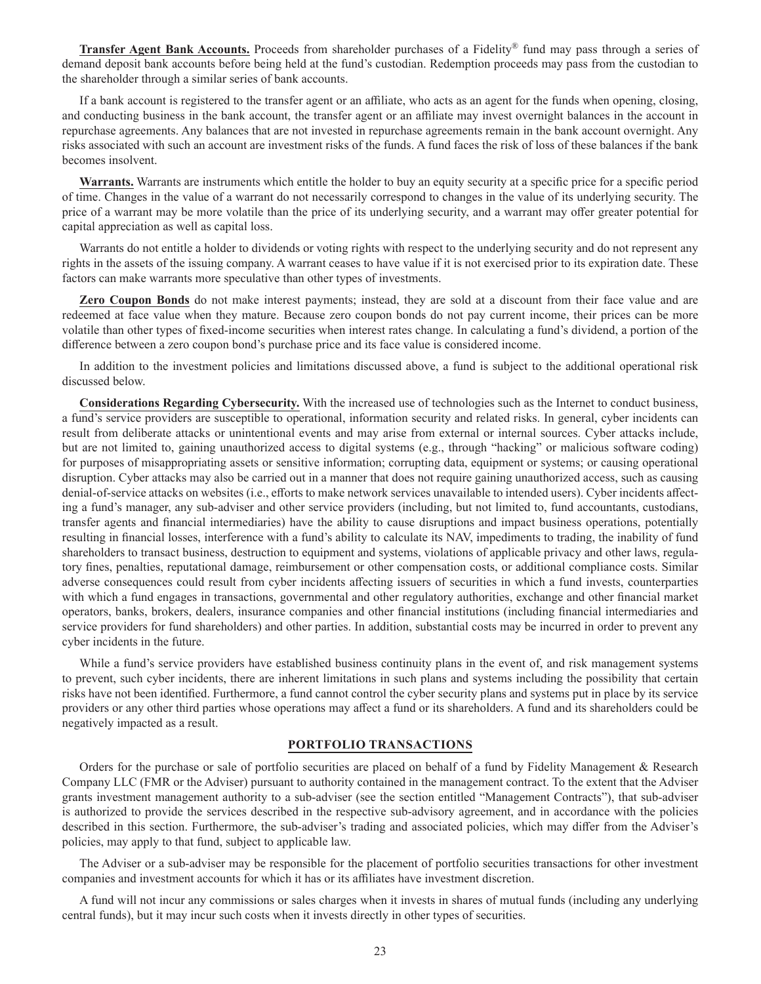**Transfer Agent Bank Accounts.** Proceeds from shareholder purchases of a Fidelity® fund may pass through a series of demand deposit bank accounts before being held at the fund's custodian. Redemption proceeds may pass from the custodian to the shareholder through a similar series of bank accounts.

If a bank account is registered to the transfer agent or an affiliate, who acts as an agent for the funds when opening, closing, and conducting business in the bank account, the transfer agent or an affiliate may invest overnight balances in the account in repurchase agreements. Any balances that are not invested in repurchase agreements remain in the bank account overnight. Any risks associated with such an account are investment risks of the funds. A fund faces the risk of loss of these balances if the bank becomes insolvent.

**Warrants.** Warrants are instruments which entitle the holder to buy an equity security at a specific price for a specific period of time. Changes in the value of a warrant do not necessarily correspond to changes in the value of its underlying security. The price of a warrant may be more volatile than the price of its underlying security, and a warrant may offer greater potential for capital appreciation as well as capital loss.

Warrants do not entitle a holder to dividends or voting rights with respect to the underlying security and do not represent any rights in the assets of the issuing company. A warrant ceases to have value if it is not exercised prior to its expiration date. These factors can make warrants more speculative than other types of investments.

**Zero Coupon Bonds** do not make interest payments; instead, they are sold at a discount from their face value and are redeemed at face value when they mature. Because zero coupon bonds do not pay current income, their prices can be more volatile than other types of fixed-income securities when interest rates change. In calculating a fund's dividend, a portion of the difference between a zero coupon bond's purchase price and its face value is considered income.

In addition to the investment policies and limitations discussed above, a fund is subject to the additional operational risk discussed below.

**Considerations Regarding Cybersecurity.** With the increased use of technologies such as the Internet to conduct business, a fund's service providers are susceptible to operational, information security and related risks. In general, cyber incidents can result from deliberate attacks or unintentional events and may arise from external or internal sources. Cyber attacks include, but are not limited to, gaining unauthorized access to digital systems (e.g., through "hacking" or malicious software coding) for purposes of misappropriating assets or sensitive information; corrupting data, equipment or systems; or causing operational disruption. Cyber attacks may also be carried out in a manner that does not require gaining unauthorized access, such as causing denial-of-service attacks on websites (i.e., efforts to make network services unavailable to intended users). Cyber incidents affecting a fund's manager, any sub-adviser and other service providers (including, but not limited to, fund accountants, custodians, transfer agents and financial intermediaries) have the ability to cause disruptions and impact business operations, potentially resulting in financial losses, interference with a fund's ability to calculate its NAV, impediments to trading, the inability of fund shareholders to transact business, destruction to equipment and systems, violations of applicable privacy and other laws, regulatory fines, penalties, reputational damage, reimbursement or other compensation costs, or additional compliance costs. Similar adverse consequences could result from cyber incidents affecting issuers of securities in which a fund invests, counterparties with which a fund engages in transactions, governmental and other regulatory authorities, exchange and other financial market operators, banks, brokers, dealers, insurance companies and other financial institutions (including financial intermediaries and service providers for fund shareholders) and other parties. In addition, substantial costs may be incurred in order to prevent any cyber incidents in the future.

While a fund's service providers have established business continuity plans in the event of, and risk management systems to prevent, such cyber incidents, there are inherent limitations in such plans and systems including the possibility that certain risks have not been identified. Furthermore, a fund cannot control the cyber security plans and systems put in place by its service providers or any other third parties whose operations may affect a fund or its shareholders. A fund and its shareholders could be negatively impacted as a result.

# **PORTFOLIO TRANSACTIONS**

Orders for the purchase or sale of portfolio securities are placed on behalf of a fund by Fidelity Management & Research Company LLC (FMR or the Adviser) pursuant to authority contained in the management contract. To the extent that the Adviser grants investment management authority to a sub-adviser (see the section entitled "Management Contracts"), that sub-adviser is authorized to provide the services described in the respective sub-advisory agreement, and in accordance with the policies described in this section. Furthermore, the sub-adviser's trading and associated policies, which may differ from the Adviser's policies, may apply to that fund, subject to applicable law.

The Adviser or a sub-adviser may be responsible for the placement of portfolio securities transactions for other investment companies and investment accounts for which it has or its affiliates have investment discretion.

A fund will not incur any commissions or sales charges when it invests in shares of mutual funds (including any underlying central funds), but it may incur such costs when it invests directly in other types of securities.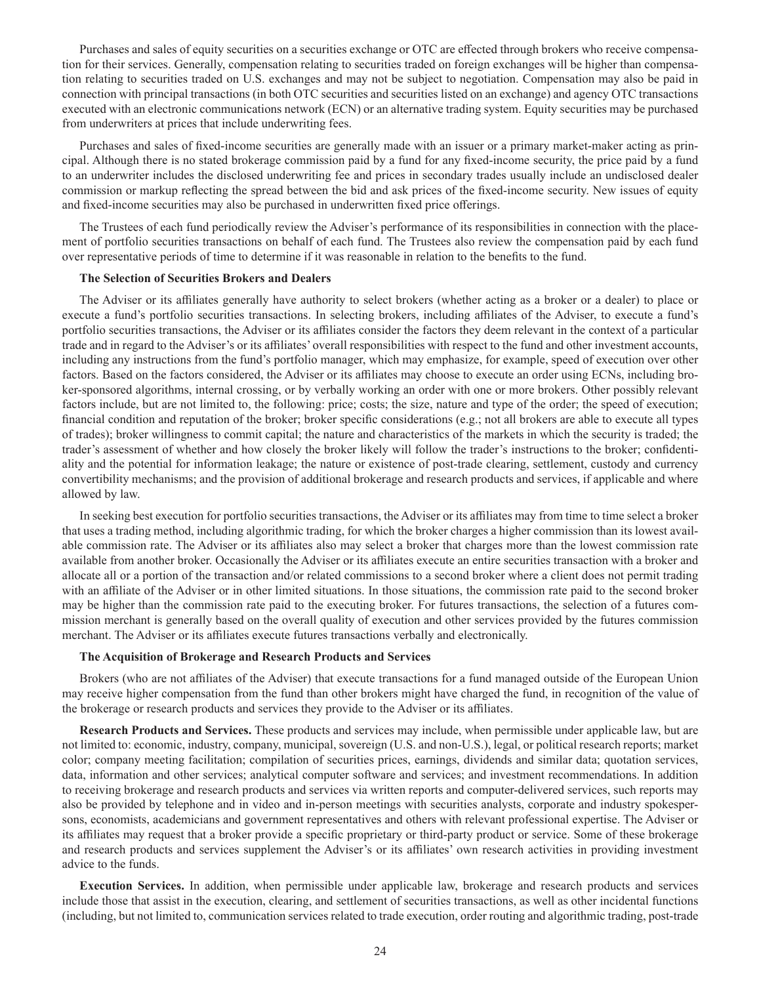Purchases and sales of equity securities on a securities exchange or OTC are effected through brokers who receive compensation for their services. Generally, compensation relating to securities traded on foreign exchanges will be higher than compensation relating to securities traded on U.S. exchanges and may not be subject to negotiation. Compensation may also be paid in connection with principal transactions (in both OTC securities and securities listed on an exchange) and agency OTC transactions executed with an electronic communications network (ECN) or an alternative trading system. Equity securities may be purchased from underwriters at prices that include underwriting fees.

Purchases and sales of fixed-income securities are generally made with an issuer or a primary market-maker acting as principal. Although there is no stated brokerage commission paid by a fund for any fixed-income security, the price paid by a fund to an underwriter includes the disclosed underwriting fee and prices in secondary trades usually include an undisclosed dealer commission or markup reflecting the spread between the bid and ask prices of the fixed-income security. New issues of equity and fixed-income securities may also be purchased in underwritten fixed price offerings.

The Trustees of each fund periodically review the Adviser's performance of its responsibilities in connection with the placement of portfolio securities transactions on behalf of each fund. The Trustees also review the compensation paid by each fund over representative periods of time to determine if it was reasonable in relation to the benefits to the fund.

# **The Selection of Securities Brokers and Dealers**

The Adviser or its affiliates generally have authority to select brokers (whether acting as a broker or a dealer) to place or execute a fund's portfolio securities transactions. In selecting brokers, including affiliates of the Adviser, to execute a fund's portfolio securities transactions, the Adviser or its affiliates consider the factors they deem relevant in the context of a particular trade and in regard to the Adviser's or its affiliates' overall responsibilities with respect to the fund and other investment accounts, including any instructions from the fund's portfolio manager, which may emphasize, for example, speed of execution over other factors. Based on the factors considered, the Adviser or its affiliates may choose to execute an order using ECNs, including broker-sponsored algorithms, internal crossing, or by verbally working an order with one or more brokers. Other possibly relevant factors include, but are not limited to, the following: price; costs; the size, nature and type of the order; the speed of execution; financial condition and reputation of the broker; broker specific considerations (e.g.; not all brokers are able to execute all types of trades); broker willingness to commit capital; the nature and characteristics of the markets in which the security is traded; the trader's assessment of whether and how closely the broker likely will follow the trader's instructions to the broker; confidentiality and the potential for information leakage; the nature or existence of post-trade clearing, settlement, custody and currency convertibility mechanisms; and the provision of additional brokerage and research products and services, if applicable and where allowed by law.

In seeking best execution for portfolio securities transactions, the Adviser or its affiliates may from time to time select a broker that uses a trading method, including algorithmic trading, for which the broker charges a higher commission than its lowest available commission rate. The Adviser or its affiliates also may select a broker that charges more than the lowest commission rate available from another broker. Occasionally the Adviser or its affiliates execute an entire securities transaction with a broker and allocate all or a portion of the transaction and/or related commissions to a second broker where a client does not permit trading with an affiliate of the Adviser or in other limited situations. In those situations, the commission rate paid to the second broker may be higher than the commission rate paid to the executing broker. For futures transactions, the selection of a futures commission merchant is generally based on the overall quality of execution and other services provided by the futures commission merchant. The Adviser or its affiliates execute futures transactions verbally and electronically.

# **The Acquisition of Brokerage and Research Products and Services**

Brokers (who are not affiliates of the Adviser) that execute transactions for a fund managed outside of the European Union may receive higher compensation from the fund than other brokers might have charged the fund, in recognition of the value of the brokerage or research products and services they provide to the Adviser or its affiliates.

**Research Products and Services.** These products and services may include, when permissible under applicable law, but are not limited to: economic, industry, company, municipal, sovereign (U.S. and non-U.S.), legal, or political research reports; market color; company meeting facilitation; compilation of securities prices, earnings, dividends and similar data; quotation services, data, information and other services; analytical computer software and services; and investment recommendations. In addition to receiving brokerage and research products and services via written reports and computer-delivered services, such reports may also be provided by telephone and in video and in-person meetings with securities analysts, corporate and industry spokespersons, economists, academicians and government representatives and others with relevant professional expertise. The Adviser or its affiliates may request that a broker provide a specific proprietary or third-party product or service. Some of these brokerage and research products and services supplement the Adviser's or its affiliates' own research activities in providing investment advice to the funds.

**Execution Services.** In addition, when permissible under applicable law, brokerage and research products and services include those that assist in the execution, clearing, and settlement of securities transactions, as well as other incidental functions (including, but not limited to, communication services related to trade execution, order routing and algorithmic trading, post-trade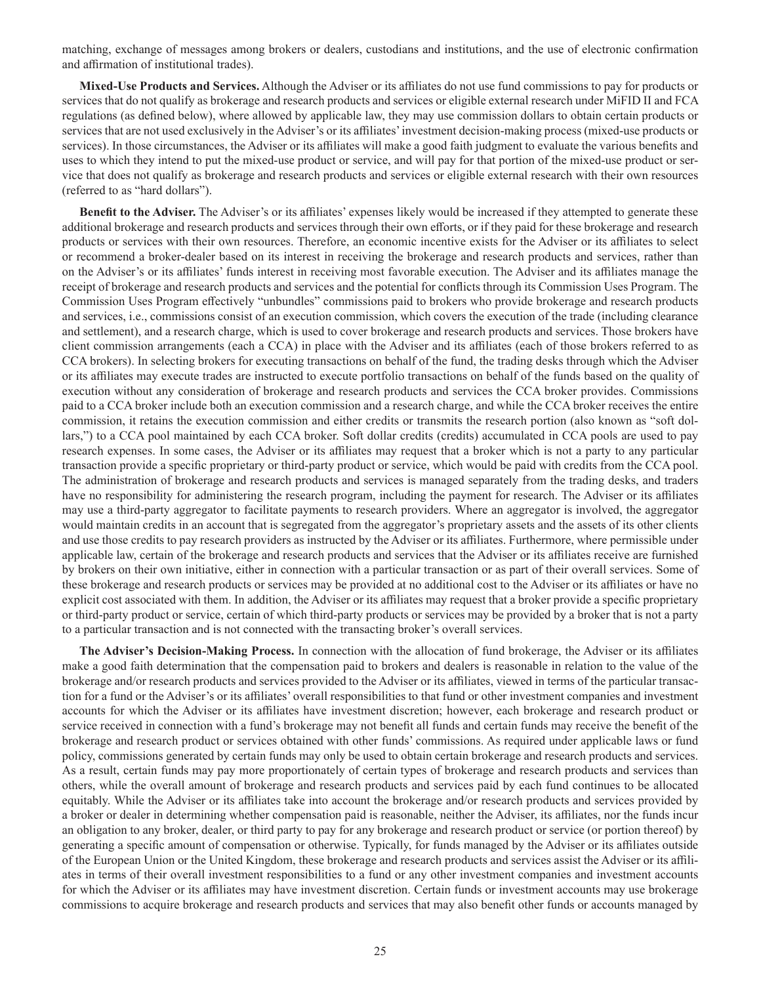matching, exchange of messages among brokers or dealers, custodians and institutions, and the use of electronic confirmation and affirmation of institutional trades).

**Mixed-Use Products and Services.** Although the Adviser or its affiliates do not use fund commissions to pay for products or services that do not qualify as brokerage and research products and services or eligible external research under MiFID II and FCA regulations (as defined below), where allowed by applicable law, they may use commission dollars to obtain certain products or services that are not used exclusively in the Adviser's or its affiliates' investment decision-making process (mixed-use products or services). In those circumstances, the Adviser or its affiliates will make a good faith judgment to evaluate the various benefits and uses to which they intend to put the mixed-use product or service, and will pay for that portion of the mixed-use product or service that does not qualify as brokerage and research products and services or eligible external research with their own resources (referred to as "hard dollars").

**Benefit to the Adviser.** The Adviser's or its affiliates' expenses likely would be increased if they attempted to generate these additional brokerage and research products and services through their own efforts, or if they paid for these brokerage and research products or services with their own resources. Therefore, an economic incentive exists for the Adviser or its affiliates to select or recommend a broker-dealer based on its interest in receiving the brokerage and research products and services, rather than on the Adviser's or its affiliates' funds interest in receiving most favorable execution. The Adviser and its affiliates manage the receipt of brokerage and research products and services and the potential for conflicts through its Commission Uses Program. The Commission Uses Program effectively "unbundles" commissions paid to brokers who provide brokerage and research products and services, i.e., commissions consist of an execution commission, which covers the execution of the trade (including clearance and settlement), and a research charge, which is used to cover brokerage and research products and services. Those brokers have client commission arrangements (each a CCA) in place with the Adviser and its affiliates (each of those brokers referred to as CCA brokers). In selecting brokers for executing transactions on behalf of the fund, the trading desks through which the Adviser or its affiliates may execute trades are instructed to execute portfolio transactions on behalf of the funds based on the quality of execution without any consideration of brokerage and research products and services the CCA broker provides. Commissions paid to a CCA broker include both an execution commission and a research charge, and while the CCA broker receives the entire commission, it retains the execution commission and either credits or transmits the research portion (also known as "soft dollars,") to a CCA pool maintained by each CCA broker. Soft dollar credits (credits) accumulated in CCA pools are used to pay research expenses. In some cases, the Adviser or its affiliates may request that a broker which is not a party to any particular transaction provide a specific proprietary or third-party product or service, which would be paid with credits from the CCA pool. The administration of brokerage and research products and services is managed separately from the trading desks, and traders have no responsibility for administering the research program, including the payment for research. The Adviser or its affiliates may use a third-party aggregator to facilitate payments to research providers. Where an aggregator is involved, the aggregator would maintain credits in an account that is segregated from the aggregator's proprietary assets and the assets of its other clients and use those credits to pay research providers as instructed by the Adviser or its affiliates. Furthermore, where permissible under applicable law, certain of the brokerage and research products and services that the Adviser or its affiliates receive are furnished by brokers on their own initiative, either in connection with a particular transaction or as part of their overall services. Some of these brokerage and research products or services may be provided at no additional cost to the Adviser or its affiliates or have no explicit cost associated with them. In addition, the Adviser or its affiliates may request that a broker provide a specific proprietary or third-party product or service, certain of which third-party products or services may be provided by a broker that is not a party to a particular transaction and is not connected with the transacting broker's overall services.

**The Adviser's Decision-Making Process.** In connection with the allocation of fund brokerage, the Adviser or its affiliates make a good faith determination that the compensation paid to brokers and dealers is reasonable in relation to the value of the brokerage and/or research products and services provided to the Adviser or its affiliates, viewed in terms of the particular transaction for a fund or the Adviser's or its affiliates' overall responsibilities to that fund or other investment companies and investment accounts for which the Adviser or its affiliates have investment discretion; however, each brokerage and research product or service received in connection with a fund's brokerage may not benefit all funds and certain funds may receive the benefit of the brokerage and research product or services obtained with other funds' commissions. As required under applicable laws or fund policy, commissions generated by certain funds may only be used to obtain certain brokerage and research products and services. As a result, certain funds may pay more proportionately of certain types of brokerage and research products and services than others, while the overall amount of brokerage and research products and services paid by each fund continues to be allocated equitably. While the Adviser or its affiliates take into account the brokerage and/or research products and services provided by a broker or dealer in determining whether compensation paid is reasonable, neither the Adviser, its affiliates, nor the funds incur an obligation to any broker, dealer, or third party to pay for any brokerage and research product or service (or portion thereof) by generating a specific amount of compensation or otherwise. Typically, for funds managed by the Adviser or its affiliates outside of the European Union or the United Kingdom, these brokerage and research products and services assist the Adviser or its affiliates in terms of their overall investment responsibilities to a fund or any other investment companies and investment accounts for which the Adviser or its affiliates may have investment discretion. Certain funds or investment accounts may use brokerage commissions to acquire brokerage and research products and services that may also benefit other funds or accounts managed by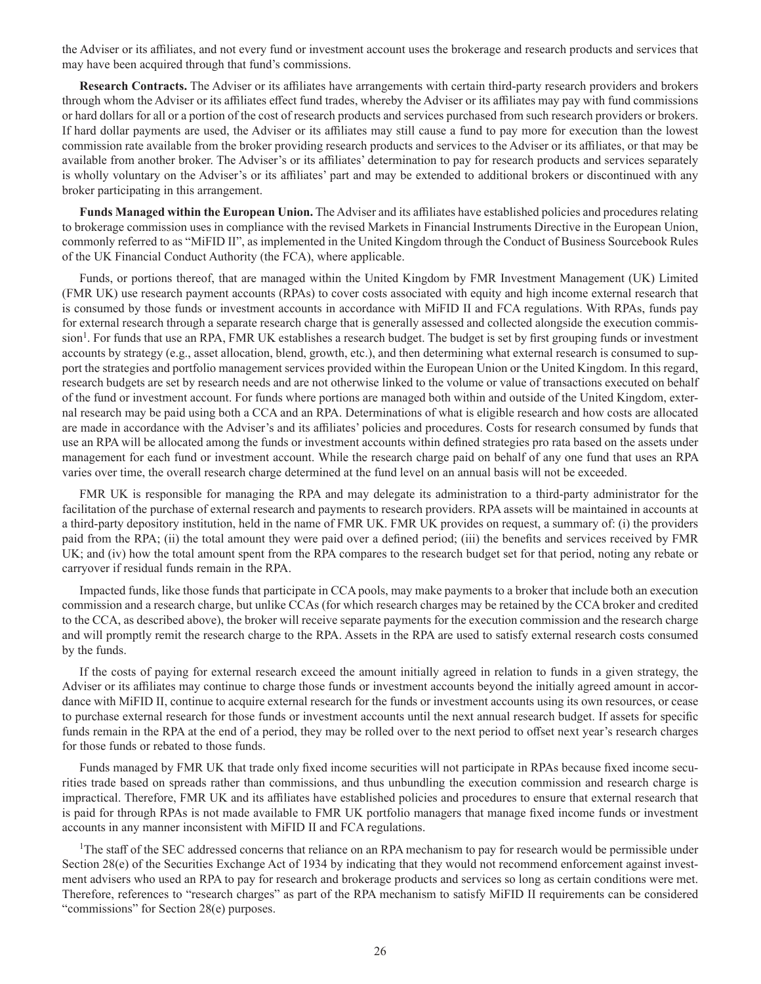the Adviser or its affiliates, and not every fund or investment account uses the brokerage and research products and services that may have been acquired through that fund's commissions.

**Research Contracts.** The Adviser or its affiliates have arrangements with certain third-party research providers and brokers through whom the Adviser or its affiliates effect fund trades, whereby the Adviser or its affiliates may pay with fund commissions or hard dollars for all or a portion of the cost of research products and services purchased from such research providers or brokers. If hard dollar payments are used, the Adviser or its affiliates may still cause a fund to pay more for execution than the lowest commission rate available from the broker providing research products and services to the Adviser or its affiliates, or that may be available from another broker. The Adviser's or its affiliates' determination to pay for research products and services separately is wholly voluntary on the Adviser's or its affiliates' part and may be extended to additional brokers or discontinued with any broker participating in this arrangement.

**Funds Managed within the European Union.** The Adviser and its affiliates have established policies and procedures relating to brokerage commission uses in compliance with the revised Markets in Financial Instruments Directive in the European Union, commonly referred to as "MiFID II", as implemented in the United Kingdom through the Conduct of Business Sourcebook Rules of the UK Financial Conduct Authority (the FCA), where applicable.

Funds, or portions thereof, that are managed within the United Kingdom by FMR Investment Management (UK) Limited (FMR UK) use research payment accounts (RPAs) to cover costs associated with equity and high income external research that is consumed by those funds or investment accounts in accordance with MiFID II and FCA regulations. With RPAs, funds pay for external research through a separate research charge that is generally assessed and collected alongside the execution commission<sup>1</sup>. For funds that use an RPA, FMR UK establishes a research budget. The budget is set by first grouping funds or investment accounts by strategy (e.g., asset allocation, blend, growth, etc.), and then determining what external research is consumed to support the strategies and portfolio management services provided within the European Union or the United Kingdom. In this regard, research budgets are set by research needs and are not otherwise linked to the volume or value of transactions executed on behalf of the fund or investment account. For funds where portions are managed both within and outside of the United Kingdom, external research may be paid using both a CCA and an RPA. Determinations of what is eligible research and how costs are allocated are made in accordance with the Adviser's and its affiliates' policies and procedures. Costs for research consumed by funds that use an RPA will be allocated among the funds or investment accounts within defined strategies pro rata based on the assets under management for each fund or investment account. While the research charge paid on behalf of any one fund that uses an RPA varies over time, the overall research charge determined at the fund level on an annual basis will not be exceeded.

FMR UK is responsible for managing the RPA and may delegate its administration to a third-party administrator for the facilitation of the purchase of external research and payments to research providers. RPA assets will be maintained in accounts at a third-party depository institution, held in the name of FMR UK. FMR UK provides on request, a summary of: (i) the providers paid from the RPA; (ii) the total amount they were paid over a defined period; (iii) the benefits and services received by FMR UK; and (iv) how the total amount spent from the RPA compares to the research budget set for that period, noting any rebate or carryover if residual funds remain in the RPA.

Impacted funds, like those funds that participate in CCA pools, may make payments to a broker that include both an execution commission and a research charge, but unlike CCAs (for which research charges may be retained by the CCA broker and credited to the CCA, as described above), the broker will receive separate payments for the execution commission and the research charge and will promptly remit the research charge to the RPA. Assets in the RPA are used to satisfy external research costs consumed by the funds.

If the costs of paying for external research exceed the amount initially agreed in relation to funds in a given strategy, the Adviser or its affiliates may continue to charge those funds or investment accounts beyond the initially agreed amount in accordance with MiFID II, continue to acquire external research for the funds or investment accounts using its own resources, or cease to purchase external research for those funds or investment accounts until the next annual research budget. If assets for specific funds remain in the RPA at the end of a period, they may be rolled over to the next period to offset next year's research charges for those funds or rebated to those funds.

Funds managed by FMR UK that trade only fixed income securities will not participate in RPAs because fixed income securities trade based on spreads rather than commissions, and thus unbundling the execution commission and research charge is impractical. Therefore, FMR UK and its affiliates have established policies and procedures to ensure that external research that is paid for through RPAs is not made available to FMR UK portfolio managers that manage fixed income funds or investment accounts in any manner inconsistent with MiFID II and FCA regulations.

<sup>1</sup>The staff of the SEC addressed concerns that reliance on an RPA mechanism to pay for research would be permissible under Section 28(e) of the Securities Exchange Act of 1934 by indicating that they would not recommend enforcement against investment advisers who used an RPA to pay for research and brokerage products and services so long as certain conditions were met. Therefore, references to "research charges" as part of the RPA mechanism to satisfy MiFID II requirements can be considered "commissions" for Section 28(e) purposes.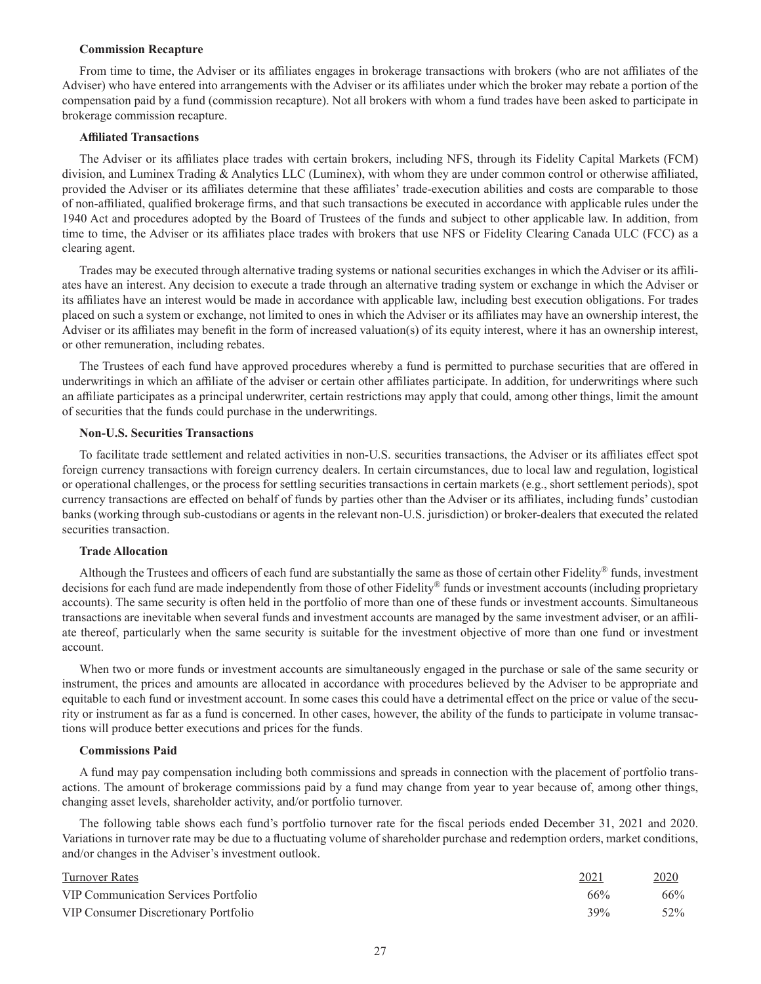### **Commission Recapture**

From time to time, the Adviser or its affiliates engages in brokerage transactions with brokers (who are not affiliates of the Adviser) who have entered into arrangements with the Adviser or its affiliates under which the broker may rebate a portion of the compensation paid by a fund (commission recapture). Not all brokers with whom a fund trades have been asked to participate in brokerage commission recapture.

# **Affiliated Transactions**

The Adviser or its affiliates place trades with certain brokers, including NFS, through its Fidelity Capital Markets (FCM) division, and Luminex Trading & Analytics LLC (Luminex), with whom they are under common control or otherwise affiliated, provided the Adviser or its affiliates determine that these affiliates' trade-execution abilities and costs are comparable to those of non-affiliated, qualified brokerage firms, and that such transactions be executed in accordance with applicable rules under the 1940 Act and procedures adopted by the Board of Trustees of the funds and subject to other applicable law. In addition, from time to time, the Adviser or its affiliates place trades with brokers that use NFS or Fidelity Clearing Canada ULC (FCC) as a clearing agent.

Trades may be executed through alternative trading systems or national securities exchanges in which the Adviser or its affiliates have an interest. Any decision to execute a trade through an alternative trading system or exchange in which the Adviser or its affiliates have an interest would be made in accordance with applicable law, including best execution obligations. For trades placed on such a system or exchange, not limited to ones in which the Adviser or its affiliates may have an ownership interest, the Adviser or its affiliates may benefit in the form of increased valuation(s) of its equity interest, where it has an ownership interest, or other remuneration, including rebates.

The Trustees of each fund have approved procedures whereby a fund is permitted to purchase securities that are offered in underwritings in which an affiliate of the adviser or certain other affiliates participate. In addition, for underwritings where such an affiliate participates as a principal underwriter, certain restrictions may apply that could, among other things, limit the amount of securities that the funds could purchase in the underwritings.

# **Non-U.S. Securities Transactions**

To facilitate trade settlement and related activities in non-U.S. securities transactions, the Adviser or its affiliates effect spot foreign currency transactions with foreign currency dealers. In certain circumstances, due to local law and regulation, logistical or operational challenges, or the process for settling securities transactions in certain markets (e.g., short settlement periods), spot currency transactions are effected on behalf of funds by parties other than the Adviser or its affiliates, including funds' custodian banks (working through sub-custodians or agents in the relevant non-U.S. jurisdiction) or broker-dealers that executed the related securities transaction.

# **Trade Allocation**

Although the Trustees and officers of each fund are substantially the same as those of certain other Fidelity® funds, investment decisions for each fund are made independently from those of other Fidelity® funds or investment accounts (including proprietary accounts). The same security is often held in the portfolio of more than one of these funds or investment accounts. Simultaneous transactions are inevitable when several funds and investment accounts are managed by the same investment adviser, or an affiliate thereof, particularly when the same security is suitable for the investment objective of more than one fund or investment account.

When two or more funds or investment accounts are simultaneously engaged in the purchase or sale of the same security or instrument, the prices and amounts are allocated in accordance with procedures believed by the Adviser to be appropriate and equitable to each fund or investment account. In some cases this could have a detrimental effect on the price or value of the security or instrument as far as a fund is concerned. In other cases, however, the ability of the funds to participate in volume transactions will produce better executions and prices for the funds.

# **Commissions Paid**

A fund may pay compensation including both commissions and spreads in connection with the placement of portfolio transactions. The amount of brokerage commissions paid by a fund may change from year to year because of, among other things, changing asset levels, shareholder activity, and/or portfolio turnover.

The following table shows each fund's portfolio turnover rate for the fiscal periods ended December 31, 2021 and 2020. Variations in turnover rate may be due to a fluctuating volume of shareholder purchase and redemption orders, market conditions, and/or changes in the Adviser's investment outlook.

| <b>Turnover Rates</b>                | 2021 | 2020 |
|--------------------------------------|------|------|
| VIP Communication Services Portfolio | 66%  | 66%  |
| VIP Consumer Discretionary Portfolio | 39%  | 52\% |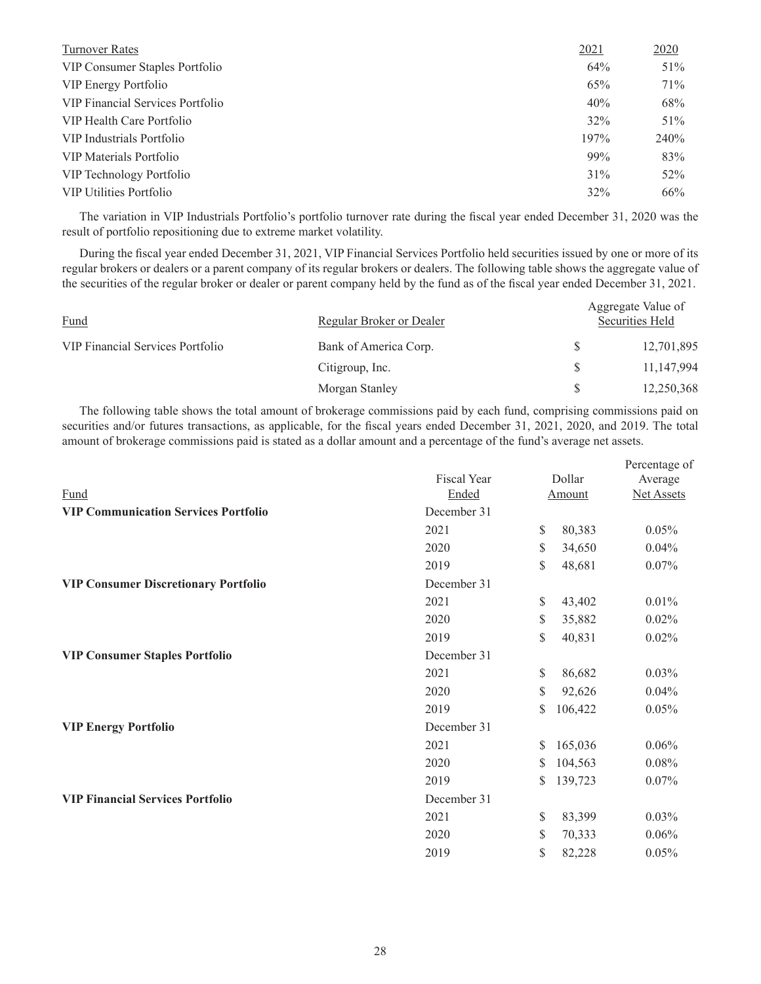| Turnover Rates                   | 2021 | 2020   |
|----------------------------------|------|--------|
| VIP Consumer Staples Portfolio   | 64%  | 51%    |
| VIP Energy Portfolio             | 65%  | 71%    |
| VIP Financial Services Portfolio | 40%  | 68%    |
| VIP Health Care Portfolio        | 32%  | $51\%$ |
| VIP Industrials Portfolio        | 197% | 240\%  |
| VIP Materials Portfolio          | 99%  | 83%    |
| VIP Technology Portfolio         | 31%  | 52%    |
| <b>VIP Utilities Portfolio</b>   | 32%  | 66%    |

The variation in VIP Industrials Portfolio's portfolio turnover rate during the fiscal year ended December 31, 2020 was the result of portfolio repositioning due to extreme market volatility.

During the fiscal year ended December 31, 2021, VIP Financial Services Portfolio held securities issued by one or more of its regular brokers or dealers or a parent company of its regular brokers or dealers. The following table shows the aggregate value of the securities of the regular broker or dealer or parent company held by the fund as of the fiscal year ended December 31, 2021.

| Fund                             | Regular Broker or Dealer | Aggregate Value of<br>Securities Held |            |  |  |
|----------------------------------|--------------------------|---------------------------------------|------------|--|--|
| VIP Financial Services Portfolio | Bank of America Corp.    |                                       | 12,701,895 |  |  |
|                                  | Citigroup, Inc.          |                                       | 11,147,994 |  |  |
|                                  | Morgan Stanley           |                                       | 12,250,368 |  |  |

The following table shows the total amount of brokerage commissions paid by each fund, comprising commissions paid on securities and/or futures transactions, as applicable, for the fiscal years ended December 31, 2021, 2020, and 2019. The total amount of brokerage commissions paid is stated as a dollar amount and a percentage of the fund's average net assets.

|                                             |             |              |         | Percentage of     |
|---------------------------------------------|-------------|--------------|---------|-------------------|
|                                             | Fiscal Year |              | Dollar  | Average           |
| Fund                                        | Ended       |              | Amount  | <b>Net Assets</b> |
| <b>VIP Communication Services Portfolio</b> | December 31 |              |         |                   |
|                                             | 2021        | \$           | 80,383  | 0.05%             |
|                                             | 2020        | \$           | 34,650  | 0.04%             |
|                                             | 2019        | \$           | 48,681  | 0.07%             |
| <b>VIP Consumer Discretionary Portfolio</b> | December 31 |              |         |                   |
|                                             | 2021        | <sup>S</sup> | 43,402  | 0.01%             |
|                                             | 2020        | \$           | 35,882  | 0.02%             |
|                                             | 2019        | \$           | 40,831  | 0.02%             |
| <b>VIP Consumer Staples Portfolio</b>       | December 31 |              |         |                   |
|                                             | 2021        | \$           | 86,682  | 0.03%             |
|                                             | 2020        | \$           | 92,626  | 0.04%             |
|                                             | 2019        | \$           | 106,422 | 0.05%             |
| <b>VIP Energy Portfolio</b>                 | December 31 |              |         |                   |
|                                             | 2021        | S            | 165,036 | 0.06%             |
|                                             | 2020        | \$           | 104,563 | 0.08%             |
|                                             | 2019        | \$           | 139,723 | 0.07%             |
| <b>VIP Financial Services Portfolio</b>     | December 31 |              |         |                   |
|                                             | 2021        | \$           | 83,399  | 0.03%             |
|                                             | 2020        | \$           | 70,333  | 0.06%             |
|                                             | 2019        | \$           | 82,228  | 0.05%             |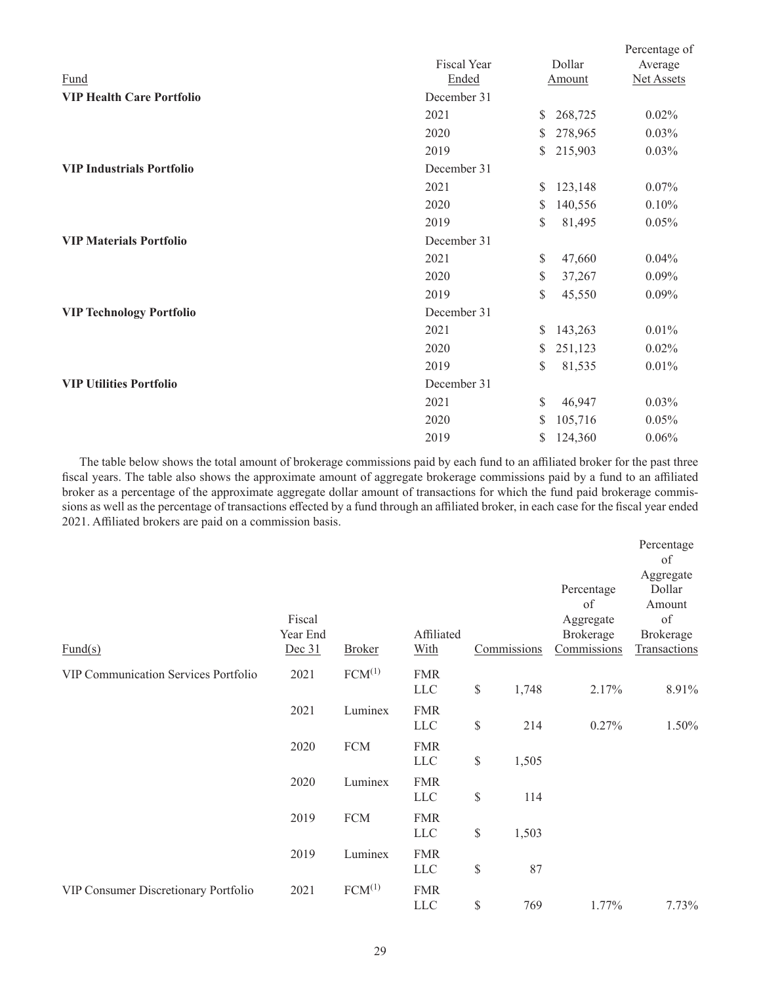|                                  |             |    |         | Percentage of |
|----------------------------------|-------------|----|---------|---------------|
|                                  | Fiscal Year |    | Dollar  | Average       |
| Fund                             | Ended       |    | Amount  | Net Assets    |
| <b>VIP Health Care Portfolio</b> | December 31 |    |         |               |
|                                  | 2021        | \$ | 268,725 | 0.02%         |
|                                  | 2020        | S  | 278,965 | 0.03%         |
|                                  | 2019        | S. | 215,903 | 0.03%         |
| <b>VIP Industrials Portfolio</b> | December 31 |    |         |               |
|                                  | 2021        | S. | 123,148 | 0.07%         |
|                                  | 2020        | \$ | 140,556 | 0.10%         |
|                                  | 2019        | \$ | 81,495  | 0.05%         |
| <b>VIP Materials Portfolio</b>   | December 31 |    |         |               |
|                                  | 2021        | \$ | 47,660  | 0.04%         |
|                                  | 2020        | \$ | 37,267  | 0.09%         |
|                                  | 2019        | \$ | 45,550  | 0.09%         |
| <b>VIP Technology Portfolio</b>  | December 31 |    |         |               |
|                                  | 2021        | S  | 143,263 | 0.01%         |
|                                  | 2020        | S  | 251,123 | 0.02%         |
|                                  | 2019        | \$ | 81,535  | 0.01%         |
| <b>VIP Utilities Portfolio</b>   | December 31 |    |         |               |
|                                  | 2021        | \$ | 46,947  | 0.03%         |
|                                  | 2020        | S. | 105,716 | 0.05%         |
|                                  | 2019        | \$ | 124,360 | 0.06%         |

The table below shows the total amount of brokerage commissions paid by each fund to an affiliated broker for the past three fiscal years. The table also shows the approximate amount of aggregate brokerage commissions paid by a fund to an affiliated broker as a percentage of the approximate aggregate dollar amount of transactions for which the fund paid brokerage commissions as well as the percentage of transactions effected by a fund through an affiliated broker, in each case for the fiscal year ended 2021. Affiliated brokers are paid on a commission basis.

| $\text{Fund}(s)$                            | Fiscal<br>Year End<br>Dec 31 | <b>Broker</b>      | Affiliated<br>With       |      | Commissions | Percentage<br>of<br>Aggregate<br>Brokerage<br>Commissions | Percentage<br>of<br>Aggregate<br>Dollar<br>Amount<br>of<br>Brokerage<br>Transactions |
|---------------------------------------------|------------------------------|--------------------|--------------------------|------|-------------|-----------------------------------------------------------|--------------------------------------------------------------------------------------|
| <b>VIP Communication Services Portfolio</b> | 2021                         | $FCM^{(1)}$        | <b>FMR</b><br><b>LLC</b> | \$   | 1,748       | 2.17%                                                     | 8.91%                                                                                |
|                                             | 2021                         | Luminex            | <b>FMR</b><br><b>LLC</b> | \$   | 214         | 0.27%                                                     | 1.50%                                                                                |
|                                             | 2020                         | <b>FCM</b>         | <b>FMR</b><br><b>LLC</b> | $\$$ | 1,505       |                                                           |                                                                                      |
|                                             | 2020                         | Luminex            | <b>FMR</b><br><b>LLC</b> | $\$$ | 114         |                                                           |                                                                                      |
|                                             | 2019                         | <b>FCM</b>         | <b>FMR</b><br><b>LLC</b> | \$   | 1,503       |                                                           |                                                                                      |
|                                             | 2019                         | Luminex            | <b>FMR</b><br><b>LLC</b> | $\$$ | 87          |                                                           |                                                                                      |
| VIP Consumer Discretionary Portfolio        | 2021                         | FCM <sup>(1)</sup> | <b>FMR</b><br><b>LLC</b> | $\$$ | 769         | 1.77%                                                     | 7.73%                                                                                |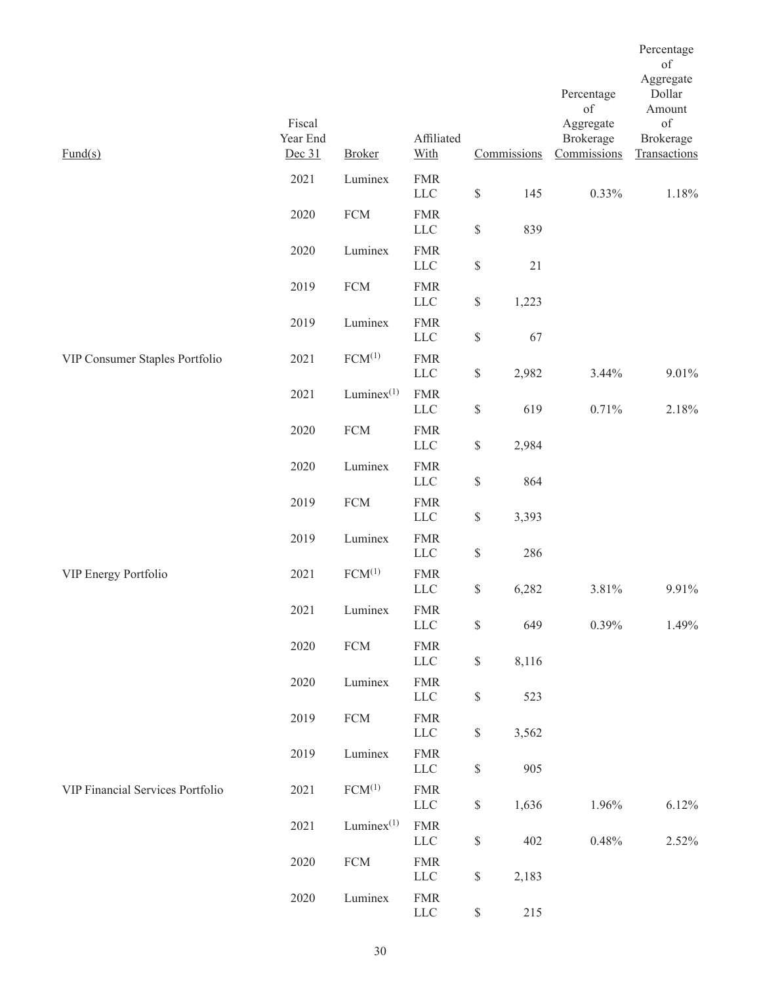| $\text{Fund}(s)$                 | Fiscal<br>Year End<br>Dec 31 | <b>Broker</b>      | Affiliated<br>With         |                                             | Commissions | Percentage<br>of<br>Aggregate<br>Brokerage<br>Commissions | Percentage<br>of<br>Aggregate<br>Dollar<br>Amount<br>of<br><b>Brokerage</b><br>Transactions |
|----------------------------------|------------------------------|--------------------|----------------------------|---------------------------------------------|-------------|-----------------------------------------------------------|---------------------------------------------------------------------------------------------|
|                                  | 2021                         | Luminex            | <b>FMR</b><br>${\rm LLC}$  | $\mathbb{S}% _{n}^{X\rightarrow\mathbb{R}}$ | 145         | 0.33%                                                     | 1.18%                                                                                       |
|                                  | 2020                         | ${\rm FCM}$        | <b>FMR</b><br><b>LLC</b>   | $\mathbb{S}$                                | 839         |                                                           |                                                                                             |
|                                  | 2020                         | Luminex            | <b>FMR</b><br><b>LLC</b>   | $\mathbb{S}$                                | $21\,$      |                                                           |                                                                                             |
|                                  | 2019                         | <b>FCM</b>         | <b>FMR</b><br><b>LLC</b>   | $\mathbb{S}$                                | 1,223       |                                                           |                                                                                             |
|                                  | 2019                         | Luminex            | <b>FMR</b><br>${\rm LLC}$  | $\mathbb{S}$                                | 67          |                                                           |                                                                                             |
| VIP Consumer Staples Portfolio   | 2021                         | FCM <sup>(1)</sup> | <b>FMR</b><br>${\rm LLC}$  | $\mathbb{S}% _{n}^{X\rightarrow\mathbb{R}}$ | 2,982       | 3.44%                                                     | 9.01%                                                                                       |
|                                  | 2021                         | Lumine $x^{(1)}$   | <b>FMR</b><br>LLC          | $\$$                                        | 619         | 0.71%                                                     | 2.18%                                                                                       |
|                                  | 2020                         | ${\rm FCM}$        | <b>FMR</b><br>${\rm LLC}$  | $\mathbb{S}$                                | 2,984       |                                                           |                                                                                             |
|                                  | 2020                         | Luminex            | <b>FMR</b><br>${\rm LLC}$  | $\mathbb{S}$                                | 864         |                                                           |                                                                                             |
|                                  | 2019                         | ${\rm FCM}$        | <b>FMR</b><br><b>LLC</b>   | $\mathbb{S}% _{n}^{X\rightarrow\mathbb{R}}$ | 3,393       |                                                           |                                                                                             |
|                                  | 2019                         | Luminex            | <b>FMR</b><br><b>LLC</b>   | $\mathbb{S}$                                | 286         |                                                           |                                                                                             |
| VIP Energy Portfolio             | 2021                         | FCM <sup>(1)</sup> | <b>FMR</b><br>$LLC$        | $\$$                                        | 6,282       | 3.81%                                                     | 9.91%                                                                                       |
|                                  | 2021                         | Luminex            | ${\rm FMR}$<br>${\rm LLC}$ | $\mathbb{S}% _{n}^{X\rightarrow\mathbb{R}}$ | 649         | 0.39%                                                     | 1.49%                                                                                       |
|                                  | 2020                         | ${\rm FCM}$        | <b>FMR</b><br><b>LLC</b>   | $\mathbb{S}% _{n}^{X\rightarrow\mathbb{R}}$ | 8,116       |                                                           |                                                                                             |
|                                  | 2020                         | Luminex            | <b>FMR</b><br>${\rm LLC}$  | $\mathbb{S}$                                | 523         |                                                           |                                                                                             |
|                                  | 2019                         | ${\rm FCM}$        | <b>FMR</b><br><b>LLC</b>   | $\mathbb{S}% _{n}^{X\rightarrow\mathbb{R}}$ | 3,562       |                                                           |                                                                                             |
|                                  | 2019                         | Luminex            | <b>FMR</b><br><b>LLC</b>   | $\mathbb{S}% _{n}^{X\rightarrow\mathbb{R}}$ | 905         |                                                           |                                                                                             |
| VIP Financial Services Portfolio | 2021                         | $FCM^{(1)}$        | <b>FMR</b><br>${\rm LLC}$  | $\$$                                        | 1,636       | 1.96%                                                     | 6.12%                                                                                       |
|                                  | 2021                         | Lumine $x^{(1)}$   | <b>FMR</b><br>${\rm LLC}$  | \$                                          | 402         | $0.48\%$                                                  | 2.52%                                                                                       |
|                                  | 2020                         | ${\rm FCM}$        | <b>FMR</b><br><b>LLC</b>   | $\mathbb{S}$                                | 2,183       |                                                           |                                                                                             |
|                                  | 2020                         | Luminex            | ${\rm FMR}$<br>${\rm LLC}$ | $\$$                                        | 215         |                                                           |                                                                                             |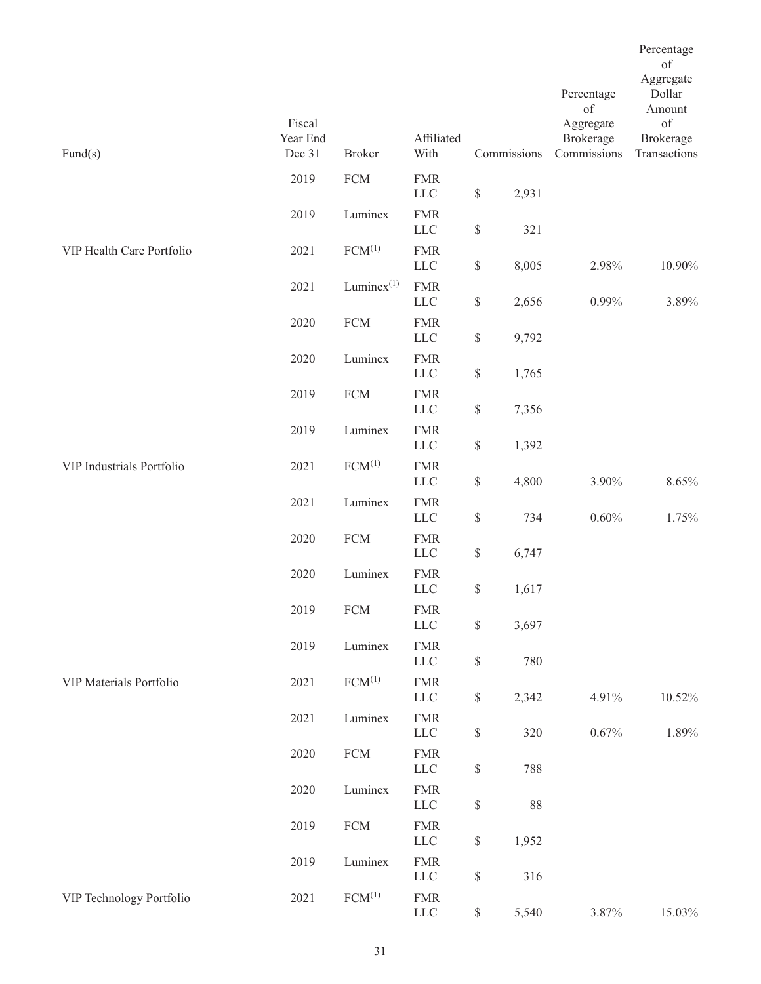|                           |                              |                    |                            |                                                                       |             |                                       | Percentage<br>of                |
|---------------------------|------------------------------|--------------------|----------------------------|-----------------------------------------------------------------------|-------------|---------------------------------------|---------------------------------|
|                           |                              |                    |                            |                                                                       |             | Percentage<br>of                      | Aggregate<br>Dollar<br>Amount   |
| $\text{Fund}(s)$          | Fiscal<br>Year End<br>Dec 31 | <b>Broker</b>      | Affiliated<br>With         |                                                                       | Commissions | Aggregate<br>Brokerage<br>Commissions | of<br>Brokerage<br>Transactions |
|                           | 2019                         | <b>FCM</b>         | <b>FMR</b><br>${\rm LLC}$  | $\$$                                                                  | 2,931       |                                       |                                 |
|                           | 2019                         | Luminex            | <b>FMR</b><br><b>LLC</b>   | $\mathbb{S}% _{n}^{X\rightarrow\mathbb{R}}$                           | 321         |                                       |                                 |
| VIP Health Care Portfolio | 2021                         | $FCM^{(1)}$        | <b>FMR</b><br>$LLC$        | $\$$                                                                  | 8,005       | 2.98%                                 | 10.90%                          |
|                           | 2021                         | Lumine $x^{(1)}$   | <b>FMR</b><br><b>LLC</b>   | $\mathbb{S}% _{t}\left( t\right) \equiv\mathbb{S}_{t}\left( t\right)$ | 2,656       | 0.99%                                 | 3.89%                           |
|                           | 2020                         | <b>FCM</b>         | <b>FMR</b><br>${\rm LLC}$  | $\$$                                                                  | 9,792       |                                       |                                 |
|                           | 2020                         | Luminex            | <b>FMR</b><br>${\rm LLC}$  | $\mathbb{S}% _{n}^{X\rightarrow\mathbb{R}}$                           | 1,765       |                                       |                                 |
|                           | 2019                         | <b>FCM</b>         | <b>FMR</b><br>$LLC$        | $\mathbb{S}% _{t}\left( t\right) \equiv\mathbb{S}_{t}\left( t\right)$ | 7,356       |                                       |                                 |
|                           | 2019                         | Luminex            | <b>FMR</b><br>${\rm LLC}$  | $\mathbb{S}% _{t}\left( t\right) \equiv\mathbb{S}_{t}\left( t\right)$ | 1,392       |                                       |                                 |
| VIP Industrials Portfolio | 2021                         | FCM <sup>(1)</sup> | <b>FMR</b><br><b>LLC</b>   | $\mathbb{S}% _{t}\left( t\right) \equiv\mathbb{S}_{t}\left( t\right)$ | 4,800       | 3.90%                                 | 8.65%                           |
|                           | 2021                         | Luminex            | <b>FMR</b><br>$LLC$        | $\mathbb{S}% _{t}\left( t\right) \equiv\mathbb{S}_{t}\left( t\right)$ | 734         | $0.60\%$                              | 1.75%                           |
|                           | 2020                         | <b>FCM</b>         | <b>FMR</b><br><b>LLC</b>   | $\mathbb{S}% _{n}^{X\rightarrow\mathbb{R}}$                           | 6,747       |                                       |                                 |
|                           | 2020                         | Luminex            | ${\rm FMR}$<br><b>LLC</b>  | $\$$                                                                  | 1,617       |                                       |                                 |
|                           | 2019                         | <b>FCM</b>         | ${\rm FMR}$<br>${\rm LLC}$ | $\mathbb S$                                                           | 3,697       |                                       |                                 |
|                           | 2019                         | Luminex            | ${\rm FMR}$<br>LLC         | $\$$                                                                  | 780         |                                       |                                 |
| VIP Materials Portfolio   | 2021                         | $FCM^{(1)}$        | <b>FMR</b><br>LLC          | $\mathbb{S}% _{t}\left( t\right) \equiv\mathbb{S}_{t}\left( t\right)$ | 2,342       | 4.91%                                 | $10.52\%$                       |
|                           | 2021                         | Luminex            | <b>FMR</b><br>${\rm LLC}$  | $\$$                                                                  | 320         | $0.67\%$                              | 1.89%                           |
|                           | 2020                         | ${\rm FCM}$        | ${\rm FMR}$<br>LLC         | $\mathbb{S}% _{t}\left( t\right) \equiv\mathbb{S}_{t}\left( t\right)$ | 788         |                                       |                                 |
|                           | 2020                         | Luminex            | <b>FMR</b><br>${\rm LLC}$  | $\mathbb{S}% _{t}\left( t\right) \equiv\mathbb{S}_{t}\left( t\right)$ | 88          |                                       |                                 |
|                           | 2019                         | ${\rm FCM}$        | <b>FMR</b><br>${\rm LLC}$  | $\mathbb S$                                                           | 1,952       |                                       |                                 |
|                           | 2019                         | Luminex            | <b>FMR</b><br>LLC          | $\mathbb{S}% _{t}\left( t\right) \equiv\mathbb{S}_{t}\left( t\right)$ | 316         |                                       |                                 |
| VIP Technology Portfolio  | 2021                         | FCM <sup>(1)</sup> | <b>FMR</b><br><b>LLC</b>   | $\mathbb S$                                                           | 5,540       | 3.87%                                 | 15.03%                          |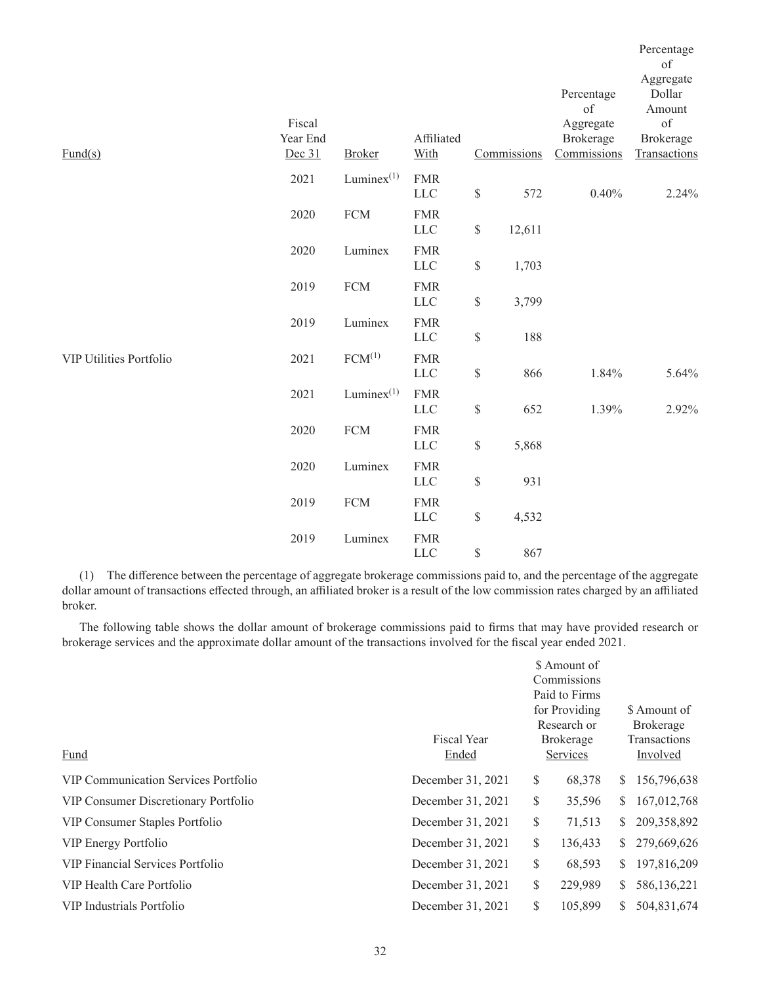|                                |          |                  |                           |                                                                       |             | Percentage  | Percentage<br>of<br>Aggregate<br>Dollar |
|--------------------------------|----------|------------------|---------------------------|-----------------------------------------------------------------------|-------------|-------------|-----------------------------------------|
|                                |          |                  |                           |                                                                       |             | of          | Amount                                  |
|                                | Fiscal   |                  |                           |                                                                       |             | Aggregate   | of                                      |
|                                | Year End |                  | Affiliated                |                                                                       |             | Brokerage   | Brokerage                               |
| $\text{Fund}(s)$               | Dec 31   | <b>Broker</b>    | With                      |                                                                       | Commissions | Commissions | Transactions                            |
|                                | 2021     | $Luminez^{(1)}$  | <b>FMR</b><br>${\rm LLC}$ | $\mathbb{S}% _{t}\left( t\right) \equiv\mathbb{S}_{t}\left( t\right)$ | 572         | 0.40%       | 2.24%                                   |
|                                | 2020     | ${\rm FCM}$      | <b>FMR</b><br>${\rm LLC}$ | $\mathbb{S}% _{n}^{X\rightarrow\mathbb{R}}$                           | 12,611      |             |                                         |
|                                | 2020     | Luminex          | <b>FMR</b><br>$LLC$       | $\$$                                                                  | 1,703       |             |                                         |
|                                | 2019     | <b>FCM</b>       | <b>FMR</b><br><b>LLC</b>  | $\mathbb{S}$                                                          | 3,799       |             |                                         |
|                                | 2019     | Luminex          | <b>FMR</b><br>${\rm LLC}$ | $\$$                                                                  | 188         |             |                                         |
| <b>VIP Utilities Portfolio</b> | 2021     | $FCM^{(1)}$      | <b>FMR</b><br><b>LLC</b>  | $\mathbb{S}$                                                          | 866         | 1.84%       | 5.64%                                   |
|                                | 2021     | Lumine $x^{(1)}$ | <b>FMR</b><br>${\rm LLC}$ | $\$$                                                                  | 652         | 1.39%       | 2.92%                                   |
|                                | 2020     | <b>FCM</b>       | <b>FMR</b><br>$LLC$       | $\mathbb{S}$                                                          | 5,868       |             |                                         |
|                                | 2020     | Luminex          | <b>FMR</b><br>${\rm LLC}$ | $\mathbb{S}$                                                          | 931         |             |                                         |
|                                | 2019     | <b>FCM</b>       | <b>FMR</b><br>${\rm LLC}$ | $\mathbb S$                                                           | 4,532       |             |                                         |
|                                | 2019     | Luminex          | <b>FMR</b><br><b>LLC</b>  | $\mathbb{S}$                                                          | 867         |             |                                         |

(1) The difference between the percentage of aggregate brokerage commissions paid to, and the percentage of the aggregate dollar amount of transactions effected through, an affiliated broker is a result of the low commission rates charged by an affiliated broker.

The following table shows the dollar amount of brokerage commissions paid to firms that may have provided research or brokerage services and the approximate dollar amount of the transactions involved for the fiscal year ended 2021.

|                                             |                   |          | \$ Amount of     |              |              |  |
|---------------------------------------------|-------------------|----------|------------------|--------------|--------------|--|
|                                             |                   |          | Commissions      |              |              |  |
|                                             |                   |          | Paid to Firms    |              |              |  |
|                                             |                   |          | for Providing    |              | \$ Amount of |  |
|                                             |                   |          | Research or      |              | Brokerage    |  |
|                                             | Fiscal Year       |          | <b>Brokerage</b> |              | Transactions |  |
| Fund                                        | Ended             | Services |                  |              | Involved     |  |
| <b>VIP Communication Services Portfolio</b> | December 31, 2021 | \$       | 68,378           | <sup>S</sup> | 156,796,638  |  |
| VIP Consumer Discretionary Portfolio        | December 31, 2021 | \$       | 35,596           | S.           | 167,012,768  |  |
| VIP Consumer Staples Portfolio              | December 31, 2021 | \$       | 71,513           | S.           | 209,358,892  |  |
| VIP Energy Portfolio                        | December 31, 2021 | \$       | 136,433          | S.           | 279,669,626  |  |
| <b>VIP Financial Services Portfolio</b>     | December 31, 2021 | \$       | 68,593           | <sup>S</sup> | 197,816,209  |  |
| VIP Health Care Portfolio                   | December 31, 2021 | \$       | 229,989          | <sup>S</sup> | 586,136,221  |  |
| VIP Industrials Portfolio                   | December 31, 2021 | \$       | 105,899          | S.           | 504,831,674  |  |
|                                             |                   |          |                  |              |              |  |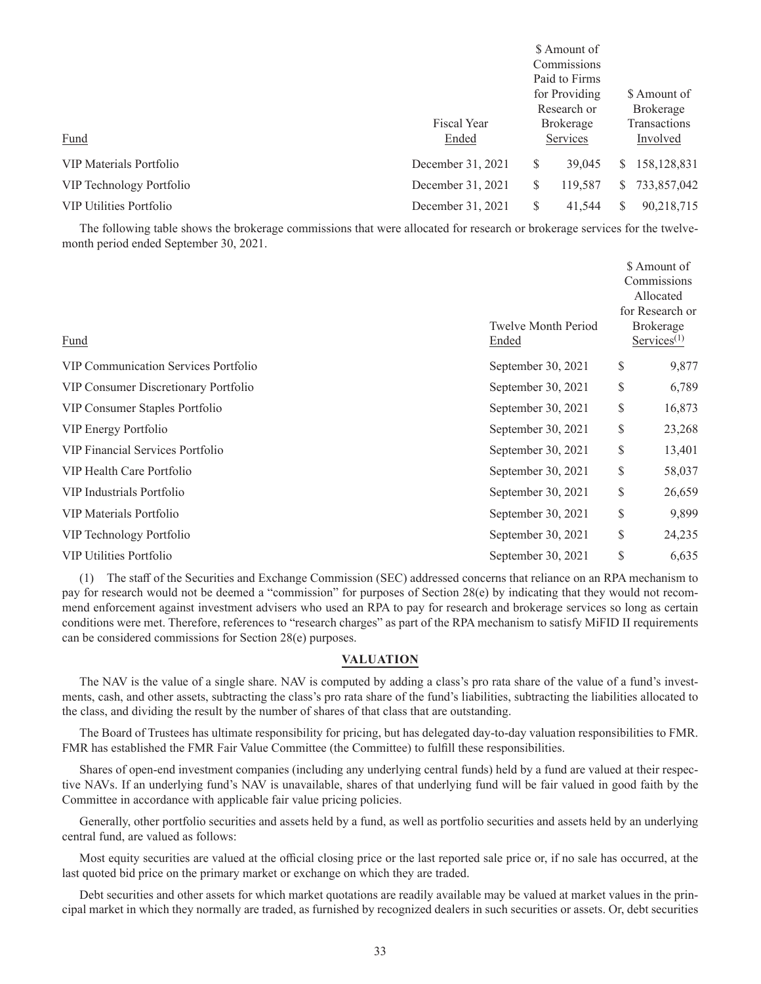| Fund                           | <b>Fiscal Year</b><br>Ended |    | \$ Amount of<br>Commissions<br>Paid to Firms<br>for Providing<br>Research or<br><b>Brokerage</b><br>Services |    | \$ Amount of<br><b>Brokerage</b><br><b>Transactions</b><br>Involved |
|--------------------------------|-----------------------------|----|--------------------------------------------------------------------------------------------------------------|----|---------------------------------------------------------------------|
| VIP Materials Portfolio        | December 31, 2021           | \$ | 39,045                                                                                                       | S. | 158, 128, 831                                                       |
| VIP Technology Portfolio       | December 31, 2021           | S  | 119,587                                                                                                      | S. | 733,857,042                                                         |
| <b>VIP Utilities Portfolio</b> | December 31, 2021           | S  | 41,544                                                                                                       | S  | 90,218,715                                                          |

The following table shows the brokerage commissions that were allocated for research or brokerage services for the twelvemonth period ended September 30, 2021.

| Fund                                        | <b>Twelve Month Period</b><br>Ended | \$ Amount of<br>Commissions<br>Allocated<br>for Research or<br><b>Brokerage</b><br>$S$ ervices <sup><math>(1)</math></sup> |        |
|---------------------------------------------|-------------------------------------|----------------------------------------------------------------------------------------------------------------------------|--------|
| <b>VIP Communication Services Portfolio</b> | September 30, 2021                  | \$                                                                                                                         | 9,877  |
| VIP Consumer Discretionary Portfolio        | September 30, 2021                  | \$                                                                                                                         | 6,789  |
| VIP Consumer Staples Portfolio              | September 30, 2021                  | \$                                                                                                                         | 16,873 |
| VIP Energy Portfolio                        | September 30, 2021                  | \$                                                                                                                         | 23,268 |
| VIP Financial Services Portfolio            | September 30, 2021                  | \$                                                                                                                         | 13,401 |
| VIP Health Care Portfolio                   | September 30, 2021                  | \$                                                                                                                         | 58,037 |
| VIP Industrials Portfolio                   | September 30, 2021                  | \$                                                                                                                         | 26,659 |
| VIP Materials Portfolio                     | September 30, 2021                  | \$                                                                                                                         | 9,899  |
| VIP Technology Portfolio                    | September 30, 2021                  | \$                                                                                                                         | 24,235 |
| <b>VIP Utilities Portfolio</b>              | September 30, 2021                  | \$                                                                                                                         | 6,635  |

(1) The staff of the Securities and Exchange Commission (SEC) addressed concerns that reliance on an RPA mechanism to pay for research would not be deemed a "commission" for purposes of Section 28(e) by indicating that they would not recommend enforcement against investment advisers who used an RPA to pay for research and brokerage services so long as certain conditions were met. Therefore, references to "research charges" as part of the RPA mechanism to satisfy MiFID II requirements can be considered commissions for Section 28(e) purposes.

# **VALUATION**

The NAV is the value of a single share. NAV is computed by adding a class's pro rata share of the value of a fund's investments, cash, and other assets, subtracting the class's pro rata share of the fund's liabilities, subtracting the liabilities allocated to the class, and dividing the result by the number of shares of that class that are outstanding.

The Board of Trustees has ultimate responsibility for pricing, but has delegated day-to-day valuation responsibilities to FMR. FMR has established the FMR Fair Value Committee (the Committee) to fulfill these responsibilities.

Shares of open-end investment companies (including any underlying central funds) held by a fund are valued at their respective NAVs. If an underlying fund's NAV is unavailable, shares of that underlying fund will be fair valued in good faith by the Committee in accordance with applicable fair value pricing policies.

Generally, other portfolio securities and assets held by a fund, as well as portfolio securities and assets held by an underlying central fund, are valued as follows:

Most equity securities are valued at the official closing price or the last reported sale price or, if no sale has occurred, at the last quoted bid price on the primary market or exchange on which they are traded.

Debt securities and other assets for which market quotations are readily available may be valued at market values in the principal market in which they normally are traded, as furnished by recognized dealers in such securities or assets. Or, debt securities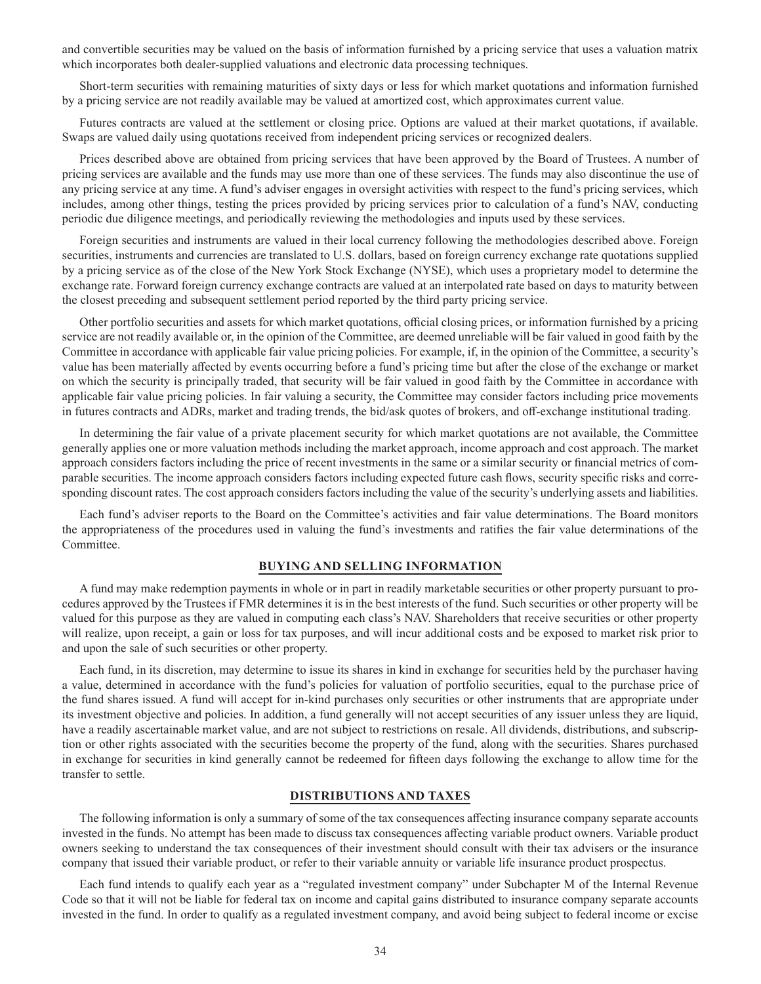and convertible securities may be valued on the basis of information furnished by a pricing service that uses a valuation matrix which incorporates both dealer-supplied valuations and electronic data processing techniques.

Short-term securities with remaining maturities of sixty days or less for which market quotations and information furnished by a pricing service are not readily available may be valued at amortized cost, which approximates current value.

Futures contracts are valued at the settlement or closing price. Options are valued at their market quotations, if available. Swaps are valued daily using quotations received from independent pricing services or recognized dealers.

Prices described above are obtained from pricing services that have been approved by the Board of Trustees. A number of pricing services are available and the funds may use more than one of these services. The funds may also discontinue the use of any pricing service at any time. A fund's adviser engages in oversight activities with respect to the fund's pricing services, which includes, among other things, testing the prices provided by pricing services prior to calculation of a fund's NAV, conducting periodic due diligence meetings, and periodically reviewing the methodologies and inputs used by these services.

Foreign securities and instruments are valued in their local currency following the methodologies described above. Foreign securities, instruments and currencies are translated to U.S. dollars, based on foreign currency exchange rate quotations supplied by a pricing service as of the close of the New York Stock Exchange (NYSE), which uses a proprietary model to determine the exchange rate. Forward foreign currency exchange contracts are valued at an interpolated rate based on days to maturity between the closest preceding and subsequent settlement period reported by the third party pricing service.

Other portfolio securities and assets for which market quotations, official closing prices, or information furnished by a pricing service are not readily available or, in the opinion of the Committee, are deemed unreliable will be fair valued in good faith by the Committee in accordance with applicable fair value pricing policies. For example, if, in the opinion of the Committee, a security's value has been materially affected by events occurring before a fund's pricing time but after the close of the exchange or market on which the security is principally traded, that security will be fair valued in good faith by the Committee in accordance with applicable fair value pricing policies. In fair valuing a security, the Committee may consider factors including price movements in futures contracts and ADRs, market and trading trends, the bid/ask quotes of brokers, and off-exchange institutional trading.

In determining the fair value of a private placement security for which market quotations are not available, the Committee generally applies one or more valuation methods including the market approach, income approach and cost approach. The market approach considers factors including the price of recent investments in the same or a similar security or financial metrics of comparable securities. The income approach considers factors including expected future cash flows, security specific risks and corresponding discount rates. The cost approach considers factors including the value of the security's underlying assets and liabilities.

Each fund's adviser reports to the Board on the Committee's activities and fair value determinations. The Board monitors the appropriateness of the procedures used in valuing the fund's investments and ratifies the fair value determinations of the Committee.

# **BUYING AND SELLING INFORMATION**

A fund may make redemption payments in whole or in part in readily marketable securities or other property pursuant to procedures approved by the Trustees if FMR determines it is in the best interests of the fund. Such securities or other property will be valued for this purpose as they are valued in computing each class's NAV. Shareholders that receive securities or other property will realize, upon receipt, a gain or loss for tax purposes, and will incur additional costs and be exposed to market risk prior to and upon the sale of such securities or other property.

Each fund, in its discretion, may determine to issue its shares in kind in exchange for securities held by the purchaser having a value, determined in accordance with the fund's policies for valuation of portfolio securities, equal to the purchase price of the fund shares issued. A fund will accept for in-kind purchases only securities or other instruments that are appropriate under its investment objective and policies. In addition, a fund generally will not accept securities of any issuer unless they are liquid, have a readily ascertainable market value, and are not subject to restrictions on resale. All dividends, distributions, and subscription or other rights associated with the securities become the property of the fund, along with the securities. Shares purchased in exchange for securities in kind generally cannot be redeemed for fifteen days following the exchange to allow time for the transfer to settle.

### **DISTRIBUTIONS AND TAXES**

The following information is only a summary of some of the tax consequences affecting insurance company separate accounts invested in the funds. No attempt has been made to discuss tax consequences affecting variable product owners. Variable product owners seeking to understand the tax consequences of their investment should consult with their tax advisers or the insurance company that issued their variable product, or refer to their variable annuity or variable life insurance product prospectus.

Each fund intends to qualify each year as a "regulated investment company" under Subchapter M of the Internal Revenue Code so that it will not be liable for federal tax on income and capital gains distributed to insurance company separate accounts invested in the fund. In order to qualify as a regulated investment company, and avoid being subject to federal income or excise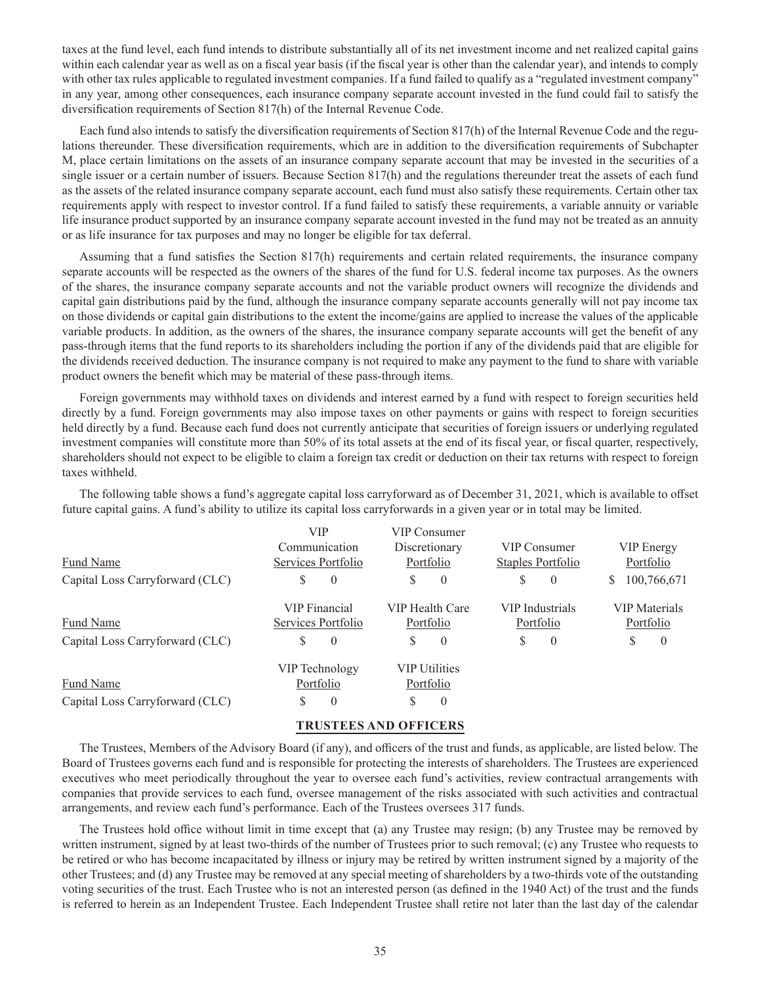taxes at the fund level, each fund intends to distribute substantially all of its net investment income and net realized capital gains within each calendar year as well as on a fiscal year basis (if the fiscal year is other than the calendar year), and intends to comply with other tax rules applicable to regulated investment companies. If a fund failed to qualify as a "regulated investment company" in any year, among other consequences, each insurance company separate account invested in the fund could fail to satisfy the diversification requirements of Section 817(h) of the Internal Revenue Code.

Each fund also intends to satisfy the diversification requirements of Section 817(h) of the Internal Revenue Code and the regulations thereunder. These diversification requirements, which are in addition to the diversification requirements of Subchapter M, place certain limitations on the assets of an insurance company separate account that may be invested in the securities of a single issuer or a certain number of issuers. Because Section 817(h) and the regulations thereunder treat the assets of each fund as the assets of the related insurance company separate account, each fund must also satisfy these requirements. Certain other tax requirements apply with respect to investor control. If a fund failed to satisfy these requirements, a variable annuity or variable life insurance product supported by an insurance company separate account invested in the fund may not be treated as an annuity or as life insurance for tax purposes and may no longer be eligible for tax deferral.

Assuming that a fund satisfies the Section 817(h) requirements and certain related requirements, the insurance company separate accounts will be respected as the owners of the shares of the fund for U.S. federal income tax purposes. As the owners of the shares, the insurance company separate accounts and not the variable product owners will recognize the dividends and capital gain distributions paid by the fund, although the insurance company separate accounts generally will not pay income tax on those dividends or capital gain distributions to the extent the income/gains are applied to increase the values of the applicable variable products. In addition, as the owners of the shares, the insurance company separate accounts will get the benefit of any pass-through items that the fund reports to its shareholders including the portion if any of the dividends paid that are eligible for the dividends received deduction. The insurance company is not required to make any payment to the fund to share with variable product owners the benefit which may be material of these pass-through items.

Foreign governments may withhold taxes on dividends and interest earned by a fund with respect to foreign securities held directly by a fund. Foreign governments may also impose taxes on other payments or gains with respect to foreign securities held directly by a fund. Because each fund does not currently anticipate that securities of foreign issuers or underlying regulated investment companies will constitute more than 50% of its total assets at the end of its fiscal year, or fiscal quarter, respectively, shareholders should not expect to be eligible to claim a foreign tax credit or deduction on their tax returns with respect to foreign taxes withheld.

The following table shows a fund's aggregate capital loss carryforward as of December 31, 2021, which is available to offset future capital gains. A fund's ability to utilize its capital loss carryforwards in a given year or in total may be limited.

|                                 | VIP                  | VIP Consumer         |                                         |                     |  |
|---------------------------------|----------------------|----------------------|-----------------------------------------|---------------------|--|
|                                 | Communication        | Discretionary        | VIP Consumer                            | <b>VIP</b> Energy   |  |
| Fund Name                       | Services Portfolio   | Portfolio            | Staples Portfolio                       | Portfolio           |  |
| Capital Loss Carryforward (CLC) | S<br>$\theta$        | S<br>$\theta$        | S<br>$\theta$                           | 100,766,671<br>S.   |  |
|                                 | <b>VIP</b> Financial | VIP Health Care      | VIP Industrials<br><b>VIP</b> Materials |                     |  |
| Fund Name                       | Services Portfolio   | Portfolio            | Portfolio                               | Portfolio           |  |
| Capital Loss Carryforward (CLC) | S<br>$\theta$        | S<br>$\theta$        | S<br>$\theta$                           | S<br>$\overline{0}$ |  |
|                                 | VIP Technology       | <b>VIP Utilities</b> |                                         |                     |  |
| Fund Name                       | Portfolio            | Portfolio            |                                         |                     |  |
| Capital Loss Carryforward (CLC) | $\theta$<br>S        | S<br>$\theta$        |                                         |                     |  |

# **TRUSTEES AND OFFICERS**

The Trustees, Members of the Advisory Board (if any), and officers of the trust and funds, as applicable, are listed below. The Board of Trustees governs each fund and is responsible for protecting the interests of shareholders. The Trustees are experienced executives who meet periodically throughout the year to oversee each fund's activities, review contractual arrangements with companies that provide services to each fund, oversee management of the risks associated with such activities and contractual arrangements, and review each fund's performance. Each of the Trustees oversees 317 funds.

The Trustees hold office without limit in time except that (a) any Trustee may resign; (b) any Trustee may be removed by written instrument, signed by at least two-thirds of the number of Trustees prior to such removal; (c) any Trustee who requests to be retired or who has become incapacitated by illness or injury may be retired by written instrument signed by a majority of the other Trustees; and (d) any Trustee may be removed at any special meeting of shareholders by a two-thirds vote of the outstanding voting securities of the trust. Each Trustee who is not an interested person (as defined in the 1940 Act) of the trust and the funds is referred to herein as an Independent Trustee. Each Independent Trustee shall retire not later than the last day of the calendar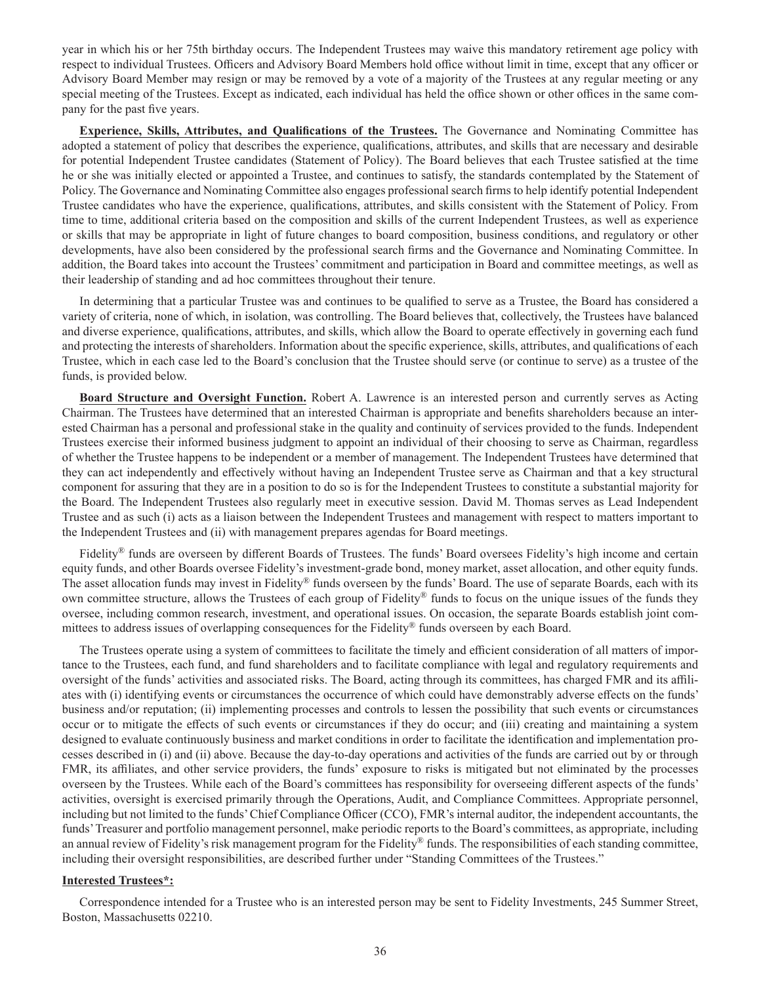year in which his or her 75th birthday occurs. The Independent Trustees may waive this mandatory retirement age policy with respect to individual Trustees. Officers and Advisory Board Members hold office without limit in time, except that any officer or Advisory Board Member may resign or may be removed by a vote of a majority of the Trustees at any regular meeting or any special meeting of the Trustees. Except as indicated, each individual has held the office shown or other offices in the same company for the past five years.

**Experience, Skills, Attributes, and Qualifications of the Trustees.** The Governance and Nominating Committee has adopted a statement of policy that describes the experience, qualifications, attributes, and skills that are necessary and desirable for potential Independent Trustee candidates (Statement of Policy). The Board believes that each Trustee satisfied at the time he or she was initially elected or appointed a Trustee, and continues to satisfy, the standards contemplated by the Statement of Policy. The Governance and Nominating Committee also engages professional search firms to help identify potential Independent Trustee candidates who have the experience, qualifications, attributes, and skills consistent with the Statement of Policy. From time to time, additional criteria based on the composition and skills of the current Independent Trustees, as well as experience or skills that may be appropriate in light of future changes to board composition, business conditions, and regulatory or other developments, have also been considered by the professional search firms and the Governance and Nominating Committee. In addition, the Board takes into account the Trustees' commitment and participation in Board and committee meetings, as well as their leadership of standing and ad hoc committees throughout their tenure.

In determining that a particular Trustee was and continues to be qualified to serve as a Trustee, the Board has considered a variety of criteria, none of which, in isolation, was controlling. The Board believes that, collectively, the Trustees have balanced and diverse experience, qualifications, attributes, and skills, which allow the Board to operate effectively in governing each fund and protecting the interests of shareholders. Information about the specific experience, skills, attributes, and qualifications of each Trustee, which in each case led to the Board's conclusion that the Trustee should serve (or continue to serve) as a trustee of the funds, is provided below.

**Board Structure and Oversight Function.** Robert A. Lawrence is an interested person and currently serves as Acting Chairman. The Trustees have determined that an interested Chairman is appropriate and benefits shareholders because an interested Chairman has a personal and professional stake in the quality and continuity of services provided to the funds. Independent Trustees exercise their informed business judgment to appoint an individual of their choosing to serve as Chairman, regardless of whether the Trustee happens to be independent or a member of management. The Independent Trustees have determined that they can act independently and effectively without having an Independent Trustee serve as Chairman and that a key structural component for assuring that they are in a position to do so is for the Independent Trustees to constitute a substantial majority for the Board. The Independent Trustees also regularly meet in executive session. David M. Thomas serves as Lead Independent Trustee and as such (i) acts as a liaison between the Independent Trustees and management with respect to matters important to the Independent Trustees and (ii) with management prepares agendas for Board meetings.

Fidelity® funds are overseen by different Boards of Trustees. The funds' Board oversees Fidelity's high income and certain equity funds, and other Boards oversee Fidelity's investment-grade bond, money market, asset allocation, and other equity funds. The asset allocation funds may invest in Fidelity® funds overseen by the funds' Board. The use of separate Boards, each with its own committee structure, allows the Trustees of each group of Fidelity® funds to focus on the unique issues of the funds they oversee, including common research, investment, and operational issues. On occasion, the separate Boards establish joint committees to address issues of overlapping consequences for the Fidelity® funds overseen by each Board.

The Trustees operate using a system of committees to facilitate the timely and efficient consideration of all matters of importance to the Trustees, each fund, and fund shareholders and to facilitate compliance with legal and regulatory requirements and oversight of the funds' activities and associated risks. The Board, acting through its committees, has charged FMR and its affiliates with (i) identifying events or circumstances the occurrence of which could have demonstrably adverse effects on the funds' business and/or reputation; (ii) implementing processes and controls to lessen the possibility that such events or circumstances occur or to mitigate the effects of such events or circumstances if they do occur; and (iii) creating and maintaining a system designed to evaluate continuously business and market conditions in order to facilitate the identification and implementation processes described in (i) and (ii) above. Because the day-to-day operations and activities of the funds are carried out by or through FMR, its affiliates, and other service providers, the funds' exposure to risks is mitigated but not eliminated by the processes overseen by the Trustees. While each of the Board's committees has responsibility for overseeing different aspects of the funds' activities, oversight is exercised primarily through the Operations, Audit, and Compliance Committees. Appropriate personnel, including but not limited to the funds' Chief Compliance Officer (CCO), FMR's internal auditor, the independent accountants, the funds' Treasurer and portfolio management personnel, make periodic reports to the Board's committees, as appropriate, including an annual review of Fidelity's risk management program for the Fidelity® funds. The responsibilities of each standing committee, including their oversight responsibilities, are described further under "Standing Committees of the Trustees."

# **Interested Trustees\*:**

Correspondence intended for a Trustee who is an interested person may be sent to Fidelity Investments, 245 Summer Street, Boston, Massachusetts 02210.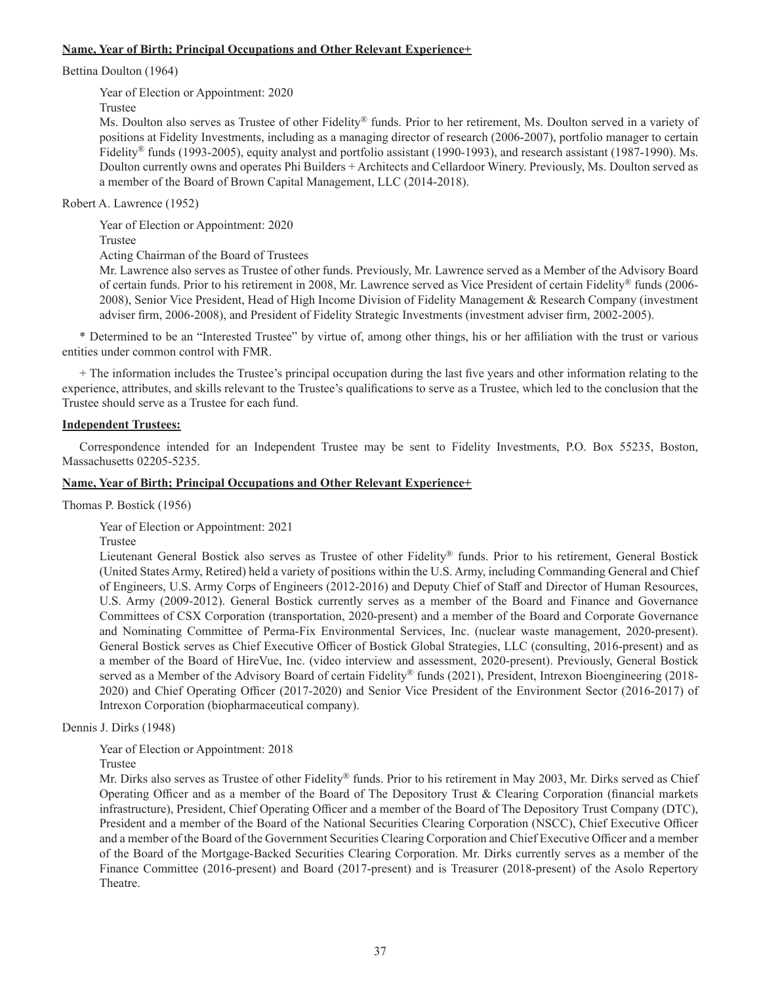## **Name, Year of Birth; Principal Occupations and Other Relevant Experience+**

Bettina Doulton (1964)

Year of Election or Appointment: 2020

Trustee

Ms. Doulton also serves as Trustee of other Fidelity® funds. Prior to her retirement, Ms. Doulton served in a variety of positions at Fidelity Investments, including as a managing director of research (2006-2007), portfolio manager to certain Fidelity® funds (1993-2005), equity analyst and portfolio assistant (1990-1993), and research assistant (1987-1990). Ms. Doulton currently owns and operates Phi Builders + Architects and Cellardoor Winery. Previously, Ms. Doulton served as a member of the Board of Brown Capital Management, LLC (2014-2018).

Robert A. Lawrence (1952)

Year of Election or Appointment: 2020

Trustee

Acting Chairman of the Board of Trustees

Mr. Lawrence also serves as Trustee of other funds. Previously, Mr. Lawrence served as a Member of the Advisory Board of certain funds. Prior to his retirement in 2008, Mr. Lawrence served as Vice President of certain Fidelity® funds (2006- 2008), Senior Vice President, Head of High Income Division of Fidelity Management & Research Company (investment adviser firm, 2006-2008), and President of Fidelity Strategic Investments (investment adviser firm, 2002-2005).

\* Determined to be an "Interested Trustee" by virtue of, among other things, his or her affiliation with the trust or various entities under common control with FMR.

+ The information includes the Trustee's principal occupation during the last five years and other information relating to the experience, attributes, and skills relevant to the Trustee's qualifications to serve as a Trustee, which led to the conclusion that the Trustee should serve as a Trustee for each fund.

## **Independent Trustees:**

Correspondence intended for an Independent Trustee may be sent to Fidelity Investments, P.O. Box 55235, Boston, Massachusetts 02205-5235.

### **Name, Year of Birth; Principal Occupations and Other Relevant Experience+**

Thomas P. Bostick (1956)

Year of Election or Appointment: 2021

Trustee

Lieutenant General Bostick also serves as Trustee of other Fidelity® funds. Prior to his retirement, General Bostick (United States Army, Retired) held a variety of positions within the U.S. Army, including Commanding General and Chief of Engineers, U.S. Army Corps of Engineers (2012-2016) and Deputy Chief of Staff and Director of Human Resources, U.S. Army (2009-2012). General Bostick currently serves as a member of the Board and Finance and Governance Committees of CSX Corporation (transportation, 2020-present) and a member of the Board and Corporate Governance and Nominating Committee of Perma-Fix Environmental Services, Inc. (nuclear waste management, 2020-present). General Bostick serves as Chief Executive Officer of Bostick Global Strategies, LLC (consulting, 2016-present) and as a member of the Board of HireVue, Inc. (video interview and assessment, 2020-present). Previously, General Bostick served as a Member of the Advisory Board of certain Fidelity® funds (2021), President, Intrexon Bioengineering (2018-2020) and Chief Operating Officer (2017-2020) and Senior Vice President of the Environment Sector (2016-2017) of Intrexon Corporation (biopharmaceutical company).

Dennis J. Dirks (1948)

Year of Election or Appointment: 2018

Trustee

Mr. Dirks also serves as Trustee of other Fidelity® funds. Prior to his retirement in May 2003, Mr. Dirks served as Chief Operating Officer and as a member of the Board of The Depository Trust & Clearing Corporation (financial markets infrastructure), President, Chief Operating Officer and a member of the Board of The Depository Trust Company (DTC), President and a member of the Board of the National Securities Clearing Corporation (NSCC), Chief Executive Officer and a member of the Board of the Government Securities Clearing Corporation and Chief Executive Officer and a member of the Board of the Mortgage-Backed Securities Clearing Corporation. Mr. Dirks currently serves as a member of the Finance Committee (2016-present) and Board (2017-present) and is Treasurer (2018-present) of the Asolo Repertory Theatre.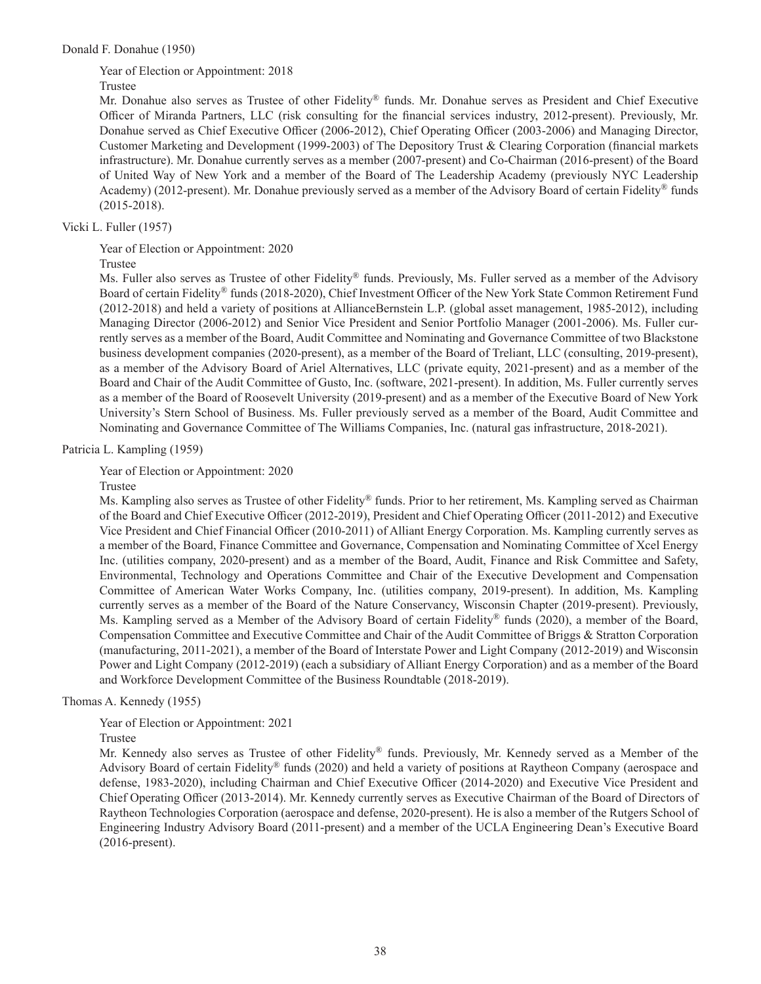Year of Election or Appointment: 2018

Trustee

Mr. Donahue also serves as Trustee of other Fidelity® funds. Mr. Donahue serves as President and Chief Executive Officer of Miranda Partners, LLC (risk consulting for the financial services industry, 2012-present). Previously, Mr. Donahue served as Chief Executive Officer (2006-2012), Chief Operating Officer (2003-2006) and Managing Director, Customer Marketing and Development (1999-2003) of The Depository Trust & Clearing Corporation (financial markets infrastructure). Mr. Donahue currently serves as a member (2007-present) and Co-Chairman (2016-present) of the Board of United Way of New York and a member of the Board of The Leadership Academy (previously NYC Leadership Academy) (2012-present). Mr. Donahue previously served as a member of the Advisory Board of certain Fidelity® funds (2015-2018).

Vicki L. Fuller (1957)

Year of Election or Appointment: 2020

Trustee

Ms. Fuller also serves as Trustee of other Fidelity® funds. Previously, Ms. Fuller served as a member of the Advisory Board of certain Fidelity® funds (2018-2020), Chief Investment Officer of the New York State Common Retirement Fund (2012-2018) and held a variety of positions at AllianceBernstein L.P. (global asset management, 1985-2012), including Managing Director (2006-2012) and Senior Vice President and Senior Portfolio Manager (2001-2006). Ms. Fuller currently serves as a member of the Board, Audit Committee and Nominating and Governance Committee of two Blackstone business development companies (2020-present), as a member of the Board of Treliant, LLC (consulting, 2019-present), as a member of the Advisory Board of Ariel Alternatives, LLC (private equity, 2021-present) and as a member of the Board and Chair of the Audit Committee of Gusto, Inc. (software, 2021-present). In addition, Ms. Fuller currently serves as a member of the Board of Roosevelt University (2019-present) and as a member of the Executive Board of New York University's Stern School of Business. Ms. Fuller previously served as a member of the Board, Audit Committee and Nominating and Governance Committee of The Williams Companies, Inc. (natural gas infrastructure, 2018-2021).

Patricia L. Kampling (1959)

Year of Election or Appointment: 2020

Trustee

Ms. Kampling also serves as Trustee of other Fidelity® funds. Prior to her retirement, Ms. Kampling served as Chairman of the Board and Chief Executive Officer (2012-2019), President and Chief Operating Officer (2011-2012) and Executive Vice President and Chief Financial Officer (2010-2011) of Alliant Energy Corporation. Ms. Kampling currently serves as a member of the Board, Finance Committee and Governance, Compensation and Nominating Committee of Xcel Energy Inc. (utilities company, 2020-present) and as a member of the Board, Audit, Finance and Risk Committee and Safety, Environmental, Technology and Operations Committee and Chair of the Executive Development and Compensation Committee of American Water Works Company, Inc. (utilities company, 2019-present). In addition, Ms. Kampling currently serves as a member of the Board of the Nature Conservancy, Wisconsin Chapter (2019-present). Previously, Ms. Kampling served as a Member of the Advisory Board of certain Fidelity® funds (2020), a member of the Board, Compensation Committee and Executive Committee and Chair of the Audit Committee of Briggs & Stratton Corporation (manufacturing, 2011-2021), a member of the Board of Interstate Power and Light Company (2012-2019) and Wisconsin Power and Light Company (2012-2019) (each a subsidiary of Alliant Energy Corporation) and as a member of the Board and Workforce Development Committee of the Business Roundtable (2018-2019).

### Thomas A. Kennedy (1955)

Year of Election or Appointment: 2021

Trustee

Mr. Kennedy also serves as Trustee of other Fidelity® funds. Previously, Mr. Kennedy served as a Member of the Advisory Board of certain Fidelity® funds (2020) and held a variety of positions at Raytheon Company (aerospace and defense, 1983-2020), including Chairman and Chief Executive Officer (2014-2020) and Executive Vice President and Chief Operating Officer (2013-2014). Mr. Kennedy currently serves as Executive Chairman of the Board of Directors of Raytheon Technologies Corporation (aerospace and defense, 2020-present). He is also a member of the Rutgers School of Engineering Industry Advisory Board (2011-present) and a member of the UCLA Engineering Dean's Executive Board (2016-present).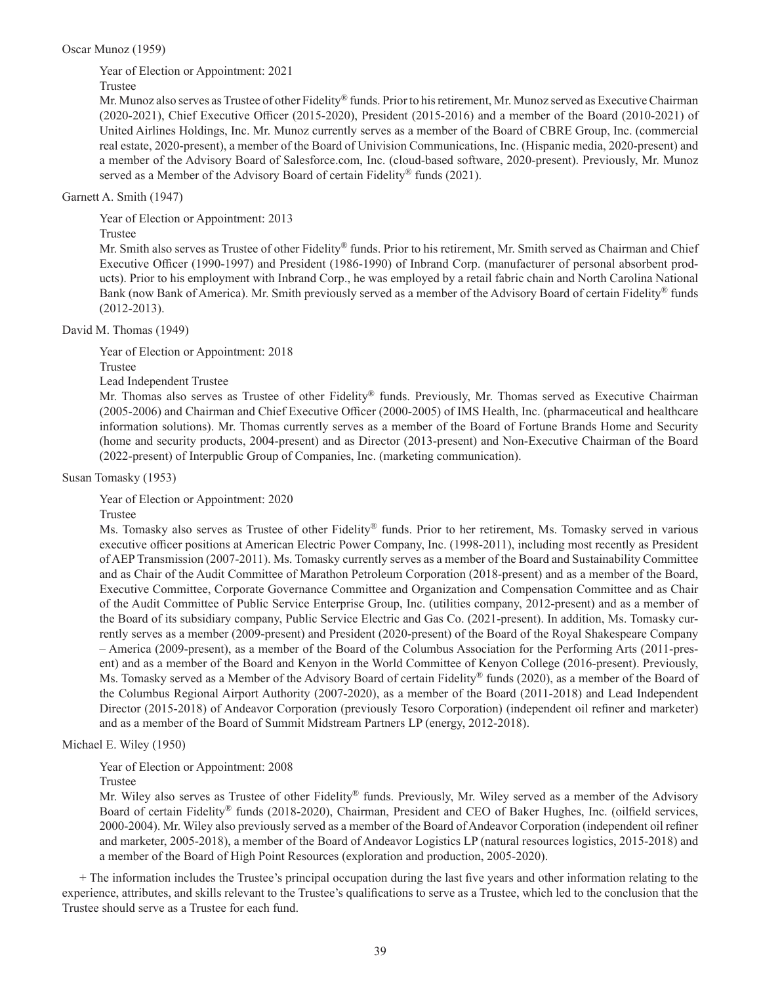### Oscar Munoz (1959)

Year of Election or Appointment: 2021

# Trustee

Mr. Munoz also serves as Trustee of other Fidelity® funds. Prior to his retirement, Mr. Munoz served as Executive Chairman (2020-2021), Chief Executive Officer (2015-2020), President (2015-2016) and a member of the Board (2010-2021) of United Airlines Holdings, Inc. Mr. Munoz currently serves as a member of the Board of CBRE Group, Inc. (commercial real estate, 2020-present), a member of the Board of Univision Communications, Inc. (Hispanic media, 2020-present) and a member of the Advisory Board of Salesforce.com, Inc. (cloud-based software, 2020-present). Previously, Mr. Munoz served as a Member of the Advisory Board of certain Fidelity® funds (2021).

# Garnett A. Smith (1947)

Year of Election or Appointment: 2013

# Trustee

Mr. Smith also serves as Trustee of other Fidelity® funds. Prior to his retirement, Mr. Smith served as Chairman and Chief Executive Officer (1990-1997) and President (1986-1990) of Inbrand Corp. (manufacturer of personal absorbent products). Prior to his employment with Inbrand Corp., he was employed by a retail fabric chain and North Carolina National Bank (now Bank of America). Mr. Smith previously served as a member of the Advisory Board of certain Fidelity® funds (2012-2013).

# David M. Thomas (1949)

Year of Election or Appointment: 2018

Trustee

Lead Independent Trustee

Mr. Thomas also serves as Trustee of other Fidelity® funds. Previously, Mr. Thomas served as Executive Chairman (2005-2006) and Chairman and Chief Executive Officer (2000-2005) of IMS Health, Inc. (pharmaceutical and healthcare information solutions). Mr. Thomas currently serves as a member of the Board of Fortune Brands Home and Security (home and security products, 2004-present) and as Director (2013-present) and Non-Executive Chairman of the Board (2022-present) of Interpublic Group of Companies, Inc. (marketing communication).

Susan Tomasky (1953)

Year of Election or Appointment: 2020

Trustee

Ms. Tomasky also serves as Trustee of other Fidelity® funds. Prior to her retirement, Ms. Tomasky served in various executive officer positions at American Electric Power Company, Inc. (1998-2011), including most recently as President of AEP Transmission (2007-2011). Ms. Tomasky currently serves as a member of the Board and Sustainability Committee and as Chair of the Audit Committee of Marathon Petroleum Corporation (2018-present) and as a member of the Board, Executive Committee, Corporate Governance Committee and Organization and Compensation Committee and as Chair of the Audit Committee of Public Service Enterprise Group, Inc. (utilities company, 2012-present) and as a member of the Board of its subsidiary company, Public Service Electric and Gas Co. (2021-present). In addition, Ms. Tomasky currently serves as a member (2009-present) and President (2020-present) of the Board of the Royal Shakespeare Company – America (2009-present), as a member of the Board of the Columbus Association for the Performing Arts (2011-present) and as a member of the Board and Kenyon in the World Committee of Kenyon College (2016-present). Previously, Ms. Tomasky served as a Member of the Advisory Board of certain Fidelity® funds (2020), as a member of the Board of the Columbus Regional Airport Authority (2007-2020), as a member of the Board (2011-2018) and Lead Independent Director (2015-2018) of Andeavor Corporation (previously Tesoro Corporation) (independent oil refiner and marketer) and as a member of the Board of Summit Midstream Partners LP (energy, 2012-2018).

# Michael E. Wiley (1950)

Year of Election or Appointment: 2008

Trustee

Mr. Wiley also serves as Trustee of other Fidelity® funds. Previously, Mr. Wiley served as a member of the Advisory Board of certain Fidelity® funds (2018-2020), Chairman, President and CEO of Baker Hughes, Inc. (oilfield services, 2000-2004). Mr. Wiley also previously served as a member of the Board of Andeavor Corporation (independent oil refiner and marketer, 2005-2018), a member of the Board of Andeavor Logistics LP (natural resources logistics, 2015-2018) and a member of the Board of High Point Resources (exploration and production, 2005-2020).

+ The information includes the Trustee's principal occupation during the last five years and other information relating to the experience, attributes, and skills relevant to the Trustee's qualifications to serve as a Trustee, which led to the conclusion that the Trustee should serve as a Trustee for each fund.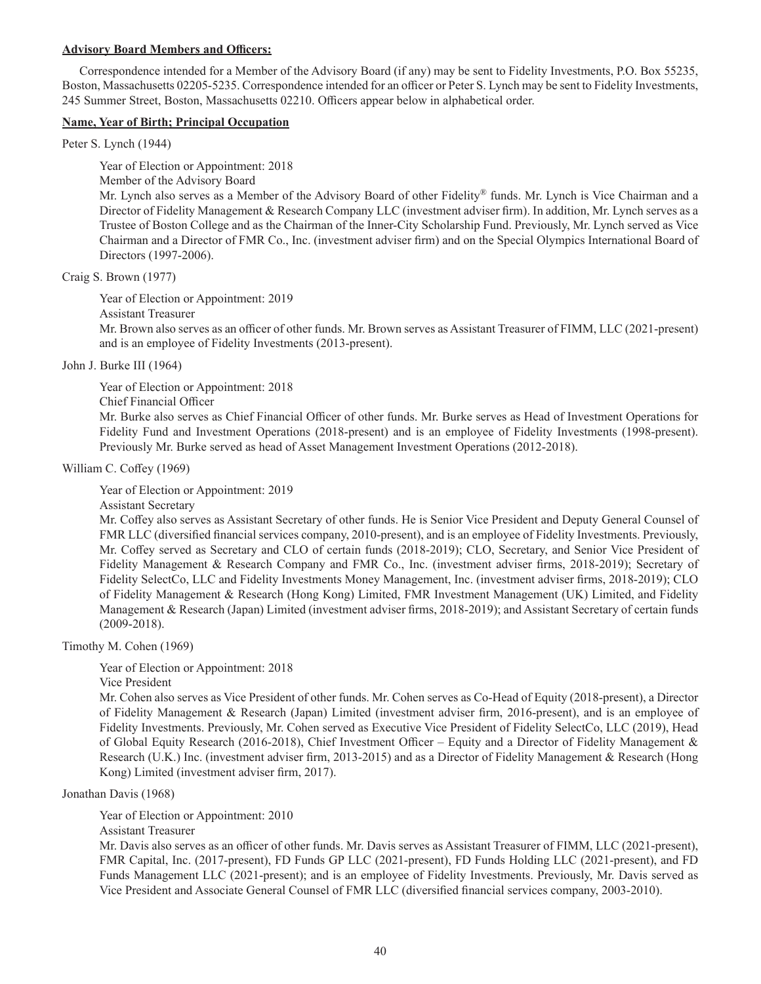### **Advisory Board Members and Officers:**

Correspondence intended for a Member of the Advisory Board (if any) may be sent to Fidelity Investments, P.O. Box 55235, Boston, Massachusetts 02205-5235. Correspondence intended for an officer or Peter S. Lynch may be sent to Fidelity Investments, 245 Summer Street, Boston, Massachusetts 02210. Officers appear below in alphabetical order.

# **Name, Year of Birth; Principal Occupation**

Peter S. Lynch (1944)

Year of Election or Appointment: 2018

Member of the Advisory Board

Mr. Lynch also serves as a Member of the Advisory Board of other Fidelity® funds. Mr. Lynch is Vice Chairman and a Director of Fidelity Management & Research Company LLC (investment adviser firm). In addition, Mr. Lynch serves as a Trustee of Boston College and as the Chairman of the Inner-City Scholarship Fund. Previously, Mr. Lynch served as Vice Chairman and a Director of FMR Co., Inc. (investment adviser firm) and on the Special Olympics International Board of Directors (1997-2006).

Craig S. Brown (1977)

Year of Election or Appointment: 2019

Assistant Treasurer

Mr. Brown also serves as an officer of other funds. Mr. Brown serves as Assistant Treasurer of FIMM, LLC (2021-present) and is an employee of Fidelity Investments (2013-present).

John J. Burke III (1964)

Year of Election or Appointment: 2018 Chief Financial Officer Mr. Burke also serves as Chief Financial Officer of other funds. Mr. Burke serves as Head of Investment Operations for Fidelity Fund and Investment Operations (2018-present) and is an employee of Fidelity Investments (1998-present). Previously Mr. Burke served as head of Asset Management Investment Operations (2012-2018).

William C. Coffey (1969)

Year of Election or Appointment: 2019

Assistant Secretary

Mr. Coffey also serves as Assistant Secretary of other funds. He is Senior Vice President and Deputy General Counsel of FMR LLC (diversified financial services company, 2010-present), and is an employee of Fidelity Investments. Previously, Mr. Coffey served as Secretary and CLO of certain funds (2018-2019); CLO, Secretary, and Senior Vice President of Fidelity Management & Research Company and FMR Co., Inc. (investment adviser firms, 2018-2019); Secretary of Fidelity SelectCo, LLC and Fidelity Investments Money Management, Inc. (investment adviser firms, 2018-2019); CLO of Fidelity Management & Research (Hong Kong) Limited, FMR Investment Management (UK) Limited, and Fidelity Management & Research (Japan) Limited (investment adviser firms, 2018-2019); and Assistant Secretary of certain funds (2009-2018).

Timothy M. Cohen (1969)

Year of Election or Appointment: 2018

Vice President

Mr. Cohen also serves as Vice President of other funds. Mr. Cohen serves as Co-Head of Equity (2018-present), a Director of Fidelity Management & Research (Japan) Limited (investment adviser firm, 2016-present), and is an employee of Fidelity Investments. Previously, Mr. Cohen served as Executive Vice President of Fidelity SelectCo, LLC (2019), Head of Global Equity Research (2016-2018), Chief Investment Officer – Equity and a Director of Fidelity Management & Research (U.K.) Inc. (investment adviser firm, 2013-2015) and as a Director of Fidelity Management & Research (Hong Kong) Limited (investment adviser firm, 2017).

Jonathan Davis (1968)

Year of Election or Appointment: 2010

Assistant Treasurer

Mr. Davis also serves as an officer of other funds. Mr. Davis serves as Assistant Treasurer of FIMM, LLC (2021-present), FMR Capital, Inc. (2017-present), FD Funds GP LLC (2021-present), FD Funds Holding LLC (2021-present), and FD Funds Management LLC (2021-present); and is an employee of Fidelity Investments. Previously, Mr. Davis served as Vice President and Associate General Counsel of FMR LLC (diversified financial services company, 2003-2010).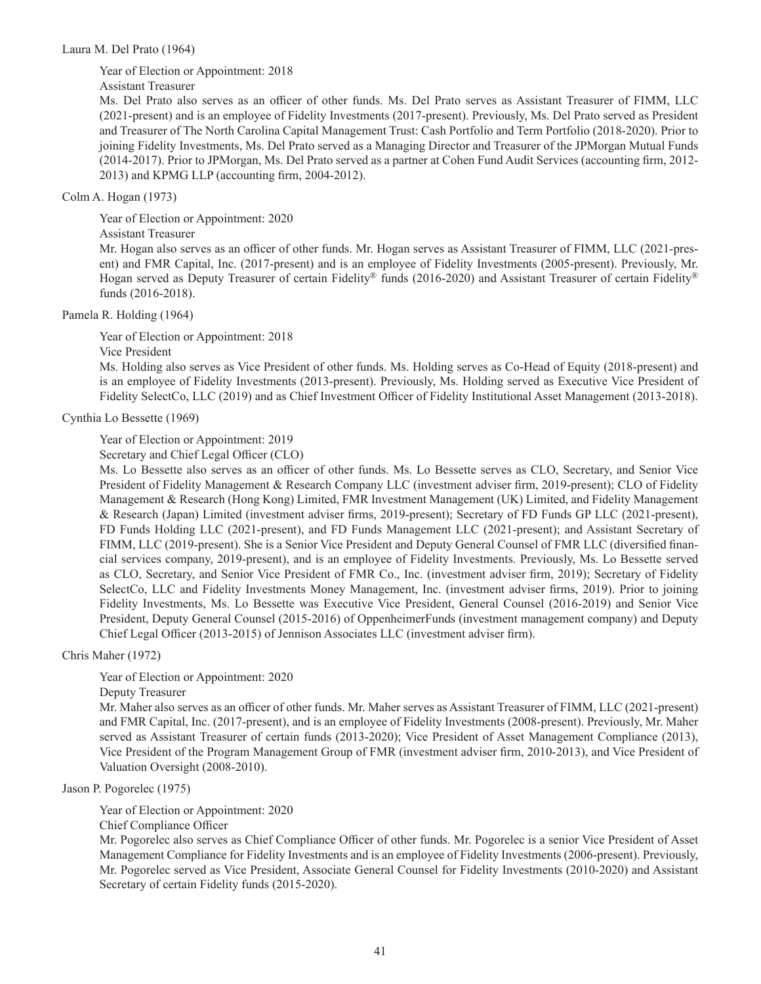### Laura M. Del Prato (1964)

Year of Election or Appointment: 2018

Assistant Treasurer

Ms. Del Prato also serves as an officer of other funds. Ms. Del Prato serves as Assistant Treasurer of FIMM, LLC (2021-present) and is an employee of Fidelity Investments (2017-present). Previously, Ms. Del Prato served as President and Treasurer of The North Carolina Capital Management Trust: Cash Portfolio and Term Portfolio (2018-2020). Prior to joining Fidelity Investments, Ms. Del Prato served as a Managing Director and Treasurer of the JPMorgan Mutual Funds (2014-2017). Prior to JPMorgan, Ms. Del Prato served as a partner at Cohen Fund Audit Services (accounting firm, 2012- 2013) and KPMG LLP (accounting firm, 2004-2012).

# Colm A. Hogan (1973)

Year of Election or Appointment: 2020 Assistant Treasurer Mr. Hogan also serves as an officer of other funds. Mr. Hogan serves as Assistant Treasurer of FIMM, LLC (2021-present) and FMR Capital, Inc. (2017-present) and is an employee of Fidelity Investments (2005-present). Previously, Mr. Hogan served as Deputy Treasurer of certain Fidelity® funds (2016-2020) and Assistant Treasurer of certain Fidelity® funds (2016-2018).

## Pamela R. Holding (1964)

Year of Election or Appointment: 2018

Vice President

Ms. Holding also serves as Vice President of other funds. Ms. Holding serves as Co-Head of Equity (2018-present) and is an employee of Fidelity Investments (2013-present). Previously, Ms. Holding served as Executive Vice President of Fidelity SelectCo, LLC (2019) and as Chief Investment Officer of Fidelity Institutional Asset Management (2013-2018).

Cynthia Lo Bessette (1969)

Year of Election or Appointment: 2019

Secretary and Chief Legal Officer (CLO)

Ms. Lo Bessette also serves as an officer of other funds. Ms. Lo Bessette serves as CLO, Secretary, and Senior Vice President of Fidelity Management & Research Company LLC (investment adviser firm, 2019-present); CLO of Fidelity Management & Research (Hong Kong) Limited, FMR Investment Management (UK) Limited, and Fidelity Management & Research (Japan) Limited (investment adviser firms, 2019-present); Secretary of FD Funds GP LLC (2021-present), FD Funds Holding LLC (2021-present), and FD Funds Management LLC (2021-present); and Assistant Secretary of FIMM, LLC (2019-present). She is a Senior Vice President and Deputy General Counsel of FMR LLC (diversified financial services company, 2019-present), and is an employee of Fidelity Investments. Previously, Ms. Lo Bessette served as CLO, Secretary, and Senior Vice President of FMR Co., Inc. (investment adviser firm, 2019); Secretary of Fidelity SelectCo, LLC and Fidelity Investments Money Management, Inc. (investment adviser firms, 2019). Prior to joining Fidelity Investments, Ms. Lo Bessette was Executive Vice President, General Counsel (2016-2019) and Senior Vice President, Deputy General Counsel (2015-2016) of OppenheimerFunds (investment management company) and Deputy Chief Legal Officer (2013-2015) of Jennison Associates LLC (investment adviser firm).

Chris Maher (1972)

Year of Election or Appointment: 2020

Deputy Treasurer

Mr. Maher also serves as an officer of other funds. Mr. Maher serves as Assistant Treasurer of FIMM, LLC (2021-present) and FMR Capital, Inc. (2017-present), and is an employee of Fidelity Investments (2008-present). Previously, Mr. Maher served as Assistant Treasurer of certain funds (2013-2020); Vice President of Asset Management Compliance (2013), Vice President of the Program Management Group of FMR (investment adviser firm, 2010-2013), and Vice President of Valuation Oversight (2008-2010).

Jason P. Pogorelec (1975)

Year of Election or Appointment: 2020

Chief Compliance Officer

Mr. Pogorelec also serves as Chief Compliance Officer of other funds. Mr. Pogorelec is a senior Vice President of Asset Management Compliance for Fidelity Investments and is an employee of Fidelity Investments (2006-present). Previously, Mr. Pogorelec served as Vice President, Associate General Counsel for Fidelity Investments (2010-2020) and Assistant Secretary of certain Fidelity funds (2015-2020).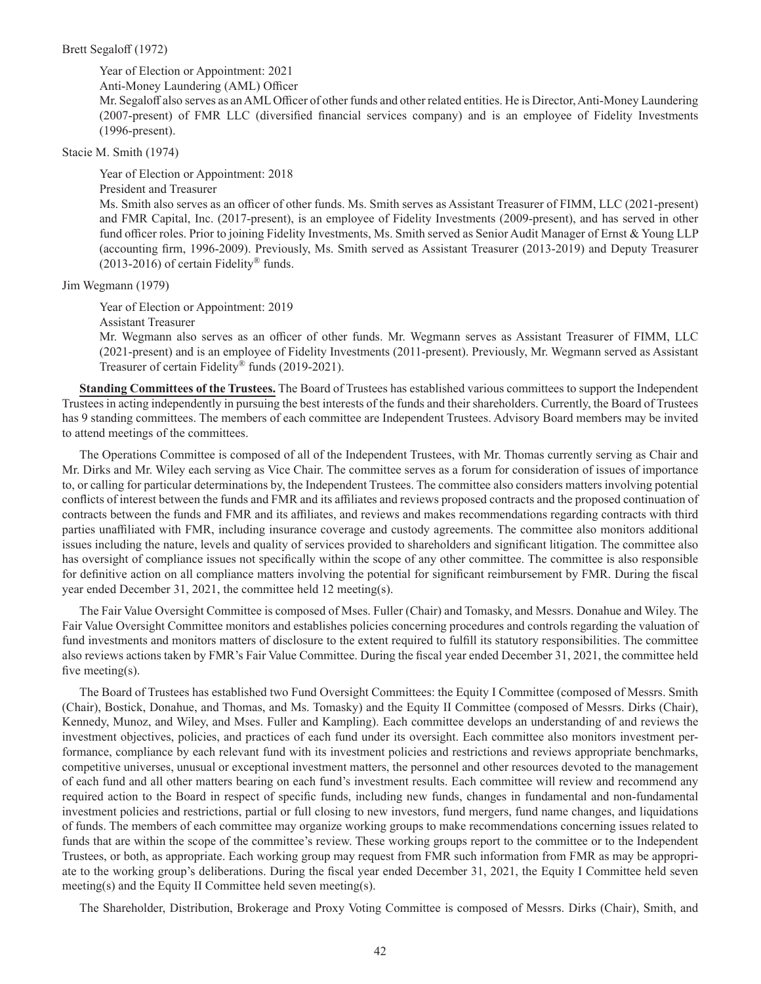#### Brett Segaloff (1972)

Year of Election or Appointment: 2021

Anti-Money Laundering (AML) Officer

Mr. Segaloff also serves as an AML Officer of other funds and other related entities. He is Director, Anti-Money Laundering (2007-present) of FMR LLC (diversified financial services company) and is an employee of Fidelity Investments (1996-present).

Stacie M. Smith (1974)

Year of Election or Appointment: 2018 President and Treasurer Ms. Smith also serves as an officer of other funds. Ms. Smith serves as Assistant Treasurer of FIMM, LLC (2021-present) and FMR Capital, Inc. (2017-present), is an employee of Fidelity Investments (2009-present), and has served in other fund officer roles. Prior to joining Fidelity Investments, Ms. Smith served as Senior Audit Manager of Ernst & Young LLP (accounting firm, 1996-2009). Previously, Ms. Smith served as Assistant Treasurer (2013-2019) and Deputy Treasurer  $(2013-2016)$  of certain Fidelity® funds.

Jim Wegmann (1979)

Year of Election or Appointment: 2019

Assistant Treasurer

Mr. Wegmann also serves as an officer of other funds. Mr. Wegmann serves as Assistant Treasurer of FIMM, LLC (2021-present) and is an employee of Fidelity Investments (2011-present). Previously, Mr. Wegmann served as Assistant Treasurer of certain Fidelity<sup>®</sup> funds (2019-2021).

**Standing Committees of the Trustees.** The Board of Trustees has established various committees to support the Independent Trustees in acting independently in pursuing the best interests of the funds and their shareholders. Currently, the Board of Trustees has 9 standing committees. The members of each committee are Independent Trustees. Advisory Board members may be invited to attend meetings of the committees.

The Operations Committee is composed of all of the Independent Trustees, with Mr. Thomas currently serving as Chair and Mr. Dirks and Mr. Wiley each serving as Vice Chair. The committee serves as a forum for consideration of issues of importance to, or calling for particular determinations by, the Independent Trustees. The committee also considers matters involving potential conflicts of interest between the funds and FMR and its affiliates and reviews proposed contracts and the proposed continuation of contracts between the funds and FMR and its affiliates, and reviews and makes recommendations regarding contracts with third parties unaffiliated with FMR, including insurance coverage and custody agreements. The committee also monitors additional issues including the nature, levels and quality of services provided to shareholders and significant litigation. The committee also has oversight of compliance issues not specifically within the scope of any other committee. The committee is also responsible for definitive action on all compliance matters involving the potential for significant reimbursement by FMR. During the fiscal year ended December 31, 2021, the committee held 12 meeting(s).

The Fair Value Oversight Committee is composed of Mses. Fuller (Chair) and Tomasky, and Messrs. Donahue and Wiley. The Fair Value Oversight Committee monitors and establishes policies concerning procedures and controls regarding the valuation of fund investments and monitors matters of disclosure to the extent required to fulfill its statutory responsibilities. The committee also reviews actions taken by FMR's Fair Value Committee. During the fiscal year ended December 31, 2021, the committee held five meeting(s).

The Board of Trustees has established two Fund Oversight Committees: the Equity I Committee (composed of Messrs. Smith (Chair), Bostick, Donahue, and Thomas, and Ms. Tomasky) and the Equity II Committee (composed of Messrs. Dirks (Chair), Kennedy, Munoz, and Wiley, and Mses. Fuller and Kampling). Each committee develops an understanding of and reviews the investment objectives, policies, and practices of each fund under its oversight. Each committee also monitors investment performance, compliance by each relevant fund with its investment policies and restrictions and reviews appropriate benchmarks, competitive universes, unusual or exceptional investment matters, the personnel and other resources devoted to the management of each fund and all other matters bearing on each fund's investment results. Each committee will review and recommend any required action to the Board in respect of specific funds, including new funds, changes in fundamental and non-fundamental investment policies and restrictions, partial or full closing to new investors, fund mergers, fund name changes, and liquidations of funds. The members of each committee may organize working groups to make recommendations concerning issues related to funds that are within the scope of the committee's review. These working groups report to the committee or to the Independent Trustees, or both, as appropriate. Each working group may request from FMR such information from FMR as may be appropriate to the working group's deliberations. During the fiscal year ended December 31, 2021, the Equity I Committee held seven meeting(s) and the Equity II Committee held seven meeting(s).

The Shareholder, Distribution, Brokerage and Proxy Voting Committee is composed of Messrs. Dirks (Chair), Smith, and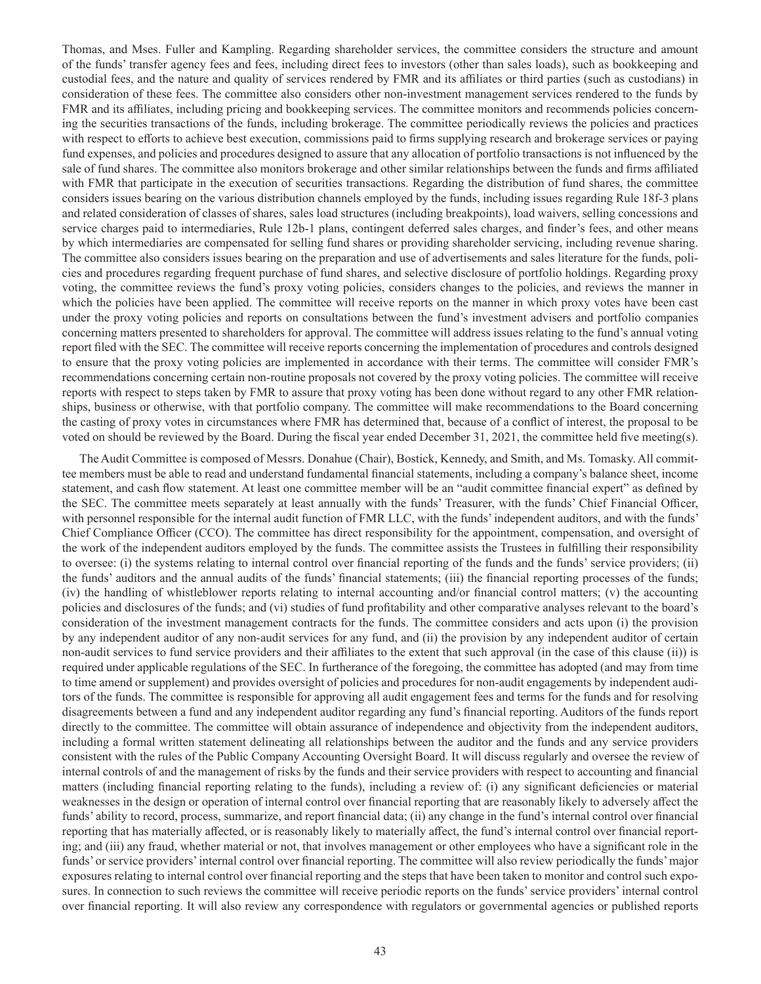Thomas, and Mses. Fuller and Kampling. Regarding shareholder services, the committee considers the structure and amount of the funds' transfer agency fees and fees, including direct fees to investors (other than sales loads), such as bookkeeping and custodial fees, and the nature and quality of services rendered by FMR and its affiliates or third parties (such as custodians) in consideration of these fees. The committee also considers other non-investment management services rendered to the funds by FMR and its affiliates, including pricing and bookkeeping services. The committee monitors and recommends policies concerning the securities transactions of the funds, including brokerage. The committee periodically reviews the policies and practices with respect to efforts to achieve best execution, commissions paid to firms supplying research and brokerage services or paying fund expenses, and policies and procedures designed to assure that any allocation of portfolio transactions is not influenced by the sale of fund shares. The committee also monitors brokerage and other similar relationships between the funds and firms affiliated with FMR that participate in the execution of securities transactions. Regarding the distribution of fund shares, the committee considers issues bearing on the various distribution channels employed by the funds, including issues regarding Rule 18f-3 plans and related consideration of classes of shares, sales load structures (including breakpoints), load waivers, selling concessions and service charges paid to intermediaries, Rule 12b-1 plans, contingent deferred sales charges, and finder's fees, and other means by which intermediaries are compensated for selling fund shares or providing shareholder servicing, including revenue sharing. The committee also considers issues bearing on the preparation and use of advertisements and sales literature for the funds, policies and procedures regarding frequent purchase of fund shares, and selective disclosure of portfolio holdings. Regarding proxy voting, the committee reviews the fund's proxy voting policies, considers changes to the policies, and reviews the manner in which the policies have been applied. The committee will receive reports on the manner in which proxy votes have been cast under the proxy voting policies and reports on consultations between the fund's investment advisers and portfolio companies concerning matters presented to shareholders for approval. The committee will address issues relating to the fund's annual voting report filed with the SEC. The committee will receive reports concerning the implementation of procedures and controls designed to ensure that the proxy voting policies are implemented in accordance with their terms. The committee will consider FMR's recommendations concerning certain non-routine proposals not covered by the proxy voting policies. The committee will receive reports with respect to steps taken by FMR to assure that proxy voting has been done without regard to any other FMR relationships, business or otherwise, with that portfolio company. The committee will make recommendations to the Board concerning the casting of proxy votes in circumstances where FMR has determined that, because of a conflict of interest, the proposal to be voted on should be reviewed by the Board. During the fiscal year ended December 31, 2021, the committee held five meeting(s).

The Audit Committee is composed of Messrs. Donahue (Chair), Bostick, Kennedy, and Smith, and Ms. Tomasky. All committee members must be able to read and understand fundamental financial statements, including a company's balance sheet, income statement, and cash flow statement. At least one committee member will be an "audit committee financial expert" as defined by the SEC. The committee meets separately at least annually with the funds' Treasurer, with the funds' Chief Financial Officer, with personnel responsible for the internal audit function of FMR LLC, with the funds' independent auditors, and with the funds' Chief Compliance Officer (CCO). The committee has direct responsibility for the appointment, compensation, and oversight of the work of the independent auditors employed by the funds. The committee assists the Trustees in fulfilling their responsibility to oversee: (i) the systems relating to internal control over financial reporting of the funds and the funds' service providers; (ii) the funds' auditors and the annual audits of the funds' financial statements; (iii) the financial reporting processes of the funds; (iv) the handling of whistleblower reports relating to internal accounting and/or financial control matters; (v) the accounting policies and disclosures of the funds; and (vi) studies of fund profitability and other comparative analyses relevant to the board's consideration of the investment management contracts for the funds. The committee considers and acts upon (i) the provision by any independent auditor of any non-audit services for any fund, and (ii) the provision by any independent auditor of certain non-audit services to fund service providers and their affiliates to the extent that such approval (in the case of this clause (ii)) is required under applicable regulations of the SEC. In furtherance of the foregoing, the committee has adopted (and may from time to time amend or supplement) and provides oversight of policies and procedures for non-audit engagements by independent auditors of the funds. The committee is responsible for approving all audit engagement fees and terms for the funds and for resolving disagreements between a fund and any independent auditor regarding any fund's financial reporting. Auditors of the funds report directly to the committee. The committee will obtain assurance of independence and objectivity from the independent auditors, including a formal written statement delineating all relationships between the auditor and the funds and any service providers consistent with the rules of the Public Company Accounting Oversight Board. It will discuss regularly and oversee the review of internal controls of and the management of risks by the funds and their service providers with respect to accounting and financial matters (including financial reporting relating to the funds), including a review of: (i) any significant deficiencies or material weaknesses in the design or operation of internal control over financial reporting that are reasonably likely to adversely affect the funds' ability to record, process, summarize, and report financial data; (ii) any change in the fund's internal control over financial reporting that has materially affected, or is reasonably likely to materially affect, the fund's internal control over financial reporting; and (iii) any fraud, whether material or not, that involves management or other employees who have a significant role in the funds' or service providers' internal control over financial reporting. The committee will also review periodically the funds' major exposures relating to internal control over financial reporting and the steps that have been taken to monitor and control such exposures. In connection to such reviews the committee will receive periodic reports on the funds' service providers' internal control over financial reporting. It will also review any correspondence with regulators or governmental agencies or published reports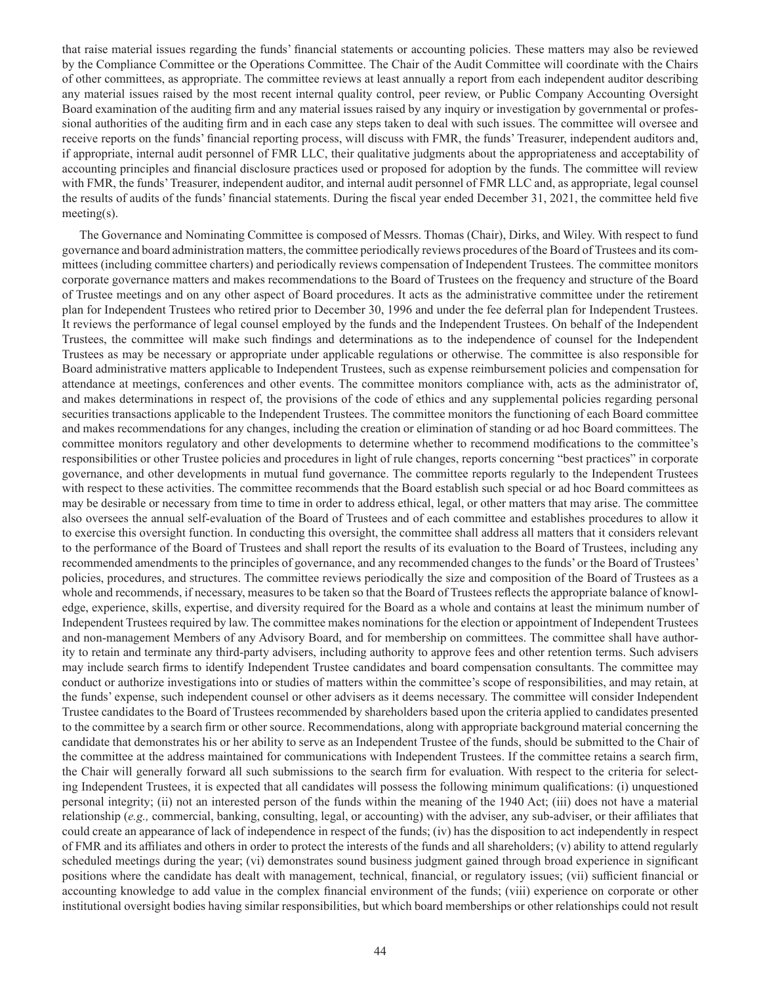that raise material issues regarding the funds' financial statements or accounting policies. These matters may also be reviewed by the Compliance Committee or the Operations Committee. The Chair of the Audit Committee will coordinate with the Chairs of other committees, as appropriate. The committee reviews at least annually a report from each independent auditor describing any material issues raised by the most recent internal quality control, peer review, or Public Company Accounting Oversight Board examination of the auditing firm and any material issues raised by any inquiry or investigation by governmental or professional authorities of the auditing firm and in each case any steps taken to deal with such issues. The committee will oversee and receive reports on the funds' financial reporting process, will discuss with FMR, the funds' Treasurer, independent auditors and, if appropriate, internal audit personnel of FMR LLC, their qualitative judgments about the appropriateness and acceptability of accounting principles and financial disclosure practices used or proposed for adoption by the funds. The committee will review with FMR, the funds' Treasurer, independent auditor, and internal audit personnel of FMR LLC and, as appropriate, legal counsel the results of audits of the funds' financial statements. During the fiscal year ended December 31, 2021, the committee held five meeting(s).

The Governance and Nominating Committee is composed of Messrs. Thomas (Chair), Dirks, and Wiley. With respect to fund governance and board administration matters, the committee periodically reviews procedures of the Board of Trustees and its committees (including committee charters) and periodically reviews compensation of Independent Trustees. The committee monitors corporate governance matters and makes recommendations to the Board of Trustees on the frequency and structure of the Board of Trustee meetings and on any other aspect of Board procedures. It acts as the administrative committee under the retirement plan for Independent Trustees who retired prior to December 30, 1996 and under the fee deferral plan for Independent Trustees. It reviews the performance of legal counsel employed by the funds and the Independent Trustees. On behalf of the Independent Trustees, the committee will make such findings and determinations as to the independence of counsel for the Independent Trustees as may be necessary or appropriate under applicable regulations or otherwise. The committee is also responsible for Board administrative matters applicable to Independent Trustees, such as expense reimbursement policies and compensation for attendance at meetings, conferences and other events. The committee monitors compliance with, acts as the administrator of, and makes determinations in respect of, the provisions of the code of ethics and any supplemental policies regarding personal securities transactions applicable to the Independent Trustees. The committee monitors the functioning of each Board committee and makes recommendations for any changes, including the creation or elimination of standing or ad hoc Board committees. The committee monitors regulatory and other developments to determine whether to recommend modifications to the committee's responsibilities or other Trustee policies and procedures in light of rule changes, reports concerning "best practices" in corporate governance, and other developments in mutual fund governance. The committee reports regularly to the Independent Trustees with respect to these activities. The committee recommends that the Board establish such special or ad hoc Board committees as may be desirable or necessary from time to time in order to address ethical, legal, or other matters that may arise. The committee also oversees the annual self-evaluation of the Board of Trustees and of each committee and establishes procedures to allow it to exercise this oversight function. In conducting this oversight, the committee shall address all matters that it considers relevant to the performance of the Board of Trustees and shall report the results of its evaluation to the Board of Trustees, including any recommended amendments to the principles of governance, and any recommended changes to the funds' or the Board of Trustees' policies, procedures, and structures. The committee reviews periodically the size and composition of the Board of Trustees as a whole and recommends, if necessary, measures to be taken so that the Board of Trustees reflects the appropriate balance of knowledge, experience, skills, expertise, and diversity required for the Board as a whole and contains at least the minimum number of Independent Trustees required by law. The committee makes nominations for the election or appointment of Independent Trustees and non-management Members of any Advisory Board, and for membership on committees. The committee shall have authority to retain and terminate any third-party advisers, including authority to approve fees and other retention terms. Such advisers may include search firms to identify Independent Trustee candidates and board compensation consultants. The committee may conduct or authorize investigations into or studies of matters within the committee's scope of responsibilities, and may retain, at the funds' expense, such independent counsel or other advisers as it deems necessary. The committee will consider Independent Trustee candidates to the Board of Trustees recommended by shareholders based upon the criteria applied to candidates presented to the committee by a search firm or other source. Recommendations, along with appropriate background material concerning the candidate that demonstrates his or her ability to serve as an Independent Trustee of the funds, should be submitted to the Chair of the committee at the address maintained for communications with Independent Trustees. If the committee retains a search firm, the Chair will generally forward all such submissions to the search firm for evaluation. With respect to the criteria for selecting Independent Trustees, it is expected that all candidates will possess the following minimum qualifications: (i) unquestioned personal integrity; (ii) not an interested person of the funds within the meaning of the 1940 Act; (iii) does not have a material relationship (*e.g.,* commercial, banking, consulting, legal, or accounting) with the adviser, any sub-adviser, or their affiliates that could create an appearance of lack of independence in respect of the funds; (iv) has the disposition to act independently in respect of FMR and its affiliates and others in order to protect the interests of the funds and all shareholders; (v) ability to attend regularly scheduled meetings during the year; (vi) demonstrates sound business judgment gained through broad experience in significant positions where the candidate has dealt with management, technical, financial, or regulatory issues; (vii) sufficient financial or accounting knowledge to add value in the complex financial environment of the funds; (viii) experience on corporate or other institutional oversight bodies having similar responsibilities, but which board memberships or other relationships could not result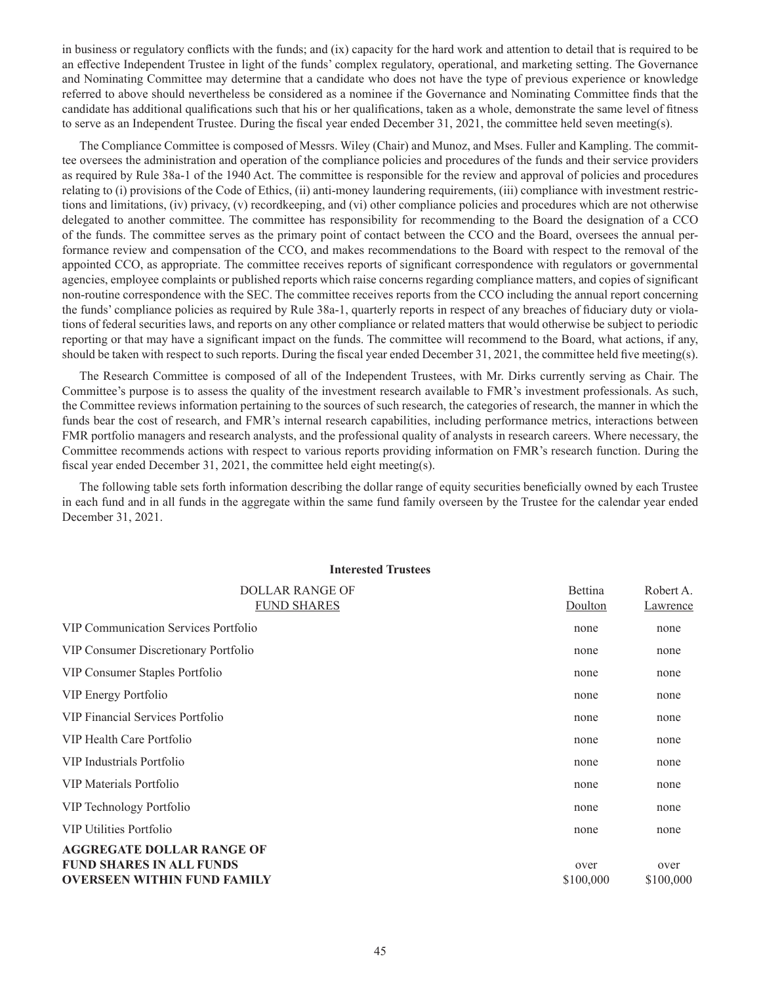in business or regulatory conflicts with the funds; and (ix) capacity for the hard work and attention to detail that is required to be an effective Independent Trustee in light of the funds' complex regulatory, operational, and marketing setting. The Governance and Nominating Committee may determine that a candidate who does not have the type of previous experience or knowledge referred to above should nevertheless be considered as a nominee if the Governance and Nominating Committee finds that the candidate has additional qualifications such that his or her qualifications, taken as a whole, demonstrate the same level of fitness to serve as an Independent Trustee. During the fiscal year ended December 31, 2021, the committee held seven meeting(s).

The Compliance Committee is composed of Messrs. Wiley (Chair) and Munoz, and Mses. Fuller and Kampling. The committee oversees the administration and operation of the compliance policies and procedures of the funds and their service providers as required by Rule 38a-1 of the 1940 Act. The committee is responsible for the review and approval of policies and procedures relating to (i) provisions of the Code of Ethics, (ii) anti-money laundering requirements, (iii) compliance with investment restrictions and limitations, (iv) privacy, (v) recordkeeping, and (vi) other compliance policies and procedures which are not otherwise delegated to another committee. The committee has responsibility for recommending to the Board the designation of a CCO of the funds. The committee serves as the primary point of contact between the CCO and the Board, oversees the annual performance review and compensation of the CCO, and makes recommendations to the Board with respect to the removal of the appointed CCO, as appropriate. The committee receives reports of significant correspondence with regulators or governmental agencies, employee complaints or published reports which raise concerns regarding compliance matters, and copies of significant non-routine correspondence with the SEC. The committee receives reports from the CCO including the annual report concerning the funds' compliance policies as required by Rule 38a-1, quarterly reports in respect of any breaches of fiduciary duty or violations of federal securities laws, and reports on any other compliance or related matters that would otherwise be subject to periodic reporting or that may have a significant impact on the funds. The committee will recommend to the Board, what actions, if any, should be taken with respect to such reports. During the fiscal year ended December 31, 2021, the committee held five meeting(s).

The Research Committee is composed of all of the Independent Trustees, with Mr. Dirks currently serving as Chair. The Committee's purpose is to assess the quality of the investment research available to FMR's investment professionals. As such, the Committee reviews information pertaining to the sources of such research, the categories of research, the manner in which the funds bear the cost of research, and FMR's internal research capabilities, including performance metrics, interactions between FMR portfolio managers and research analysts, and the professional quality of analysts in research careers. Where necessary, the Committee recommends actions with respect to various reports providing information on FMR's research function. During the fiscal year ended December 31, 2021, the committee held eight meeting(s).

The following table sets forth information describing the dollar range of equity securities beneficially owned by each Trustee in each fund and in all funds in the aggregate within the same fund family overseen by the Trustee for the calendar year ended December 31, 2021.

| <b>Interested Trustees</b>                                                                                |                           |                       |  |  |  |  |
|-----------------------------------------------------------------------------------------------------------|---------------------------|-----------------------|--|--|--|--|
| <b>DOLLAR RANGE OF</b><br><b>FUND SHARES</b>                                                              | <b>Bettina</b><br>Doulton | Robert A.<br>Lawrence |  |  |  |  |
| <b>VIP Communication Services Portfolio</b>                                                               | none                      | none                  |  |  |  |  |
| VIP Consumer Discretionary Portfolio                                                                      | none                      | none                  |  |  |  |  |
| VIP Consumer Staples Portfolio                                                                            | none                      | none                  |  |  |  |  |
| VIP Energy Portfolio                                                                                      | none                      | none                  |  |  |  |  |
| VIP Financial Services Portfolio                                                                          | none                      | none                  |  |  |  |  |
| VIP Health Care Portfolio                                                                                 | none                      | none                  |  |  |  |  |
| VIP Industrials Portfolio                                                                                 | none                      | none                  |  |  |  |  |
| VIP Materials Portfolio                                                                                   | none                      | none                  |  |  |  |  |
| VIP Technology Portfolio                                                                                  | none                      | none                  |  |  |  |  |
| <b>VIP Utilities Portfolio</b>                                                                            | none                      | none                  |  |  |  |  |
| <b>AGGREGATE DOLLAR RANGE OF</b><br><b>FUND SHARES IN ALL FUNDS</b><br><b>OVERSEEN WITHIN FUND FAMILY</b> | over<br>\$100,000         | over<br>\$100,000     |  |  |  |  |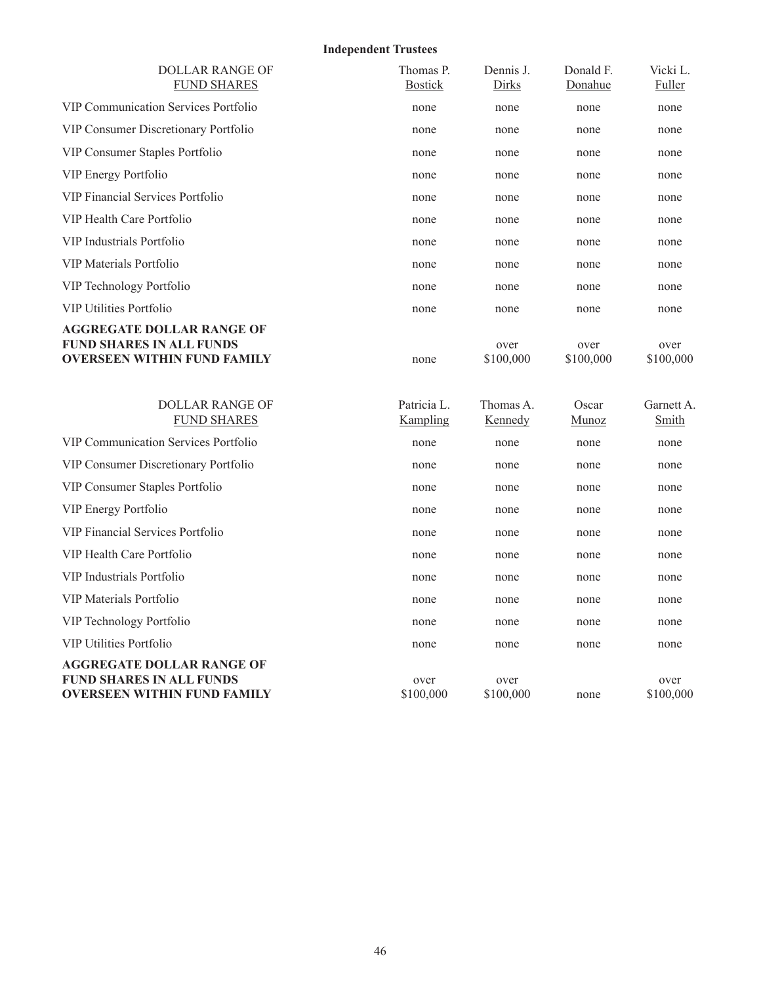# **Independent Trustees**

| <b>DOLLAR RANGE OF</b><br><b>FUND SHARES</b>                                                              | Thomas P.<br><b>Bostick</b> | Dennis J.<br>Dirks   | Donald F.<br>Donahue  | Vicki L.<br>Fuller  |
|-----------------------------------------------------------------------------------------------------------|-----------------------------|----------------------|-----------------------|---------------------|
| VIP Communication Services Portfolio                                                                      | none                        | none                 | none                  | none                |
| VIP Consumer Discretionary Portfolio                                                                      | none                        | none                 | none                  | none                |
| VIP Consumer Staples Portfolio                                                                            | none                        | none                 | none                  | none                |
| VIP Energy Portfolio                                                                                      | none                        | none                 | none                  | none                |
| VIP Financial Services Portfolio                                                                          | none                        | none                 | none                  | none                |
| VIP Health Care Portfolio                                                                                 | none                        | none                 | none                  | none                |
| VIP Industrials Portfolio                                                                                 | none                        | none                 | none                  | none                |
| <b>VIP Materials Portfolio</b>                                                                            | none                        | none                 | none                  | none                |
| VIP Technology Portfolio                                                                                  | none                        | none                 | none                  | none                |
| <b>VIP Utilities Portfolio</b>                                                                            | none                        | none                 | none                  | none                |
| <b>AGGREGATE DOLLAR RANGE OF</b><br><b>FUND SHARES IN ALL FUNDS</b><br><b>OVERSEEN WITHIN FUND FAMILY</b> | none                        | over<br>\$100,000    | over<br>\$100,000     | over<br>\$100,000   |
| <b>DOLLAR RANGE OF</b><br><b>FUND SHARES</b>                                                              | Patricia L.<br>Kampling     | Thomas A.<br>Kennedy | Oscar<br><b>Munoz</b> | Garnett A.<br>Smith |
| VIP Communication Services Portfolio                                                                      | none                        | none                 | none                  | none                |
| VIP Consumer Discretionary Portfolio                                                                      | none                        | none                 | none                  | none                |
| VIP Consumer Staples Portfolio                                                                            | none                        | none                 | none                  | none                |
| VIP Energy Portfolio                                                                                      | none                        | none                 | none                  | none                |
| <b>VIP Financial Services Portfolio</b>                                                                   | none                        | none                 | none                  | none                |
| VIP Health Care Portfolio                                                                                 | none                        | none                 | none                  | none                |
| VIP Industrials Portfolio                                                                                 | none                        | none                 | none                  | none                |
| VIP Materials Portfolio                                                                                   | none                        | none                 | none                  | none                |
| VIP Technology Portfolio                                                                                  | none                        | none                 | none                  | none                |
| <b>VIP Utilities Portfolio</b>                                                                            | none                        | none                 | none                  | none                |
| AGGREGATE DOLLAR RANGE OF<br><b>FUND SHARES IN ALL FUNDS</b><br><b>OVERSEEN WITHIN FUND FAMILY</b>        | over<br>\$100,000           | over<br>\$100,000    | none                  | over<br>\$100,000   |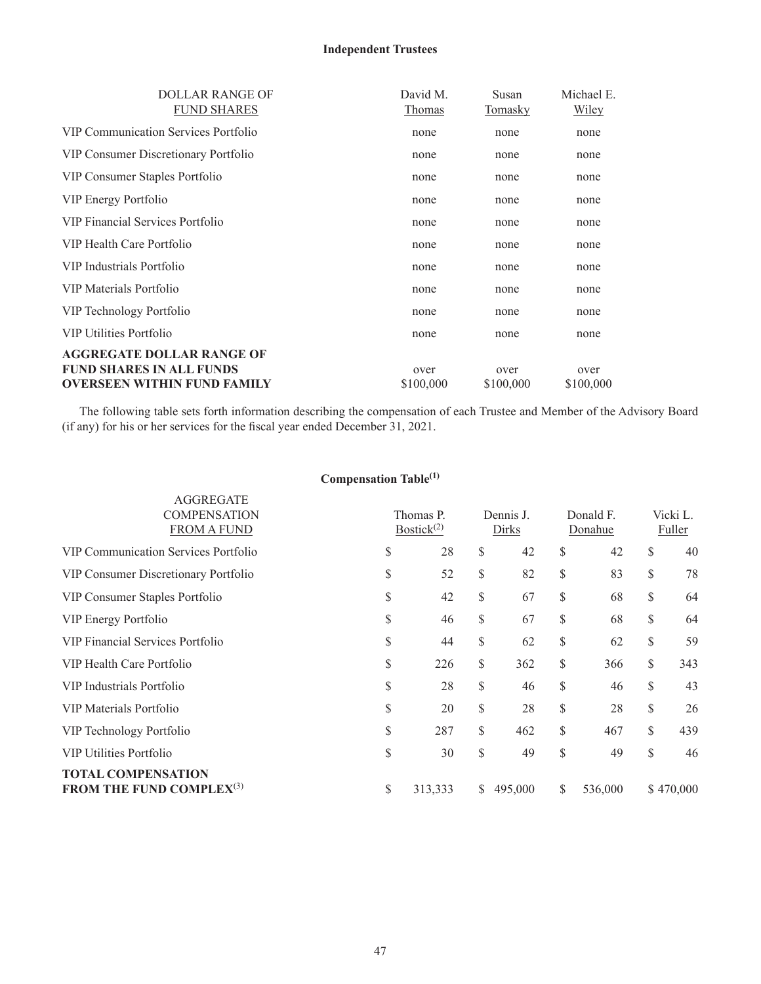# **Independent Trustees**

| DOLLAR RANGE OF                      | David M.  | Susan     | Michael E.   |
|--------------------------------------|-----------|-----------|--------------|
| <b>FUND SHARES</b>                   | Thomas    | Tomasky   | <b>Wiley</b> |
| VIP Communication Services Portfolio | none      | none      | none         |
| VIP Consumer Discretionary Portfolio | none      | none      | none         |
| VIP Consumer Staples Portfolio       | none      | none      | none         |
| VIP Energy Portfolio                 | none      | none      | none         |
| VIP Financial Services Portfolio     | none      | none      | none         |
| VIP Health Care Portfolio            | none      | none      | none         |
| VIP Industrials Portfolio            | none      | none      | none         |
| VIP Materials Portfolio              | none      | none      | none         |
| VIP Technology Portfolio             | none      | none      | none         |
| <b>VIP Utilities Portfolio</b>       | none      | none      | none         |
| <b>AGGREGATE DOLLAR RANGE OF</b>     |           |           |              |
| <b>FUND SHARES IN ALL FUNDS</b>      | over      | over      | over         |
| <b>OVERSEEN WITHIN FUND FAMILY</b>   | \$100,000 | \$100,000 | \$100,000    |

The following table sets forth information describing the compensation of each Trustee and Member of the Advisory Board (if any) for his or her services for the fiscal year ended December 31, 2021.

|                                                                          | compensation rasic |                            |              |                    |                      |    |                    |
|--------------------------------------------------------------------------|--------------------|----------------------------|--------------|--------------------|----------------------|----|--------------------|
| <b>AGGREGATE</b><br><b>COMPENSATION</b><br><b>FROM A FUND</b>            |                    | Thomas P.<br>Bostick $(2)$ |              | Dennis J.<br>Dirks | Donald F.<br>Donahue |    | Vicki L.<br>Fuller |
| <b>VIP Communication Services Portfolio</b>                              | \$                 | 28                         | \$           | 42                 | \$<br>42             | S  | 40                 |
| VIP Consumer Discretionary Portfolio                                     | \$                 | 52                         | \$           | 82                 | \$<br>83             | \$ | 78                 |
| VIP Consumer Staples Portfolio                                           | \$                 | 42                         | \$           | 67                 | \$<br>68             | \$ | 64                 |
| VIP Energy Portfolio                                                     | \$                 | 46                         | \$           | 67                 | \$<br>68             | \$ | 64                 |
| <b>VIP Financial Services Portfolio</b>                                  | \$                 | 44                         | \$           | 62                 | \$<br>62             | \$ | 59                 |
| VIP Health Care Portfolio                                                | \$                 | 226                        | \$           | 362                | \$<br>366            | \$ | 343                |
| VIP Industrials Portfolio                                                | \$                 | 28                         | \$           | 46                 | \$<br>46             | \$ | 43                 |
| VIP Materials Portfolio                                                  | \$                 | 20                         | \$           | 28                 | \$<br>28             | \$ | 26                 |
| VIP Technology Portfolio                                                 | \$                 | 287                        | $\mathbb{S}$ | 462                | \$<br>467            | \$ | 439                |
| <b>VIP Utilities Portfolio</b>                                           | \$                 | 30                         | \$           | 49                 | \$<br>49             | \$ | 46                 |
| <b>TOTAL COMPENSATION</b><br><b>FROM THE FUND COMPLEX</b> <sup>(3)</sup> | \$                 | 313,333                    | S.           | 495,000            | \$<br>536,000        |    | \$470,000          |

### **Compensation Table(1)**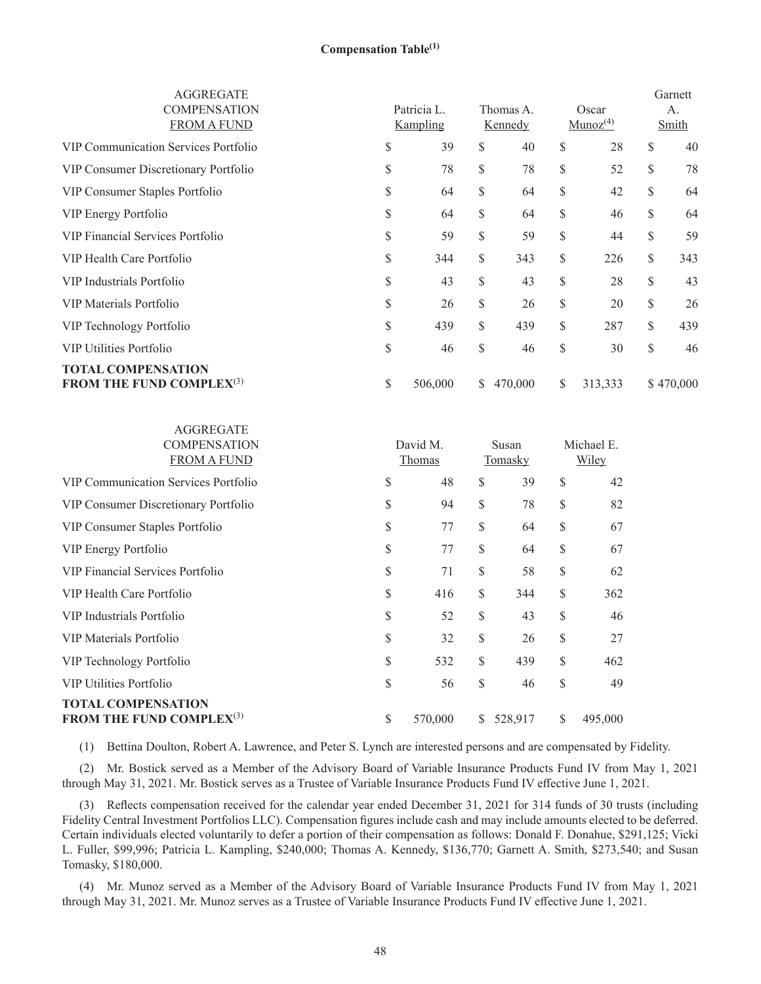| <b>AGGREGATE</b><br><b>COMPENSATION</b><br><b>FROM A FUND</b>            | Patricia L.<br>Kampling |    | Thomas A.<br>Kennedy |              | Oscar<br>$Munoz^{(4)}$ |    | Garnett<br>A.<br>Smith |
|--------------------------------------------------------------------------|-------------------------|----|----------------------|--------------|------------------------|----|------------------------|
| VIP Communication Services Portfolio                                     | \$<br>39                | S  | 40                   | S            | 28                     | S  | 40                     |
| VIP Consumer Discretionary Portfolio                                     | \$<br>78                | \$ | 78                   | \$           | 52                     | \$ | 78                     |
| VIP Consumer Staples Portfolio                                           | \$<br>64                | \$ | 64                   | \$           | 42                     | \$ | 64                     |
| VIP Energy Portfolio                                                     | \$<br>64                | \$ | 64                   | \$           | 46                     | \$ | 64                     |
| VIP Financial Services Portfolio                                         | \$<br>59                | \$ | 59                   | \$           | 44                     | \$ | 59                     |
| VIP Health Care Portfolio                                                | \$<br>344               | \$ | 343                  | \$           | 226                    | \$ | 343                    |
| VIP Industrials Portfolio                                                | \$<br>43                | \$ | 43                   | \$           | 28                     | \$ | 43                     |
| VIP Materials Portfolio                                                  | \$<br>26                | \$ | 26                   | \$           | 20                     | \$ | 26                     |
| VIP Technology Portfolio                                                 | \$<br>439               | \$ | 439                  | \$           | 287                    | \$ | 439                    |
| <b>VIP Utilities Portfolio</b>                                           | \$<br>46                | \$ | 46                   | \$           | 30                     | \$ | 46                     |
| <b>TOTAL COMPENSATION</b><br><b>FROM THE FUND COMPLEX</b> <sup>(3)</sup> | \$<br>506,000           | S. | 470,000              | <sup>S</sup> | 313,333                |    | \$470,000              |

| <b>AGGREGATE</b><br><b>COMPENSATION</b><br><b>FROM A FUND</b>      | David M.<br>Thomas |              | Susan<br>Tomasky |              | Michael E.<br>Wiley |
|--------------------------------------------------------------------|--------------------|--------------|------------------|--------------|---------------------|
| VIP Communication Services Portfolio                               | \$<br>48           | \$           | 39               | \$           | 42                  |
| VIP Consumer Discretionary Portfolio                               | \$<br>94           | \$           | 78               | \$           | 82                  |
| VIP Consumer Staples Portfolio                                     | \$<br>77           | \$           | 64               | \$           | 67                  |
| VIP Energy Portfolio                                               | \$<br>77           | \$           | 64               | \$           | 67                  |
| VIP Financial Services Portfolio                                   | \$<br>71           | \$           | 58               | \$           | 62                  |
| VIP Health Care Portfolio                                          | \$<br>416          | \$           | 344              | \$           | 362                 |
| VIP Industrials Portfolio                                          | \$<br>52           | \$           | 43               | \$           | 46                  |
| VIP Materials Portfolio                                            | \$<br>32           | \$           | 26               | \$           | 27                  |
| VIP Technology Portfolio                                           | \$<br>532          | \$           | 439              | \$           | 462                 |
| <b>VIP Utilities Portfolio</b>                                     | \$<br>56           | \$           | 46               | \$           | 49                  |
| <b>TOTAL COMPENSATION</b><br><b>FROM THE FUND COMPLEX</b> $^{(3)}$ | \$<br>570,000      | <sup>S</sup> | 528,917          | $\mathbb{S}$ | 495,000             |

(1) Bettina Doulton, Robert A. Lawrence, and Peter S. Lynch are interested persons and are compensated by Fidelity.

(2) Mr. Bostick served as a Member of the Advisory Board of Variable Insurance Products Fund IV from May 1, 2021 through May 31, 2021. Mr. Bostick serves as a Trustee of Variable Insurance Products Fund IV effective June 1, 2021.

(3) Reflects compensation received for the calendar year ended December 31, 2021 for 314 funds of 30 trusts (including Fidelity Central Investment Portfolios LLC). Compensation figures include cash and may include amounts elected to be deferred. Certain individuals elected voluntarily to defer a portion of their compensation as follows: Donald F. Donahue, \$291,125; Vicki L. Fuller, \$99,996; Patricia L. Kampling, \$240,000; Thomas A. Kennedy, \$136,770; Garnett A. Smith, \$273,540; and Susan Tomasky, \$180,000.

(4) Mr. Munoz served as a Member of the Advisory Board of Variable Insurance Products Fund IV from May 1, 2021 through May 31, 2021. Mr. Munoz serves as a Trustee of Variable Insurance Products Fund IV effective June 1, 2021.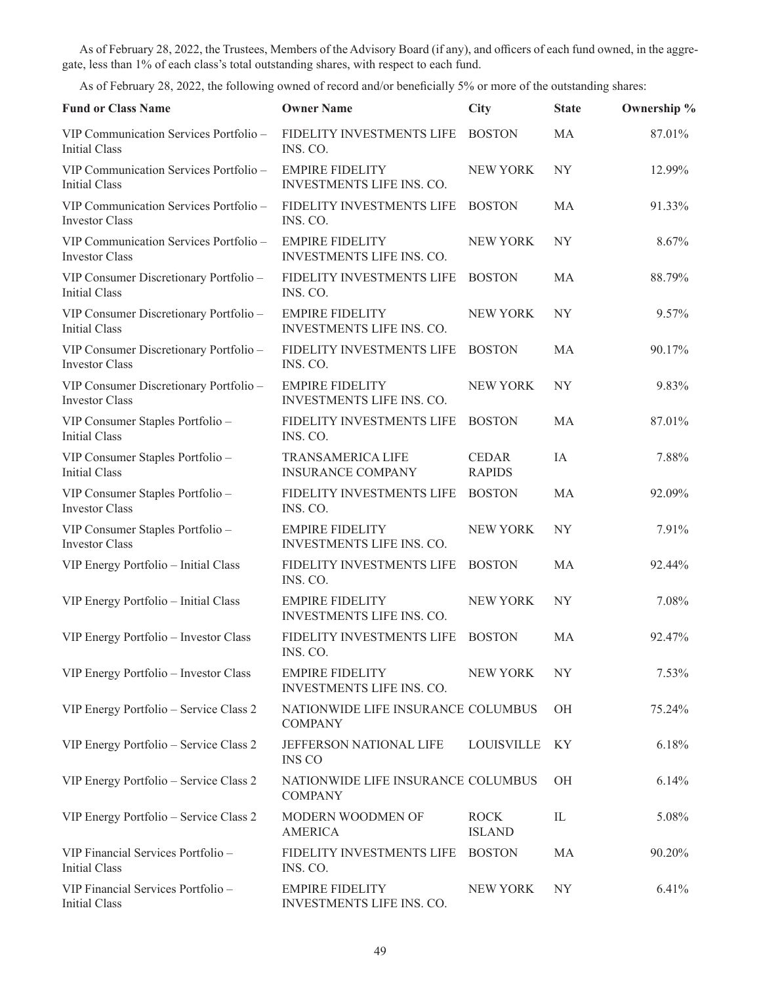As of February 28, 2022, the Trustees, Members of the Advisory Board (if any), and officers of each fund owned, in the aggregate, less than 1% of each class's total outstanding shares, with respect to each fund.

As of February 28, 2022, the following owned of record and/or beneficially 5% or more of the outstanding shares:

| <b>Fund or Class Name</b>                                       | <b>Owner Name</b>                                    | City                          | <b>State</b>   | Ownership % |
|-----------------------------------------------------------------|------------------------------------------------------|-------------------------------|----------------|-------------|
| VIP Communication Services Portfolio -<br><b>Initial Class</b>  | FIDELITY INVESTMENTS LIFE<br>INS. CO.                | <b>BOSTON</b>                 | MA             | 87.01%      |
| VIP Communication Services Portfolio -<br><b>Initial Class</b>  | <b>EMPIRE FIDELITY</b><br>INVESTMENTS LIFE INS. CO.  | <b>NEW YORK</b>               | <b>NY</b>      | 12.99%      |
| VIP Communication Services Portfolio -<br><b>Investor Class</b> | FIDELITY INVESTMENTS LIFE<br>INS. CO.                | <b>BOSTON</b>                 | MA             | 91.33%      |
| VIP Communication Services Portfolio -<br><b>Investor Class</b> | <b>EMPIRE FIDELITY</b><br>INVESTMENTS LIFE INS. CO.  | NEW YORK                      | NY <sub></sub> | 8.67%       |
| VIP Consumer Discretionary Portfolio -<br>Initial Class         | FIDELITY INVESTMENTS LIFE<br>INS. CO.                | <b>BOSTON</b>                 | MA             | 88.79%      |
| VIP Consumer Discretionary Portfolio -<br><b>Initial Class</b>  | <b>EMPIRE FIDELITY</b><br>INVESTMENTS LIFE INS. CO.  | <b>NEW YORK</b>               | NY <sub></sub> | 9.57%       |
| VIP Consumer Discretionary Portfolio -<br><b>Investor Class</b> | FIDELITY INVESTMENTS LIFE<br>INS. CO.                | <b>BOSTON</b>                 | MA             | 90.17%      |
| VIP Consumer Discretionary Portfolio -<br><b>Investor Class</b> | <b>EMPIRE FIDELITY</b><br>INVESTMENTS LIFE INS. CO.  | <b>NEW YORK</b>               | <b>NY</b>      | 9.83%       |
| VIP Consumer Staples Portfolio -<br><b>Initial Class</b>        | FIDELITY INVESTMENTS LIFE<br>INS. CO.                | <b>BOSTON</b>                 | MA             | 87.01%      |
| VIP Consumer Staples Portfolio -<br><b>Initial Class</b>        | <b>TRANSAMERICA LIFE</b><br><b>INSURANCE COMPANY</b> | <b>CEDAR</b><br><b>RAPIDS</b> | IA             | 7.88%       |
| VIP Consumer Staples Portfolio -<br><b>Investor Class</b>       | FIDELITY INVESTMENTS LIFE<br>INS. CO.                | <b>BOSTON</b>                 | MA             | 92.09%      |
| VIP Consumer Staples Portfolio -<br><b>Investor Class</b>       | <b>EMPIRE FIDELITY</b><br>INVESTMENTS LIFE INS. CO.  | <b>NEW YORK</b>               | <b>NY</b>      | 7.91%       |
| VIP Energy Portfolio - Initial Class                            | FIDELITY INVESTMENTS LIFE<br>INS. CO.                | <b>BOSTON</b>                 | MA             | 92.44%      |
| VIP Energy Portfolio - Initial Class                            | <b>EMPIRE FIDELITY</b><br>INVESTMENTS LIFE INS. CO.  | NEW YORK                      | NY <sub></sub> | 7.08%       |
| VIP Energy Portfolio - Investor Class                           | FIDELITY INVESTMENTS LIFE<br>INS. CO.                | <b>BOSTON</b>                 | <b>MA</b>      | 92.47%      |
| VIP Energy Portfolio - Investor Class                           | <b>EMPIRE FIDELITY</b><br>INVESTMENTS LIFE INS. CO.  | NEW YORK                      | NY             | 7.53%       |
| VIP Energy Portfolio - Service Class 2                          | NATIONWIDE LIFE INSURANCE COLUMBUS<br><b>COMPANY</b> |                               | ΟH             | 75.24%      |
| VIP Energy Portfolio - Service Class 2                          | JEFFERSON NATIONAL LIFE<br><b>INS CO</b>             | LOUISVILLE                    | KY             | 6.18%       |
| VIP Energy Portfolio - Service Class 2                          | NATIONWIDE LIFE INSURANCE COLUMBUS<br><b>COMPANY</b> |                               | ΟH             | 6.14%       |
| VIP Energy Portfolio - Service Class 2                          | MODERN WOODMEN OF<br><b>AMERICA</b>                  | <b>ROCK</b><br><b>ISLAND</b>  | IL             | 5.08%       |
| VIP Financial Services Portfolio -<br><b>Initial Class</b>      | FIDELITY INVESTMENTS LIFE<br>INS. CO.                | <b>BOSTON</b>                 | MA             | 90.20%      |
| VIP Financial Services Portfolio -<br><b>Initial Class</b>      | <b>EMPIRE FIDELITY</b><br>INVESTMENTS LIFE INS. CO.  | NEW YORK                      | NY             | 6.41%       |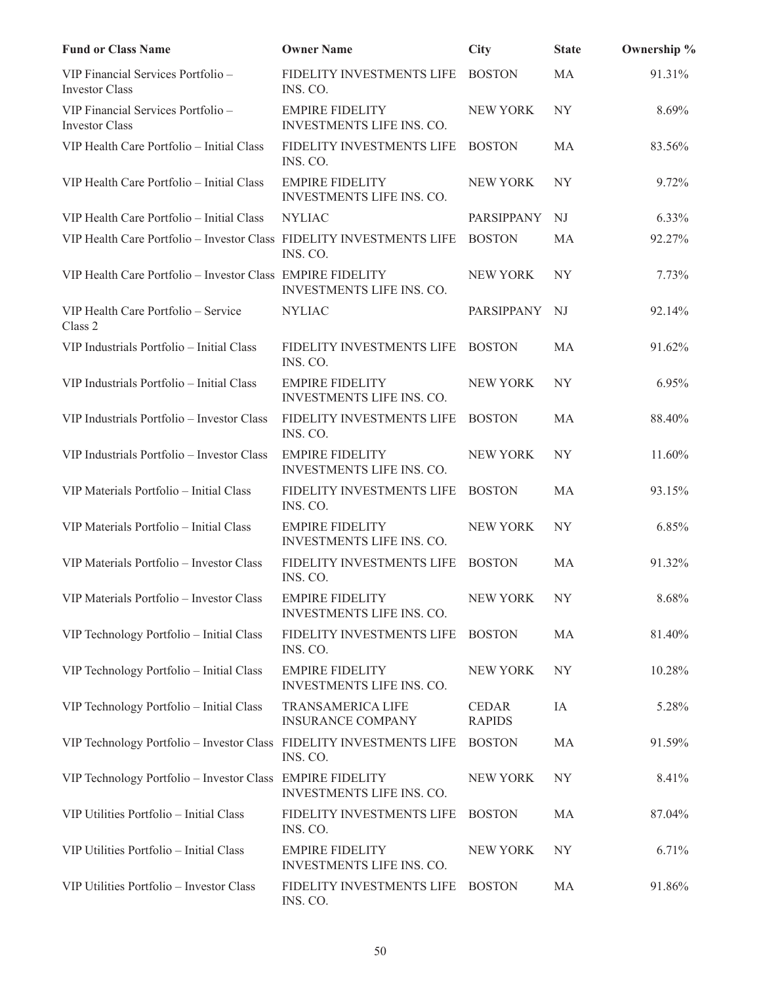| <b>Fund or Class Name</b>                                            | <b>Owner Name</b>                                          | <b>City</b>                   | <b>State</b>   | Ownership % |
|----------------------------------------------------------------------|------------------------------------------------------------|-------------------------------|----------------|-------------|
| VIP Financial Services Portfolio -<br><b>Investor Class</b>          | FIDELITY INVESTMENTS LIFE<br>INS. CO.                      | <b>BOSTON</b>                 | MA             | 91.31%      |
| VIP Financial Services Portfolio -<br><b>Investor Class</b>          | <b>EMPIRE FIDELITY</b><br><b>INVESTMENTS LIFE INS. CO.</b> | <b>NEW YORK</b>               | NY <sub></sub> | 8.69%       |
| VIP Health Care Portfolio - Initial Class                            | FIDELITY INVESTMENTS LIFE<br>INS. CO.                      | <b>BOSTON</b>                 | MA             | 83.56%      |
| VIP Health Care Portfolio – Initial Class                            | <b>EMPIRE FIDELITY</b><br>INVESTMENTS LIFE INS. CO.        | NEW YORK                      | NY <sub></sub> | 9.72%       |
| VIP Health Care Portfolio - Initial Class                            | <b>NYLIAC</b>                                              | PARSIPPANY                    | NJ             | 6.33%       |
| VIP Health Care Portfolio - Investor Class FIDELITY INVESTMENTS LIFE | INS. CO.                                                   | <b>BOSTON</b>                 | МA             | 92.27%      |
| VIP Health Care Portfolio - Investor Class EMPIRE FIDELITY           | <b>INVESTMENTS LIFE INS. CO.</b>                           | <b>NEW YORK</b>               | NY <sub></sub> | 7.73%       |
| VIP Health Care Portfolio - Service<br>Class 2                       | <b>NYLIAC</b>                                              | PARSIPPANY                    | - NJ           | 92.14%      |
| VIP Industrials Portfolio - Initial Class                            | FIDELITY INVESTMENTS LIFE<br>INS. CO.                      | <b>BOSTON</b>                 | MA             | 91.62%      |
| VIP Industrials Portfolio - Initial Class                            | <b>EMPIRE FIDELITY</b><br>INVESTMENTS LIFE INS. CO.        | <b>NEW YORK</b>               | NY <sub></sub> | 6.95%       |
| VIP Industrials Portfolio - Investor Class                           | FIDELITY INVESTMENTS LIFE<br>INS. CO.                      | <b>BOSTON</b>                 | MA             | 88.40%      |
| VIP Industrials Portfolio - Investor Class                           | <b>EMPIRE FIDELITY</b><br>INVESTMENTS LIFE INS. CO.        | <b>NEW YORK</b>               | NY <sub></sub> | 11.60%      |
| VIP Materials Portfolio - Initial Class                              | FIDELITY INVESTMENTS LIFE<br>INS. CO.                      | <b>BOSTON</b>                 | MA             | 93.15%      |
| VIP Materials Portfolio - Initial Class                              | <b>EMPIRE FIDELITY</b><br>INVESTMENTS LIFE INS. CO.        | <b>NEW YORK</b>               | <b>NY</b>      | 6.85%       |
| VIP Materials Portfolio - Investor Class                             | FIDELITY INVESTMENTS LIFE<br>INS. CO.                      | <b>BOSTON</b>                 | MA             | 91.32%      |
| VIP Materials Portfolio - Investor Class                             | <b>EMPIRE FIDELITY</b><br>INVESTMENTS LIFE INS. CO.        | NEW YORK                      | NY             | 8.68%       |
| VIP Technology Portfolio - Initial Class                             | FIDELITY INVESTMENTS LIFE<br>INS. CO.                      | <b>BOSTON</b>                 | MA             | 81.40%      |
| VIP Technology Portfolio - Initial Class                             | <b>EMPIRE FIDELITY</b><br><b>INVESTMENTS LIFE INS. CO.</b> | NEW YORK                      | NY <sub></sub> | 10.28%      |
| VIP Technology Portfolio - Initial Class                             | <b>TRANSAMERICA LIFE</b><br><b>INSURANCE COMPANY</b>       | <b>CEDAR</b><br><b>RAPIDS</b> | IA             | 5.28%       |
| VIP Technology Portfolio - Investor Class FIDELITY INVESTMENTS LIFE  | INS. CO.                                                   | <b>BOSTON</b>                 | MA             | 91.59%      |
| VIP Technology Portfolio - Investor Class EMPIRE FIDELITY            | INVESTMENTS LIFE INS. CO.                                  | NEW YORK                      | NY <sub></sub> | 8.41%       |
| VIP Utilities Portfolio - Initial Class                              | FIDELITY INVESTMENTS LIFE<br>INS. CO.                      | <b>BOSTON</b>                 | MA             | 87.04%      |
| VIP Utilities Portfolio - Initial Class                              | <b>EMPIRE FIDELITY</b><br>INVESTMENTS LIFE INS. CO.        | NEW YORK                      | NY             | 6.71%       |
| VIP Utilities Portfolio - Investor Class                             | FIDELITY INVESTMENTS LIFE<br>INS. CO.                      | <b>BOSTON</b>                 | MA             | 91.86%      |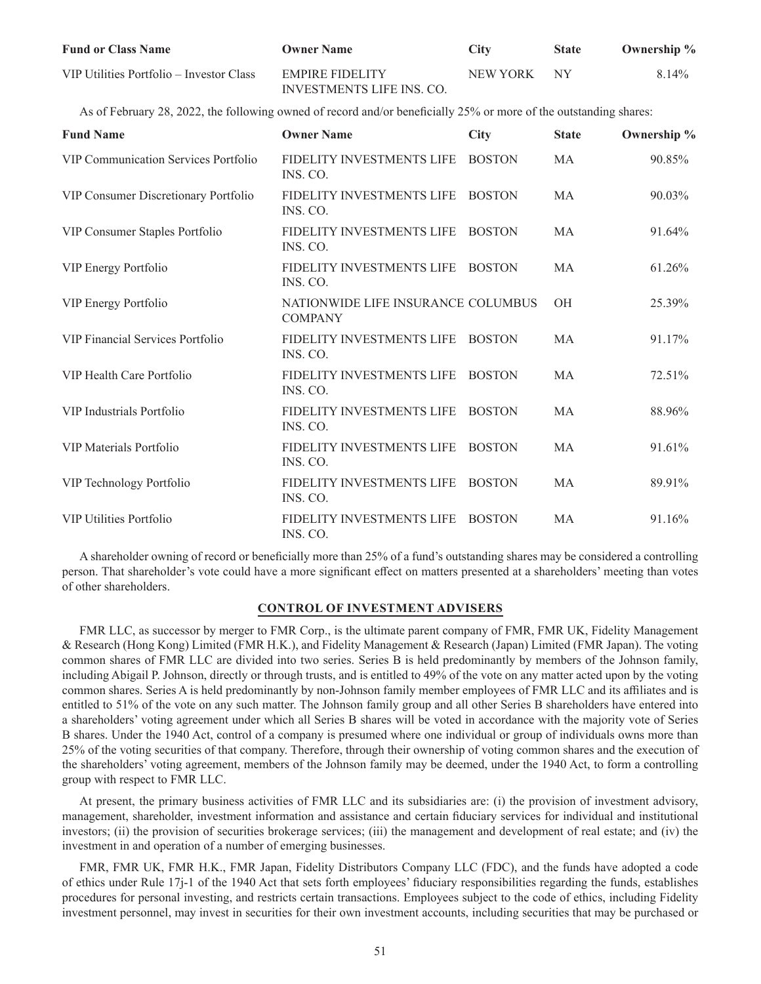| <b>Fund or Class Name</b>                                                                                         | <b>Owner Name</b>                                    | <b>City</b>     | <b>State</b> | Ownership % |
|-------------------------------------------------------------------------------------------------------------------|------------------------------------------------------|-----------------|--------------|-------------|
| VIP Utilities Portfolio - Investor Class                                                                          | <b>EMPIRE FIDELITY</b><br>INVESTMENTS LIFE INS. CO.  | <b>NEW YORK</b> | <b>NY</b>    | 8.14%       |
| As of February 28, 2022, the following owned of record and/or beneficially 25% or more of the outstanding shares: |                                                      |                 |              |             |
| <b>Fund Name</b>                                                                                                  | <b>Owner Name</b>                                    | <b>City</b>     | <b>State</b> | Ownership % |
| <b>VIP Communication Services Portfolio</b>                                                                       | FIDELITY INVESTMENTS LIFE<br>INS. CO.                | <b>BOSTON</b>   | MA           | 90.85%      |
| VIP Consumer Discretionary Portfolio                                                                              | FIDELITY INVESTMENTS LIFE<br>INS. CO.                | <b>BOSTON</b>   | MA           | 90.03%      |
| VIP Consumer Staples Portfolio                                                                                    | FIDELITY INVESTMENTS LIFE<br>INS. CO.                | <b>BOSTON</b>   | MA           | 91.64%      |
| VIP Energy Portfolio                                                                                              | FIDELITY INVESTMENTS LIFE<br>INS. CO.                | <b>BOSTON</b>   | MA           | 61.26%      |
| VIP Energy Portfolio                                                                                              | NATIONWIDE LIFE INSURANCE COLUMBUS<br><b>COMPANY</b> |                 | OH           | 25.39%      |
| VIP Financial Services Portfolio                                                                                  | FIDELITY INVESTMENTS LIFE<br>INS. CO.                | <b>BOSTON</b>   | MA           | 91.17%      |
| VIP Health Care Portfolio                                                                                         | FIDELITY INVESTMENTS LIFE<br>INS. CO.                | <b>BOSTON</b>   | MA           | 72.51%      |
| VIP Industrials Portfolio                                                                                         | FIDELITY INVESTMENTS LIFE<br>INS. CO.                | <b>BOSTON</b>   | MA           | 88.96%      |
| VIP Materials Portfolio                                                                                           | FIDELITY INVESTMENTS LIFE<br>INS. CO.                | <b>BOSTON</b>   | MA           | 91.61%      |
| VIP Technology Portfolio                                                                                          | FIDELITY INVESTMENTS LIFE<br>INS. CO.                | <b>BOSTON</b>   | MA           | 89.91%      |
| <b>VIP Utilities Portfolio</b>                                                                                    | FIDELITY INVESTMENTS LIFE<br>INS. CO.                | <b>BOSTON</b>   | MA           | 91.16%      |

A shareholder owning of record or beneficially more than 25% of a fund's outstanding shares may be considered a controlling person. That shareholder's vote could have a more significant effect on matters presented at a shareholders' meeting than votes of other shareholders.

### **CONTROL OF INVESTMENT ADVISERS**

FMR LLC, as successor by merger to FMR Corp., is the ultimate parent company of FMR, FMR UK, Fidelity Management & Research (Hong Kong) Limited (FMR H.K.), and Fidelity Management & Research (Japan) Limited (FMR Japan). The voting common shares of FMR LLC are divided into two series. Series B is held predominantly by members of the Johnson family, including Abigail P. Johnson, directly or through trusts, and is entitled to 49% of the vote on any matter acted upon by the voting common shares. Series A is held predominantly by non-Johnson family member employees of FMR LLC and its affiliates and is entitled to 51% of the vote on any such matter. The Johnson family group and all other Series B shareholders have entered into a shareholders' voting agreement under which all Series B shares will be voted in accordance with the majority vote of Series B shares. Under the 1940 Act, control of a company is presumed where one individual or group of individuals owns more than 25% of the voting securities of that company. Therefore, through their ownership of voting common shares and the execution of the shareholders' voting agreement, members of the Johnson family may be deemed, under the 1940 Act, to form a controlling group with respect to FMR LLC.

At present, the primary business activities of FMR LLC and its subsidiaries are: (i) the provision of investment advisory, management, shareholder, investment information and assistance and certain fiduciary services for individual and institutional investors; (ii) the provision of securities brokerage services; (iii) the management and development of real estate; and (iv) the investment in and operation of a number of emerging businesses.

FMR, FMR UK, FMR H.K., FMR Japan, Fidelity Distributors Company LLC (FDC), and the funds have adopted a code of ethics under Rule 17j-1 of the 1940 Act that sets forth employees' fiduciary responsibilities regarding the funds, establishes procedures for personal investing, and restricts certain transactions. Employees subject to the code of ethics, including Fidelity investment personnel, may invest in securities for their own investment accounts, including securities that may be purchased or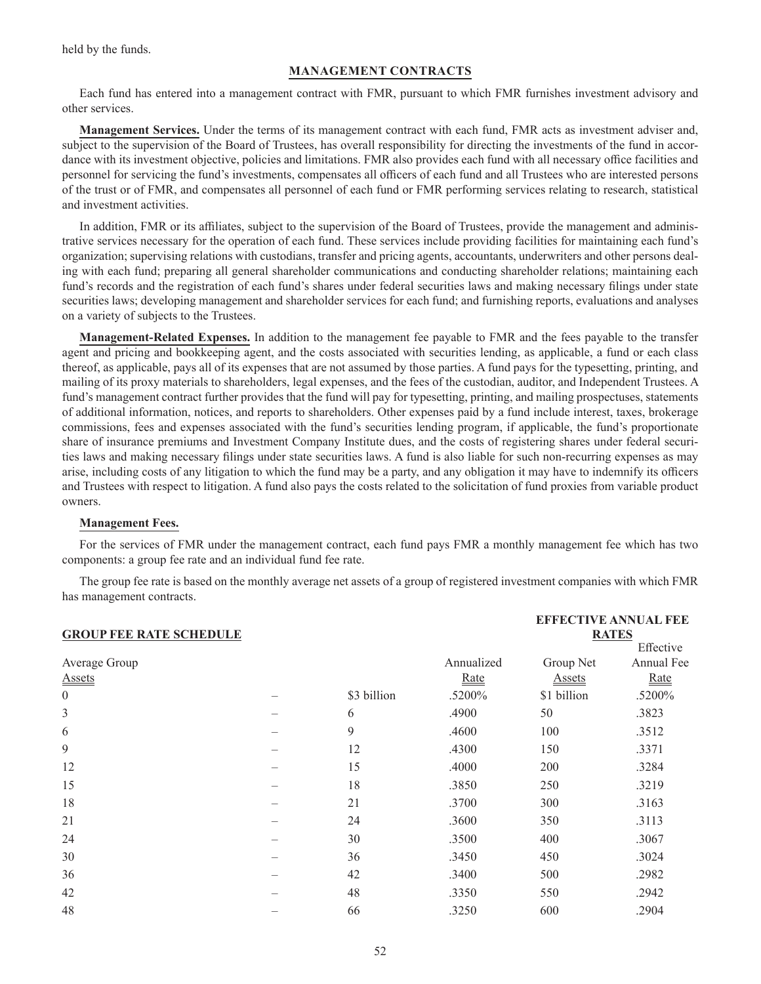held by the funds.

# **MANAGEMENT CONTRACTS**

Each fund has entered into a management contract with FMR, pursuant to which FMR furnishes investment advisory and other services.

**Management Services.** Under the terms of its management contract with each fund, FMR acts as investment adviser and, subject to the supervision of the Board of Trustees, has overall responsibility for directing the investments of the fund in accordance with its investment objective, policies and limitations. FMR also provides each fund with all necessary office facilities and personnel for servicing the fund's investments, compensates all officers of each fund and all Trustees who are interested persons of the trust or of FMR, and compensates all personnel of each fund or FMR performing services relating to research, statistical and investment activities.

In addition, FMR or its affiliates, subject to the supervision of the Board of Trustees, provide the management and administrative services necessary for the operation of each fund. These services include providing facilities for maintaining each fund's organization; supervising relations with custodians, transfer and pricing agents, accountants, underwriters and other persons dealing with each fund; preparing all general shareholder communications and conducting shareholder relations; maintaining each fund's records and the registration of each fund's shares under federal securities laws and making necessary filings under state securities laws; developing management and shareholder services for each fund; and furnishing reports, evaluations and analyses on a variety of subjects to the Trustees.

**Management-Related Expenses.** In addition to the management fee payable to FMR and the fees payable to the transfer agent and pricing and bookkeeping agent, and the costs associated with securities lending, as applicable, a fund or each class thereof, as applicable, pays all of its expenses that are not assumed by those parties. A fund pays for the typesetting, printing, and mailing of its proxy materials to shareholders, legal expenses, and the fees of the custodian, auditor, and Independent Trustees. A fund's management contract further provides that the fund will pay for typesetting, printing, and mailing prospectuses, statements of additional information, notices, and reports to shareholders. Other expenses paid by a fund include interest, taxes, brokerage commissions, fees and expenses associated with the fund's securities lending program, if applicable, the fund's proportionate share of insurance premiums and Investment Company Institute dues, and the costs of registering shares under federal securities laws and making necessary filings under state securities laws. A fund is also liable for such non-recurring expenses as may arise, including costs of any litigation to which the fund may be a party, and any obligation it may have to indemnify its officers and Trustees with respect to litigation. A fund also pays the costs related to the solicitation of fund proxies from variable product owners.

### **Management Fees.**

For the services of FMR under the management contract, each fund pays FMR a monthly management fee which has two components: a group fee rate and an individual fund fee rate.

The group fee rate is based on the monthly average net assets of a group of registered investment companies with which FMR has management contracts.

|                                |             |            | <b>EFFECTIVE ANNUAL FEE</b> |            |  |
|--------------------------------|-------------|------------|-----------------------------|------------|--|
| <b>GROUP FEE RATE SCHEDULE</b> |             |            | <b>RATES</b>                |            |  |
|                                |             |            |                             | Effective  |  |
|                                |             | Annualized | Group Net                   | Annual Fee |  |
|                                |             | Rate       | <b>Assets</b>               | Rate       |  |
|                                | \$3 billion | .5200%     | \$1 billion                 | .5200%     |  |
| -                              | 6           | .4900      | 50                          | .3823      |  |
|                                | 9           | .4600      | 100                         | .3512      |  |
|                                | 12          | .4300      | 150                         | .3371      |  |
|                                | 15          | .4000      | 200                         | .3284      |  |
|                                | 18          | .3850      | 250                         | .3219      |  |
|                                | 21          | .3700      | 300                         | .3163      |  |
|                                | 24          | .3600      | 350                         | .3113      |  |
|                                | 30          | .3500      | 400                         | .3067      |  |
|                                | 36          | .3450      | 450                         | .3024      |  |
|                                | 42          | .3400      | 500                         | .2982      |  |
|                                | 48          | .3350      | 550                         | .2942      |  |
|                                | 66          | .3250      | 600                         | .2904      |  |
|                                |             |            |                             |            |  |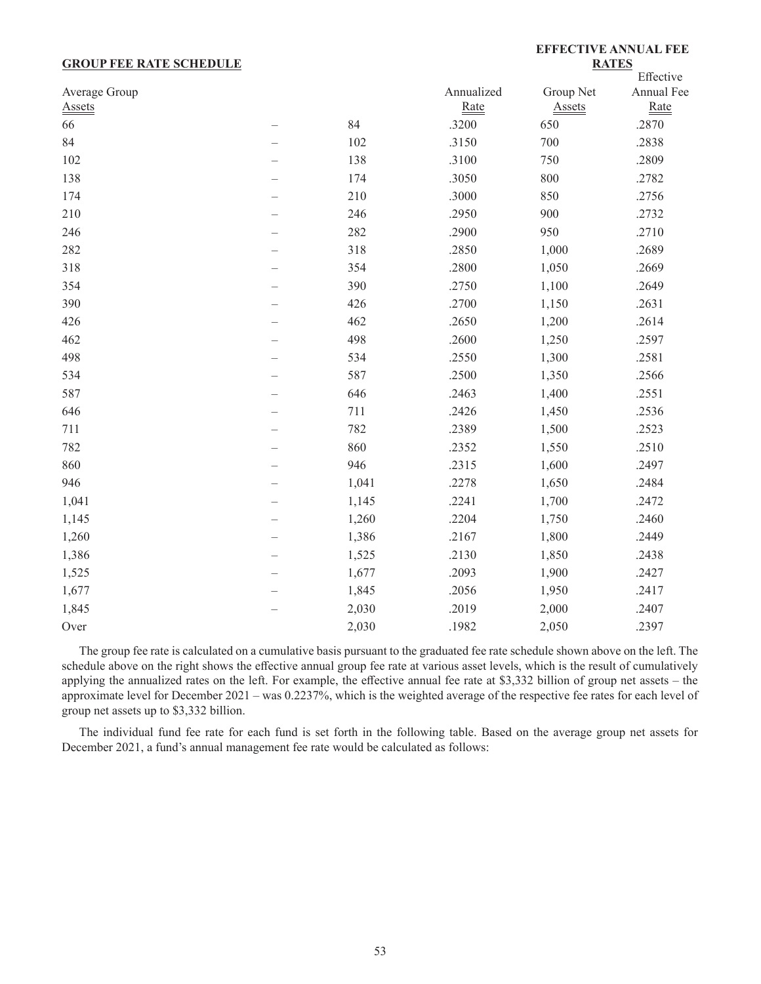### **GROUP FEE RATE SCHEDULE**

# **EFFECTIVE ANNUAL FEE RATES**

|               |                          |       |            |               | Effective  |
|---------------|--------------------------|-------|------------|---------------|------------|
| Average Group |                          |       | Annualized | Group Net     | Annual Fee |
| <b>Assets</b> |                          |       | Rate       | <b>Assets</b> | Rate       |
| 66            | $\overline{\phantom{0}}$ | 84    | .3200      | 650           | .2870      |
| 84            |                          | 102   | .3150      | 700           | .2838      |
| 102           |                          | 138   | .3100      | 750           | .2809      |
| 138           |                          | 174   | .3050      | 800           | .2782      |
| 174           |                          | 210   | .3000      | 850           | .2756      |
| 210           |                          | 246   | .2950      | 900           | .2732      |
| 246           |                          | 282   | .2900      | 950           | .2710      |
| 282           |                          | 318   | .2850      | 1,000         | .2689      |
| 318           |                          | 354   | .2800      | 1,050         | .2669      |
| 354           |                          | 390   | .2750      | 1,100         | .2649      |
| 390           |                          | 426   | .2700      | 1,150         | .2631      |
| 426           |                          | 462   | .2650      | 1,200         | .2614      |
| 462           |                          | 498   | .2600      | 1,250         | .2597      |
| 498           |                          | 534   | .2550      | 1,300         | .2581      |
| 534           |                          | 587   | .2500      | 1,350         | .2566      |
| 587           |                          | 646   | .2463      | 1,400         | .2551      |
| 646           |                          | 711   | .2426      | 1,450         | .2536      |
| 711           |                          | 782   | .2389      | 1,500         | .2523      |
| 782           |                          | 860   | .2352      | 1,550         | .2510      |
| 860           |                          | 946   | .2315      | 1,600         | .2497      |
| 946           |                          | 1,041 | .2278      | 1,650         | .2484      |
| 1,041         |                          | 1,145 | .2241      | 1,700         | .2472      |
| 1,145         |                          | 1,260 | .2204      | 1,750         | .2460      |
| 1,260         |                          | 1,386 | .2167      | 1,800         | .2449      |
| 1,386         |                          | 1,525 | .2130      | 1,850         | .2438      |
| 1,525         |                          | 1,677 | .2093      | 1,900         | .2427      |
| 1,677         |                          | 1,845 | .2056      | 1,950         | .2417      |
| 1,845         |                          | 2,030 | .2019      | 2,000         | .2407      |
| Over          |                          | 2,030 | .1982      | 2,050         | .2397      |

The group fee rate is calculated on a cumulative basis pursuant to the graduated fee rate schedule shown above on the left. The schedule above on the right shows the effective annual group fee rate at various asset levels, which is the result of cumulatively applying the annualized rates on the left. For example, the effective annual fee rate at \$3,332 billion of group net assets – the approximate level for December 2021 – was 0.2237%, which is the weighted average of the respective fee rates for each level of group net assets up to \$3,332 billion.

The individual fund fee rate for each fund is set forth in the following table. Based on the average group net assets for December 2021, a fund's annual management fee rate would be calculated as follows: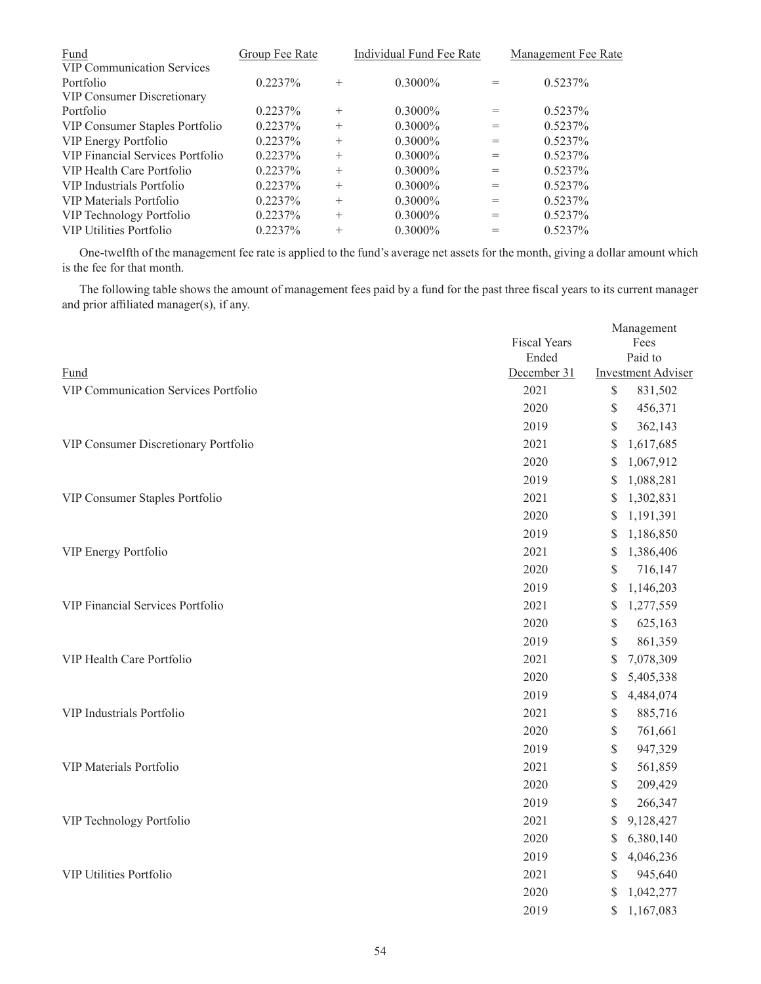| Group Fee Rate |        | Individual Fund Fee Rate |     | Management Fee Rate |
|----------------|--------|--------------------------|-----|---------------------|
|                |        |                          |     |                     |
| $0.2237\%$     | $^{+}$ | $0.3000\%$               | $=$ | $0.5237\%$          |
|                |        |                          |     |                     |
| $0.2237\%$     | $^{+}$ | $0.3000\%$               | $=$ | $0.5237\%$          |
| $0.2237\%$     | $^{+}$ | $0.3000\%$               | $=$ | $0.5237\%$          |
| $0.2237\%$     | $^{+}$ | $0.3000\%$               | $=$ | $0.5237\%$          |
| 0.2237%        | $^{+}$ | $0.3000\%$               | $=$ | $0.5237\%$          |
| $0.2237\%$     | $^{+}$ | $0.3000\%$               | $=$ | $0.5237\%$          |
| $0.2237\%$     | $^{+}$ | $0.3000\%$               | $=$ | $0.5237\%$          |
| $0.2237\%$     | $^{+}$ | $0.3000\%$               | $=$ | $0.5237\%$          |
| $0.2237\%$     | $^{+}$ | $0.3000\%$               | $=$ | $0.5237\%$          |
| $0.2237\%$     | $^{+}$ | $0.3000\%$               |     | 0.5237%             |
|                |        |                          |     |                     |

One-twelfth of the management fee rate is applied to the fund's average net assets for the month, giving a dollar amount which is the fee for that month.

The following table shows the amount of management fees paid by a fund for the past three fiscal years to its current manager and prior affiliated manager(s), if any.

|                                         | <b>Fiscal Years</b><br>Ended |                                                                       | Management<br>Fees<br>Paid to |
|-----------------------------------------|------------------------------|-----------------------------------------------------------------------|-------------------------------|
| Fund                                    | December 31                  |                                                                       | <b>Investment Adviser</b>     |
| VIP Communication Services Portfolio    | 2021                         | \$                                                                    | 831,502                       |
|                                         | 2020                         | $\$$                                                                  | 456,371                       |
|                                         | 2019                         | \$                                                                    | 362,143                       |
| VIP Consumer Discretionary Portfolio    | 2021                         | \$                                                                    | 1,617,685                     |
|                                         | 2020                         | \$                                                                    | 1,067,912                     |
|                                         | 2019                         | \$                                                                    | 1,088,281                     |
| VIP Consumer Staples Portfolio          | 2021                         | \$                                                                    | 1,302,831                     |
|                                         | 2020                         | \$                                                                    | 1,191,391                     |
|                                         | 2019                         | \$                                                                    | 1,186,850                     |
| VIP Energy Portfolio                    | 2021                         | \$                                                                    | 1,386,406                     |
|                                         | 2020                         | \$                                                                    | 716,147                       |
|                                         | 2019                         | \$                                                                    | 1,146,203                     |
| <b>VIP Financial Services Portfolio</b> | 2021                         | \$                                                                    | 1,277,559                     |
|                                         | 2020                         | $\$$                                                                  | 625,163                       |
|                                         | 2019                         | \$                                                                    | 861,359                       |
| VIP Health Care Portfolio               | 2021                         | \$                                                                    | 7,078,309                     |
|                                         | 2020                         | \$                                                                    | 5,405,338                     |
|                                         | 2019                         | \$                                                                    | 4,484,074                     |
| VIP Industrials Portfolio               | 2021                         | \$                                                                    | 885,716                       |
|                                         | 2020                         | $\mathbb{S}% _{t}\left( t\right) \equiv\mathbb{S}_{t}\left( t\right)$ | 761,661                       |
|                                         | 2019                         | \$                                                                    | 947,329                       |
| VIP Materials Portfolio                 | 2021                         | $\$$                                                                  | 561,859                       |
|                                         | 2020                         | \$                                                                    | 209,429                       |
|                                         | 2019                         | \$                                                                    | 266,347                       |
| VIP Technology Portfolio                | 2021                         | \$                                                                    | 9,128,427                     |
|                                         | 2020                         | \$                                                                    | 6,380,140                     |
|                                         | 2019                         | \$                                                                    | 4,046,236                     |
| <b>VIP Utilities Portfolio</b>          | 2021                         | \$                                                                    | 945,640                       |
|                                         | 2020                         | \$                                                                    | 1,042,277                     |
|                                         | 2019                         | \$                                                                    | 1,167,083                     |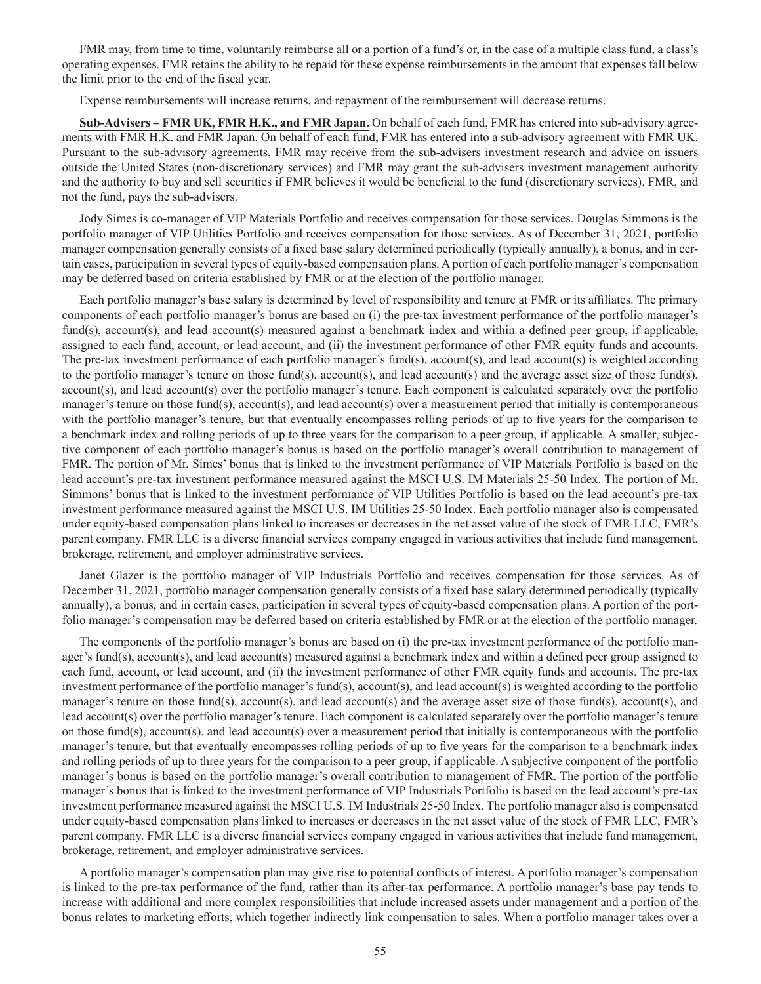FMR may, from time to time, voluntarily reimburse all or a portion of a fund's or, in the case of a multiple class fund, a class's operating expenses. FMR retains the ability to be repaid for these expense reimbursements in the amount that expenses fall below the limit prior to the end of the fiscal year.

Expense reimbursements will increase returns, and repayment of the reimbursement will decrease returns.

**Sub-Advisers – FMR UK, FMR H.K., and FMR Japan.** On behalf of each fund, FMR has entered into sub-advisory agreements with FMR H.K. and FMR Japan. On behalf of each fund, FMR has entered into a sub-advisory agreement with FMR UK. Pursuant to the sub-advisory agreements, FMR may receive from the sub-advisers investment research and advice on issuers outside the United States (non-discretionary services) and FMR may grant the sub-advisers investment management authority and the authority to buy and sell securities if FMR believes it would be beneficial to the fund (discretionary services). FMR, and not the fund, pays the sub-advisers.

Jody Simes is co-manager of VIP Materials Portfolio and receives compensation for those services. Douglas Simmons is the portfolio manager of VIP Utilities Portfolio and receives compensation for those services. As of December 31, 2021, portfolio manager compensation generally consists of a fixed base salary determined periodically (typically annually), a bonus, and in certain cases, participation in several types of equity-based compensation plans. A portion of each portfolio manager's compensation may be deferred based on criteria established by FMR or at the election of the portfolio manager.

Each portfolio manager's base salary is determined by level of responsibility and tenure at FMR or its affiliates. The primary components of each portfolio manager's bonus are based on (i) the pre-tax investment performance of the portfolio manager's fund(s), account(s), and lead account(s) measured against a benchmark index and within a defined peer group, if applicable, assigned to each fund, account, or lead account, and (ii) the investment performance of other FMR equity funds and accounts. The pre-tax investment performance of each portfolio manager's fund(s), account(s), and lead account(s) is weighted according to the portfolio manager's tenure on those fund(s), account(s), and lead account(s) and the average asset size of those fund(s), account(s), and lead account(s) over the portfolio manager's tenure. Each component is calculated separately over the portfolio manager's tenure on those fund(s), account(s), and lead account(s) over a measurement period that initially is contemporaneous with the portfolio manager's tenure, but that eventually encompasses rolling periods of up to five years for the comparison to a benchmark index and rolling periods of up to three years for the comparison to a peer group, if applicable. A smaller, subjective component of each portfolio manager's bonus is based on the portfolio manager's overall contribution to management of FMR. The portion of Mr. Simes' bonus that is linked to the investment performance of VIP Materials Portfolio is based on the lead account's pre-tax investment performance measured against the MSCI U.S. IM Materials 25-50 Index. The portion of Mr. Simmons' bonus that is linked to the investment performance of VIP Utilities Portfolio is based on the lead account's pre-tax investment performance measured against the MSCI U.S. IM Utilities 25-50 Index. Each portfolio manager also is compensated under equity-based compensation plans linked to increases or decreases in the net asset value of the stock of FMR LLC, FMR's parent company. FMR LLC is a diverse financial services company engaged in various activities that include fund management, brokerage, retirement, and employer administrative services.

Janet Glazer is the portfolio manager of VIP Industrials Portfolio and receives compensation for those services. As of December 31, 2021, portfolio manager compensation generally consists of a fixed base salary determined periodically (typically annually), a bonus, and in certain cases, participation in several types of equity-based compensation plans. A portion of the portfolio manager's compensation may be deferred based on criteria established by FMR or at the election of the portfolio manager.

The components of the portfolio manager's bonus are based on (i) the pre-tax investment performance of the portfolio manager's fund(s), account(s), and lead account(s) measured against a benchmark index and within a defined peer group assigned to each fund, account, or lead account, and (ii) the investment performance of other FMR equity funds and accounts. The pre-tax investment performance of the portfolio manager's fund(s), account(s), and lead account(s) is weighted according to the portfolio manager's tenure on those fund(s), account(s), and lead account(s) and the average asset size of those fund(s), account(s), and lead account(s) over the portfolio manager's tenure. Each component is calculated separately over the portfolio manager's tenure on those fund(s), account(s), and lead account(s) over a measurement period that initially is contemporaneous with the portfolio manager's tenure, but that eventually encompasses rolling periods of up to five years for the comparison to a benchmark index and rolling periods of up to three years for the comparison to a peer group, if applicable. A subjective component of the portfolio manager's bonus is based on the portfolio manager's overall contribution to management of FMR. The portion of the portfolio manager's bonus that is linked to the investment performance of VIP Industrials Portfolio is based on the lead account's pre-tax investment performance measured against the MSCI U.S. IM Industrials 25-50 Index. The portfolio manager also is compensated under equity-based compensation plans linked to increases or decreases in the net asset value of the stock of FMR LLC, FMR's parent company. FMR LLC is a diverse financial services company engaged in various activities that include fund management, brokerage, retirement, and employer administrative services.

A portfolio manager's compensation plan may give rise to potential conflicts of interest. A portfolio manager's compensation is linked to the pre-tax performance of the fund, rather than its after-tax performance. A portfolio manager's base pay tends to increase with additional and more complex responsibilities that include increased assets under management and a portion of the bonus relates to marketing efforts, which together indirectly link compensation to sales. When a portfolio manager takes over a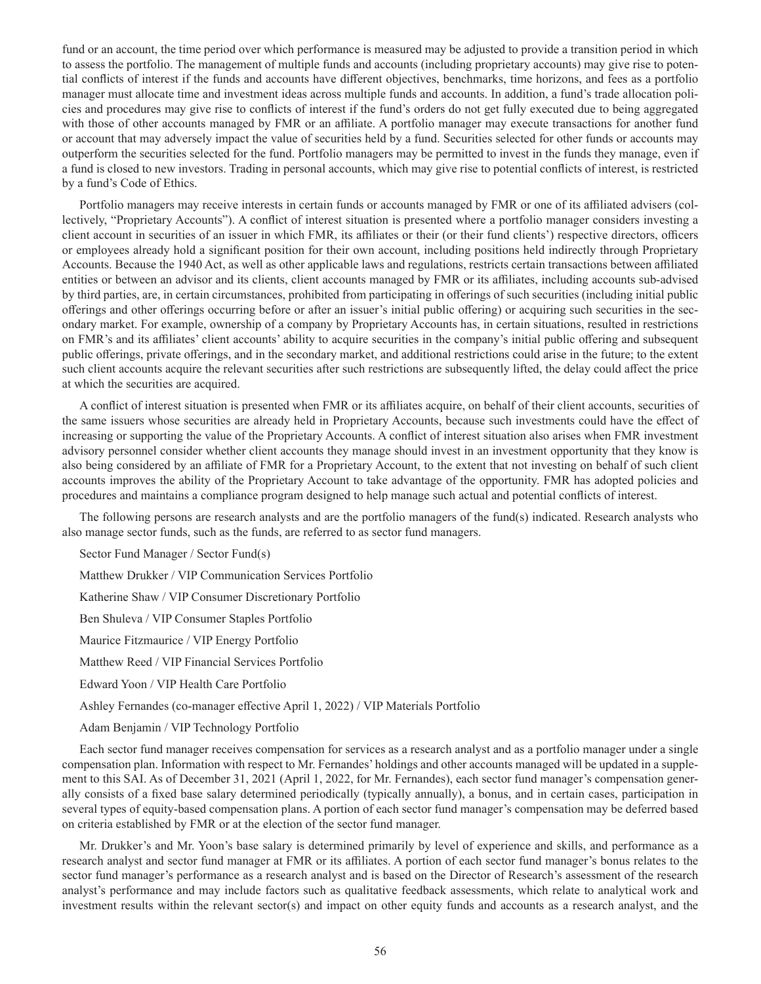fund or an account, the time period over which performance is measured may be adjusted to provide a transition period in which to assess the portfolio. The management of multiple funds and accounts (including proprietary accounts) may give rise to potential conflicts of interest if the funds and accounts have different objectives, benchmarks, time horizons, and fees as a portfolio manager must allocate time and investment ideas across multiple funds and accounts. In addition, a fund's trade allocation policies and procedures may give rise to conflicts of interest if the fund's orders do not get fully executed due to being aggregated with those of other accounts managed by FMR or an affiliate. A portfolio manager may execute transactions for another fund or account that may adversely impact the value of securities held by a fund. Securities selected for other funds or accounts may outperform the securities selected for the fund. Portfolio managers may be permitted to invest in the funds they manage, even if a fund is closed to new investors. Trading in personal accounts, which may give rise to potential conflicts of interest, is restricted by a fund's Code of Ethics.

Portfolio managers may receive interests in certain funds or accounts managed by FMR or one of its affiliated advisers (collectively, "Proprietary Accounts"). A conflict of interest situation is presented where a portfolio manager considers investing a client account in securities of an issuer in which FMR, its affiliates or their (or their fund clients') respective directors, officers or employees already hold a significant position for their own account, including positions held indirectly through Proprietary Accounts. Because the 1940 Act, as well as other applicable laws and regulations, restricts certain transactions between affiliated entities or between an advisor and its clients, client accounts managed by FMR or its affiliates, including accounts sub-advised by third parties, are, in certain circumstances, prohibited from participating in offerings of such securities (including initial public offerings and other offerings occurring before or after an issuer's initial public offering) or acquiring such securities in the secondary market. For example, ownership of a company by Proprietary Accounts has, in certain situations, resulted in restrictions on FMR's and its affiliates' client accounts' ability to acquire securities in the company's initial public offering and subsequent public offerings, private offerings, and in the secondary market, and additional restrictions could arise in the future; to the extent such client accounts acquire the relevant securities after such restrictions are subsequently lifted, the delay could affect the price at which the securities are acquired.

A conflict of interest situation is presented when FMR or its affiliates acquire, on behalf of their client accounts, securities of the same issuers whose securities are already held in Proprietary Accounts, because such investments could have the effect of increasing or supporting the value of the Proprietary Accounts. A conflict of interest situation also arises when FMR investment advisory personnel consider whether client accounts they manage should invest in an investment opportunity that they know is also being considered by an affiliate of FMR for a Proprietary Account, to the extent that not investing on behalf of such client accounts improves the ability of the Proprietary Account to take advantage of the opportunity. FMR has adopted policies and procedures and maintains a compliance program designed to help manage such actual and potential conflicts of interest.

The following persons are research analysts and are the portfolio managers of the fund(s) indicated. Research analysts who also manage sector funds, such as the funds, are referred to as sector fund managers.

Sector Fund Manager / Sector Fund(s)

Matthew Drukker / VIP Communication Services Portfolio

Katherine Shaw / VIP Consumer Discretionary Portfolio

Ben Shuleva / VIP Consumer Staples Portfolio

Maurice Fitzmaurice / VIP Energy Portfolio

Matthew Reed / VIP Financial Services Portfolio

Edward Yoon / VIP Health Care Portfolio

Ashley Fernandes (co-manager effective April 1, 2022) / VIP Materials Portfolio

Adam Benjamin / VIP Technology Portfolio

Each sector fund manager receives compensation for services as a research analyst and as a portfolio manager under a single compensation plan. Information with respect to Mr. Fernandes' holdings and other accounts managed will be updated in a supplement to this SAI. As of December 31, 2021 (April 1, 2022, for Mr. Fernandes), each sector fund manager's compensation generally consists of a fixed base salary determined periodically (typically annually), a bonus, and in certain cases, participation in several types of equity-based compensation plans. A portion of each sector fund manager's compensation may be deferred based on criteria established by FMR or at the election of the sector fund manager.

Mr. Drukker's and Mr. Yoon's base salary is determined primarily by level of experience and skills, and performance as a research analyst and sector fund manager at FMR or its affiliates. A portion of each sector fund manager's bonus relates to the sector fund manager's performance as a research analyst and is based on the Director of Research's assessment of the research analyst's performance and may include factors such as qualitative feedback assessments, which relate to analytical work and investment results within the relevant sector(s) and impact on other equity funds and accounts as a research analyst, and the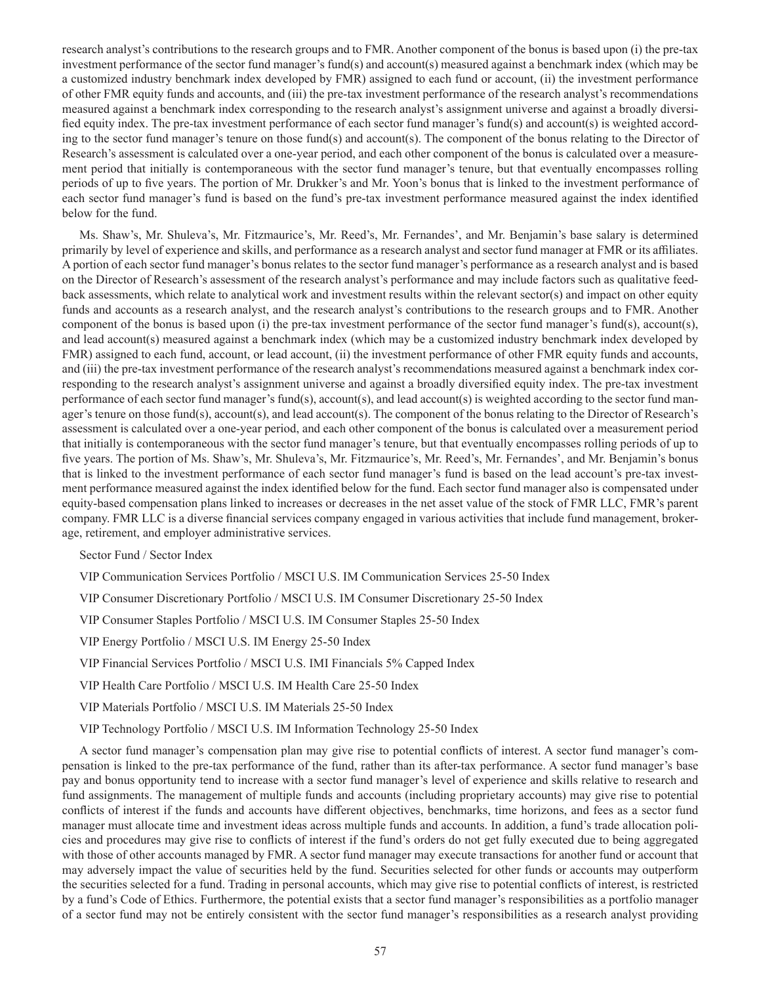research analyst's contributions to the research groups and to FMR. Another component of the bonus is based upon (i) the pre-tax investment performance of the sector fund manager's fund(s) and account(s) measured against a benchmark index (which may be a customized industry benchmark index developed by FMR) assigned to each fund or account, (ii) the investment performance of other FMR equity funds and accounts, and (iii) the pre-tax investment performance of the research analyst's recommendations measured against a benchmark index corresponding to the research analyst's assignment universe and against a broadly diversified equity index. The pre-tax investment performance of each sector fund manager's fund(s) and account(s) is weighted according to the sector fund manager's tenure on those fund(s) and account(s). The component of the bonus relating to the Director of Research's assessment is calculated over a one-year period, and each other component of the bonus is calculated over a measurement period that initially is contemporaneous with the sector fund manager's tenure, but that eventually encompasses rolling periods of up to five years. The portion of Mr. Drukker's and Mr. Yoon's bonus that is linked to the investment performance of each sector fund manager's fund is based on the fund's pre-tax investment performance measured against the index identified below for the fund.

Ms. Shaw's, Mr. Shuleva's, Mr. Fitzmaurice's, Mr. Reed's, Mr. Fernandes', and Mr. Benjamin's base salary is determined primarily by level of experience and skills, and performance as a research analyst and sector fund manager at FMR or its affiliates. A portion of each sector fund manager's bonus relates to the sector fund manager's performance as a research analyst and is based on the Director of Research's assessment of the research analyst's performance and may include factors such as qualitative feedback assessments, which relate to analytical work and investment results within the relevant sector(s) and impact on other equity funds and accounts as a research analyst, and the research analyst's contributions to the research groups and to FMR. Another component of the bonus is based upon (i) the pre-tax investment performance of the sector fund manager's fund(s), account(s), and lead account(s) measured against a benchmark index (which may be a customized industry benchmark index developed by FMR) assigned to each fund, account, or lead account, (ii) the investment performance of other FMR equity funds and accounts, and (iii) the pre-tax investment performance of the research analyst's recommendations measured against a benchmark index corresponding to the research analyst's assignment universe and against a broadly diversified equity index. The pre-tax investment performance of each sector fund manager's fund(s), account(s), and lead account(s) is weighted according to the sector fund manager's tenure on those fund(s), account(s), and lead account(s). The component of the bonus relating to the Director of Research's assessment is calculated over a one-year period, and each other component of the bonus is calculated over a measurement period that initially is contemporaneous with the sector fund manager's tenure, but that eventually encompasses rolling periods of up to five years. The portion of Ms. Shaw's, Mr. Shuleva's, Mr. Fitzmaurice's, Mr. Reed's, Mr. Fernandes', and Mr. Benjamin's bonus that is linked to the investment performance of each sector fund manager's fund is based on the lead account's pre-tax investment performance measured against the index identified below for the fund. Each sector fund manager also is compensated under equity-based compensation plans linked to increases or decreases in the net asset value of the stock of FMR LLC, FMR's parent company. FMR LLC is a diverse financial services company engaged in various activities that include fund management, brokerage, retirement, and employer administrative services.

Sector Fund / Sector Index

VIP Communication Services Portfolio / MSCI U.S. IM Communication Services 25-50 Index

VIP Consumer Discretionary Portfolio / MSCI U.S. IM Consumer Discretionary 25-50 Index

VIP Consumer Staples Portfolio / MSCI U.S. IM Consumer Staples 25-50 Index

VIP Energy Portfolio / MSCI U.S. IM Energy 25-50 Index

VIP Financial Services Portfolio / MSCI U.S. IMI Financials 5% Capped Index

VIP Health Care Portfolio / MSCI U.S. IM Health Care 25-50 Index

VIP Materials Portfolio / MSCI U.S. IM Materials 25-50 Index

VIP Technology Portfolio / MSCI U.S. IM Information Technology 25-50 Index

A sector fund manager's compensation plan may give rise to potential conflicts of interest. A sector fund manager's compensation is linked to the pre-tax performance of the fund, rather than its after-tax performance. A sector fund manager's base pay and bonus opportunity tend to increase with a sector fund manager's level of experience and skills relative to research and fund assignments. The management of multiple funds and accounts (including proprietary accounts) may give rise to potential conflicts of interest if the funds and accounts have different objectives, benchmarks, time horizons, and fees as a sector fund manager must allocate time and investment ideas across multiple funds and accounts. In addition, a fund's trade allocation policies and procedures may give rise to conflicts of interest if the fund's orders do not get fully executed due to being aggregated with those of other accounts managed by FMR. A sector fund manager may execute transactions for another fund or account that may adversely impact the value of securities held by the fund. Securities selected for other funds or accounts may outperform the securities selected for a fund. Trading in personal accounts, which may give rise to potential conflicts of interest, is restricted by a fund's Code of Ethics. Furthermore, the potential exists that a sector fund manager's responsibilities as a portfolio manager of a sector fund may not be entirely consistent with the sector fund manager's responsibilities as a research analyst providing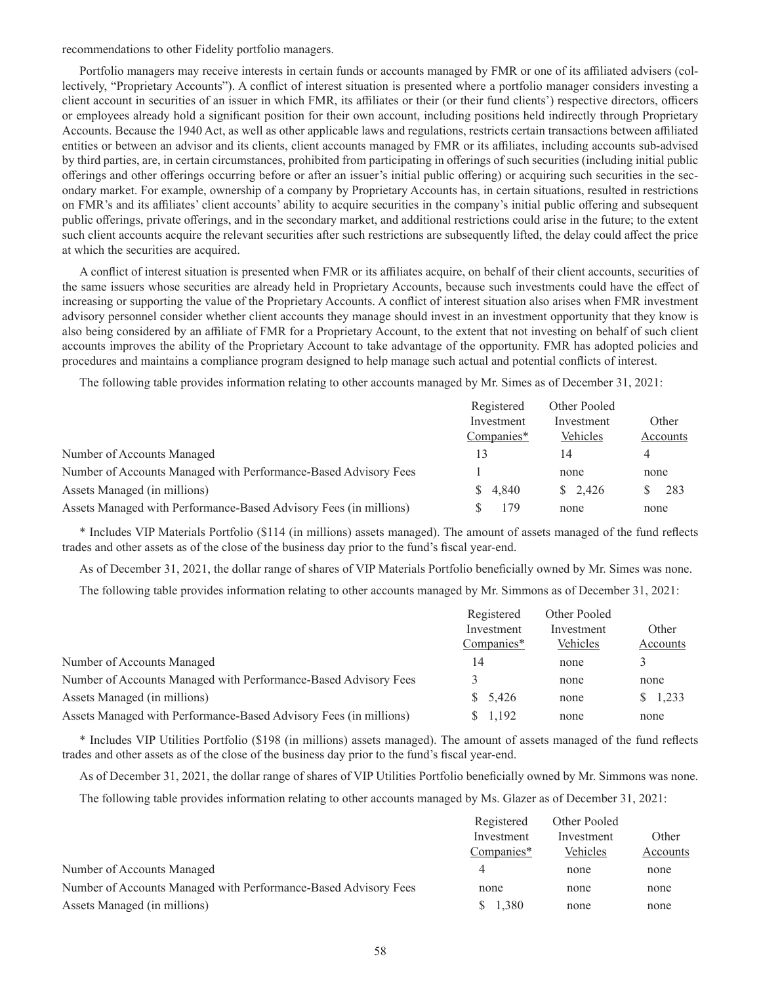recommendations to other Fidelity portfolio managers.

Portfolio managers may receive interests in certain funds or accounts managed by FMR or one of its affiliated advisers (collectively, "Proprietary Accounts"). A conflict of interest situation is presented where a portfolio manager considers investing a client account in securities of an issuer in which FMR, its affiliates or their (or their fund clients') respective directors, officers or employees already hold a significant position for their own account, including positions held indirectly through Proprietary Accounts. Because the 1940 Act, as well as other applicable laws and regulations, restricts certain transactions between affiliated entities or between an advisor and its clients, client accounts managed by FMR or its affiliates, including accounts sub-advised by third parties, are, in certain circumstances, prohibited from participating in offerings of such securities (including initial public offerings and other offerings occurring before or after an issuer's initial public offering) or acquiring such securities in the secondary market. For example, ownership of a company by Proprietary Accounts has, in certain situations, resulted in restrictions on FMR's and its affiliates' client accounts' ability to acquire securities in the company's initial public offering and subsequent public offerings, private offerings, and in the secondary market, and additional restrictions could arise in the future; to the extent such client accounts acquire the relevant securities after such restrictions are subsequently lifted, the delay could affect the price at which the securities are acquired.

A conflict of interest situation is presented when FMR or its affiliates acquire, on behalf of their client accounts, securities of the same issuers whose securities are already held in Proprietary Accounts, because such investments could have the effect of increasing or supporting the value of the Proprietary Accounts. A conflict of interest situation also arises when FMR investment advisory personnel consider whether client accounts they manage should invest in an investment opportunity that they know is also being considered by an affiliate of FMR for a Proprietary Account, to the extent that not investing on behalf of such client accounts improves the ability of the Proprietary Account to take advantage of the opportunity. FMR has adopted policies and procedures and maintains a compliance program designed to help manage such actual and potential conflicts of interest.

The following table provides information relating to other accounts managed by Mr. Simes as of December 31, 2021:

|                                                                   | Registered | Other Pooled       |          |
|-------------------------------------------------------------------|------------|--------------------|----------|
|                                                                   | Investment | Investment         | Other    |
|                                                                   | Companies* | Vehicles           | Accounts |
| Number of Accounts Managed                                        | 3          | 14                 | 4        |
| Number of Accounts Managed with Performance-Based Advisory Fees   |            | none               | none     |
| Assets Managed (in millions)                                      | 4.840      | $\frac{\$}{2.426}$ | 283      |
| Assets Managed with Performance-Based Advisory Fees (in millions) | 79         | none               | none     |

\* Includes VIP Materials Portfolio (\$114 (in millions) assets managed). The amount of assets managed of the fund reflects trades and other assets as of the close of the business day prior to the fund's fiscal year-end.

As of December 31, 2021, the dollar range of shares of VIP Materials Portfolio beneficially owned by Mr. Simes was none.

The following table provides information relating to other accounts managed by Mr. Simmons as of December 31, 2021:

|                                                                   | Registered | Other Pooled |          |
|-------------------------------------------------------------------|------------|--------------|----------|
|                                                                   | Investment | Investment   | Other    |
|                                                                   | Companies* | Vehicles     | Accounts |
| Number of Accounts Managed                                        | 14         | none         |          |
| Number of Accounts Managed with Performance-Based Advisory Fees   |            | none         | none     |
| Assets Managed (in millions)                                      | \$5,426    | none         | \$1,233  |
| Assets Managed with Performance-Based Advisory Fees (in millions) | \$1,192    | none         | none     |

\* Includes VIP Utilities Portfolio (\$198 (in millions) assets managed). The amount of assets managed of the fund reflects trades and other assets as of the close of the business day prior to the fund's fiscal year-end.

As of December 31, 2021, the dollar range of shares of VIP Utilities Portfolio beneficially owned by Mr. Simmons was none.

The following table provides information relating to other accounts managed by Ms. Glazer as of December 31, 2021:

|                                                                 | Registered | Other Pooled |          |
|-----------------------------------------------------------------|------------|--------------|----------|
|                                                                 | Investment | Investment   | Other    |
|                                                                 | Companies* | Vehicles     | Accounts |
| Number of Accounts Managed                                      |            | none         | none     |
| Number of Accounts Managed with Performance-Based Advisory Fees | none       | none         | none     |
| Assets Managed (in millions)                                    | .380       | none         | none     |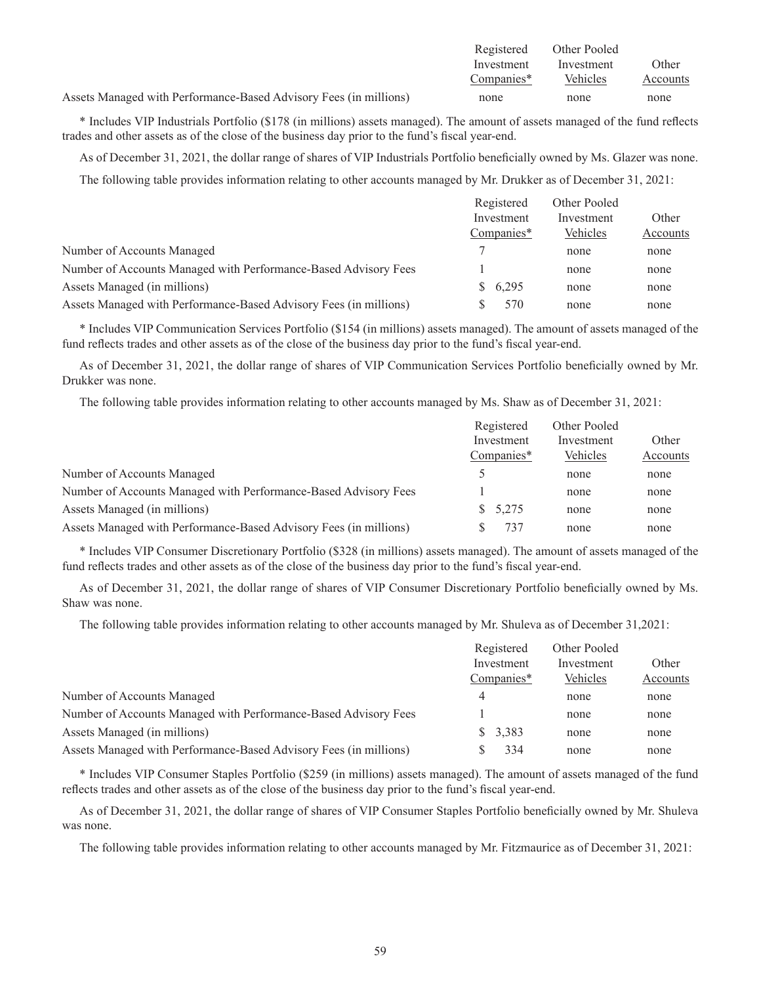|                                                                   | Registered | Other Pooled |          |
|-------------------------------------------------------------------|------------|--------------|----------|
|                                                                   | Investment | Investment   | Other    |
|                                                                   | Companies* | Vehicles     | Accounts |
| Assets Managed with Performance-Based Advisory Fees (in millions) | none       | none         | none     |

\* Includes VIP Industrials Portfolio (\$178 (in millions) assets managed). The amount of assets managed of the fund reflects trades and other assets as of the close of the business day prior to the fund's fiscal year-end.

As of December 31, 2021, the dollar range of shares of VIP Industrials Portfolio beneficially owned by Ms. Glazer was none.

The following table provides information relating to other accounts managed by Mr. Drukker as of December 31, 2021:

|                                                                   | Registered | Other Pooled |          |
|-------------------------------------------------------------------|------------|--------------|----------|
|                                                                   | Investment | Investment   | Other    |
|                                                                   | Companies* | Vehicles     | Accounts |
| Number of Accounts Managed                                        |            | none         | none     |
| Number of Accounts Managed with Performance-Based Advisory Fees   |            | none         | none     |
| Assets Managed (in millions)                                      | \$6,295    | none         | none     |
| Assets Managed with Performance-Based Advisory Fees (in millions) | 570        | none         | none     |

\* Includes VIP Communication Services Portfolio (\$154 (in millions) assets managed). The amount of assets managed of the fund reflects trades and other assets as of the close of the business day prior to the fund's fiscal year-end.

As of December 31, 2021, the dollar range of shares of VIP Communication Services Portfolio beneficially owned by Mr. Drukker was none.

The following table provides information relating to other accounts managed by Ms. Shaw as of December 31, 2021:

|                                                                   | Registered | Other Pooled |          |
|-------------------------------------------------------------------|------------|--------------|----------|
|                                                                   | Investment | Investment   | Other    |
|                                                                   | Companies* | Vehicles     | Accounts |
| Number of Accounts Managed                                        |            | none         | none     |
| Number of Accounts Managed with Performance-Based Advisory Fees   |            | none         | none     |
| Assets Managed (in millions)                                      | \$5,275    | none         | none     |
| Assets Managed with Performance-Based Advisory Fees (in millions) | 737        | none         | none     |

\* Includes VIP Consumer Discretionary Portfolio (\$328 (in millions) assets managed). The amount of assets managed of the fund reflects trades and other assets as of the close of the business day prior to the fund's fiscal year-end.

As of December 31, 2021, the dollar range of shares of VIP Consumer Discretionary Portfolio beneficially owned by Ms. Shaw was none.

The following table provides information relating to other accounts managed by Mr. Shuleva as of December 31,2021:

|                                                                   | Registered | Other Pooled |          |
|-------------------------------------------------------------------|------------|--------------|----------|
|                                                                   | Investment | Investment   | Other    |
|                                                                   | Companies* | Vehicles     | Accounts |
| Number of Accounts Managed                                        | 4          | none         | none     |
| Number of Accounts Managed with Performance-Based Advisory Fees   |            | none         | none     |
| Assets Managed (in millions)                                      | \$3,383    | none         | none     |
| Assets Managed with Performance-Based Advisory Fees (in millions) | 334        | none         | none     |

\* Includes VIP Consumer Staples Portfolio (\$259 (in millions) assets managed). The amount of assets managed of the fund reflects trades and other assets as of the close of the business day prior to the fund's fiscal year-end.

As of December 31, 2021, the dollar range of shares of VIP Consumer Staples Portfolio beneficially owned by Mr. Shuleva was none.

The following table provides information relating to other accounts managed by Mr. Fitzmaurice as of December 31, 2021: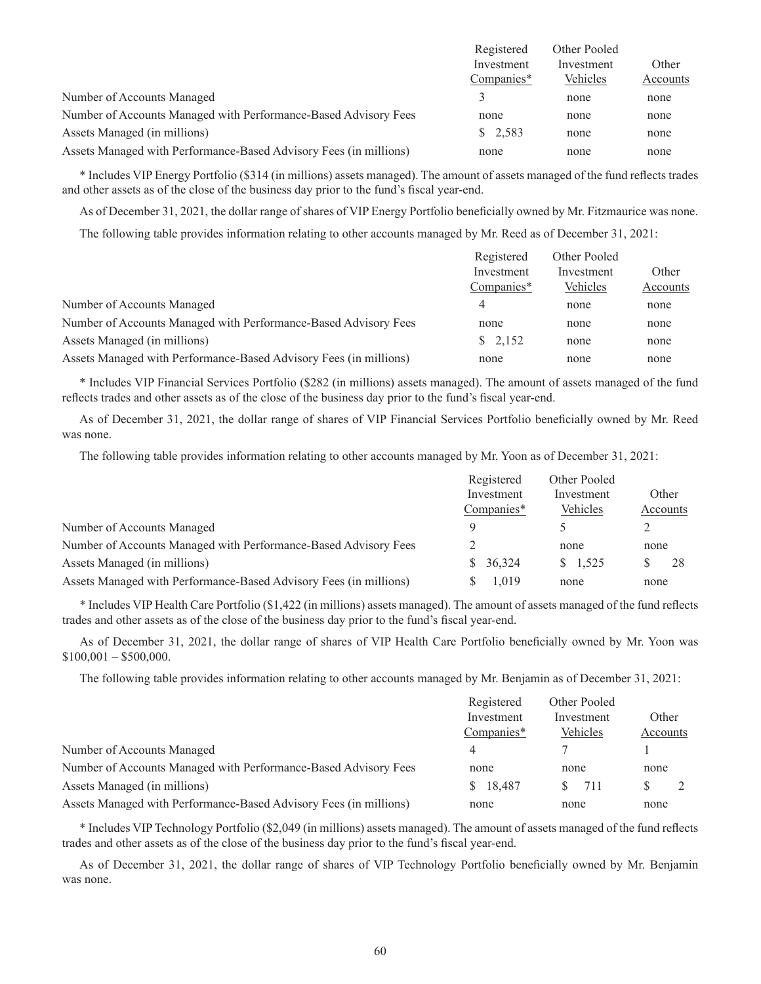|                                                                   | Registered | Other Pooled |          |
|-------------------------------------------------------------------|------------|--------------|----------|
|                                                                   | Investment | Investment   | Other    |
|                                                                   | Companies* | Vehicles     | Accounts |
| Number of Accounts Managed                                        |            | none         | none     |
| Number of Accounts Managed with Performance-Based Advisory Fees   | none       | none         | none     |
| Assets Managed (in millions)                                      | \$2,583    | none         | none     |
| Assets Managed with Performance-Based Advisory Fees (in millions) | none       | none         | none     |

\* Includes VIP Energy Portfolio (\$314 (in millions) assets managed). The amount of assets managed of the fund reflects trades and other assets as of the close of the business day prior to the fund's fiscal year-end.

As of December 31, 2021, the dollar range of shares of VIP Energy Portfolio beneficially owned by Mr. Fitzmaurice was none.

The following table provides information relating to other accounts managed by Mr. Reed as of December 31, 2021:

|                                                                   | Registered | Other Pooled |          |
|-------------------------------------------------------------------|------------|--------------|----------|
|                                                                   | Investment | Investment   | Other    |
|                                                                   | Companies* | Vehicles     | Accounts |
| Number of Accounts Managed                                        | 4          | none         | none     |
| Number of Accounts Managed with Performance-Based Advisory Fees   | none       | none         | none     |
| Assets Managed (in millions)                                      | \$2,152    | none         | none     |
| Assets Managed with Performance-Based Advisory Fees (in millions) | none       | none         | none     |

\* Includes VIP Financial Services Portfolio (\$282 (in millions) assets managed). The amount of assets managed of the fund reflects trades and other assets as of the close of the business day prior to the fund's fiscal year-end.

As of December 31, 2021, the dollar range of shares of VIP Financial Services Portfolio beneficially owned by Mr. Reed was none.

The following table provides information relating to other accounts managed by Mr. Yoon as of December 31, 2021:

|                                                                   | Registered   | Other Pooled    |          |
|-------------------------------------------------------------------|--------------|-----------------|----------|
|                                                                   | Investment   | Investment      | Other    |
|                                                                   | Companies*   | Vehicles        | Accounts |
| Number of Accounts Managed                                        | $\Omega$     |                 |          |
| Number of Accounts Managed with Performance-Based Advisory Fees   |              | none            | none     |
| Assets Managed (in millions)                                      | 36,324<br>S. | $\frac{1}{525}$ | 28       |
| Assets Managed with Performance-Based Advisory Fees (in millions) | 1.019        | none            | none     |

\* Includes VIP Health Care Portfolio (\$1,422 (in millions) assets managed). The amount of assets managed of the fund reflects trades and other assets as of the close of the business day prior to the fund's fiscal year-end.

As of December 31, 2021, the dollar range of shares of VIP Health Care Portfolio beneficially owned by Mr. Yoon was  $$100,001 - $500,000.$ 

The following table provides information relating to other accounts managed by Mr. Benjamin as of December 31, 2021:

|                                                                   | Registered<br>Investment<br>Companies* | Other Pooled<br>Investment<br>Vehicles | Other<br>Accounts |
|-------------------------------------------------------------------|----------------------------------------|----------------------------------------|-------------------|
| Number of Accounts Managed                                        | 4                                      |                                        |                   |
| Number of Accounts Managed with Performance-Based Advisory Fees   | none                                   | none                                   | none              |
| Assets Managed (in millions)                                      | \$18,487                               | 711<br>S.                              | S                 |
| Assets Managed with Performance-Based Advisory Fees (in millions) | none                                   | none                                   | none              |

\* Includes VIP Technology Portfolio (\$2,049 (in millions) assets managed). The amount of assets managed of the fund reflects trades and other assets as of the close of the business day prior to the fund's fiscal year-end.

As of December 31, 2021, the dollar range of shares of VIP Technology Portfolio beneficially owned by Mr. Benjamin was none.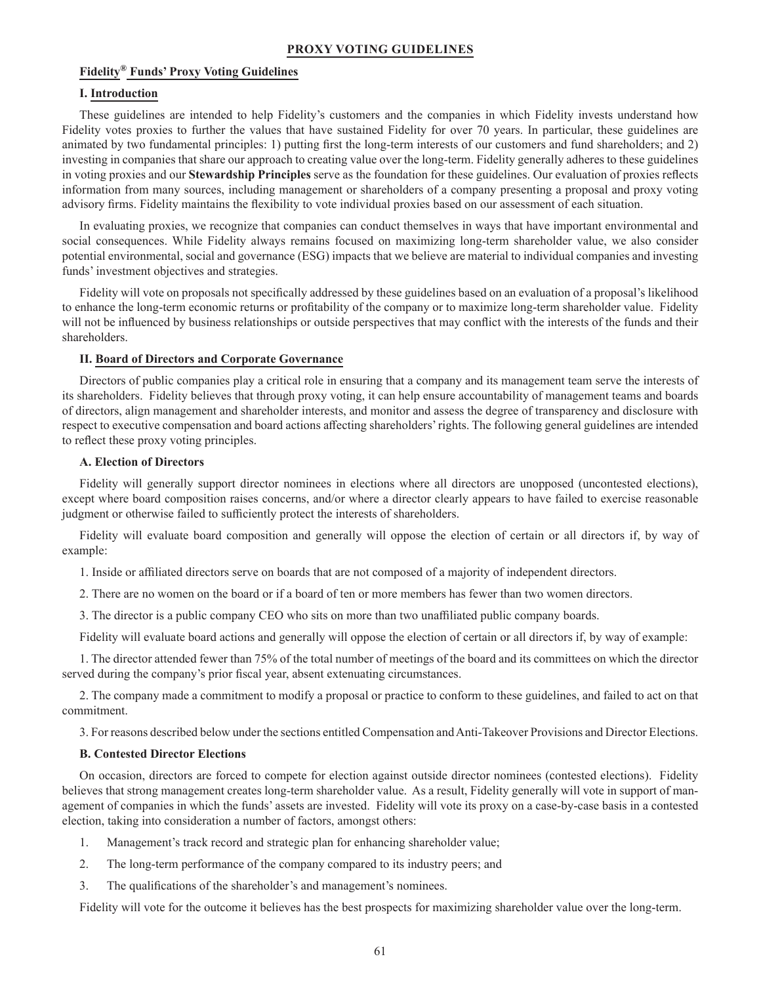# **Fidelity® Funds' Proxy Voting Guidelines**

### **I. Introduction**

These guidelines are intended to help Fidelity's customers and the companies in which Fidelity invests understand how Fidelity votes proxies to further the values that have sustained Fidelity for over 70 years. In particular, these guidelines are animated by two fundamental principles: 1) putting first the long-term interests of our customers and fund shareholders; and 2) investing in companies that share our approach to creating value over the long-term. Fidelity generally adheres to these guidelines in voting proxies and our **Stewardship Principles** serve as the foundation for these guidelines. Our evaluation of proxies reflects information from many sources, including management or shareholders of a company presenting a proposal and proxy voting advisory firms. Fidelity maintains the flexibility to vote individual proxies based on our assessment of each situation.

In evaluating proxies, we recognize that companies can conduct themselves in ways that have important environmental and social consequences. While Fidelity always remains focused on maximizing long-term shareholder value, we also consider potential environmental, social and governance (ESG) impacts that we believe are material to individual companies and investing funds' investment objectives and strategies.

Fidelity will vote on proposals not specifically addressed by these guidelines based on an evaluation of a proposal's likelihood to enhance the long-term economic returns or profitability of the company or to maximize long-term shareholder value. Fidelity will not be influenced by business relationships or outside perspectives that may conflict with the interests of the funds and their shareholders.

## **II. Board of Directors and Corporate Governance**

Directors of public companies play a critical role in ensuring that a company and its management team serve the interests of its shareholders. Fidelity believes that through proxy voting, it can help ensure accountability of management teams and boards of directors, align management and shareholder interests, and monitor and assess the degree of transparency and disclosure with respect to executive compensation and board actions affecting shareholders' rights. The following general guidelines are intended to reflect these proxy voting principles.

## **A. Election of Directors**

Fidelity will generally support director nominees in elections where all directors are unopposed (uncontested elections), except where board composition raises concerns, and/or where a director clearly appears to have failed to exercise reasonable judgment or otherwise failed to sufficiently protect the interests of shareholders.

Fidelity will evaluate board composition and generally will oppose the election of certain or all directors if, by way of example:

1. Inside or affiliated directors serve on boards that are not composed of a majority of independent directors.

2. There are no women on the board or if a board of ten or more members has fewer than two women directors.

3. The director is a public company CEO who sits on more than two unaffiliated public company boards.

Fidelity will evaluate board actions and generally will oppose the election of certain or all directors if, by way of example:

1. The director attended fewer than 75% of the total number of meetings of the board and its committees on which the director served during the company's prior fiscal year, absent extenuating circumstances.

2. The company made a commitment to modify a proposal or practice to conform to these guidelines, and failed to act on that commitment.

3. For reasons described below under the sections entitled Compensation and Anti-Takeover Provisions and Director Elections.

# **B. Contested Director Elections**

On occasion, directors are forced to compete for election against outside director nominees (contested elections). Fidelity believes that strong management creates long-term shareholder value. As a result, Fidelity generally will vote in support of management of companies in which the funds' assets are invested. Fidelity will vote its proxy on a case-by-case basis in a contested election, taking into consideration a number of factors, amongst others:

- 1. Management's track record and strategic plan for enhancing shareholder value;
- 2. The long-term performance of the company compared to its industry peers; and
- 3. The qualifications of the shareholder's and management's nominees.

Fidelity will vote for the outcome it believes has the best prospects for maximizing shareholder value over the long-term.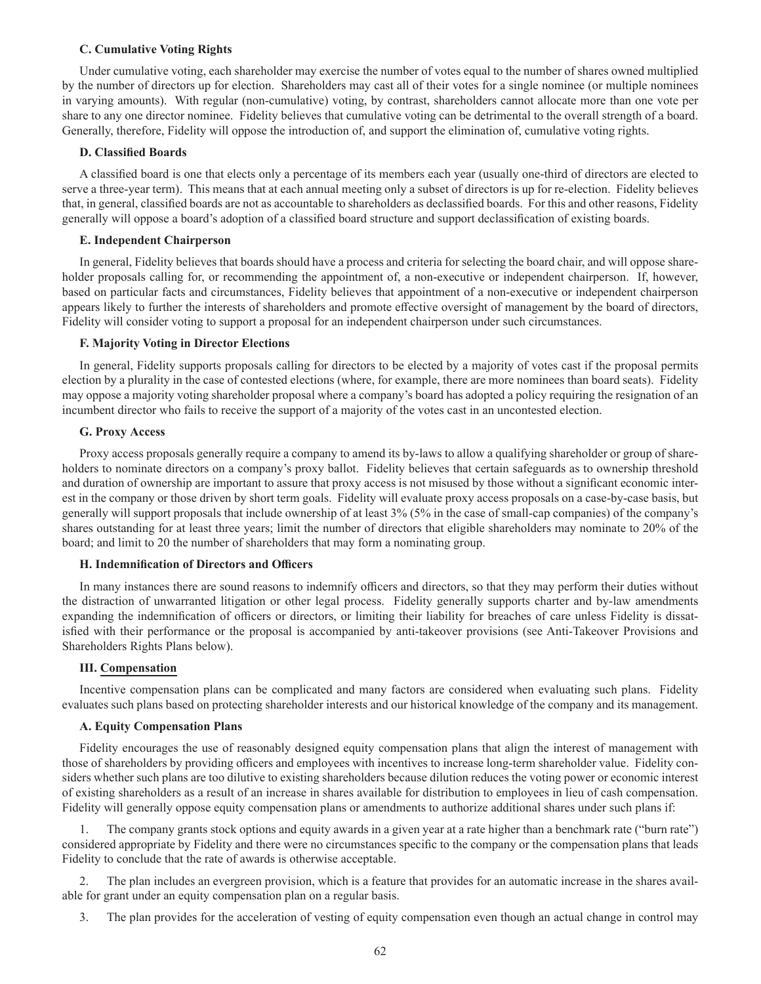### **C. Cumulative Voting Rights**

Under cumulative voting, each shareholder may exercise the number of votes equal to the number of shares owned multiplied by the number of directors up for election. Shareholders may cast all of their votes for a single nominee (or multiple nominees in varying amounts). With regular (non-cumulative) voting, by contrast, shareholders cannot allocate more than one vote per share to any one director nominee. Fidelity believes that cumulative voting can be detrimental to the overall strength of a board. Generally, therefore, Fidelity will oppose the introduction of, and support the elimination of, cumulative voting rights.

#### **D. Classified Boards**

A classified board is one that elects only a percentage of its members each year (usually one-third of directors are elected to serve a three-year term). This means that at each annual meeting only a subset of directors is up for re-election. Fidelity believes that, in general, classified boards are not as accountable to shareholders as declassified boards. For this and other reasons, Fidelity generally will oppose a board's adoption of a classified board structure and support declassification of existing boards.

#### **E. Independent Chairperson**

In general, Fidelity believes that boards should have a process and criteria for selecting the board chair, and will oppose shareholder proposals calling for, or recommending the appointment of, a non-executive or independent chairperson. If, however, based on particular facts and circumstances, Fidelity believes that appointment of a non-executive or independent chairperson appears likely to further the interests of shareholders and promote effective oversight of management by the board of directors, Fidelity will consider voting to support a proposal for an independent chairperson under such circumstances.

#### **F. Majority Voting in Director Elections**

In general, Fidelity supports proposals calling for directors to be elected by a majority of votes cast if the proposal permits election by a plurality in the case of contested elections (where, for example, there are more nominees than board seats). Fidelity may oppose a majority voting shareholder proposal where a company's board has adopted a policy requiring the resignation of an incumbent director who fails to receive the support of a majority of the votes cast in an uncontested election.

#### **G. Proxy Access**

Proxy access proposals generally require a company to amend its by-laws to allow a qualifying shareholder or group of shareholders to nominate directors on a company's proxy ballot. Fidelity believes that certain safeguards as to ownership threshold and duration of ownership are important to assure that proxy access is not misused by those without a significant economic interest in the company or those driven by short term goals. Fidelity will evaluate proxy access proposals on a case-by-case basis, but generally will support proposals that include ownership of at least 3% (5% in the case of small-cap companies) of the company's shares outstanding for at least three years; limit the number of directors that eligible shareholders may nominate to 20% of the board; and limit to 20 the number of shareholders that may form a nominating group.

#### **H. Indemnification of Directors and Officers**

In many instances there are sound reasons to indemnify officers and directors, so that they may perform their duties without the distraction of unwarranted litigation or other legal process. Fidelity generally supports charter and by-law amendments expanding the indemnification of officers or directors, or limiting their liability for breaches of care unless Fidelity is dissatisfied with their performance or the proposal is accompanied by anti-takeover provisions (see Anti-Takeover Provisions and Shareholders Rights Plans below).

#### **III. Compensation**

Incentive compensation plans can be complicated and many factors are considered when evaluating such plans. Fidelity evaluates such plans based on protecting shareholder interests and our historical knowledge of the company and its management.

#### **A. Equity Compensation Plans**

Fidelity encourages the use of reasonably designed equity compensation plans that align the interest of management with those of shareholders by providing officers and employees with incentives to increase long-term shareholder value. Fidelity considers whether such plans are too dilutive to existing shareholders because dilution reduces the voting power or economic interest of existing shareholders as a result of an increase in shares available for distribution to employees in lieu of cash compensation. Fidelity will generally oppose equity compensation plans or amendments to authorize additional shares under such plans if:

1. The company grants stock options and equity awards in a given year at a rate higher than a benchmark rate ("burn rate") considered appropriate by Fidelity and there were no circumstances specific to the company or the compensation plans that leads Fidelity to conclude that the rate of awards is otherwise acceptable.

2. The plan includes an evergreen provision, which is a feature that provides for an automatic increase in the shares available for grant under an equity compensation plan on a regular basis.

3. The plan provides for the acceleration of vesting of equity compensation even though an actual change in control may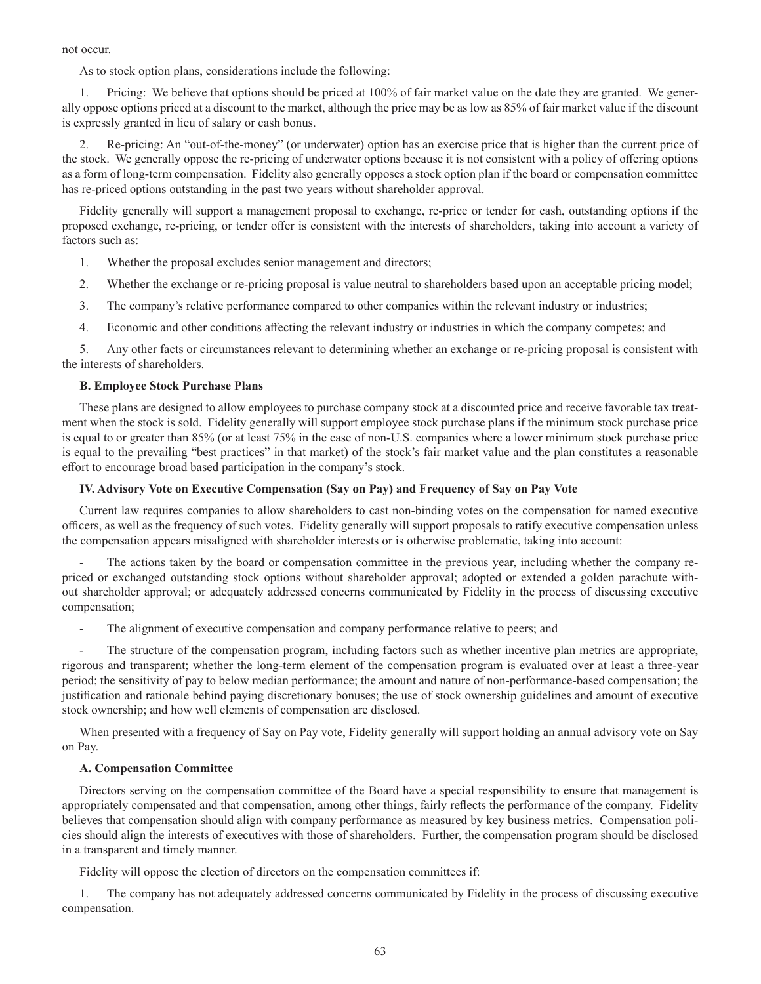not occur.

As to stock option plans, considerations include the following:

1. Pricing: We believe that options should be priced at 100% of fair market value on the date they are granted. We generally oppose options priced at a discount to the market, although the price may be as low as 85% of fair market value if the discount is expressly granted in lieu of salary or cash bonus.

2. Re-pricing: An "out-of-the-money" (or underwater) option has an exercise price that is higher than the current price of the stock. We generally oppose the re-pricing of underwater options because it is not consistent with a policy of offering options as a form of long-term compensation. Fidelity also generally opposes a stock option plan if the board or compensation committee has re-priced options outstanding in the past two years without shareholder approval.

Fidelity generally will support a management proposal to exchange, re-price or tender for cash, outstanding options if the proposed exchange, re-pricing, or tender offer is consistent with the interests of shareholders, taking into account a variety of factors such as:

- 1. Whether the proposal excludes senior management and directors;
- 2. Whether the exchange or re-pricing proposal is value neutral to shareholders based upon an acceptable pricing model;
- 3. The company's relative performance compared to other companies within the relevant industry or industries;
- 4. Economic and other conditions affecting the relevant industry or industries in which the company competes; and

5. Any other facts or circumstances relevant to determining whether an exchange or re-pricing proposal is consistent with the interests of shareholders.

## **B. Employee Stock Purchase Plans**

These plans are designed to allow employees to purchase company stock at a discounted price and receive favorable tax treatment when the stock is sold. Fidelity generally will support employee stock purchase plans if the minimum stock purchase price is equal to or greater than 85% (or at least 75% in the case of non-U.S. companies where a lower minimum stock purchase price is equal to the prevailing "best practices" in that market) of the stock's fair market value and the plan constitutes a reasonable effort to encourage broad based participation in the company's stock.

# **IV. Advisory Vote on Executive Compensation (Say on Pay) and Frequency of Say on Pay Vote**

Current law requires companies to allow shareholders to cast non-binding votes on the compensation for named executive officers, as well as the frequency of such votes. Fidelity generally will support proposals to ratify executive compensation unless the compensation appears misaligned with shareholder interests or is otherwise problematic, taking into account:

The actions taken by the board or compensation committee in the previous year, including whether the company repriced or exchanged outstanding stock options without shareholder approval; adopted or extended a golden parachute without shareholder approval; or adequately addressed concerns communicated by Fidelity in the process of discussing executive compensation;

The alignment of executive compensation and company performance relative to peers; and

The structure of the compensation program, including factors such as whether incentive plan metrics are appropriate, rigorous and transparent; whether the long-term element of the compensation program is evaluated over at least a three-year period; the sensitivity of pay to below median performance; the amount and nature of non-performance-based compensation; the justification and rationale behind paying discretionary bonuses; the use of stock ownership guidelines and amount of executive stock ownership; and how well elements of compensation are disclosed.

When presented with a frequency of Say on Pay vote, Fidelity generally will support holding an annual advisory vote on Say on Pay.

# **A. Compensation Committee**

Directors serving on the compensation committee of the Board have a special responsibility to ensure that management is appropriately compensated and that compensation, among other things, fairly reflects the performance of the company. Fidelity believes that compensation should align with company performance as measured by key business metrics. Compensation policies should align the interests of executives with those of shareholders. Further, the compensation program should be disclosed in a transparent and timely manner.

Fidelity will oppose the election of directors on the compensation committees if:

1. The company has not adequately addressed concerns communicated by Fidelity in the process of discussing executive compensation.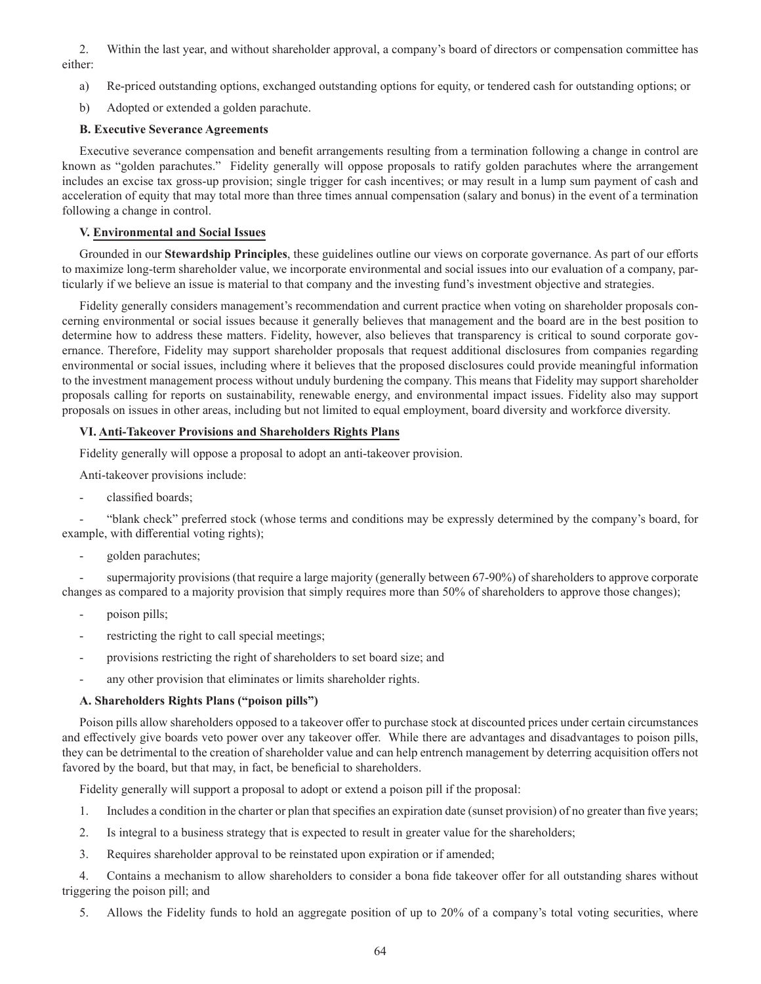2. Within the last year, and without shareholder approval, a company's board of directors or compensation committee has either:

- a) Re-priced outstanding options, exchanged outstanding options for equity, or tendered cash for outstanding options; or
- b) Adopted or extended a golden parachute.

## **B. Executive Severance Agreements**

Executive severance compensation and benefit arrangements resulting from a termination following a change in control are known as "golden parachutes." Fidelity generally will oppose proposals to ratify golden parachutes where the arrangement includes an excise tax gross-up provision; single trigger for cash incentives; or may result in a lump sum payment of cash and acceleration of equity that may total more than three times annual compensation (salary and bonus) in the event of a termination following a change in control.

## **V. Environmental and Social Issues**

Grounded in our **Stewardship Principles**, these guidelines outline our views on corporate governance. As part of our efforts to maximize long-term shareholder value, we incorporate environmental and social issues into our evaluation of a company, particularly if we believe an issue is material to that company and the investing fund's investment objective and strategies.

Fidelity generally considers management's recommendation and current practice when voting on shareholder proposals concerning environmental or social issues because it generally believes that management and the board are in the best position to determine how to address these matters. Fidelity, however, also believes that transparency is critical to sound corporate governance. Therefore, Fidelity may support shareholder proposals that request additional disclosures from companies regarding environmental or social issues, including where it believes that the proposed disclosures could provide meaningful information to the investment management process without unduly burdening the company. This means that Fidelity may support shareholder proposals calling for reports on sustainability, renewable energy, and environmental impact issues. Fidelity also may support proposals on issues in other areas, including but not limited to equal employment, board diversity and workforce diversity.

### **VI. Anti-Takeover Provisions and Shareholders Rights Plans**

Fidelity generally will oppose a proposal to adopt an anti-takeover provision.

Anti-takeover provisions include:

- classified boards;

- "blank check" preferred stock (whose terms and conditions may be expressly determined by the company's board, for example, with differential voting rights);

- golden parachutes;

supermajority provisions (that require a large majority (generally between 67-90%) of shareholders to approve corporate changes as compared to a majority provision that simply requires more than 50% of shareholders to approve those changes);

- poison pills;
- restricting the right to call special meetings;
- provisions restricting the right of shareholders to set board size; and
- any other provision that eliminates or limits shareholder rights.

# **A. Shareholders Rights Plans ("poison pills")**

Poison pills allow shareholders opposed to a takeover offer to purchase stock at discounted prices under certain circumstances and effectively give boards veto power over any takeover offer. While there are advantages and disadvantages to poison pills, they can be detrimental to the creation of shareholder value and can help entrench management by deterring acquisition offers not favored by the board, but that may, in fact, be beneficial to shareholders.

Fidelity generally will support a proposal to adopt or extend a poison pill if the proposal:

- 1. Includes a condition in the charter or plan that specifies an expiration date (sunset provision) of no greater than five years;
- 2. Is integral to a business strategy that is expected to result in greater value for the shareholders;
- 3. Requires shareholder approval to be reinstated upon expiration or if amended;

4. Contains a mechanism to allow shareholders to consider a bona fide takeover offer for all outstanding shares without triggering the poison pill; and

5. Allows the Fidelity funds to hold an aggregate position of up to 20% of a company's total voting securities, where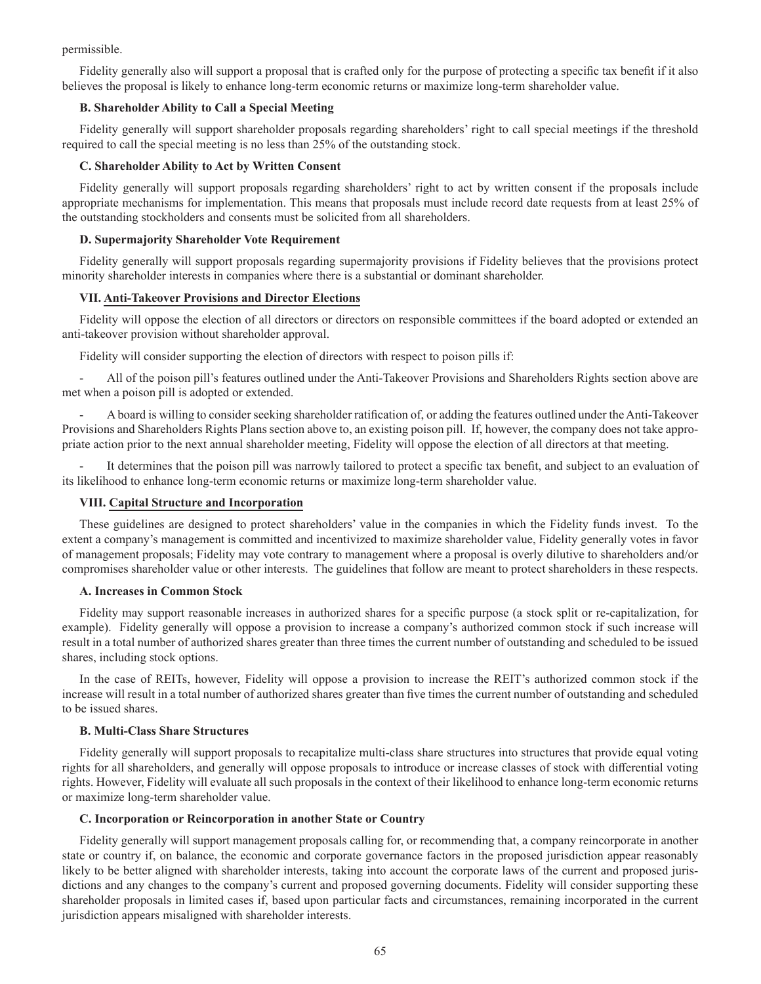permissible.

Fidelity generally also will support a proposal that is crafted only for the purpose of protecting a specific tax benefit if it also believes the proposal is likely to enhance long-term economic returns or maximize long-term shareholder value.

# **B. Shareholder Ability to Call a Special Meeting**

Fidelity generally will support shareholder proposals regarding shareholders' right to call special meetings if the threshold required to call the special meeting is no less than 25% of the outstanding stock.

# **C. Shareholder Ability to Act by Written Consent**

Fidelity generally will support proposals regarding shareholders' right to act by written consent if the proposals include appropriate mechanisms for implementation. This means that proposals must include record date requests from at least 25% of the outstanding stockholders and consents must be solicited from all shareholders.

# **D. Supermajority Shareholder Vote Requirement**

Fidelity generally will support proposals regarding supermajority provisions if Fidelity believes that the provisions protect minority shareholder interests in companies where there is a substantial or dominant shareholder.

## **VII. Anti-Takeover Provisions and Director Elections**

Fidelity will oppose the election of all directors or directors on responsible committees if the board adopted or extended an anti-takeover provision without shareholder approval.

Fidelity will consider supporting the election of directors with respect to poison pills if:

- All of the poison pill's features outlined under the Anti-Takeover Provisions and Shareholders Rights section above are met when a poison pill is adopted or extended.

- A board is willing to consider seeking shareholder ratification of, or adding the features outlined under the Anti-Takeover Provisions and Shareholders Rights Plans section above to, an existing poison pill. If, however, the company does not take appropriate action prior to the next annual shareholder meeting, Fidelity will oppose the election of all directors at that meeting.

It determines that the poison pill was narrowly tailored to protect a specific tax benefit, and subject to an evaluation of its likelihood to enhance long-term economic returns or maximize long-term shareholder value.

# **VIII. Capital Structure and Incorporation**

These guidelines are designed to protect shareholders' value in the companies in which the Fidelity funds invest. To the extent a company's management is committed and incentivized to maximize shareholder value, Fidelity generally votes in favor of management proposals; Fidelity may vote contrary to management where a proposal is overly dilutive to shareholders and/or compromises shareholder value or other interests. The guidelines that follow are meant to protect shareholders in these respects.

### **A. Increases in Common Stock**

Fidelity may support reasonable increases in authorized shares for a specific purpose (a stock split or re-capitalization, for example). Fidelity generally will oppose a provision to increase a company's authorized common stock if such increase will result in a total number of authorized shares greater than three times the current number of outstanding and scheduled to be issued shares, including stock options.

In the case of REITs, however, Fidelity will oppose a provision to increase the REIT's authorized common stock if the increase will result in a total number of authorized shares greater than five times the current number of outstanding and scheduled to be issued shares.

# **B. Multi-Class Share Structures**

Fidelity generally will support proposals to recapitalize multi-class share structures into structures that provide equal voting rights for all shareholders, and generally will oppose proposals to introduce or increase classes of stock with differential voting rights. However, Fidelity will evaluate all such proposals in the context of their likelihood to enhance long-term economic returns or maximize long-term shareholder value.

### **C. Incorporation or Reincorporation in another State or Country**

Fidelity generally will support management proposals calling for, or recommending that, a company reincorporate in another state or country if, on balance, the economic and corporate governance factors in the proposed jurisdiction appear reasonably likely to be better aligned with shareholder interests, taking into account the corporate laws of the current and proposed jurisdictions and any changes to the company's current and proposed governing documents. Fidelity will consider supporting these shareholder proposals in limited cases if, based upon particular facts and circumstances, remaining incorporated in the current jurisdiction appears misaligned with shareholder interests.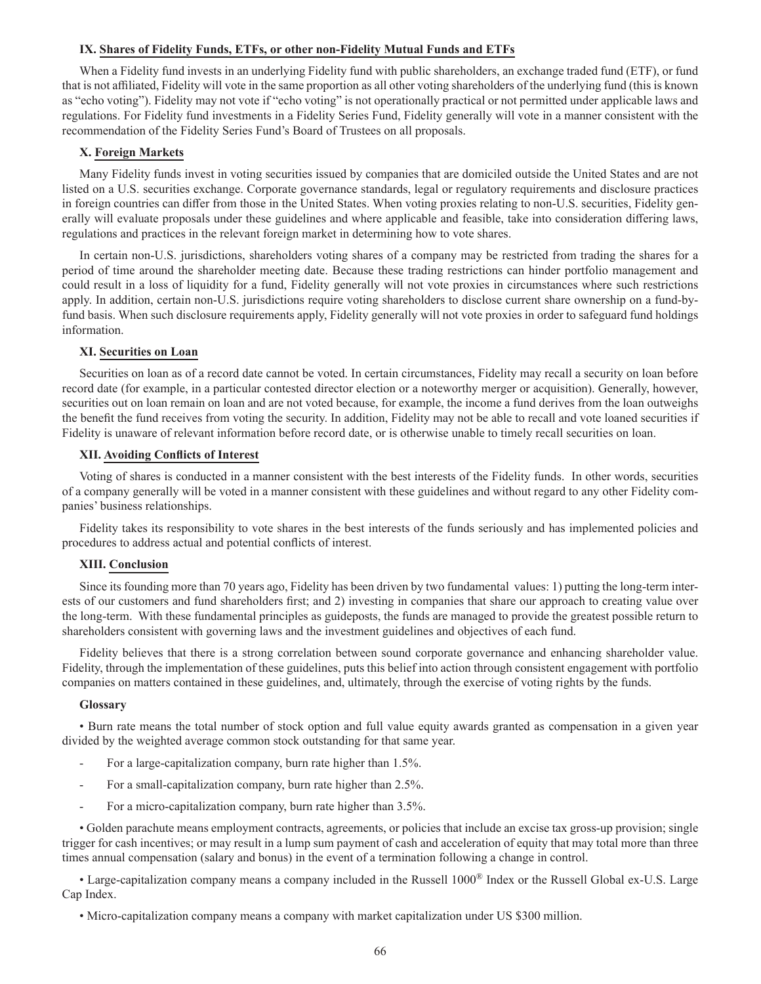### **IX. Shares of Fidelity Funds, ETFs, or other non-Fidelity Mutual Funds and ETFs**

When a Fidelity fund invests in an underlying Fidelity fund with public shareholders, an exchange traded fund (ETF), or fund that is not affiliated, Fidelity will vote in the same proportion as all other voting shareholders of the underlying fund (this is known as "echo voting"). Fidelity may not vote if "echo voting" is not operationally practical or not permitted under applicable laws and regulations. For Fidelity fund investments in a Fidelity Series Fund, Fidelity generally will vote in a manner consistent with the recommendation of the Fidelity Series Fund's Board of Trustees on all proposals.

#### **X. Foreign Markets**

Many Fidelity funds invest in voting securities issued by companies that are domiciled outside the United States and are not listed on a U.S. securities exchange. Corporate governance standards, legal or regulatory requirements and disclosure practices in foreign countries can differ from those in the United States. When voting proxies relating to non-U.S. securities, Fidelity generally will evaluate proposals under these guidelines and where applicable and feasible, take into consideration differing laws, regulations and practices in the relevant foreign market in determining how to vote shares.

In certain non-U.S. jurisdictions, shareholders voting shares of a company may be restricted from trading the shares for a period of time around the shareholder meeting date. Because these trading restrictions can hinder portfolio management and could result in a loss of liquidity for a fund, Fidelity generally will not vote proxies in circumstances where such restrictions apply. In addition, certain non-U.S. jurisdictions require voting shareholders to disclose current share ownership on a fund-byfund basis. When such disclosure requirements apply, Fidelity generally will not vote proxies in order to safeguard fund holdings information.

#### **XI. Securities on Loan**

Securities on loan as of a record date cannot be voted. In certain circumstances, Fidelity may recall a security on loan before record date (for example, in a particular contested director election or a noteworthy merger or acquisition). Generally, however, securities out on loan remain on loan and are not voted because, for example, the income a fund derives from the loan outweighs the benefit the fund receives from voting the security. In addition, Fidelity may not be able to recall and vote loaned securities if Fidelity is unaware of relevant information before record date, or is otherwise unable to timely recall securities on loan.

#### **XII. Avoiding Conflicts of Interest**

Voting of shares is conducted in a manner consistent with the best interests of the Fidelity funds. In other words, securities of a company generally will be voted in a manner consistent with these guidelines and without regard to any other Fidelity companies' business relationships.

Fidelity takes its responsibility to vote shares in the best interests of the funds seriously and has implemented policies and procedures to address actual and potential conflicts of interest.

### **XIII. Conclusion**

Since its founding more than 70 years ago, Fidelity has been driven by two fundamental values: 1) putting the long-term interests of our customers and fund shareholders first; and 2) investing in companies that share our approach to creating value over the long-term. With these fundamental principles as guideposts, the funds are managed to provide the greatest possible return to shareholders consistent with governing laws and the investment guidelines and objectives of each fund.

Fidelity believes that there is a strong correlation between sound corporate governance and enhancing shareholder value. Fidelity, through the implementation of these guidelines, puts this belief into action through consistent engagement with portfolio companies on matters contained in these guidelines, and, ultimately, through the exercise of voting rights by the funds.

#### **Glossary**

• Burn rate means the total number of stock option and full value equity awards granted as compensation in a given year divided by the weighted average common stock outstanding for that same year.

- For a large-capitalization company, burn rate higher than 1.5%.
- For a small-capitalization company, burn rate higher than 2.5%.
- For a micro-capitalization company, burn rate higher than 3.5%.

• Golden parachute means employment contracts, agreements, or policies that include an excise tax gross-up provision; single trigger for cash incentives; or may result in a lump sum payment of cash and acceleration of equity that may total more than three times annual compensation (salary and bonus) in the event of a termination following a change in control.

• Large-capitalization company means a company included in the Russell 1000® Index or the Russell Global ex-U.S. Large Cap Index.

• Micro-capitalization company means a company with market capitalization under US \$300 million.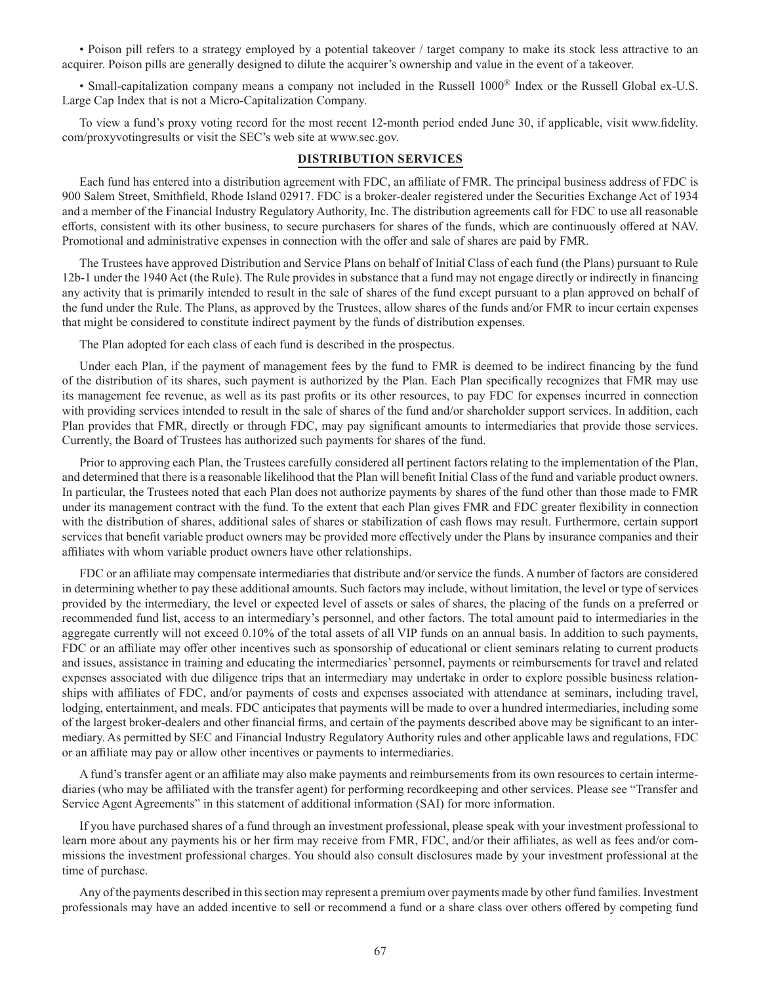• Poison pill refers to a strategy employed by a potential takeover / target company to make its stock less attractive to an acquirer. Poison pills are generally designed to dilute the acquirer's ownership and value in the event of a takeover.

• Small-capitalization company means a company not included in the Russell 1000® Index or the Russell Global ex-U.S. Large Cap Index that is not a Micro-Capitalization Company.

To view a fund's proxy voting record for the most recent 12-month period ended June 30, if applicable, visit www.fidelity. com/proxyvotingresults or visit the SEC's web site at www.sec.gov.

## **DISTRIBUTION SERVICES**

Each fund has entered into a distribution agreement with FDC, an affiliate of FMR. The principal business address of FDC is 900 Salem Street, Smithfield, Rhode Island 02917. FDC is a broker-dealer registered under the Securities Exchange Act of 1934 and a member of the Financial Industry Regulatory Authority, Inc. The distribution agreements call for FDC to use all reasonable efforts, consistent with its other business, to secure purchasers for shares of the funds, which are continuously offered at NAV. Promotional and administrative expenses in connection with the offer and sale of shares are paid by FMR.

The Trustees have approved Distribution and Service Plans on behalf of Initial Class of each fund (the Plans) pursuant to Rule 12b-1 under the 1940 Act (the Rule). The Rule provides in substance that a fund may not engage directly or indirectly in financing any activity that is primarily intended to result in the sale of shares of the fund except pursuant to a plan approved on behalf of the fund under the Rule. The Plans, as approved by the Trustees, allow shares of the funds and/or FMR to incur certain expenses that might be considered to constitute indirect payment by the funds of distribution expenses.

The Plan adopted for each class of each fund is described in the prospectus.

Under each Plan, if the payment of management fees by the fund to FMR is deemed to be indirect financing by the fund of the distribution of its shares, such payment is authorized by the Plan. Each Plan specifically recognizes that FMR may use its management fee revenue, as well as its past profits or its other resources, to pay FDC for expenses incurred in connection with providing services intended to result in the sale of shares of the fund and/or shareholder support services. In addition, each Plan provides that FMR, directly or through FDC, may pay significant amounts to intermediaries that provide those services. Currently, the Board of Trustees has authorized such payments for shares of the fund.

Prior to approving each Plan, the Trustees carefully considered all pertinent factors relating to the implementation of the Plan, and determined that there is a reasonable likelihood that the Plan will benefit Initial Class of the fund and variable product owners. In particular, the Trustees noted that each Plan does not authorize payments by shares of the fund other than those made to FMR under its management contract with the fund. To the extent that each Plan gives FMR and FDC greater flexibility in connection with the distribution of shares, additional sales of shares or stabilization of cash flows may result. Furthermore, certain support services that benefit variable product owners may be provided more effectively under the Plans by insurance companies and their affiliates with whom variable product owners have other relationships.

FDC or an affiliate may compensate intermediaries that distribute and/or service the funds. A number of factors are considered in determining whether to pay these additional amounts. Such factors may include, without limitation, the level or type of services provided by the intermediary, the level or expected level of assets or sales of shares, the placing of the funds on a preferred or recommended fund list, access to an intermediary's personnel, and other factors. The total amount paid to intermediaries in the aggregate currently will not exceed 0.10% of the total assets of all VIP funds on an annual basis. In addition to such payments, FDC or an affiliate may offer other incentives such as sponsorship of educational or client seminars relating to current products and issues, assistance in training and educating the intermediaries' personnel, payments or reimbursements for travel and related expenses associated with due diligence trips that an intermediary may undertake in order to explore possible business relationships with affiliates of FDC, and/or payments of costs and expenses associated with attendance at seminars, including travel, lodging, entertainment, and meals. FDC anticipates that payments will be made to over a hundred intermediaries, including some of the largest broker-dealers and other financial firms, and certain of the payments described above may be significant to an intermediary. As permitted by SEC and Financial Industry Regulatory Authority rules and other applicable laws and regulations, FDC or an affiliate may pay or allow other incentives or payments to intermediaries.

A fund's transfer agent or an affiliate may also make payments and reimbursements from its own resources to certain intermediaries (who may be affiliated with the transfer agent) for performing recordkeeping and other services. Please see "Transfer and Service Agent Agreements" in this statement of additional information (SAI) for more information.

If you have purchased shares of a fund through an investment professional, please speak with your investment professional to learn more about any payments his or her firm may receive from FMR, FDC, and/or their affiliates, as well as fees and/or commissions the investment professional charges. You should also consult disclosures made by your investment professional at the time of purchase.

Any of the payments described in this section may represent a premium over payments made by other fund families. Investment professionals may have an added incentive to sell or recommend a fund or a share class over others offered by competing fund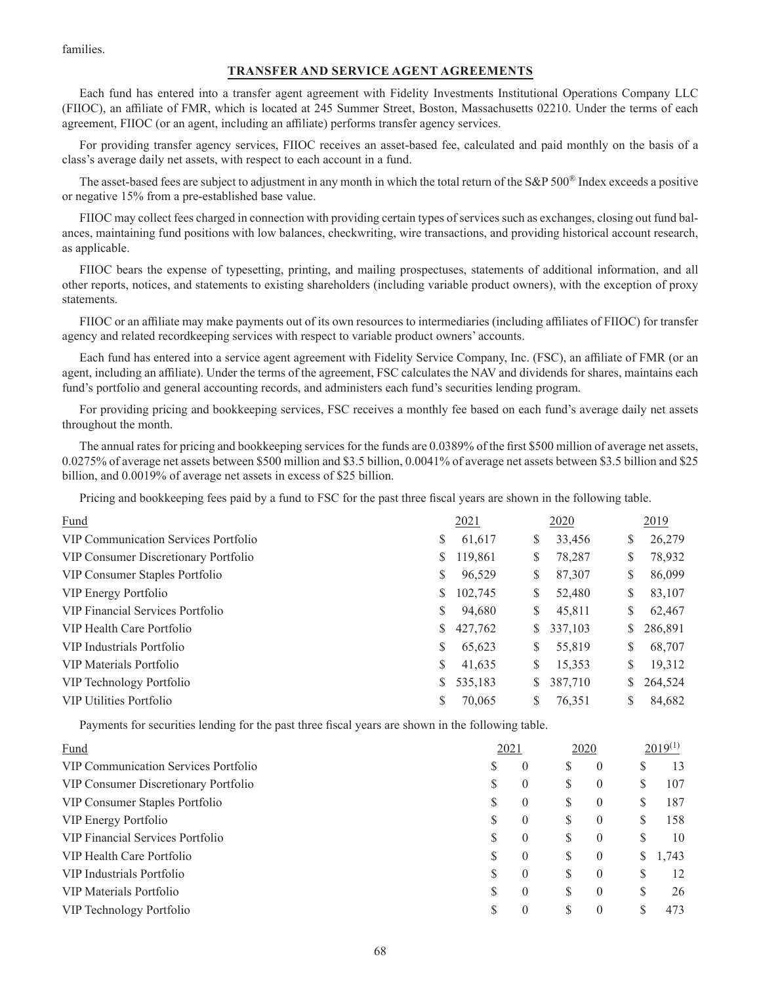families.

# **TRANSFER AND SERVICE AGENT AGREEMENTS**

Each fund has entered into a transfer agent agreement with Fidelity Investments Institutional Operations Company LLC (FIIOC), an affiliate of FMR, which is located at 245 Summer Street, Boston, Massachusetts 02210. Under the terms of each agreement, FIIOC (or an agent, including an affiliate) performs transfer agency services.

For providing transfer agency services, FIIOC receives an asset-based fee, calculated and paid monthly on the basis of a class's average daily net assets, with respect to each account in a fund.

The asset-based fees are subject to adjustment in any month in which the total return of the S&P 500® Index exceeds a positive or negative 15% from a pre-established base value.

FIIOC may collect fees charged in connection with providing certain types of services such as exchanges, closing out fund balances, maintaining fund positions with low balances, checkwriting, wire transactions, and providing historical account research, as applicable.

FIIOC bears the expense of typesetting, printing, and mailing prospectuses, statements of additional information, and all other reports, notices, and statements to existing shareholders (including variable product owners), with the exception of proxy statements.

FIIOC or an affiliate may make payments out of its own resources to intermediaries (including affiliates of FIIOC) for transfer agency and related recordkeeping services with respect to variable product owners' accounts.

Each fund has entered into a service agent agreement with Fidelity Service Company, Inc. (FSC), an affiliate of FMR (or an agent, including an affiliate). Under the terms of the agreement, FSC calculates the NAV and dividends for shares, maintains each fund's portfolio and general accounting records, and administers each fund's securities lending program.

For providing pricing and bookkeeping services, FSC receives a monthly fee based on each fund's average daily net assets throughout the month.

The annual rates for pricing and bookkeeping services for the funds are 0.0389% of the first \$500 million of average net assets, 0.0275% of average net assets between \$500 million and \$3.5 billion, 0.0041% of average net assets between \$3.5 billion and \$25 billion, and 0.0019% of average net assets in excess of \$25 billion.

Pricing and bookkeeping fees paid by a fund to FSC for the past three fiscal years are shown in the following table.

| Fund                                        |    | 2021    |    | 2020    |    | 2019    |
|---------------------------------------------|----|---------|----|---------|----|---------|
| <b>VIP Communication Services Portfolio</b> | \$ | 61,617  | S  | 33,456  | \$ | 26,279  |
| VIP Consumer Discretionary Portfolio        | \$ | 119,861 | S  | 78,287  | \$ | 78,932  |
| VIP Consumer Staples Portfolio              | \$ | 96,529  | \$ | 87,307  | \$ | 86,099  |
| VIP Energy Portfolio                        | \$ | 102,745 | \$ | 52,480  | \$ | 83,107  |
| VIP Financial Services Portfolio            | \$ | 94,680  | \$ | 45,811  | \$ | 62,467  |
| VIP Health Care Portfolio                   | \$ | 427,762 | S. | 337,103 |    | 286,891 |
| VIP Industrials Portfolio                   | \$ | 65,623  | \$ | 55,819  | S. | 68,707  |
| VIP Materials Portfolio                     | \$ | 41,635  | \$ | 15,353  | \$ | 19,312  |
| VIP Technology Portfolio                    | \$ | 535,183 | S. | 387,710 |    | 264,524 |
| <b>VIP Utilities Portfolio</b>              | S  | 70,065  | S  | 76.351  | S  | 84,682  |

Payments for securities lending for the past three fiscal years are shown in the following table.

| Fund                                 | 2021 |          | 2020 |          |   | $2019^{(1)}$ |  |
|--------------------------------------|------|----------|------|----------|---|--------------|--|
| VIP Communication Services Portfolio | S    | $\theta$ | S    | $\theta$ | S | 13           |  |
| VIP Consumer Discretionary Portfolio |      | $\theta$ | S    | $\theta$ | S | 107          |  |
| VIP Consumer Staples Portfolio       | S    | $\theta$ | S    | $\theta$ | S | 187          |  |
| VIP Energy Portfolio                 | S    | $\theta$ | S    | $\theta$ | S | 158          |  |
| VIP Financial Services Portfolio     | S    | $\theta$ | S    | $\theta$ | S | 10           |  |
| VIP Health Care Portfolio            |      | $\theta$ | S    | $\theta$ | S | 1,743        |  |
| VIP Industrials Portfolio            | S    | $\theta$ | S    | $\theta$ | S | 12           |  |
| VIP Materials Portfolio              | S    | $\theta$ | S    | $\theta$ | S | 26           |  |
| VIP Technology Portfolio             |      | $\Omega$ | S    | $\theta$ |   | 473          |  |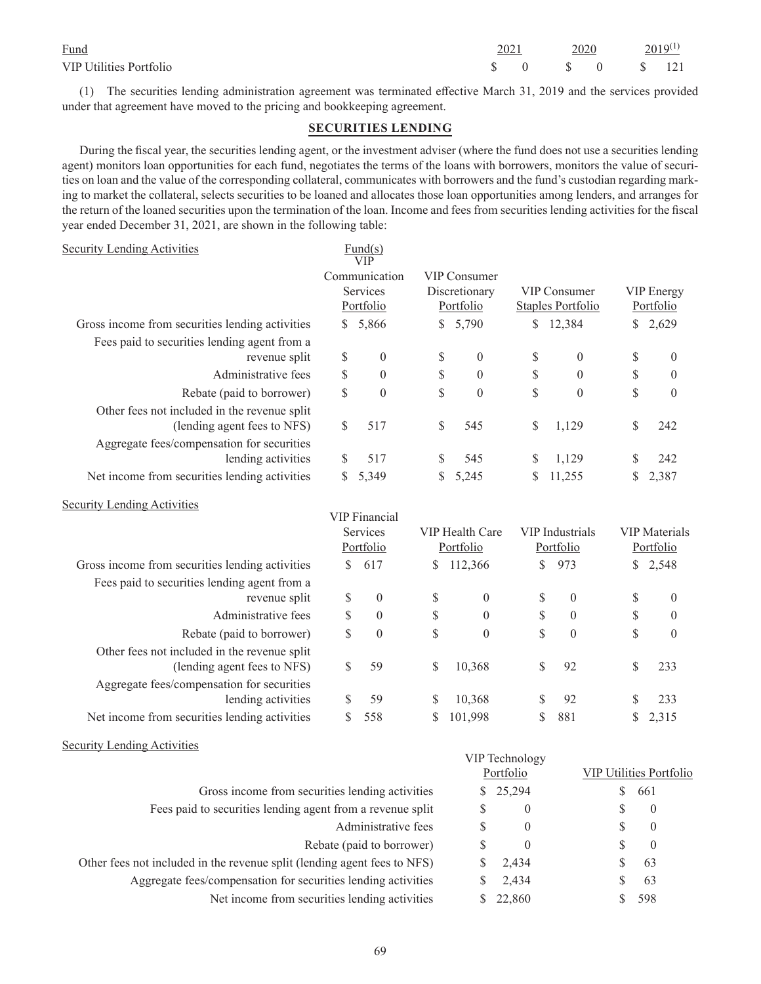| Fund                           | 2021 | 2020 |                                                                                       | $2019^{(1)}$ |  |
|--------------------------------|------|------|---------------------------------------------------------------------------------------|--------------|--|
| <b>VIP Utilities Portfolio</b> |      |      | $\begin{array}{ccccccccc}\n\text{S} & 0 & \text{S} & 0 & \text{S} & 121\n\end{array}$ |              |  |

(1) The securities lending administration agreement was terminated effective March 31, 2019 and the services provided under that agreement have moved to the pricing and bookkeeping agreement.

## **SECURITIES LENDING**

During the fiscal year, the securities lending agent, or the investment adviser (where the fund does not use a securities lending agent) monitors loan opportunities for each fund, negotiates the terms of the loans with borrowers, monitors the value of securities on loan and the value of the corresponding collateral, communicates with borrowers and the fund's custodian regarding marking to market the collateral, selects securities to be loaned and allocates those loan opportunities among lenders, and arranges for the return of the loaned securities upon the termination of the loan. Income and fees from securities lending activities for the fiscal year ended December 31, 2021, are shown in the following table:

| <b>Security Lending Activities</b>                                          |                           | $\frac{Fund(s)}{s}$<br><b>VIP</b> |                                                   |                  |                                          |                  |                                   |                  |  |
|-----------------------------------------------------------------------------|---------------------------|-----------------------------------|---------------------------------------------------|------------------|------------------------------------------|------------------|-----------------------------------|------------------|--|
|                                                                             |                           | Communication                     | <b>VIP Consumer</b><br>Discretionary<br>Portfolio |                  |                                          |                  |                                   |                  |  |
|                                                                             |                           | Services                          |                                                   |                  | <b>VIP Consumer</b><br>Staples Portfolio |                  | <b>VIP</b> Energy                 |                  |  |
|                                                                             |                           | Portfolio                         |                                                   |                  |                                          |                  |                                   | Portfolio        |  |
| Gross income from securities lending activities                             | \$                        | 5,866                             | $\mathbb{S}$                                      | 5,790            |                                          | \$12,384         | $\mathbb{S}$                      | 2,629            |  |
| Fees paid to securities lending agent from a                                |                           |                                   |                                                   |                  |                                          |                  |                                   |                  |  |
| revenue split                                                               | \$                        | $\boldsymbol{0}$                  | \$                                                | $\mathbf{0}$     | \$                                       | $\mathbf{0}$     | \$                                | $\boldsymbol{0}$ |  |
| Administrative fees                                                         | $\boldsymbol{\mathsf{S}}$ | $\mathbf{0}$                      | \$                                                | $\mathbf{0}$     | $\mathbb S$                              | $\mathbf{0}$     | \$                                | $\boldsymbol{0}$ |  |
| Rebate (paid to borrower)                                                   | \$                        | $\mathbf{0}$                      | \$                                                | $\theta$         | \$                                       | $\theta$         | \$                                | $\mathbf{0}$     |  |
| Other fees not included in the revenue split<br>(lending agent fees to NFS) | \$                        | 517                               | \$                                                | 545              | \$                                       | 1,129            | \$                                | 242              |  |
| Aggregate fees/compensation for securities                                  |                           |                                   |                                                   |                  |                                          |                  |                                   |                  |  |
| lending activities                                                          | \$                        | 517                               | \$                                                | 545              | \$                                       | 1,129            | \$                                | 242              |  |
| Net income from securities lending activities                               | \$                        | 5,349                             | $\mathbb{S}$                                      | 5,245            | \$                                       | 11,255           | \$                                | 2,387            |  |
| <b>Security Lending Activities</b>                                          |                           |                                   |                                                   |                  |                                          |                  |                                   |                  |  |
|                                                                             |                           | <b>VIP</b> Financial              |                                                   |                  |                                          |                  |                                   |                  |  |
|                                                                             |                           | Services<br>Portfolio             | VIP Health Care<br>Portfolio                      |                  | <b>VIP</b> Industrials<br>Portfolio      |                  | <b>VIP</b> Materials<br>Portfolio |                  |  |
| Gross income from securities lending activities                             | \$                        | 617                               | \$                                                | 112,366          | \$                                       | 973              | \$                                | 2,548            |  |
| Fees paid to securities lending agent from a                                |                           |                                   |                                                   |                  |                                          |                  |                                   |                  |  |
| revenue split                                                               | \$                        | $\boldsymbol{0}$                  | $\$$                                              | $\boldsymbol{0}$ | \$                                       | $\boldsymbol{0}$ | \$                                | $\boldsymbol{0}$ |  |
| Administrative fees                                                         | \$                        | $\mathbf{0}$                      | $\$$                                              | $\mathbf{0}$     | \$                                       | $\boldsymbol{0}$ | \$                                | $\boldsymbol{0}$ |  |
| Rebate (paid to borrower)                                                   | \$                        | $\overline{0}$                    | \$                                                | $\mathbf{0}$     | $\mathbb{S}$                             | $\overline{0}$   | \$                                | $\mathbf{0}$     |  |
| Other fees not included in the revenue split                                |                           |                                   |                                                   |                  |                                          |                  |                                   |                  |  |
| (lending agent fees to NFS)                                                 | \$                        | 59                                | \$                                                | 10,368           | \$                                       | 92               | \$                                | 233              |  |
| Aggregate fees/compensation for securities                                  |                           |                                   |                                                   |                  |                                          |                  |                                   |                  |  |
| lending activities                                                          | \$                        | 59                                | \$                                                | 10,368           | \$                                       | 92               | \$                                | 233              |  |
| Net income from securities lending activities                               | \$                        | 558                               | \$                                                | 101,998          | \$                                       | 881              | \$                                | 2,315            |  |

| Security Lending Activities                                              |   |                |   |                                |  |  |
|--------------------------------------------------------------------------|---|----------------|---|--------------------------------|--|--|
|                                                                          |   | VIP Technology |   |                                |  |  |
|                                                                          |   | Portfolio      |   | <b>VIP Utilities Portfolio</b> |  |  |
| Gross income from securities lending activities                          |   | \$25,294       | S | 661                            |  |  |
| Fees paid to securities lending agent from a revenue split               | S | $\theta$       | S | $\theta$                       |  |  |
| Administrative fees                                                      | S | $\theta$       | S | $\theta$                       |  |  |
| Rebate (paid to borrower)                                                | S | $\theta$       | S | $\overline{0}$                 |  |  |
| Other fees not included in the revenue split (lending agent fees to NFS) |   | 2.434          |   | 63                             |  |  |
| Aggregate fees/compensation for securities lending activities            |   | 2,434          |   | 63                             |  |  |
| Net income from securities lending activities                            |   | 22,860         |   | 598                            |  |  |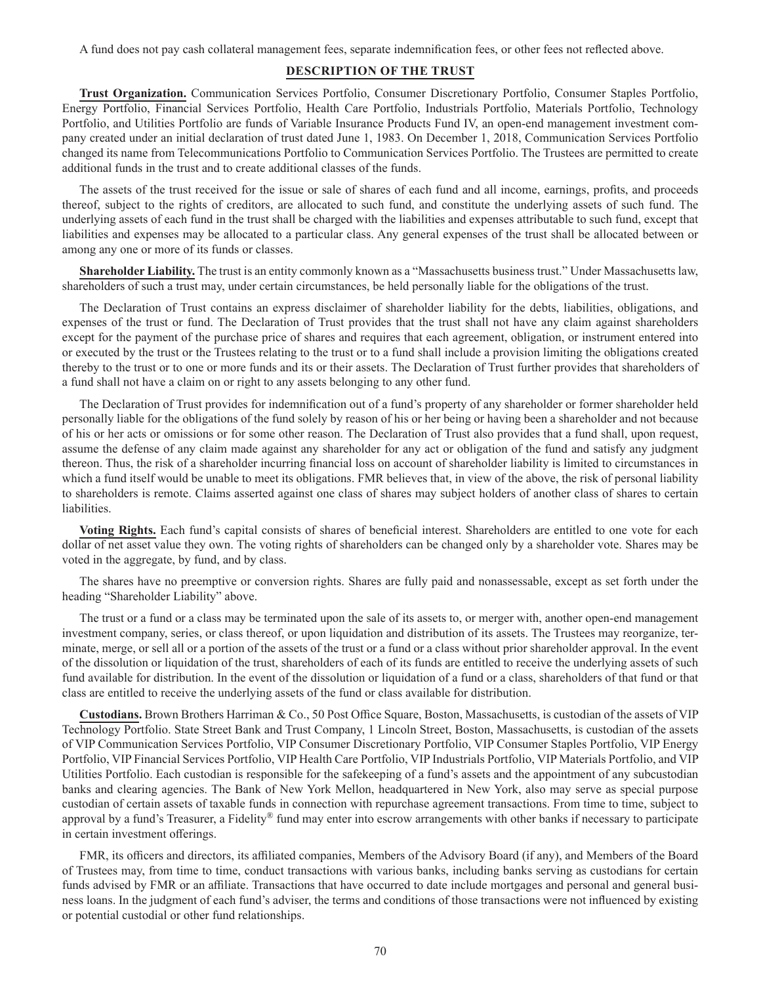A fund does not pay cash collateral management fees, separate indemnification fees, or other fees not reflected above.

## **DESCRIPTION OF THE TRUST**

**Trust Organization.** Communication Services Portfolio, Consumer Discretionary Portfolio, Consumer Staples Portfolio, Energy Portfolio, Financial Services Portfolio, Health Care Portfolio, Industrials Portfolio, Materials Portfolio, Technology Portfolio, and Utilities Portfolio are funds of Variable Insurance Products Fund IV, an open-end management investment company created under an initial declaration of trust dated June 1, 1983. On December 1, 2018, Communication Services Portfolio changed its name from Telecommunications Portfolio to Communication Services Portfolio. The Trustees are permitted to create additional funds in the trust and to create additional classes of the funds.

The assets of the trust received for the issue or sale of shares of each fund and all income, earnings, profits, and proceeds thereof, subject to the rights of creditors, are allocated to such fund, and constitute the underlying assets of such fund. The underlying assets of each fund in the trust shall be charged with the liabilities and expenses attributable to such fund, except that liabilities and expenses may be allocated to a particular class. Any general expenses of the trust shall be allocated between or among any one or more of its funds or classes.

**Shareholder Liability.** The trust is an entity commonly known as a "Massachusetts business trust." Under Massachusetts law, shareholders of such a trust may, under certain circumstances, be held personally liable for the obligations of the trust.

The Declaration of Trust contains an express disclaimer of shareholder liability for the debts, liabilities, obligations, and expenses of the trust or fund. The Declaration of Trust provides that the trust shall not have any claim against shareholders except for the payment of the purchase price of shares and requires that each agreement, obligation, or instrument entered into or executed by the trust or the Trustees relating to the trust or to a fund shall include a provision limiting the obligations created thereby to the trust or to one or more funds and its or their assets. The Declaration of Trust further provides that shareholders of a fund shall not have a claim on or right to any assets belonging to any other fund.

The Declaration of Trust provides for indemnification out of a fund's property of any shareholder or former shareholder held personally liable for the obligations of the fund solely by reason of his or her being or having been a shareholder and not because of his or her acts or omissions or for some other reason. The Declaration of Trust also provides that a fund shall, upon request, assume the defense of any claim made against any shareholder for any act or obligation of the fund and satisfy any judgment thereon. Thus, the risk of a shareholder incurring financial loss on account of shareholder liability is limited to circumstances in which a fund itself would be unable to meet its obligations. FMR believes that, in view of the above, the risk of personal liability to shareholders is remote. Claims asserted against one class of shares may subject holders of another class of shares to certain liabilities.

**Voting Rights.** Each fund's capital consists of shares of beneficial interest. Shareholders are entitled to one vote for each dollar of net asset value they own. The voting rights of shareholders can be changed only by a shareholder vote. Shares may be voted in the aggregate, by fund, and by class.

The shares have no preemptive or conversion rights. Shares are fully paid and nonassessable, except as set forth under the heading "Shareholder Liability" above.

The trust or a fund or a class may be terminated upon the sale of its assets to, or merger with, another open-end management investment company, series, or class thereof, or upon liquidation and distribution of its assets. The Trustees may reorganize, terminate, merge, or sell all or a portion of the assets of the trust or a fund or a class without prior shareholder approval. In the event of the dissolution or liquidation of the trust, shareholders of each of its funds are entitled to receive the underlying assets of such fund available for distribution. In the event of the dissolution or liquidation of a fund or a class, shareholders of that fund or that class are entitled to receive the underlying assets of the fund or class available for distribution.

**Custodians.** Brown Brothers Harriman & Co., 50 Post Office Square, Boston, Massachusetts, is custodian of the assets of VIP Technology Portfolio. State Street Bank and Trust Company, 1 Lincoln Street, Boston, Massachusetts, is custodian of the assets of VIP Communication Services Portfolio, VIP Consumer Discretionary Portfolio, VIP Consumer Staples Portfolio, VIP Energy Portfolio, VIP Financial Services Portfolio, VIP Health Care Portfolio, VIP Industrials Portfolio, VIP Materials Portfolio, and VIP Utilities Portfolio. Each custodian is responsible for the safekeeping of a fund's assets and the appointment of any subcustodian banks and clearing agencies. The Bank of New York Mellon, headquartered in New York, also may serve as special purpose custodian of certain assets of taxable funds in connection with repurchase agreement transactions. From time to time, subject to approval by a fund's Treasurer, a Fidelity® fund may enter into escrow arrangements with other banks if necessary to participate in certain investment offerings.

FMR, its officers and directors, its affiliated companies, Members of the Advisory Board (if any), and Members of the Board of Trustees may, from time to time, conduct transactions with various banks, including banks serving as custodians for certain funds advised by FMR or an affiliate. Transactions that have occurred to date include mortgages and personal and general business loans. In the judgment of each fund's adviser, the terms and conditions of those transactions were not influenced by existing or potential custodial or other fund relationships.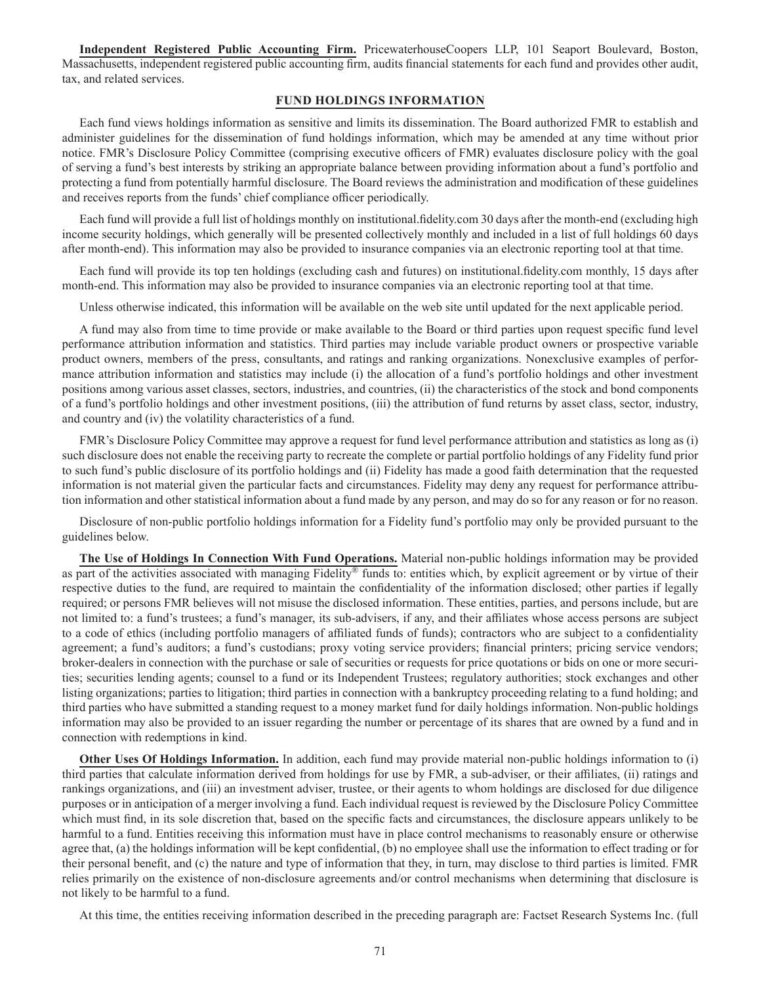**Independent Registered Public Accounting Firm.** PricewaterhouseCoopers LLP, 101 Seaport Boulevard, Boston, Massachusetts, independent registered public accounting firm, audits financial statements for each fund and provides other audit, tax, and related services.

### **FUND HOLDINGS INFORMATION**

Each fund views holdings information as sensitive and limits its dissemination. The Board authorized FMR to establish and administer guidelines for the dissemination of fund holdings information, which may be amended at any time without prior notice. FMR's Disclosure Policy Committee (comprising executive officers of FMR) evaluates disclosure policy with the goal of serving a fund's best interests by striking an appropriate balance between providing information about a fund's portfolio and protecting a fund from potentially harmful disclosure. The Board reviews the administration and modification of these guidelines and receives reports from the funds' chief compliance officer periodically.

Each fund will provide a full list of holdings monthly on institutional.fidelity.com 30 days after the month-end (excluding high income security holdings, which generally will be presented collectively monthly and included in a list of full holdings 60 days after month-end). This information may also be provided to insurance companies via an electronic reporting tool at that time.

Each fund will provide its top ten holdings (excluding cash and futures) on institutional.fidelity.com monthly, 15 days after month-end. This information may also be provided to insurance companies via an electronic reporting tool at that time.

Unless otherwise indicated, this information will be available on the web site until updated for the next applicable period.

A fund may also from time to time provide or make available to the Board or third parties upon request specific fund level performance attribution information and statistics. Third parties may include variable product owners or prospective variable product owners, members of the press, consultants, and ratings and ranking organizations. Nonexclusive examples of performance attribution information and statistics may include (i) the allocation of a fund's portfolio holdings and other investment positions among various asset classes, sectors, industries, and countries, (ii) the characteristics of the stock and bond components of a fund's portfolio holdings and other investment positions, (iii) the attribution of fund returns by asset class, sector, industry, and country and (iv) the volatility characteristics of a fund.

FMR's Disclosure Policy Committee may approve a request for fund level performance attribution and statistics as long as (i) such disclosure does not enable the receiving party to recreate the complete or partial portfolio holdings of any Fidelity fund prior to such fund's public disclosure of its portfolio holdings and (ii) Fidelity has made a good faith determination that the requested information is not material given the particular facts and circumstances. Fidelity may deny any request for performance attribution information and other statistical information about a fund made by any person, and may do so for any reason or for no reason.

Disclosure of non-public portfolio holdings information for a Fidelity fund's portfolio may only be provided pursuant to the guidelines below.

**The Use of Holdings In Connection With Fund Operations.** Material non-public holdings information may be provided as part of the activities associated with managing Fidelity® funds to: entities which, by explicit agreement or by virtue of their respective duties to the fund, are required to maintain the confidentiality of the information disclosed; other parties if legally required; or persons FMR believes will not misuse the disclosed information. These entities, parties, and persons include, but are not limited to: a fund's trustees; a fund's manager, its sub-advisers, if any, and their affiliates whose access persons are subject to a code of ethics (including portfolio managers of affiliated funds of funds); contractors who are subject to a confidentiality agreement; a fund's auditors; a fund's custodians; proxy voting service providers; financial printers; pricing service vendors; broker-dealers in connection with the purchase or sale of securities or requests for price quotations or bids on one or more securities; securities lending agents; counsel to a fund or its Independent Trustees; regulatory authorities; stock exchanges and other listing organizations; parties to litigation; third parties in connection with a bankruptcy proceeding relating to a fund holding; and third parties who have submitted a standing request to a money market fund for daily holdings information. Non-public holdings information may also be provided to an issuer regarding the number or percentage of its shares that are owned by a fund and in connection with redemptions in kind.

**Other Uses Of Holdings Information.** In addition, each fund may provide material non-public holdings information to (i) third parties that calculate information derived from holdings for use by FMR, a sub-adviser, or their affiliates, (ii) ratings and rankings organizations, and (iii) an investment adviser, trustee, or their agents to whom holdings are disclosed for due diligence purposes or in anticipation of a merger involving a fund. Each individual request is reviewed by the Disclosure Policy Committee which must find, in its sole discretion that, based on the specific facts and circumstances, the disclosure appears unlikely to be harmful to a fund. Entities receiving this information must have in place control mechanisms to reasonably ensure or otherwise agree that, (a) the holdings information will be kept confidential, (b) no employee shall use the information to effect trading or for their personal benefit, and (c) the nature and type of information that they, in turn, may disclose to third parties is limited. FMR relies primarily on the existence of non-disclosure agreements and/or control mechanisms when determining that disclosure is not likely to be harmful to a fund.

At this time, the entities receiving information described in the preceding paragraph are: Factset Research Systems Inc. (full